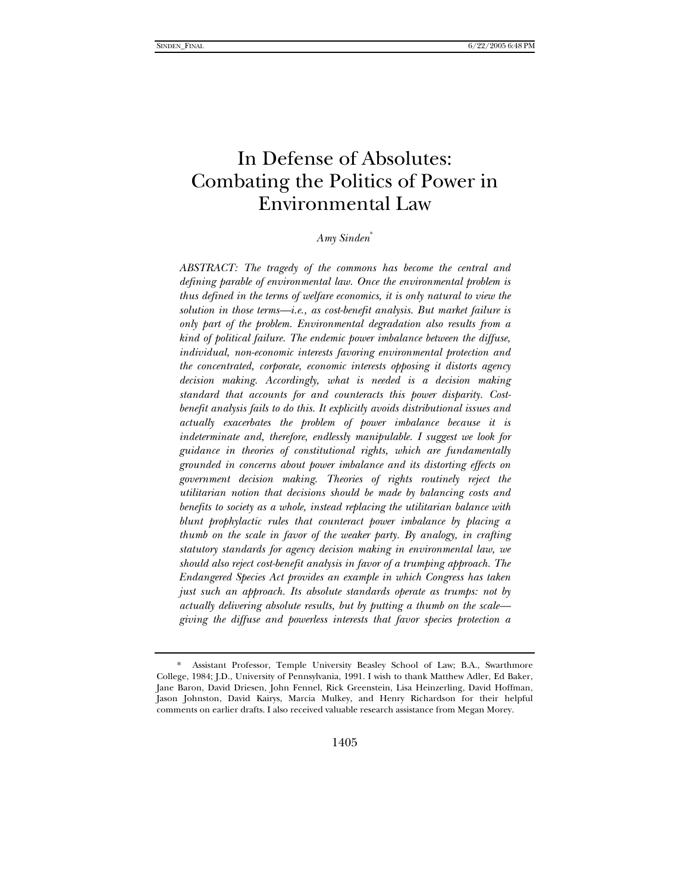# In Defense of Absolutes: Combating the Politics of Power in Environmental Law

*Amy Sinden*\*

*ABSTRACT: The tragedy of the commons has become the central and defining parable of environmental law. Once the environmental problem is thus defined in the terms of welfare economics, it is only natural to view the solution in those terms—i.e., as cost-benefit analysis. But market failure is only part of the problem. Environmental degradation also results from a kind of political failure. The endemic power imbalance between the diffuse, individual, non-economic interests favoring environmental protection and the concentrated, corporate, economic interests opposing it distorts agency decision making. Accordingly, what is needed is a decision making standard that accounts for and counteracts this power disparity. Costbenefit analysis fails to do this. It explicitly avoids distributional issues and actually exacerbates the problem of power imbalance because it is indeterminate and, therefore, endlessly manipulable. I suggest we look for guidance in theories of constitutional rights, which are fundamentally grounded in concerns about power imbalance and its distorting effects on government decision making. Theories of rights routinely reject the utilitarian notion that decisions should be made by balancing costs and benefits to society as a whole, instead replacing the utilitarian balance with blunt prophylactic rules that counteract power imbalance by placing a thumb on the scale in favor of the weaker party. By analogy, in crafting statutory standards for agency decision making in environmental law, we should also reject cost-benefit analysis in favor of a trumping approach. The Endangered Species Act provides an example in which Congress has taken just such an approach. Its absolute standards operate as trumps: not by actually delivering absolute results, but by putting a thumb on the scale giving the diffuse and powerless interests that favor species protection a* 

 <sup>\*</sup> Assistant Professor, Temple University Beasley School of Law; B.A., Swarthmore College, 1984; J.D., University of Pennsylvania, 1991. I wish to thank Matthew Adler, Ed Baker, Jane Baron, David Driesen, John Fennel, Rick Greenstein, Lisa Heinzerling, David Hoffman, Jason Johnston, David Kairys, Marcia Mulkey, and Henry Richardson for their helpful comments on earlier drafts. I also received valuable research assistance from Megan Morey.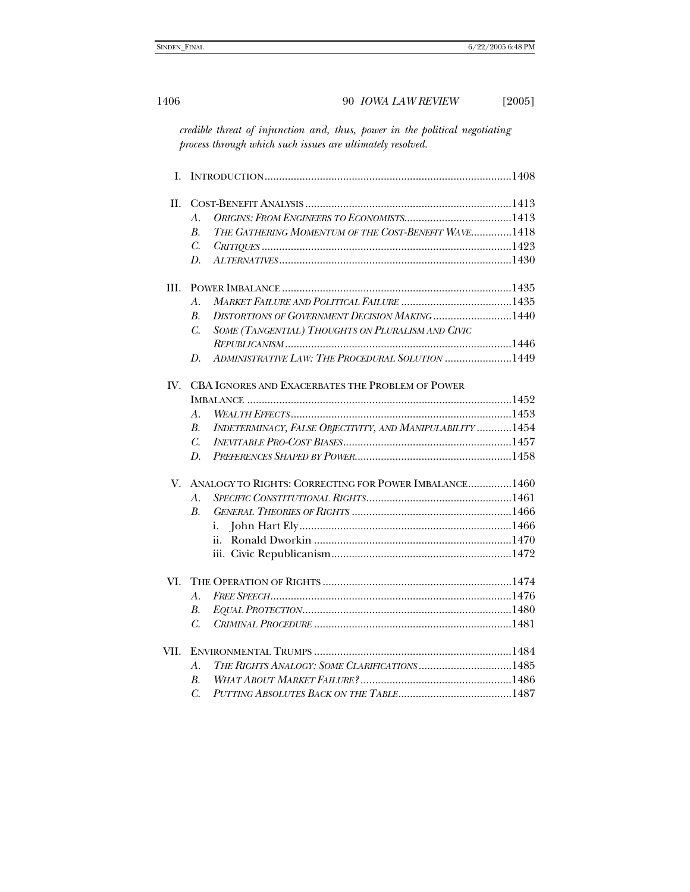*credible threat of injunction and, thus, power in the political negotiating process through which such issues are ultimately resolved.* 

| L    |                                                       |                                                            |  |  |
|------|-------------------------------------------------------|------------------------------------------------------------|--|--|
| II.  |                                                       |                                                            |  |  |
|      | $\mathcal{A}$ .                                       |                                                            |  |  |
|      | $\boldsymbol{B}$ .                                    | THE GATHERING MOMENTUM OF THE COST-BENEFIT WAVE1418        |  |  |
|      | $C_{\cdot}$                                           |                                                            |  |  |
|      | D.                                                    |                                                            |  |  |
| III. |                                                       |                                                            |  |  |
|      | A.                                                    |                                                            |  |  |
|      | $\mathbf{B}$                                          | <b>DISTORTIONS OF GOVERNMENT DECISION MAKING 1440</b>      |  |  |
|      | $C_{\cdot}$                                           | SOME (TANGENTIAL) THOUGHTS ON PLURALISM AND CIVIC          |  |  |
|      |                                                       |                                                            |  |  |
|      | D.                                                    | ADMINISTRATIVE LAW: THE PROCEDURAL SOLUTION 1449           |  |  |
| IV.  | CBA IGNORES AND EXACERBATES THE PROBLEM OF POWER      |                                                            |  |  |
|      |                                                       |                                                            |  |  |
|      | $\mathcal{A}$ .                                       |                                                            |  |  |
|      | <i>B.</i>                                             | INDETERMINACY, FALSE OBJECTIVITY, AND MANIPULABILITY  1454 |  |  |
|      | $\mathcal{C}$                                         |                                                            |  |  |
|      | D.                                                    |                                                            |  |  |
| V.   | ANALOGY TO RIGHTS: CORRECTING FOR POWER IMBALANCE1460 |                                                            |  |  |
|      | A.                                                    |                                                            |  |  |
|      | $\boldsymbol{B}$ .                                    |                                                            |  |  |
|      |                                                       | i.                                                         |  |  |
|      |                                                       | ii.                                                        |  |  |
|      |                                                       |                                                            |  |  |
| VI.  |                                                       |                                                            |  |  |
|      | A.                                                    |                                                            |  |  |
|      | $B_{\cdot}$                                           |                                                            |  |  |
|      | $\mathcal{C}$                                         |                                                            |  |  |
| VII. |                                                       |                                                            |  |  |
|      | $A$ .                                                 | THE RIGHTS ANALOGY: SOME CLARIFICATIONS 1485               |  |  |
|      | $\mathbf{B}$                                          |                                                            |  |  |
|      | $\overline{C}$ .                                      |                                                            |  |  |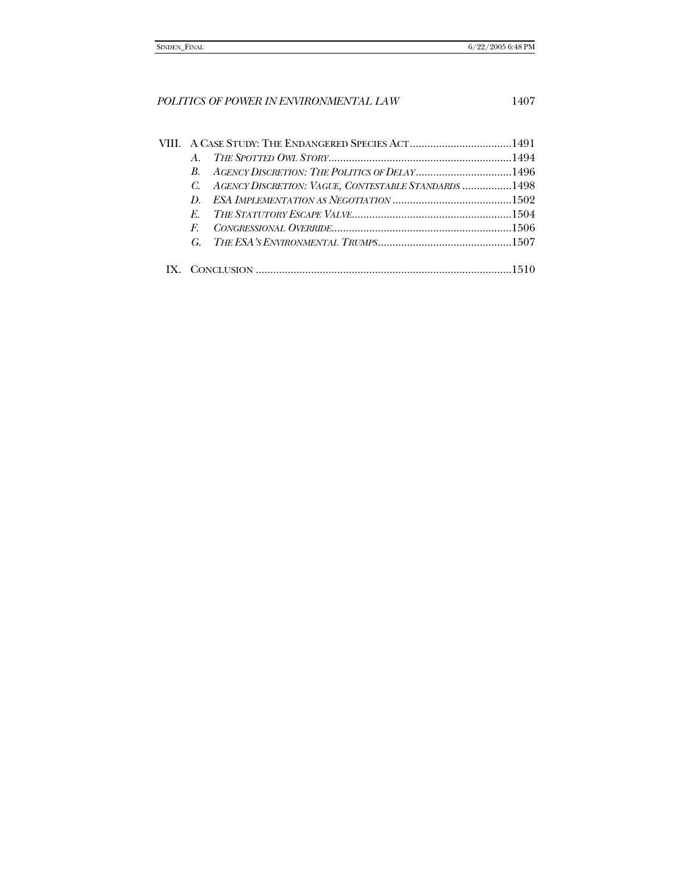|  | $A_{\cdot}$ |                                                         |  |
|--|-------------|---------------------------------------------------------|--|
|  |             |                                                         |  |
|  |             | C. AGENCY DISCRETION: VAGUE, CONTESTABLE STANDARDS 1498 |  |
|  |             |                                                         |  |
|  | $E_{\perp}$ |                                                         |  |
|  | F           |                                                         |  |
|  |             |                                                         |  |
|  |             |                                                         |  |
|  |             |                                                         |  |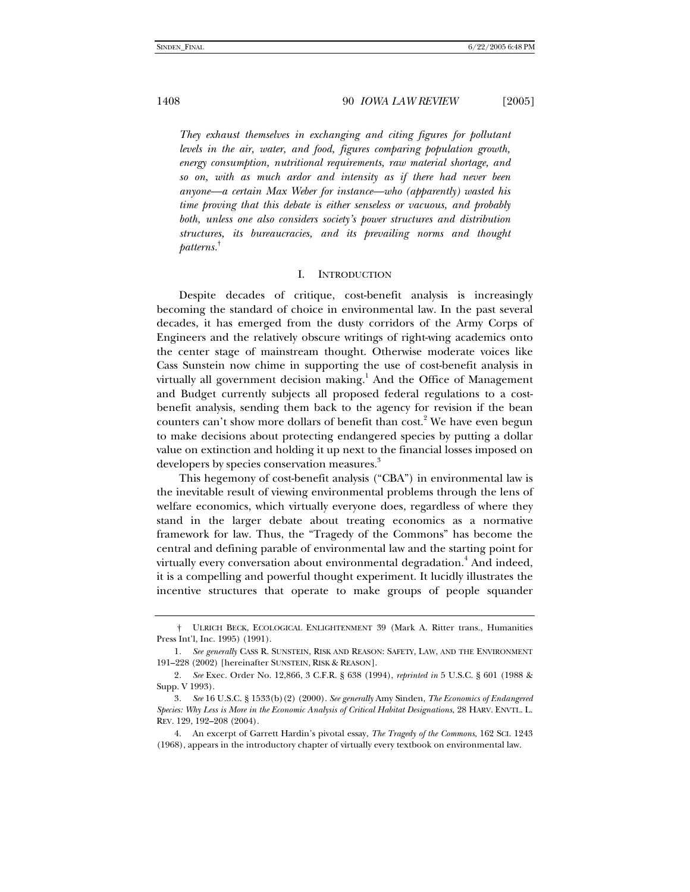*They exhaust themselves in exchanging and citing figures for pollutant levels in the air, water, and food, figures comparing population growth, energy consumption, nutritional requirements, raw material shortage, and so on, with as much ardor and intensity as if there had never been anyone—a certain Max Weber for instance—who (apparently) wasted his time proving that this debate is either senseless or vacuous, and probably both, unless one also considers society's power structures and distribution structures, its bureaucracies, and its prevailing norms and thought patterns.*†

#### I. INTRODUCTION

Despite decades of critique, cost-benefit analysis is increasingly becoming the standard of choice in environmental law. In the past several decades, it has emerged from the dusty corridors of the Army Corps of Engineers and the relatively obscure writings of right-wing academics onto the center stage of mainstream thought. Otherwise moderate voices like Cass Sunstein now chime in supporting the use of cost-benefit analysis in virtually all government decision making.<sup>1</sup> And the Office of Management and Budget currently subjects all proposed federal regulations to a costbenefit analysis, sending them back to the agency for revision if the bean counters can't show more dollars of benefit than cost.<sup>2</sup> We have even begun to make decisions about protecting endangered species by putting a dollar value on extinction and holding it up next to the financial losses imposed on developers by species conservation measures.<sup>3</sup>

This hegemony of cost-benefit analysis ("CBA") in environmental law is the inevitable result of viewing environmental problems through the lens of welfare economics, which virtually everyone does, regardless of where they stand in the larger debate about treating economics as a normative framework for law. Thus, the "Tragedy of the Commons" has become the central and defining parable of environmental law and the starting point for virtually every conversation about environmental degradation.<sup>4</sup> And indeed, it is a compelling and powerful thought experiment. It lucidly illustrates the incentive structures that operate to make groups of people squander

 <sup>†</sup> ULRICH BECK, ECOLOGICAL ENLIGHTENMENT 39 (Mark A. Ritter trans., Humanities Press Int'l, Inc. 1995) (1991).

<sup>1</sup>*. See generally* CASS R. SUNSTEIN, RISK AND REASON: SAFETY, LAW, AND THE ENVIRONMENT 191–228 (2002) [hereinafter SUNSTEIN, RISK & REASON].

<sup>2</sup>*. See* Exec. Order No. 12,866, 3 C.F.R. § 638 (1994), *reprinted in* 5 U.S.C. § 601 (1988 & Supp. V 1993).

<sup>3</sup>*. See* 16 U.S.C. § 1533(b)(2) (2000). *See generally* Amy Sinden, *The Economics of Endangered Species: Why Less is More in the Economic Analysis of Critical Habitat Designations*, 28 HARV. ENVTL. L. REV. 129, 192–208 (2004).

 <sup>4.</sup> An excerpt of Garrett Hardin's pivotal essay, *The Tragedy of the Commons*, 162 SCI. 1243 (1968), appears in the introductory chapter of virtually every textbook on environmental law.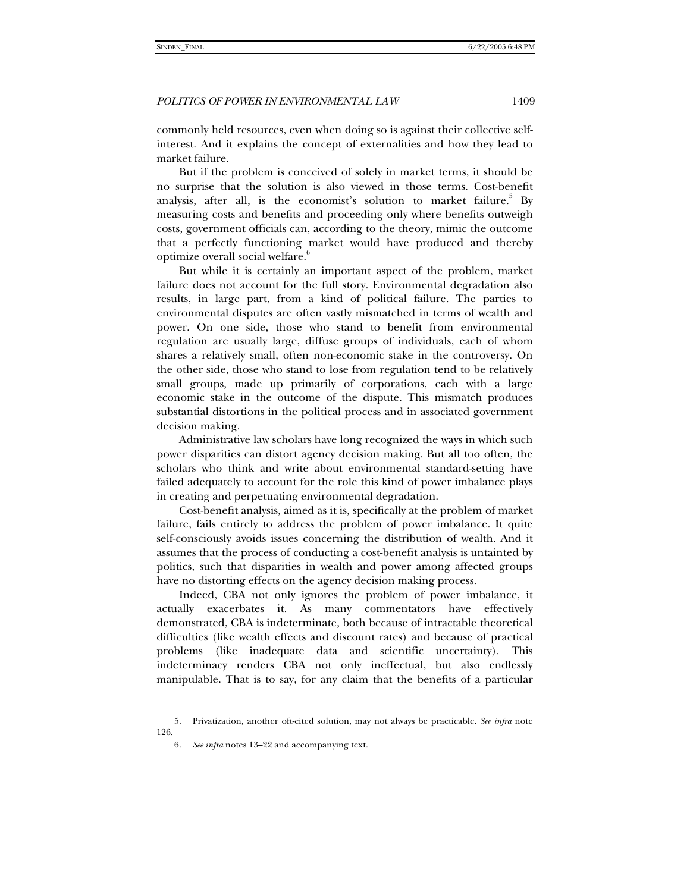commonly held resources, even when doing so is against their collective selfinterest. And it explains the concept of externalities and how they lead to market failure.

But if the problem is conceived of solely in market terms, it should be no surprise that the solution is also viewed in those terms. Cost-benefit analysis, after all, is the economist's solution to market failure. $^5$  By measuring costs and benefits and proceeding only where benefits outweigh costs, government officials can, according to the theory, mimic the outcome that a perfectly functioning market would have produced and thereby optimize overall social welfare.<sup>6</sup>

But while it is certainly an important aspect of the problem, market failure does not account for the full story. Environmental degradation also results, in large part, from a kind of political failure. The parties to environmental disputes are often vastly mismatched in terms of wealth and power. On one side, those who stand to benefit from environmental regulation are usually large, diffuse groups of individuals, each of whom shares a relatively small, often non-economic stake in the controversy. On the other side, those who stand to lose from regulation tend to be relatively small groups, made up primarily of corporations, each with a large economic stake in the outcome of the dispute. This mismatch produces substantial distortions in the political process and in associated government decision making.

Administrative law scholars have long recognized the ways in which such power disparities can distort agency decision making. But all too often, the scholars who think and write about environmental standard-setting have failed adequately to account for the role this kind of power imbalance plays in creating and perpetuating environmental degradation.

Cost-benefit analysis, aimed as it is, specifically at the problem of market failure, fails entirely to address the problem of power imbalance. It quite self-consciously avoids issues concerning the distribution of wealth. And it assumes that the process of conducting a cost-benefit analysis is untainted by politics, such that disparities in wealth and power among affected groups have no distorting effects on the agency decision making process.

Indeed, CBA not only ignores the problem of power imbalance, it actually exacerbates it. As many commentators have effectively demonstrated, CBA is indeterminate, both because of intractable theoretical difficulties (like wealth effects and discount rates) and because of practical problems (like inadequate data and scientific uncertainty). This indeterminacy renders CBA not only ineffectual, but also endlessly manipulable. That is to say, for any claim that the benefits of a particular

 <sup>5.</sup> Privatization, another oft-cited solution, may not always be practicable. *See infra* note 126.

<sup>6</sup>*. See infra* notes 13–22 and accompanying text.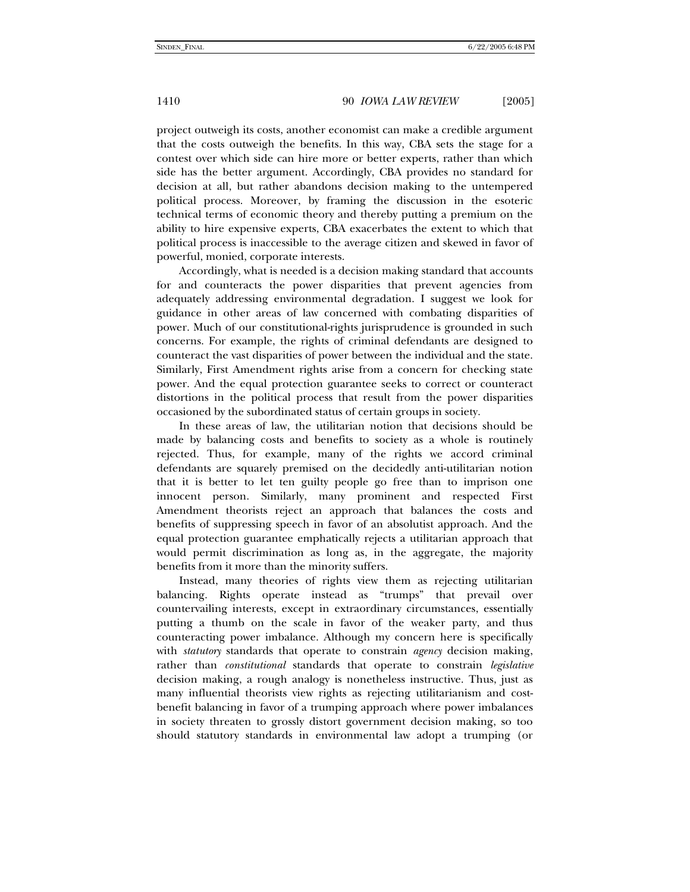project outweigh its costs, another economist can make a credible argument that the costs outweigh the benefits. In this way, CBA sets the stage for a contest over which side can hire more or better experts, rather than which side has the better argument. Accordingly, CBA provides no standard for decision at all, but rather abandons decision making to the untempered political process. Moreover, by framing the discussion in the esoteric technical terms of economic theory and thereby putting a premium on the ability to hire expensive experts, CBA exacerbates the extent to which that political process is inaccessible to the average citizen and skewed in favor of powerful, monied, corporate interests.

Accordingly, what is needed is a decision making standard that accounts for and counteracts the power disparities that prevent agencies from adequately addressing environmental degradation. I suggest we look for guidance in other areas of law concerned with combating disparities of power. Much of our constitutional-rights jurisprudence is grounded in such concerns. For example, the rights of criminal defendants are designed to counteract the vast disparities of power between the individual and the state. Similarly, First Amendment rights arise from a concern for checking state power. And the equal protection guarantee seeks to correct or counteract distortions in the political process that result from the power disparities occasioned by the subordinated status of certain groups in society.

In these areas of law, the utilitarian notion that decisions should be made by balancing costs and benefits to society as a whole is routinely rejected. Thus, for example, many of the rights we accord criminal defendants are squarely premised on the decidedly anti-utilitarian notion that it is better to let ten guilty people go free than to imprison one innocent person. Similarly, many prominent and respected First Amendment theorists reject an approach that balances the costs and benefits of suppressing speech in favor of an absolutist approach. And the equal protection guarantee emphatically rejects a utilitarian approach that would permit discrimination as long as, in the aggregate, the majority benefits from it more than the minority suffers.

Instead, many theories of rights view them as rejecting utilitarian balancing. Rights operate instead as "trumps" that prevail over countervailing interests, except in extraordinary circumstances, essentially putting a thumb on the scale in favor of the weaker party, and thus counteracting power imbalance. Although my concern here is specifically with *statutory* standards that operate to constrain *agency* decision making, rather than *constitutional* standards that operate to constrain *legislative* decision making, a rough analogy is nonetheless instructive. Thus, just as many influential theorists view rights as rejecting utilitarianism and costbenefit balancing in favor of a trumping approach where power imbalances in society threaten to grossly distort government decision making, so too should statutory standards in environmental law adopt a trumping (or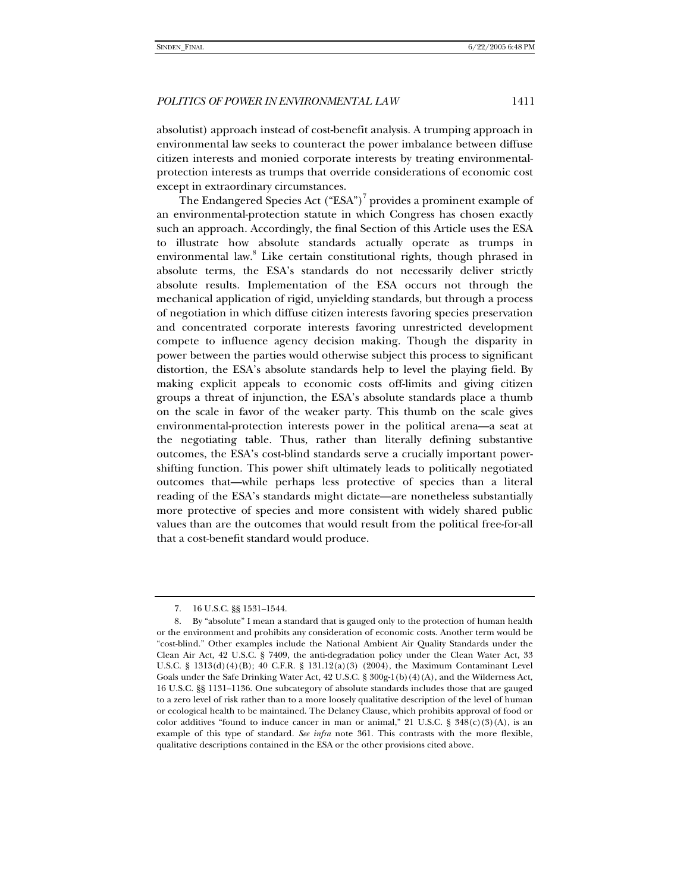absolutist) approach instead of cost-benefit analysis. A trumping approach in environmental law seeks to counteract the power imbalance between diffuse citizen interests and monied corporate interests by treating environmentalprotection interests as trumps that override considerations of economic cost except in extraordinary circumstances.

The Endangered Species Act  $("ESA")^7$  provides a prominent example of an environmental-protection statute in which Congress has chosen exactly such an approach. Accordingly, the final Section of this Article uses the ESA to illustrate how absolute standards actually operate as trumps in environmental law.<sup>8</sup> Like certain constitutional rights, though phrased in absolute terms, the ESA's standards do not necessarily deliver strictly absolute results. Implementation of the ESA occurs not through the mechanical application of rigid, unyielding standards, but through a process of negotiation in which diffuse citizen interests favoring species preservation and concentrated corporate interests favoring unrestricted development compete to influence agency decision making. Though the disparity in power between the parties would otherwise subject this process to significant distortion, the ESA's absolute standards help to level the playing field. By making explicit appeals to economic costs off-limits and giving citizen groups a threat of injunction, the ESA's absolute standards place a thumb on the scale in favor of the weaker party. This thumb on the scale gives environmental-protection interests power in the political arena—a seat at the negotiating table. Thus, rather than literally defining substantive outcomes, the ESA's cost-blind standards serve a crucially important powershifting function. This power shift ultimately leads to politically negotiated outcomes that—while perhaps less protective of species than a literal reading of the ESA's standards might dictate—are nonetheless substantially more protective of species and more consistent with widely shared public values than are the outcomes that would result from the political free-for-all that a cost-benefit standard would produce.

 <sup>7. 16</sup> U.S.C. §§ 1531–1544.

 <sup>8.</sup> By "absolute" I mean a standard that is gauged only to the protection of human health or the environment and prohibits any consideration of economic costs. Another term would be "cost-blind." Other examples include the National Ambient Air Quality Standards under the Clean Air Act, 42 U.S.C. § 7409, the anti-degradation policy under the Clean Water Act, 33 U.S.C. § 1313(d)(4)(B); 40 C.F.R. § 131.12(a)(3) (2004), the Maximum Contaminant Level Goals under the Safe Drinking Water Act, 42 U.S.C. § 300g-1(b)(4)(A), and the Wilderness Act, 16 U.S.C. §§ 1131–1136. One subcategory of absolute standards includes those that are gauged to a zero level of risk rather than to a more loosely qualitative description of the level of human or ecological health to be maintained. The Delaney Clause, which prohibits approval of food or color additives "found to induce cancer in man or animal," 21 U.S.C. §  $348(c)(3)(A)$ , is an example of this type of standard. *See infra* note 361. This contrasts with the more flexible, qualitative descriptions contained in the ESA or the other provisions cited above.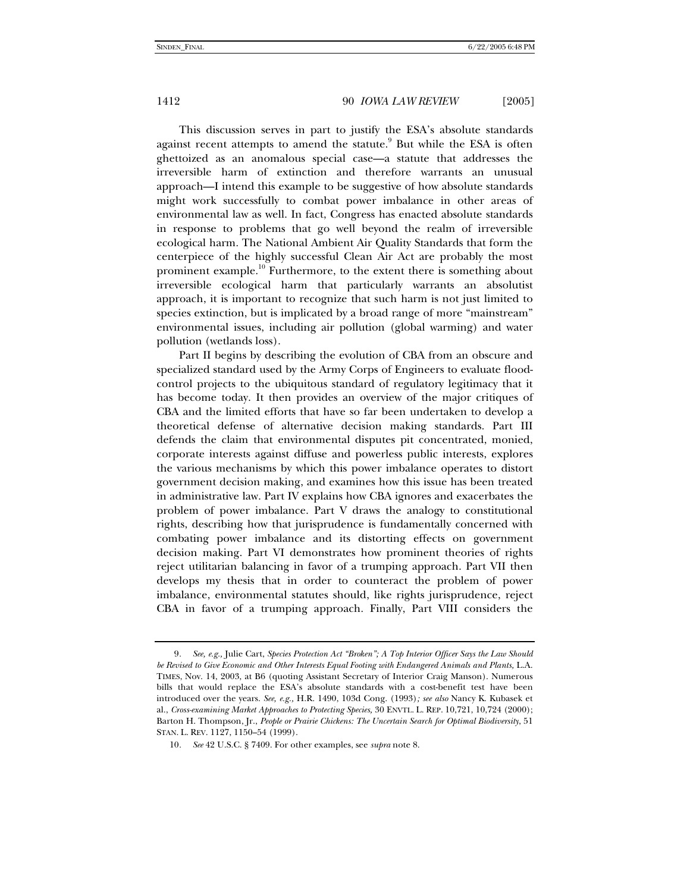This discussion serves in part to justify the ESA's absolute standards against recent attempts to amend the statute.<sup>9</sup> But while the ESA is often ghettoized as an anomalous special case—a statute that addresses the irreversible harm of extinction and therefore warrants an unusual approach—I intend this example to be suggestive of how absolute standards might work successfully to combat power imbalance in other areas of environmental law as well. In fact, Congress has enacted absolute standards in response to problems that go well beyond the realm of irreversible ecological harm. The National Ambient Air Quality Standards that form the centerpiece of the highly successful Clean Air Act are probably the most prominent example.<sup>10</sup> Furthermore, to the extent there is something about irreversible ecological harm that particularly warrants an absolutist approach, it is important to recognize that such harm is not just limited to species extinction, but is implicated by a broad range of more "mainstream" environmental issues, including air pollution (global warming) and water pollution (wetlands loss).

Part II begins by describing the evolution of CBA from an obscure and specialized standard used by the Army Corps of Engineers to evaluate floodcontrol projects to the ubiquitous standard of regulatory legitimacy that it has become today. It then provides an overview of the major critiques of CBA and the limited efforts that have so far been undertaken to develop a theoretical defense of alternative decision making standards. Part III defends the claim that environmental disputes pit concentrated, monied, corporate interests against diffuse and powerless public interests, explores the various mechanisms by which this power imbalance operates to distort government decision making, and examines how this issue has been treated in administrative law. Part IV explains how CBA ignores and exacerbates the problem of power imbalance. Part V draws the analogy to constitutional rights, describing how that jurisprudence is fundamentally concerned with combating power imbalance and its distorting effects on government decision making. Part VI demonstrates how prominent theories of rights reject utilitarian balancing in favor of a trumping approach. Part VII then develops my thesis that in order to counteract the problem of power imbalance, environmental statutes should, like rights jurisprudence, reject CBA in favor of a trumping approach. Finally, Part VIII considers the

<sup>9</sup>*. See, e.g.,* Julie Cart, *Species Protection Act "Broken"; A Top Interior Officer Says the Law Should*  be Revised to Give Economic and Other Interests Equal Footing with Endangered Animals and Plants, L.A. TIMES, Nov. 14, 2003, at B6 (quoting Assistant Secretary of Interior Craig Manson). Numerous bills that would replace the ESA's absolute standards with a cost-benefit test have been introduced over the years. *See, e.g.,* H.R. 1490, 103d Cong. (1993)*; see also* Nancy K. Kubasek et al., *Cross-examining Market Approaches to Protecting Species,* 30 ENVTL. L. REP. 10,721, 10,724 (2000); Barton H. Thompson, Jr., *People or Prairie Chickens: The Uncertain Search for Optimal Biodiversity*, 51 STAN. L. REV. 1127, 1150–54 (1999).

<sup>10</sup>*. See* 42 U.S.C. § 7409. For other examples, see *supra* note 8.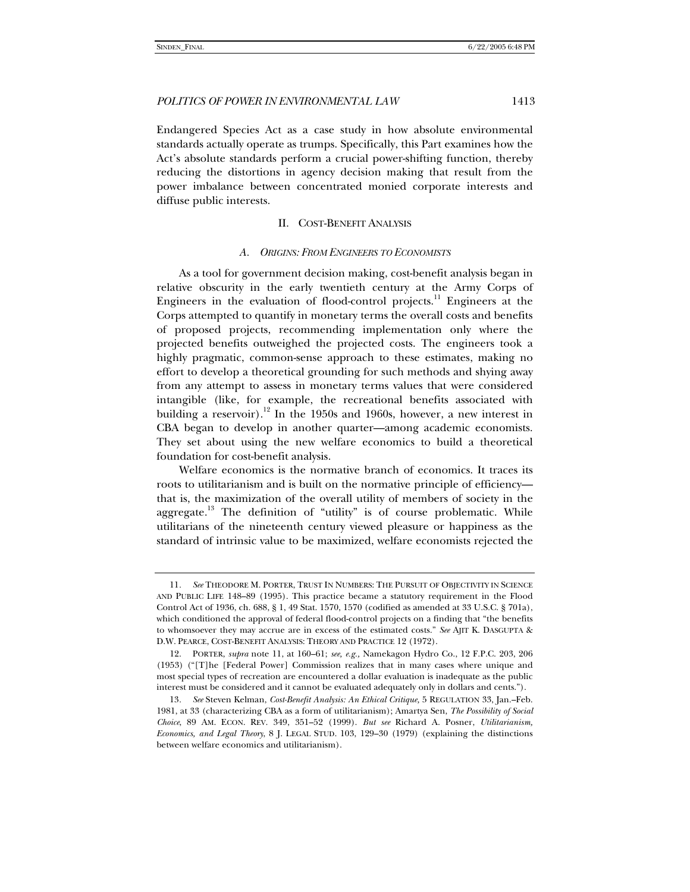Endangered Species Act as a case study in how absolute environmental standards actually operate as trumps. Specifically, this Part examines how the Act's absolute standards perform a crucial power-shifting function, thereby reducing the distortions in agency decision making that result from the power imbalance between concentrated monied corporate interests and diffuse public interests.

#### II. COST-BENEFIT ANALYSIS

#### *A. ORIGINS: FROM ENGINEERS TO ECONOMISTS*

As a tool for government decision making, cost-benefit analysis began in relative obscurity in the early twentieth century at the Army Corps of Engineers in the evaluation of flood-control projects.<sup>11</sup> Engineers at the Corps attempted to quantify in monetary terms the overall costs and benefits of proposed projects, recommending implementation only where the projected benefits outweighed the projected costs. The engineers took a highly pragmatic, common-sense approach to these estimates, making no effort to develop a theoretical grounding for such methods and shying away from any attempt to assess in monetary terms values that were considered intangible (like, for example, the recreational benefits associated with building a reservoir).<sup>12</sup> In the 1950s and 1960s, however, a new interest in CBA began to develop in another quarter—among academic economists. They set about using the new welfare economics to build a theoretical foundation for cost-benefit analysis.

Welfare economics is the normative branch of economics. It traces its roots to utilitarianism and is built on the normative principle of efficiency that is, the maximization of the overall utility of members of society in the aggregate.<sup>13</sup> The definition of "utility" is of course problematic. While utilitarians of the nineteenth century viewed pleasure or happiness as the standard of intrinsic value to be maximized, welfare economists rejected the

<sup>11</sup>*. See* THEODORE M. PORTER, TRUST IN NUMBERS: THE PURSUIT OF OBJECTIVITY IN SCIENCE AND PUBLIC LIFE 148–89 (1995). This practice became a statutory requirement in the Flood Control Act of 1936, ch. 688, § 1, 49 Stat. 1570, 1570 (codified as amended at 33 U.S.C. § 701a), which conditioned the approval of federal flood-control projects on a finding that "the benefits to whomsoever they may accrue are in excess of the estimated costs." *See* AJIT K. DASGUPTA & D.W. PEARCE, COST-BENEFIT ANALYSIS: THEORY AND PRACTICE 12 (1972).

 <sup>12.</sup> PORTER, *supra* note 11, at 160–61; *see, e.g.,* Namekagon Hydro Co., 12 F.P.C. 203, 206 (1953) ("[T]he [Federal Power] Commission realizes that in many cases where unique and most special types of recreation are encountered a dollar evaluation is inadequate as the public interest must be considered and it cannot be evaluated adequately only in dollars and cents.").

<sup>13</sup>*. See* Steven Kelman, *Cost-Benefit Analysis: An Ethical Critique,* 5 REGULATION 33, Jan.–Feb. 1981, at 33 (characterizing CBA as a form of utilitarianism); Amartya Sen, *The Possibility of Social Choice*, 89 AM. ECON. REV. 349, 351–52 (1999). *But see* Richard A. Posner, *Utilitarianism, Economics, and Legal Theory*, 8 J. LEGAL STUD. 103, 129–30 (1979) (explaining the distinctions between welfare economics and utilitarianism).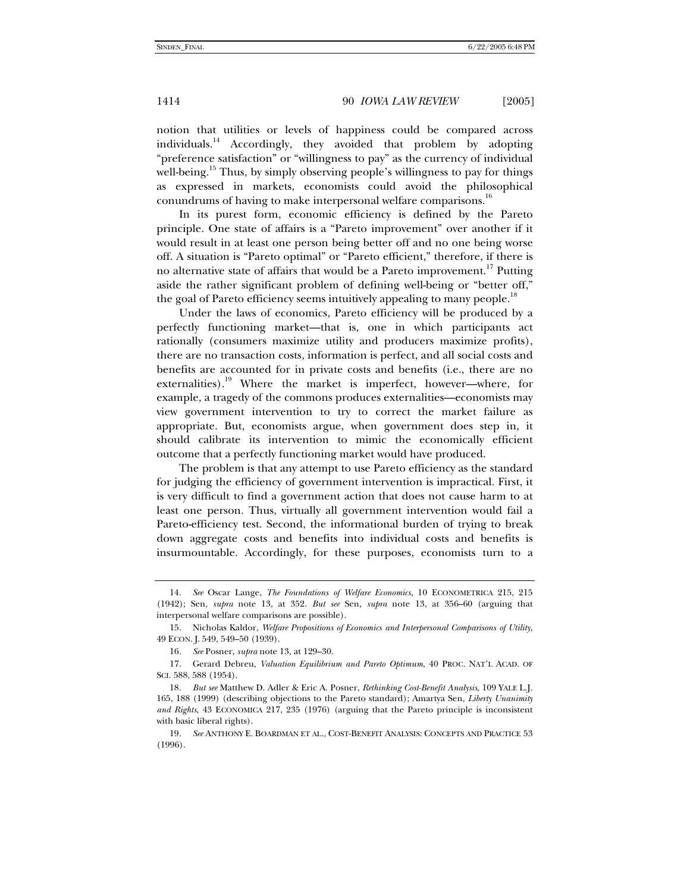notion that utilities or levels of happiness could be compared across individuals.<sup>14</sup> Accordingly, they avoided that problem by adopting "preference satisfaction" or "willingness to pay" as the currency of individual well-being.<sup>15</sup> Thus, by simply observing people's willingness to pay for things as expressed in markets, economists could avoid the philosophical conundrums of having to make interpersonal welfare comparisons.<sup>16</sup>

In its purest form, economic efficiency is defined by the Pareto principle. One state of affairs is a "Pareto improvement" over another if it would result in at least one person being better off and no one being worse off. A situation is "Pareto optimal" or "Pareto efficient," therefore, if there is no alternative state of affairs that would be a Pareto improvement.<sup>17</sup> Putting aside the rather significant problem of defining well-being or "better off," the goal of Pareto efficiency seems intuitively appealing to many people.<sup>18</sup>

Under the laws of economics, Pareto efficiency will be produced by a perfectly functioning market—that is, one in which participants act rationally (consumers maximize utility and producers maximize profits), there are no transaction costs, information is perfect, and all social costs and benefits are accounted for in private costs and benefits (i.e., there are no externalities).<sup>19</sup> Where the market is imperfect, however—where, for example, a tragedy of the commons produces externalities—economists may view government intervention to try to correct the market failure as appropriate. But, economists argue, when government does step in, it should calibrate its intervention to mimic the economically efficient outcome that a perfectly functioning market would have produced.

The problem is that any attempt to use Pareto efficiency as the standard for judging the efficiency of government intervention is impractical. First, it is very difficult to find a government action that does not cause harm to at least one person. Thus, virtually all government intervention would fail a Pareto-efficiency test. Second, the informational burden of trying to break down aggregate costs and benefits into individual costs and benefits is insurmountable. Accordingly, for these purposes, economists turn to a

<sup>14</sup>*. See* Oscar Lange, *The Foundations of Welfare Economics*, 10 ECONOMETRICA 215, 215 (1942); Sen, *supra* note 13, at 352. *But see* Sen, *supra* note 13, at 356–60 (arguing that interpersonal welfare comparisons are possible).

 <sup>15.</sup> Nicholas Kaldor, *Welfare Propositions of Economics and Interpersonal Comparisons of Utility*, 49 ECON. J. 549, 549–50 (1939).

<sup>16</sup>*. See* Posner, *supra* note 13, at 129–30.

 <sup>17.</sup> Gerard Debreu, *Valuation Equilibrium and Pareto Optimum*, 40 PROC. NAT'L ACAD. OF SCI. 588, 588 (1954).

<sup>18</sup>*. But see* Matthew D. Adler & Eric A. Posner, *Rethinking Cost-Benefit Analysis*, 109 YALE L.J. 165, 188 (1999) (describing objections to the Pareto standard); Amartya Sen, *Liberty Unanimity and Rights*, 43 ECONOMICA 217, 235 (1976) (arguing that the Pareto principle is inconsistent with basic liberal rights).

<sup>19</sup>*. See* ANTHONY E. BOARDMAN ET AL., COST-BENEFIT ANALYSIS: CONCEPTS AND PRACTICE 53 (1996).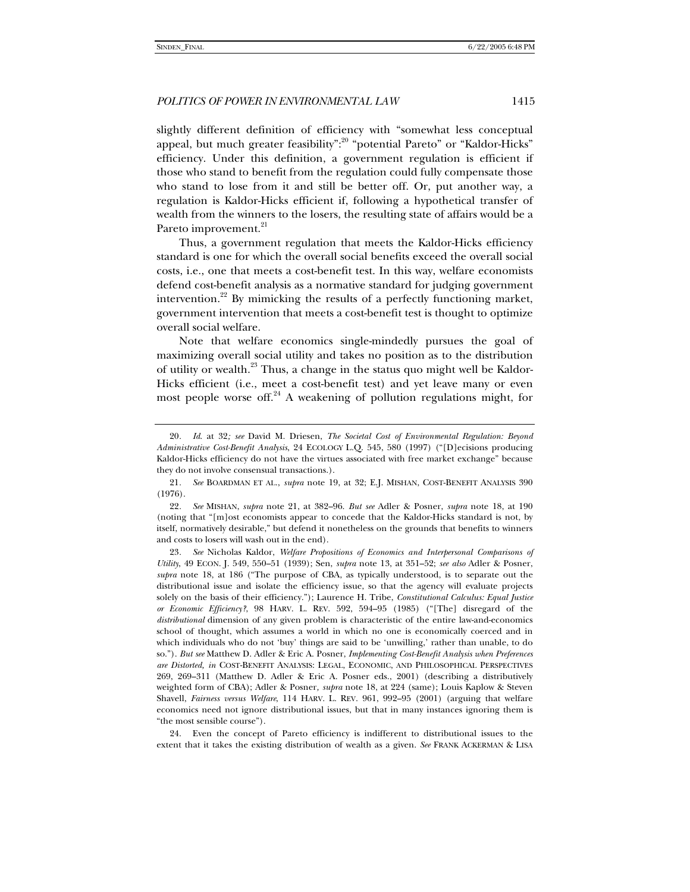slightly different definition of efficiency with "somewhat less conceptual appeal, but much greater feasibility":<sup>20</sup> "potential Pareto" or "Kaldor-Hicks" efficiency. Under this definition, a government regulation is efficient if those who stand to benefit from the regulation could fully compensate those who stand to lose from it and still be better off. Or, put another way, a regulation is Kaldor-Hicks efficient if, following a hypothetical transfer of wealth from the winners to the losers, the resulting state of affairs would be a Pareto improvement.<sup>21</sup>

Thus, a government regulation that meets the Kaldor-Hicks efficiency standard is one for which the overall social benefits exceed the overall social costs, i.e., one that meets a cost-benefit test. In this way, welfare economists defend cost-benefit analysis as a normative standard for judging government intervention.<sup>22</sup> By mimicking the results of a perfectly functioning market, government intervention that meets a cost-benefit test is thought to optimize overall social welfare.

Note that welfare economics single-mindedly pursues the goal of maximizing overall social utility and takes no position as to the distribution of utility or wealth.<sup>23</sup> Thus, a change in the status quo might well be Kaldor-Hicks efficient (i.e., meet a cost-benefit test) and yet leave many or even most people worse off.<sup>24</sup> A weakening of pollution regulations might, for

 24. Even the concept of Pareto efficiency is indifferent to distributional issues to the extent that it takes the existing distribution of wealth as a given. *See* FRANK ACKERMAN & LISA

<sup>20</sup>*. Id*. at 32*; see* David M. Driesen, *The Societal Cost of Environmental Regulation: Beyond Administrative Cost-Benefit Analysis*, 24 ECOLOGY L.Q. 545, 580 (1997) ("[D]ecisions producing Kaldor-Hicks efficiency do not have the virtues associated with free market exchange" because they do not involve consensual transactions.).

<sup>21</sup>*. See* BOARDMAN ET AL., *supra* note 19, at 32; E.J. MISHAN, COST-BENEFIT ANALYSIS 390 (1976).

<sup>22</sup>*. See* MISHAN, *supra* note 21, at 382–96. *But see* Adler & Posner, *supra* note 18, at 190 (noting that "[m]ost economists appear to concede that the Kaldor-Hicks standard is not, by itself, normatively desirable," but defend it nonetheless on the grounds that benefits to winners and costs to losers will wash out in the end).

<sup>23</sup>*. See* Nicholas Kaldor, *Welfare Propositions of Economics and Interpersonal Comparisons of Utility*, 49 ECON. J. 549, 550–51 (1939); Sen, *supra* note 13, at 351–52; *see also* Adler & Posner, *supra* note 18, at 186 ("The purpose of CBA, as typically understood, is to separate out the distributional issue and isolate the efficiency issue, so that the agency will evaluate projects solely on the basis of their efficiency."); Laurence H. Tribe, *Constitutional Calculus: Equal Justice or Economic Efficiency?*, 98 HARV. L. REV. 592, 594–95 (1985) ("[The] disregard of the *distributional* dimension of any given problem is characteristic of the entire law-and-economics school of thought, which assumes a world in which no one is economically coerced and in which individuals who do not 'buy' things are said to be 'unwilling,' rather than unable, to do so."). *But see* Matthew D. Adler & Eric A. Posner, *Implementing Cost-Benefit Analysis when Preferences are Distorted, in* COST-BENEFIT ANALYSIS: LEGAL, ECONOMIC, AND PHILOSOPHICAL PERSPECTIVES 269, 269–311 (Matthew D. Adler & Eric A. Posner eds., 2001) (describing a distributively weighted form of CBA); Adler & Posner*, supra* note 18, at 224 (same); Louis Kaplow & Steven Shavell, *Fairness versus Welfare*, 114 HARV. L. REV. 961, 992–95 (2001) (arguing that welfare economics need not ignore distributional issues, but that in many instances ignoring them is "the most sensible course").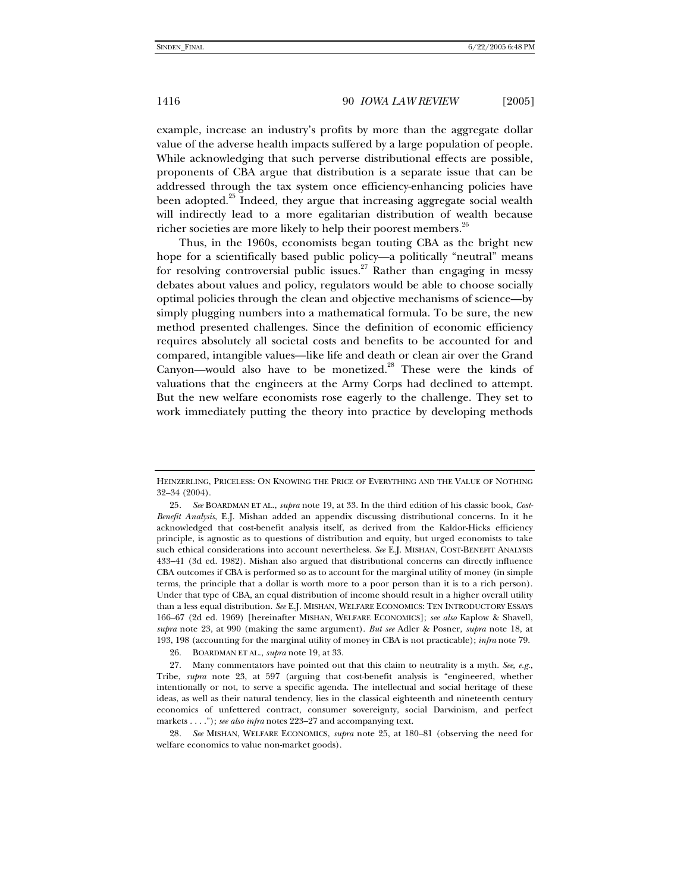example, increase an industry's profits by more than the aggregate dollar value of the adverse health impacts suffered by a large population of people. While acknowledging that such perverse distributional effects are possible, proponents of CBA argue that distribution is a separate issue that can be addressed through the tax system once efficiency-enhancing policies have been adopted.<sup>25</sup> Indeed, they argue that increasing aggregate social wealth will indirectly lead to a more egalitarian distribution of wealth because richer societies are more likely to help their poorest members.<sup>26</sup>

Thus, in the 1960s, economists began touting CBA as the bright new hope for a scientifically based public policy—a politically "neutral" means for resolving controversial public issues.<sup>27</sup> Rather than engaging in messy debates about values and policy, regulators would be able to choose socially optimal policies through the clean and objective mechanisms of science—by simply plugging numbers into a mathematical formula. To be sure, the new method presented challenges. Since the definition of economic efficiency requires absolutely all societal costs and benefits to be accounted for and compared, intangible values—like life and death or clean air over the Grand Canyon—would also have to be monetized.<sup>28</sup> These were the kinds of valuations that the engineers at the Army Corps had declined to attempt. But the new welfare economists rose eagerly to the challenge. They set to work immediately putting the theory into practice by developing methods

28*. See* MISHAN, WELFARE ECONOMICS, *supra* note 25, at 180–81 (observing the need for welfare economics to value non-market goods).

HEINZERLING, PRICELESS: ON KNOWING THE PRICE OF EVERYTHING AND THE VALUE OF NOTHING 32–34 (2004).

<sup>25</sup>*. See* BOARDMAN ET AL., *supra* note 19, at 33. In the third edition of his classic book, *Cost-Benefit Analysis*, E.J. Mishan added an appendix discussing distributional concerns. In it he acknowledged that cost-benefit analysis itself, as derived from the Kaldor-Hicks efficiency principle, is agnostic as to questions of distribution and equity, but urged economists to take such ethical considerations into account nevertheless. *See* E.J. MISHAN, COST-BENEFIT ANALYSIS 433–41 (3d ed. 1982). Mishan also argued that distributional concerns can directly influence CBA outcomes if CBA is performed so as to account for the marginal utility of money (in simple terms, the principle that a dollar is worth more to a poor person than it is to a rich person). Under that type of CBA, an equal distribution of income should result in a higher overall utility than a less equal distribution. *See* E.J. MISHAN, WELFARE ECONOMICS: TEN INTRODUCTORY ESSAYS 166–67 (2d ed. 1969) [hereinafter MISHAN, WELFARE ECONOMICS]; *see also* Kaplow & Shavell, *supra* note 23, at 990 (making the same argument). *But see* Adler & Posner, *supra* note 18, at 193, 198 (accounting for the marginal utility of money in CBA is not practicable); *infra* note 79.

 <sup>26.</sup> BOARDMAN ET AL., *supra* note 19, at 33.

 <sup>27.</sup> Many commentators have pointed out that this claim to neutrality is a myth. *See, e.g.*, Tribe, *supra* note 23, at 597 (arguing that cost-benefit analysis is "engineered, whether intentionally or not, to serve a specific agenda. The intellectual and social heritage of these ideas, as well as their natural tendency, lies in the classical eighteenth and nineteenth century economics of unfettered contract, consumer sovereignty, social Darwinism, and perfect markets . . . ."); *see also infra* notes 223–27 and accompanying text.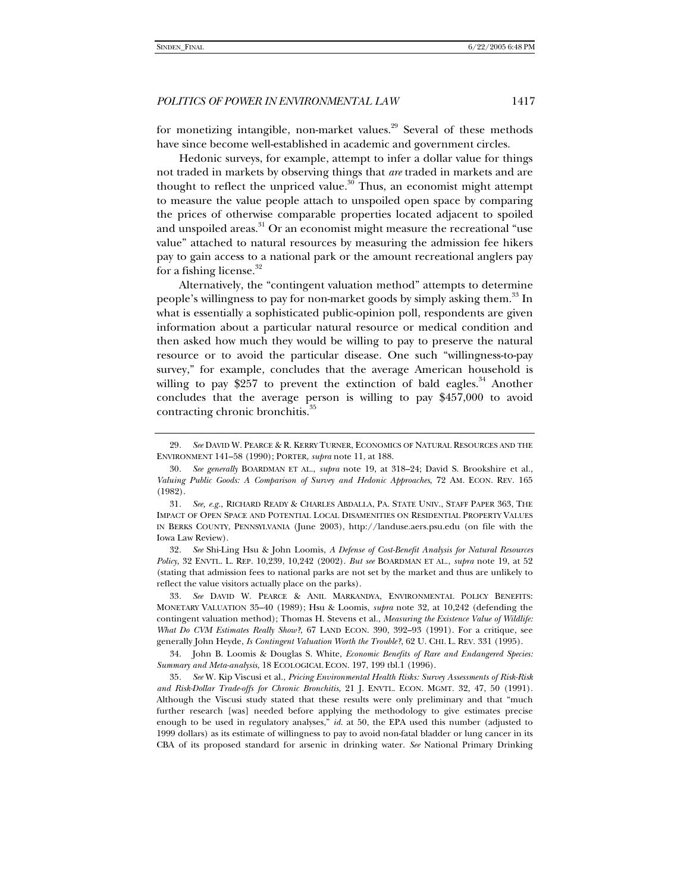for monetizing intangible, non-market values.<sup>29</sup> Several of these methods have since become well-established in academic and government circles.

Hedonic surveys, for example, attempt to infer a dollar value for things not traded in markets by observing things that *are* traded in markets and are thought to reflect the unpriced value.<sup>30</sup> Thus, an economist might attempt to measure the value people attach to unspoiled open space by comparing the prices of otherwise comparable properties located adjacent to spoiled and unspoiled areas.<sup>31</sup> Or an economist might measure the recreational "use value" attached to natural resources by measuring the admission fee hikers pay to gain access to a national park or the amount recreational anglers pay for a fishing license. $32$ 

Alternatively, the "contingent valuation method" attempts to determine people's willingness to pay for non-market goods by simply asking them.<sup>33</sup> In what is essentially a sophisticated public-opinion poll, respondents are given information about a particular natural resource or medical condition and then asked how much they would be willing to pay to preserve the natural resource or to avoid the particular disease. One such "willingness-to-pay survey," for example, concludes that the average American household is willing to pay \$257 to prevent the extinction of bald eagles.<sup>34</sup> Another concludes that the average person is willing to pay \$457,000 to avoid contracting chronic bronchitis.<sup>35</sup>

32*. See* Shi-Ling Hsu & John Loomis, *A Defense of Cost-Benefit Analysis for Natural Resources Policy*, 32 ENVTL. L. REP. 10,239, 10,242 (2002). *But see* BOARDMAN ET AL., *supra* note 19, at 52 (stating that admission fees to national parks are not set by the market and thus are unlikely to reflect the value visitors actually place on the parks).

33*. See* DAVID W. PEARCE & ANIL MARKANDYA, ENVIRONMENTAL POLICY BENEFITS: MONETARY VALUATION 35–40 (1989); Hsu & Loomis, *supra* note 32, at 10,242 (defending the contingent valuation method); Thomas H. Stevens et al., *Measuring the Existence Value of Wildlife: What Do CVM Estimates Really Show?*, 67 LAND ECON. 390, 392–93 (1991). For a critique, see generally John Heyde, *Is Contingent Valuation Worth the Trouble?*, 62 U. CHI. L. REV. 331 (1995).

<sup>29</sup>*. See* DAVID W. PEARCE & R. KERRY TURNER, ECONOMICS OF NATURAL RESOURCES AND THE ENVIRONMENT 141–58 (1990); PORTER, *supra* note 11, at 188.

<sup>30</sup>*. See generally* BOARDMAN ET AL., *supra* note 19, at 318–24; David S. Brookshire et al., *Valuing Public Goods: A Comparison of Survey and Hedonic Approaches*, 72 AM. ECON. REV. 165 (1982).

<sup>31</sup>*. See, e.g.*, RICHARD READY & CHARLES ABDALLA, PA. STATE UNIV., STAFF PAPER 363, THE IMPACT OF OPEN SPACE AND POTENTIAL LOCAL DISAMENITIES ON RESIDENTIAL PROPERTY VALUES IN BERKS COUNTY, PENNSYLVANIA (June 2003), http://landuse.aers.psu.edu (on file with the Iowa Law Review).

 <sup>34.</sup> John B. Loomis & Douglas S. White, *Economic Benefits of Rare and Endangered Species: Summary and Meta-analysis*, 18 ECOLOGICAL ECON. 197, 199 tbl.1 (1996).

<sup>35</sup>*. See* W. Kip Viscusi et al., *Pricing Environmental Health Risks: Survey Assessments of Risk-Risk and Risk-Dollar Trade-offs for Chronic Bronchitis*, 21 J. ENVTL. ECON. MGMT. 32, 47, 50 (1991). Although the Viscusi study stated that these results were only preliminary and that "much further research [was] needed before applying the methodology to give estimates precise enough to be used in regulatory analyses," *id.* at 50, the EPA used this number (adjusted to 1999 dollars) as its estimate of willingness to pay to avoid non-fatal bladder or lung cancer in its CBA of its proposed standard for arsenic in drinking water. *See* National Primary Drinking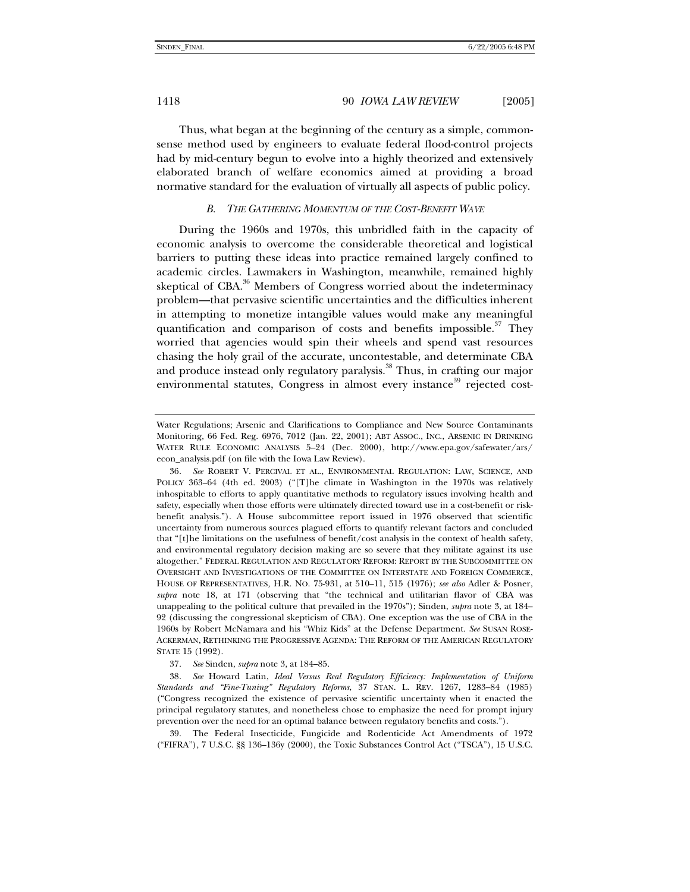Thus, what began at the beginning of the century as a simple, commonsense method used by engineers to evaluate federal flood-control projects had by mid-century begun to evolve into a highly theorized and extensively elaborated branch of welfare economics aimed at providing a broad normative standard for the evaluation of virtually all aspects of public policy.

#### *B. THE GATHERING MOMENTUM OF THE COST-BENEFIT WAVE*

During the 1960s and 1970s, this unbridled faith in the capacity of economic analysis to overcome the considerable theoretical and logistical barriers to putting these ideas into practice remained largely confined to academic circles. Lawmakers in Washington, meanwhile, remained highly skeptical of  $CBA$ <sup>36</sup> Members of Congress worried about the indeterminacy problem—that pervasive scientific uncertainties and the difficulties inherent in attempting to monetize intangible values would make any meaningful quantification and comparison of costs and benefits impossible. $37$  They worried that agencies would spin their wheels and spend vast resources chasing the holy grail of the accurate, uncontestable, and determinate CBA and produce instead only regulatory paralysis.<sup>38</sup> Thus, in crafting our major environmental statutes, Congress in almost every instance<sup>39</sup> rejected cost-

 39. The Federal Insecticide, Fungicide and Rodenticide Act Amendments of 1972 ("FIFRA"), 7 U.S.C. §§ 136–136y (2000), the Toxic Substances Control Act ("TSCA"), 15 U.S.C.

Water Regulations; Arsenic and Clarifications to Compliance and New Source Contaminants Monitoring, 66 Fed. Reg. 6976, 7012 (Jan. 22, 2001); ABT ASSOC., INC., ARSENIC IN DRINKING WATER RULE ECONOMIC ANALYSIS 5–24 (Dec. 2000), http://www.epa.gov/safewater/ars/ econ\_analysis.pdf (on file with the Iowa Law Review).

<sup>36</sup>*. See* ROBERT V. PERCIVAL ET AL., ENVIRONMENTAL REGULATION: LAW, SCIENCE, AND POLICY 363–64 (4th ed. 2003) ("[T]he climate in Washington in the 1970s was relatively inhospitable to efforts to apply quantitative methods to regulatory issues involving health and safety, especially when those efforts were ultimately directed toward use in a cost-benefit or riskbenefit analysis."). A House subcommittee report issued in 1976 observed that scientific uncertainty from numerous sources plagued efforts to quantify relevant factors and concluded that "[t]he limitations on the usefulness of benefit/cost analysis in the context of health safety, and environmental regulatory decision making are so severe that they militate against its use altogether." FEDERAL REGULATION AND REGULATORY REFORM: REPORT BY THE SUBCOMMITTEE ON OVERSIGHT AND INVESTIGATIONS OF THE COMMITTEE ON INTERSTATE AND FOREIGN COMMERCE, HOUSE OF REPRESENTATIVES*,* H.R. NO. 75-931, at 510–11, 515 (1976); *see also* Adler & Posner, *supra* note 18, at 171 (observing that "the technical and utilitarian flavor of CBA was unappealing to the political culture that prevailed in the 1970s"); Sinden, *supra* note 3, at 184– 92 (discussing the congressional skepticism of CBA). One exception was the use of CBA in the 1960s by Robert McNamara and his "Whiz Kids" at the Defense Department. *See* SUSAN ROSE-ACKERMAN, RETHINKING THE PROGRESSIVE AGENDA: THE REFORM OF THE AMERICAN REGULATORY STATE 15 (1992).

<sup>37</sup>*. See* Sinden, *supra* note 3, at 184–85.

<sup>38</sup>*. See* Howard Latin, *Ideal Versus Real Regulatory Efficiency: Implementation of Uniform Standards and "Fine-Tuning" Regulatory Reforms*, 37 STAN. L. REV. 1267, 1283–84 (1985) ("Congress recognized the existence of pervasive scientific uncertainty when it enacted the principal regulatory statutes, and nonetheless chose to emphasize the need for prompt injury prevention over the need for an optimal balance between regulatory benefits and costs.").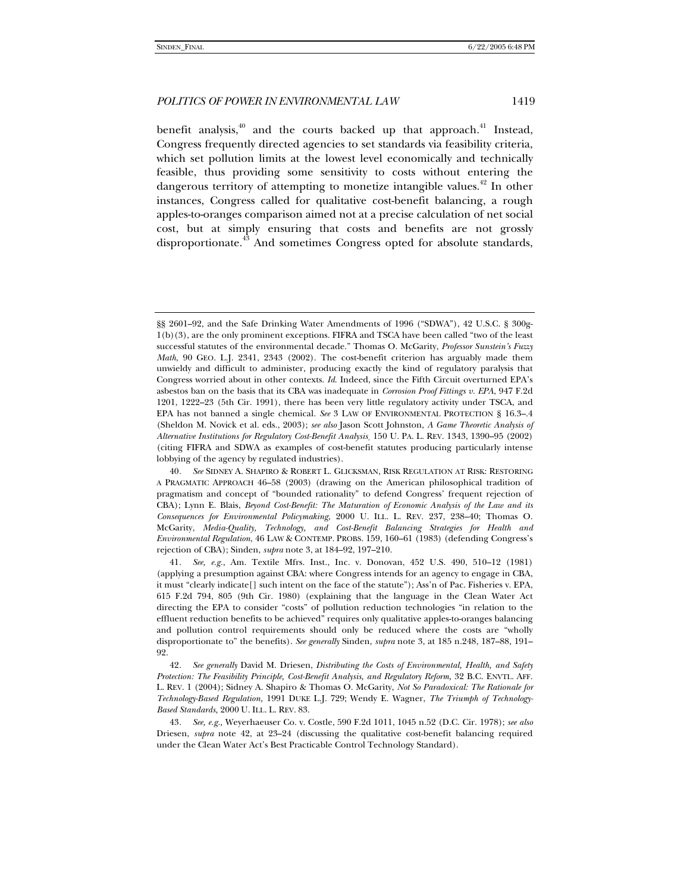benefit analysis,<sup>40</sup> and the courts backed up that approach.<sup>41</sup> Instead, Congress frequently directed agencies to set standards via feasibility criteria, which set pollution limits at the lowest level economically and technically feasible, thus providing some sensitivity to costs without entering the dangerous territory of attempting to monetize intangible values.<sup>42</sup> In other instances, Congress called for qualitative cost-benefit balancing, a rough apples-to-oranges comparison aimed not at a precise calculation of net social cost, but at simply ensuring that costs and benefits are not grossly disproportionate.<sup>43</sup> And sometimes Congress opted for absolute standards,

<sup>§§ 2601–92,</sup> and the Safe Drinking Water Amendments of 1996 ("SDWA"), 42 U.S.C. § 300g-1(b)(3), are the only prominent exceptions. FIFRA and TSCA have been called "two of the least successful statutes of the environmental decade." Thomas O. McGarity, *Professor Sunstein's Fuzzy Math*, 90 GEO. L.J. 2341, 2343 (2002). The cost-benefit criterion has arguably made them unwieldy and difficult to administer, producing exactly the kind of regulatory paralysis that Congress worried about in other contexts. *Id*. Indeed, since the Fifth Circuit overturned EPA's asbestos ban on the basis that its CBA was inadequate in *Corrosion Proof Fittings v. EPA*, 947 F.2d 1201, 1222–23 (5th Cir. 1991), there has been very little regulatory activity under TSCA, and EPA has not banned a single chemical. *See* 3 LAW OF ENVIRONMENTAL PROTECTION § 16.3–.4 (Sheldon M. Novick et al. eds., 2003); *see also* Jason Scott Johnston, *A Game Theoretic Analysis of Alternative Institutions for Regulatory Cost-Benefit Analysis¸* 150 U. PA. L. REV. 1343, 1390–95 (2002) (citing FIFRA and SDWA as examples of cost-benefit statutes producing particularly intense lobbying of the agency by regulated industries).

<sup>40</sup>*. See* SIDNEY A. SHAPIRO & ROBERT L. GLICKSMAN, RISK REGULATION AT RISK: RESTORING A PRAGMATIC APPROACH 46–58 (2003) (drawing on the American philosophical tradition of pragmatism and concept of "bounded rationality" to defend Congress' frequent rejection of CBA); Lynn E. Blais, *Beyond Cost-Benefit: The Maturation of Economic Analysis of the Law and its Consequences for Environmental Policymaking*, 2000 U. ILL. L. REV. 237, 238–40; Thomas O. McGarity, *Media-Quality, Technology, and Cost-Benefit Balancing Strategies for Health and Environmental Regulation*, 46 LAW & CONTEMP. PROBS. 159, 160–61 (1983) (defending Congress's rejection of CBA); Sinden, *supra* note 3, at 184–92, 197–210.

<sup>41</sup>*. See, e.g.*, Am. Textile Mfrs. Inst., Inc. v. Donovan, 452 U.S. 490, 510–12 (1981) (applying a presumption against CBA: where Congress intends for an agency to engage in CBA, it must "clearly indicate[] such intent on the face of the statute"); Ass'n of Pac. Fisheries v. EPA, 615 F.2d 794, 805 (9th Cir. 1980) (explaining that the language in the Clean Water Act directing the EPA to consider "costs" of pollution reduction technologies "in relation to the effluent reduction benefits to be achieved" requires only qualitative apples-to-oranges balancing and pollution control requirements should only be reduced where the costs are "wholly disproportionate to" the benefits). *See generally* Sinden, *supra* note 3, at 185 n.248, 187–88, 191– 92.

<sup>42</sup>*. See generally* David M. Driesen, *Distributing the Costs of Environmental, Health, and Safety Protection: The Feasibility Principle, Cost-Benefit Analysis, and Regulatory Reform,* 32 B.C. ENVTL. AFF. L. REV. 1 (2004); Sidney A. Shapiro & Thomas O. McGarity, *Not So Paradoxical: The Rationale for Technology-Based Regulation,* 1991 DUKE L.J. 729; Wendy E. Wagner, *The Triumph of Technology-Based Standards,* 2000 U. ILL. L. REV. 83.

<sup>43</sup>*. See, e.g.,* Weyerhaeuser Co. v. Costle, 590 F.2d 1011, 1045 n.52 (D.C. Cir. 1978); *see also* Driesen, *supra* note 42, at 23–24 (discussing the qualitative cost-benefit balancing required under the Clean Water Act's Best Practicable Control Technology Standard).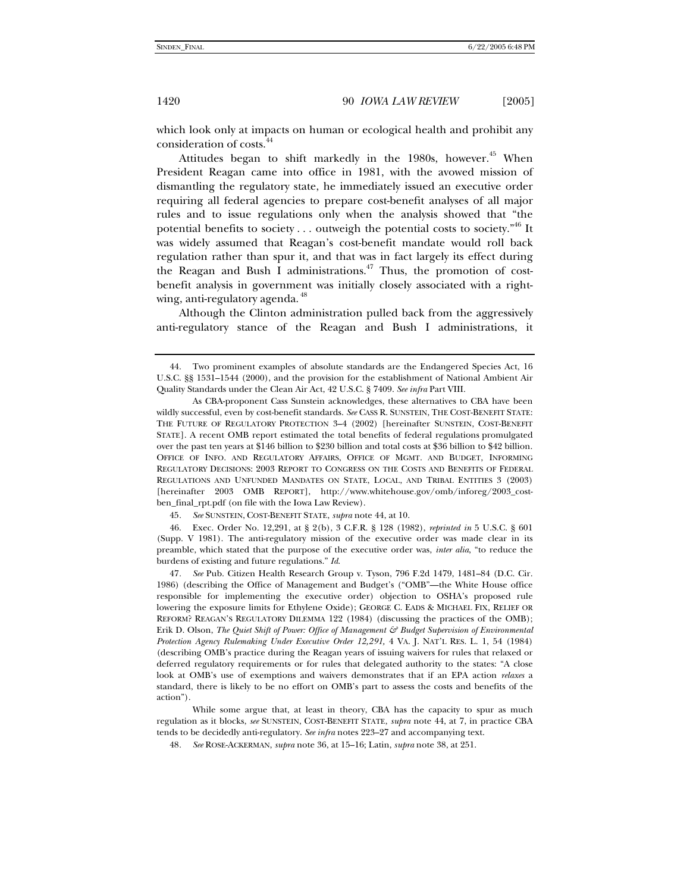which look only at impacts on human or ecological health and prohibit any consideration of costs.<sup>4</sup>

Attitudes began to shift markedly in the 1980s, however.<sup>45</sup> When President Reagan came into office in 1981, with the avowed mission of dismantling the regulatory state, he immediately issued an executive order requiring all federal agencies to prepare cost-benefit analyses of all major rules and to issue regulations only when the analysis showed that "the potential benefits to society  $\dots$  outweigh the potential costs to society."<sup>46</sup> It was widely assumed that Reagan's cost-benefit mandate would roll back regulation rather than spur it, and that was in fact largely its effect during the Reagan and Bush I administrations.<sup>47</sup> Thus, the promotion of costbenefit analysis in government was initially closely associated with a rightwing, anti-regulatory agenda.<sup>48</sup>

Although the Clinton administration pulled back from the aggressively anti-regulatory stance of the Reagan and Bush I administrations, it

45*. See* SUNSTEIN, COST-BENEFIT STATE, *supra* note 44, at 10.

 46. Exec. Order No. 12,291, at § 2(b), 3 C.F.R. § 128 (1982), *reprinted in* 5 U.S.C. § 601 (Supp. V 1981). The anti-regulatory mission of the executive order was made clear in its preamble, which stated that the purpose of the executive order was, *inter alia*, "to reduce the burdens of existing and future regulations." *Id*.

47*. See* Pub. Citizen Health Research Group v. Tyson, 796 F.2d 1479, 1481–84 (D.C. Cir. 1986) (describing the Office of Management and Budget's ("OMB"—the White House office responsible for implementing the executive order) objection to OSHA's proposed rule lowering the exposure limits for Ethylene Oxide); GEORGE C. EADS & MICHAEL FIX, RELIEF OR REFORM? REAGAN'S REGULATORY DILEMMA 122 (1984) (discussing the practices of the OMB); Erik D. Olson, *The Quiet Shift of Power: Office of Management & Budget Supervision of Environmental Protection Agency Rulemaking Under Executive Order 12,291,* 4 VA. J. NAT'L RES. L. 1, 54 (1984) (describing OMB's practice during the Reagan years of issuing waivers for rules that relaxed or deferred regulatory requirements or for rules that delegated authority to the states: "A close look at OMB's use of exemptions and waivers demonstrates that if an EPA action *relaxes* a standard, there is likely to be no effort on OMB's part to assess the costs and benefits of the action").

 While some argue that, at least in theory, CBA has the capacity to spur as much regulation as it blocks, *see* SUNSTEIN, COST-BENEFIT STATE, *supra* note 44, at 7, in practice CBA tends to be decidedly anti-regulatory. *See infra* notes 223–27 and accompanying text.

48*. See* ROSE-ACKERMAN, *supra* note 36, at 15–16; Latin, *supra* note 38, at 251.

 <sup>44.</sup> Two prominent examples of absolute standards are the Endangered Species Act, 16 U.S.C. §§ 1531–1544 (2000), and the provision for the establishment of National Ambient Air Quality Standards under the Clean Air Act, 42 U.S.C. § 7409. *See infra* Part VIII.

As CBA-proponent Cass Sunstein acknowledges, these alternatives to CBA have been wildly successful, even by cost-benefit standards. *See* CASS R. SUNSTEIN, THE COST-BENEFIT STATE: THE FUTURE OF REGULATORY PROTECTION 3–4 (2002) [hereinafter SUNSTEIN, COST-BENEFIT STATE]. A recent OMB report estimated the total benefits of federal regulations promulgated over the past ten years at \$146 billion to \$230 billion and total costs at \$36 billion to \$42 billion. OFFICE OF INFO. AND REGULATORY AFFAIRS, OFFICE OF MGMT. AND BUDGET, INFORMING REGULATORY DECISIONS: 2003 REPORT TO CONGRESS ON THE COSTS AND BENEFITS OF FEDERAL REGULATIONS AND UNFUNDED MANDATES ON STATE, LOCAL, AND TRIBAL ENTITIES 3 (2003) [hereinafter 2003 OMB REPORT], http://www.whitehouse.gov/omb/inforeg/2003\_costben\_final\_rpt.pdf (on file with the Iowa Law Review).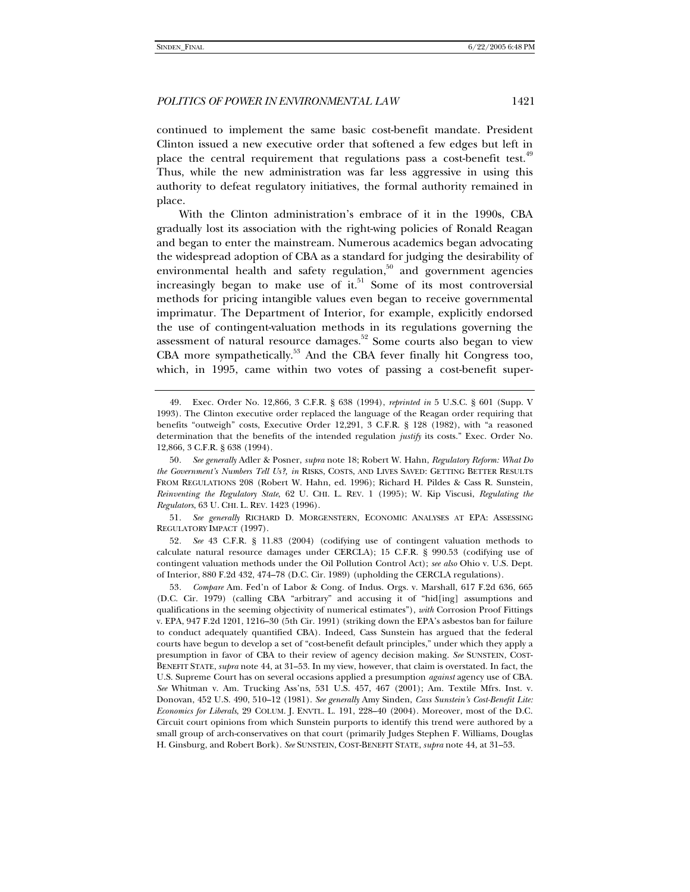continued to implement the same basic cost-benefit mandate. President Clinton issued a new executive order that softened a few edges but left in place the central requirement that regulations pass a cost-benefit test.<sup>49</sup> Thus, while the new administration was far less aggressive in using this authority to defeat regulatory initiatives, the formal authority remained in place.

With the Clinton administration's embrace of it in the 1990s, CBA gradually lost its association with the right-wing policies of Ronald Reagan and began to enter the mainstream. Numerous academics began advocating the widespread adoption of CBA as a standard for judging the desirability of environmental health and safety regulation, $50$  and government agencies increasingly began to make use of it.<sup>51</sup> Some of its most controversial methods for pricing intangible values even began to receive governmental imprimatur. The Department of Interior, for example, explicitly endorsed the use of contingent-valuation methods in its regulations governing the assessment of natural resource damages.<sup>52</sup> Some courts also began to view CBA more sympathetically.<sup>53</sup> And the CBA fever finally hit Congress too, which, in 1995, came within two votes of passing a cost-benefit super-

51*. See generally* RICHARD D. MORGENSTERN, ECONOMIC ANALYSES AT EPA: ASSESSING REGULATORY IMPACT (1997).

52*. See* 43 C.F.R. § 11.83 (2004) (codifying use of contingent valuation methods to calculate natural resource damages under CERCLA); 15 C.F.R. § 990.53 (codifying use of contingent valuation methods under the Oil Pollution Control Act); *see also* Ohio v. U.S. Dept. of Interior, 880 F.2d 432, 474–78 (D.C. Cir. 1989) (upholding the CERCLA regulations).

 <sup>49.</sup> Exec. Order No. 12,866, 3 C.F.R. § 638 (1994), *reprinted in* 5 U.S.C. § 601 (Supp. V 1993). The Clinton executive order replaced the language of the Reagan order requiring that benefits "outweigh" costs, Executive Order 12,291, 3 C.F.R. § 128 (1982), with "a reasoned determination that the benefits of the intended regulation *justify* its costs." Exec. Order No. 12,866, 3 C.F.R. § 638 (1994).

<sup>50</sup>*. See generally* Adler & Posner, *supra* note 18; Robert W. Hahn, *Regulatory Reform: What Do the Government's Numbers Tell Us?, in* RISKS, COSTS, AND LIVES SAVED: GETTING BETTER RESULTS FROM REGULATIONS 208 (Robert W. Hahn, ed. 1996); Richard H. Pildes & Cass R. Sunstein, *Reinventing the Regulatory State*, 62 U. CHI. L. REV. 1 (1995); W. Kip Viscusi, *Regulating the Regulators*, 63 U. CHI. L. REV. 1423 (1996).

<sup>53</sup>*. Compare* Am. Fed'n of Labor & Cong. of Indus. Orgs. v. Marshall, 617 F.2d 636, 665 (D.C. Cir. 1979) (calling CBA "arbitrary" and accusing it of "hid[ing] assumptions and qualifications in the seeming objectivity of numerical estimates"), *with* Corrosion Proof Fittings v. EPA, 947 F.2d 1201, 1216–30 (5th Cir. 1991) (striking down the EPA's asbestos ban for failure to conduct adequately quantified CBA). Indeed, Cass Sunstein has argued that the federal courts have begun to develop a set of "cost-benefit default principles," under which they apply a presumption in favor of CBA to their review of agency decision making. *See* SUNSTEIN, COST-BENEFIT STATE, *supra* note 44, at 31–53. In my view, however, that claim is overstated. In fact, the U.S. Supreme Court has on several occasions applied a presumption *against* agency use of CBA. *See* Whitman v. Am. Trucking Ass'ns, 531 U.S. 457, 467 (2001); Am. Textile Mfrs. Inst. v. Donovan, 452 U.S. 490, 510–12 (1981). *See generally* Amy Sinden, *Cass Sunstein's Cost-Benefit Lite: Economics for Liberals*, 29 COLUM. J. ENVTL. L. 191, 228–40 (2004). Moreover, most of the D.C. Circuit court opinions from which Sunstein purports to identify this trend were authored by a small group of arch-conservatives on that court (primarily Judges Stephen F. Williams, Douglas H. Ginsburg, and Robert Bork). *See* SUNSTEIN, COST-BENEFIT STATE, *supra* note 44, at 31–53.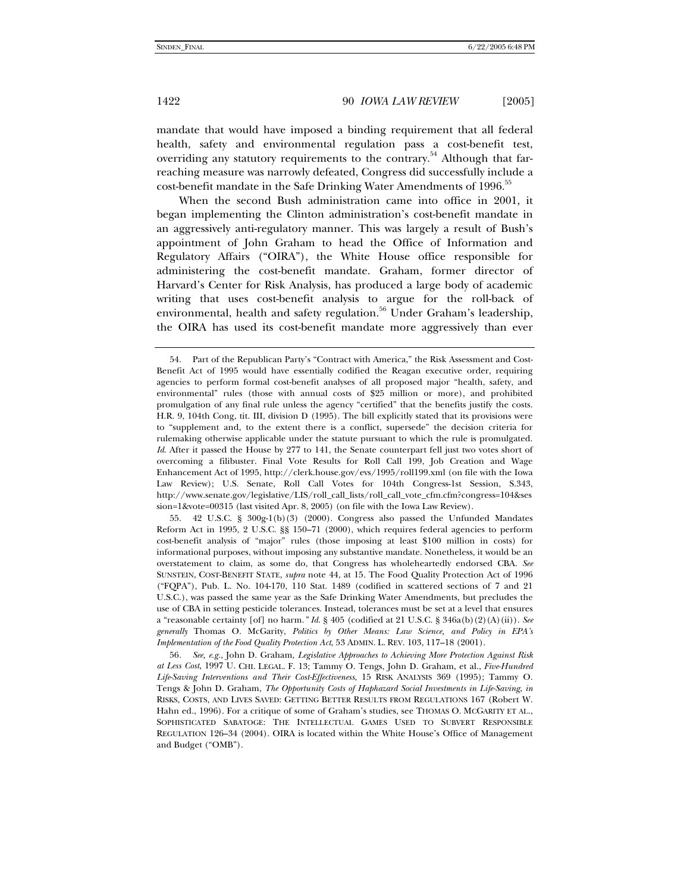mandate that would have imposed a binding requirement that all federal health, safety and environmental regulation pass a cost-benefit test, overriding any statutory requirements to the contrary.<sup>54</sup> Although that farreaching measure was narrowly defeated, Congress did successfully include a cost-benefit mandate in the Safe Drinking Water Amendments of 1996.<sup>55</sup>

When the second Bush administration came into office in 2001, it began implementing the Clinton administration's cost-benefit mandate in an aggressively anti-regulatory manner. This was largely a result of Bush's appointment of John Graham to head the Office of Information and Regulatory Affairs ("OIRA"), the White House office responsible for administering the cost-benefit mandate. Graham, former director of Harvard's Center for Risk Analysis, has produced a large body of academic writing that uses cost-benefit analysis to argue for the roll-back of environmental, health and safety regulation.<sup>56</sup> Under Graham's leadership, the OIRA has used its cost-benefit mandate more aggressively than ever

 55. 42 U.S.C. § 300g-1(b)(3) (2000). Congress also passed the Unfunded Mandates Reform Act in 1995, 2 U.S.C. §§ 150–71 (2000), which requires federal agencies to perform cost-benefit analysis of "major" rules (those imposing at least \$100 million in costs) for informational purposes, without imposing any substantive mandate. Nonetheless, it would be an overstatement to claim, as some do, that Congress has wholeheartedly endorsed CBA. *See* SUNSTEIN, COST-BENEFIT STATE, *supra* note 44, at 15. The Food Quality Protection Act of 1996 ("FQPA"), Pub. L. No. 104-170, 110 Stat. 1489 (codified in scattered sections of 7 and 21 U.S.C.), was passed the same year as the Safe Drinking Water Amendments, but precludes the use of CBA in setting pesticide tolerances. Instead, tolerances must be set at a level that ensures a "reasonable certainty [of] no harm.*" Id*. § 405 (codified at 21 U.S.C. § 346a(b)(2)(A)(ii)). *See generally* Thomas O. McGarity, *Politics by Other Means: Law Science, and Policy in EPA's Implementation of the Food Quality Protection Act*, 53 ADMIN. L. REV. 103, 117–18 (2001).

56*. See, e.g.*, John D. Graham, *Legislative Approaches to Achieving More Protection Against Risk at Less Cost*, 1997 U. CHI. LEGAL. F. 13; Tammy O. Tengs, John D. Graham, et al., *Five-Hundred Life-Saving Interventions and Their Cost-Effectiveness*, 15 RISK ANALYSIS 369 (1995); Tammy O. Tengs & John D. Graham, *The Opportunity Costs of Haphazard Social Investments in Life-Saving*, *in* RISKS, COSTS, AND LIVES SAVED: GETTING BETTER RESULTS FROM REGULATIONS 167 (Robert W. Hahn ed., 1996). For a critique of some of Graham's studies, see THOMAS O. MCGARITY ET AL., SOPHISTICATED SABATOGE: THE INTELLECTUAL GAMES USED TO SUBVERT RESPONSIBLE REGULATION 126–34 (2004). OIRA is located within the White House's Office of Management and Budget ("OMB").

 <sup>54.</sup> Part of the Republican Party's "Contract with America," the Risk Assessment and Cost-Benefit Act of 1995 would have essentially codified the Reagan executive order, requiring agencies to perform formal cost-benefit analyses of all proposed major "health, safety, and environmental" rules (those with annual costs of \$25 million or more), and prohibited promulgation of any final rule unless the agency "certified" that the benefits justify the costs. H.R. 9, 104th Cong, tit. III, division D (1995). The bill explicitly stated that its provisions were to "supplement and, to the extent there is a conflict, supersede" the decision criteria for rulemaking otherwise applicable under the statute pursuant to which the rule is promulgated. *Id.* After it passed the House by 277 to 141, the Senate counterpart fell just two votes short of overcoming a filibuster. Final Vote Results for Roll Call 199, Job Creation and Wage Enhancement Act of 1995, http://clerk.house.gov/evs/1995/roll199.xml (on file with the Iowa Law Review); U.S. Senate, Roll Call Votes for 104th Congress-1st Session, S.343, http://www.senate.gov/legislative/LIS/roll\_call\_lists/roll\_call\_vote\_cfm.cfm?congress=104&ses sion=1&vote=00315 (last visited Apr. 8, 2005) (on file with the Iowa Law Review).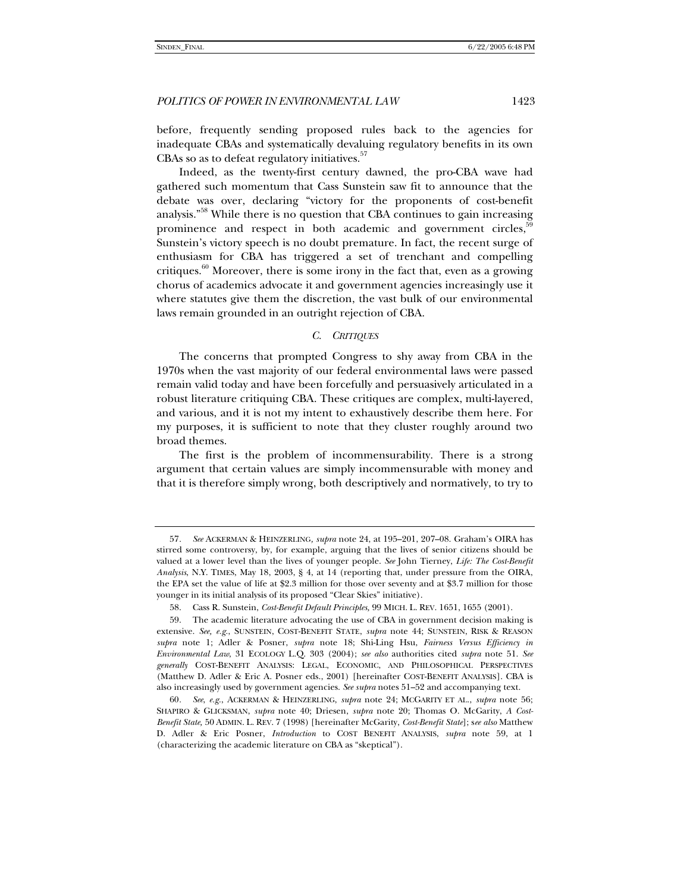before, frequently sending proposed rules back to the agencies for inadequate CBAs and systematically devaluing regulatory benefits in its own CBAs so as to defeat regulatory initiatives.<sup>57</sup>

Indeed, as the twenty-first century dawned, the pro-CBA wave had gathered such momentum that Cass Sunstein saw fit to announce that the debate was over, declaring "victory for the proponents of cost-benefit analysis."<sup>58</sup> While there is no question that CBA continues to gain increasing prominence and respect in both academic and government circles,<sup>5</sup> Sunstein's victory speech is no doubt premature. In fact, the recent surge of enthusiasm for CBA has triggered a set of trenchant and compelling critiques.<sup>60</sup> Moreover, there is some irony in the fact that, even as a growing chorus of academics advocate it and government agencies increasingly use it where statutes give them the discretion, the vast bulk of our environmental laws remain grounded in an outright rejection of CBA.

### *C. CRITIQUES*

The concerns that prompted Congress to shy away from CBA in the 1970s when the vast majority of our federal environmental laws were passed remain valid today and have been forcefully and persuasively articulated in a robust literature critiquing CBA. These critiques are complex, multi-layered, and various, and it is not my intent to exhaustively describe them here. For my purposes, it is sufficient to note that they cluster roughly around two broad themes.

The first is the problem of incommensurability. There is a strong argument that certain values are simply incommensurable with money and that it is therefore simply wrong, both descriptively and normatively, to try to

<sup>57</sup>*. See* ACKERMAN & HEINZERLING*, supra* note 24, at 195–201, 207–08. Graham's OIRA has stirred some controversy, by, for example, arguing that the lives of senior citizens should be valued at a lower level than the lives of younger people. *See* John Tierney, *Life: The Cost-Benefit Analysis*, N.Y. TIMES, May 18, 2003, § 4, at 14 (reporting that, under pressure from the OIRA, the EPA set the value of life at \$2.3 million for those over seventy and at \$3.7 million for those younger in its initial analysis of its proposed "Clear Skies" initiative).

 <sup>58.</sup> Cass R. Sunstein, *Cost-Benefit Default Principles,* 99 MICH. L. REV. 1651, 1655 (2001).

 <sup>59.</sup> The academic literature advocating the use of CBA in government decision making is extensive. *See, e.g.*, SUNSTEIN, COST-BENEFIT STATE, *supra* note 44; SUNSTEIN, RISK & REASON *supra* note 1; Adler & Posner, *supra* note 18; Shi-Ling Hsu, *Fairness Versus Efficiency in Environmental Law*, 31 ECOLOGY L.Q. 303 (2004); *see also* authorities cited *supra* note 51. *See generally* COST-BENEFIT ANALYSIS: LEGAL, ECONOMIC, AND PHILOSOPHICAL PERSPECTIVES (Matthew D. Adler & Eric A. Posner eds., 2001) [hereinafter COST-BENEFIT ANALYSIS]. CBA is also increasingly used by government agencies. *See supra* notes 51–52 and accompanying text.

<sup>60</sup>*. See*, *e.g.*, ACKERMAN & HEINZERLING, *supra* note 24; MCGARITY ET AL., *supra* note 56; SHAPIRO & GLICKSMAN, *supra* note 40; Driesen, *supra* note 20; Thomas O. McGarity, *A Cost-Benefit State,* 50 ADMIN. L. REV. 7 (1998) [hereinafter McGarity, *Cost-Benefit State*]; s*ee also* Matthew D. Adler & Eric Posner, *Introduction* to COST BENEFIT ANALYSIS, *supra* note 59, at 1 (characterizing the academic literature on CBA as "skeptical").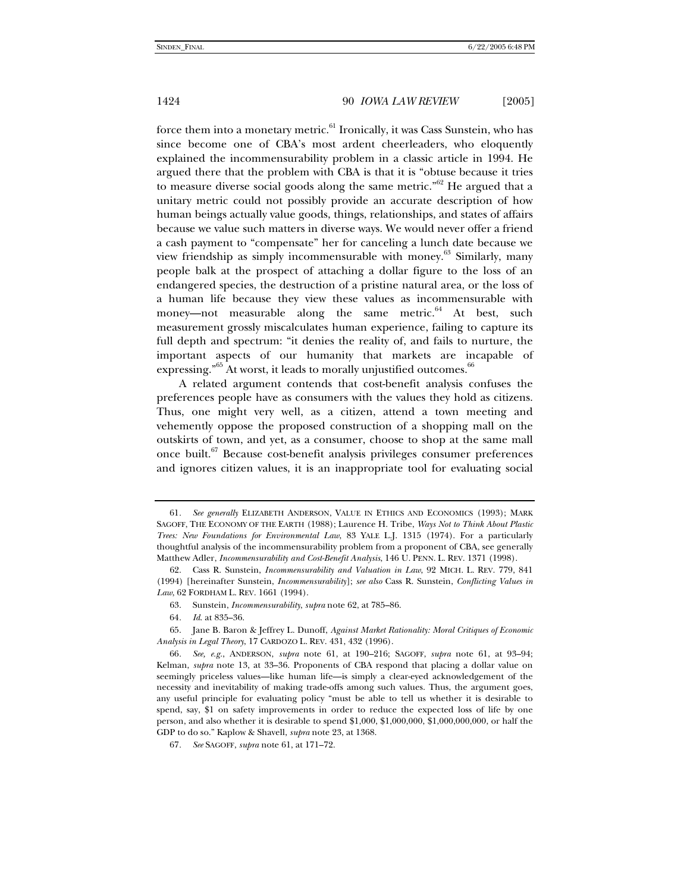force them into a monetary metric. $61$  Ironically, it was Cass Sunstein, who has since become one of CBA's most ardent cheerleaders, who eloquently explained the incommensurability problem in a classic article in 1994. He argued there that the problem with CBA is that it is "obtuse because it tries to measure diverse social goods along the same metric." $62$  He argued that a unitary metric could not possibly provide an accurate description of how human beings actually value goods, things, relationships, and states of affairs because we value such matters in diverse ways. We would never offer a friend a cash payment to "compensate" her for canceling a lunch date because we view friendship as simply incommensurable with money. $63$  Similarly, many people balk at the prospect of attaching a dollar figure to the loss of an endangered species, the destruction of a pristine natural area, or the loss of a human life because they view these values as incommensurable with money—not measurable along the same metric.<sup>64</sup> At best, such measurement grossly miscalculates human experience, failing to capture its full depth and spectrum: "it denies the reality of, and fails to nurture, the important aspects of our humanity that markets are incapable of expressing."<sup>65</sup> At worst, it leads to morally unjustified outcomes.<sup>66</sup>

A related argument contends that cost-benefit analysis confuses the preferences people have as consumers with the values they hold as citizens. Thus, one might very well, as a citizen, attend a town meeting and vehemently oppose the proposed construction of a shopping mall on the outskirts of town, and yet, as a consumer, choose to shop at the same mall once built.<sup>67</sup> Because cost-benefit analysis privileges consumer preferences and ignores citizen values, it is an inappropriate tool for evaluating social

<sup>61</sup>*. See generally* ELIZABETH ANDERSON, VALUE IN ETHICS AND ECONOMICS (1993); MARK SAGOFF, THE ECONOMY OF THE EARTH (1988); Laurence H. Tribe, *Ways Not to Think About Plastic Trees: New Foundations for Environmental Law*, 83 YALE L.J. 1315 (1974). For a particularly thoughtful analysis of the incommensurability problem from a proponent of CBA, see generally Matthew Adler, *Incommensurability and Cost-Benefit Analysis*, 146 U. PENN. L. REV. 1371 (1998).

 <sup>62.</sup> Cass R. Sunstein, *Incommensurability and Valuation in Law*, 92 MICH. L. REV. 779, 841 (1994) [hereinafter Sunstein, *Incommensurability*]; *see also* Cass R. Sunstein, *Conflicting Values in Law*, 62 FORDHAM L. REV. 1661 (1994).

 <sup>63.</sup> Sunstein, *Incommensurability*, *supra* note 62, at 785–86.

<sup>64</sup>*. Id*. at 835–36.

 <sup>65.</sup> Jane B. Baron & Jeffrey L. Dunoff, *Against Market Rationality: Moral Critiques of Economic Analysis in Legal Theory*, 17 CARDOZO L. REV. 431, 432 (1996).

<sup>66</sup>*. See, e.g.*, ANDERSON, *supra* note 61, at 190–216; SAGOFF, *supra* note 61, at 93–94; Kelman, *supra* note 13, at 33–36. Proponents of CBA respond that placing a dollar value on seemingly priceless values—like human life—is simply a clear-eyed acknowledgement of the necessity and inevitability of making trade-offs among such values. Thus, the argument goes, any useful principle for evaluating policy "must be able to tell us whether it is desirable to spend, say, \$1 on safety improvements in order to reduce the expected loss of life by one person, and also whether it is desirable to spend \$1,000, \$1,000,000, \$1,000,000,000, or half the GDP to do so." Kaplow & Shavell, *supra* note 23, at 1368.

<sup>67</sup>*. See* SAGOFF, *supra* note 61, at 171–72.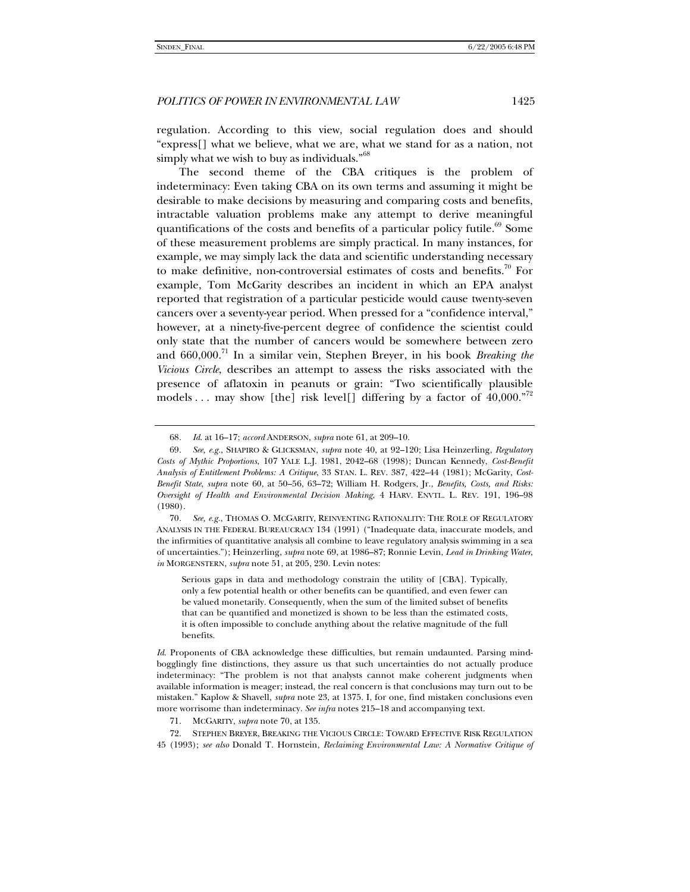regulation. According to this view, social regulation does and should "express[] what we believe, what we are, what we stand for as a nation, not simply what we wish to buy as individuals."<sup>68</sup>

The second theme of the CBA critiques is the problem of indeterminacy: Even taking CBA on its own terms and assuming it might be desirable to make decisions by measuring and comparing costs and benefits, intractable valuation problems make any attempt to derive meaningful quantifications of the costs and benefits of a particular policy futile.<sup>69</sup> Some of these measurement problems are simply practical. In many instances, for example, we may simply lack the data and scientific understanding necessary to make definitive, non-controversial estimates of costs and benefits.<sup>70</sup> For example, Tom McGarity describes an incident in which an EPA analyst reported that registration of a particular pesticide would cause twenty-seven cancers over a seventy-year period. When pressed for a "confidence interval," however, at a ninety-five-percent degree of confidence the scientist could only state that the number of cancers would be somewhere between zero and 660,000.71 In a similar vein, Stephen Breyer, in his book *Breaking the Vicious Circle*, describes an attempt to assess the risks associated with the presence of aflatoxin in peanuts or grain: "Two scientifically plausible models ... may show [the] risk level[] differing by a factor of 40,000."<sup>72</sup>

<sup>68</sup>*. Id*. at 16–17; *accord* ANDERSON, *supra* note 61, at 209–10.

<sup>69</sup>*. See, e.g.*, SHAPIRO & GLICKSMAN, *supra* note 40, at 92–120; Lisa Heinzerling, *Regulatory Costs of Mythic Proportions*, 107 YALE L.J. 1981, 2042–68 (1998); Duncan Kennedy, *Cost-Benefit Analysis of Entitlement Problems: A Critique*, 33 STAN. L. REV. 387, 422–44 (1981); McGarity, *Cost-Benefit State*, *supra* note 60, at 50–56, 63–72; William H. Rodgers, Jr., *Benefits, Costs, and Risks: Oversight of Health and Environmental Decision Making*, 4 HARV. ENVTL. L. REV. 191, 196–98 (1980).

<sup>70</sup>*. See, e.g.*, THOMAS O. MCGARITY, REINVENTING RATIONALITY: THE ROLE OF REGULATORY ANALYSIS IN THE FEDERAL BUREAUCRACY 134 (1991) ("Inadequate data, inaccurate models, and the infirmities of quantitative analysis all combine to leave regulatory analysis swimming in a sea of uncertainties."); Heinzerling, *supra* note 69, at 1986–87; Ronnie Levin, *Lead in Drinking Water*, *in* MORGENSTERN, *supra* note 51, at 205, 230. Levin notes:

Serious gaps in data and methodology constrain the utility of [CBA]. Typically, only a few potential health or other benefits can be quantified, and even fewer can be valued monetarily. Consequently, when the sum of the limited subset of benefits that can be quantified and monetized is shown to be less than the estimated costs, it is often impossible to conclude anything about the relative magnitude of the full benefits.

*Id.* Proponents of CBA acknowledge these difficulties, but remain undaunted. Parsing mindbogglingly fine distinctions, they assure us that such uncertainties do not actually produce indeterminacy: "The problem is not that analysts cannot make coherent judgments when available information is meager; instead, the real concern is that conclusions may turn out to be mistaken." Kaplow & Shavell, *supra* note 23, at 1375. I, for one, find mistaken conclusions even more worrisome than indeterminacy. *See infra* notes 215–18 and accompanying text.

 <sup>71.</sup> MCGARITY, *supra* note 70, at 135.

 <sup>72.</sup> STEPHEN BREYER, BREAKING THE VICIOUS CIRCLE: TOWARD EFFECTIVE RISK REGULATION 45 (1993); *see also* Donald T. Hornstein, *Reclaiming Environmental Law: A Normative Critique of*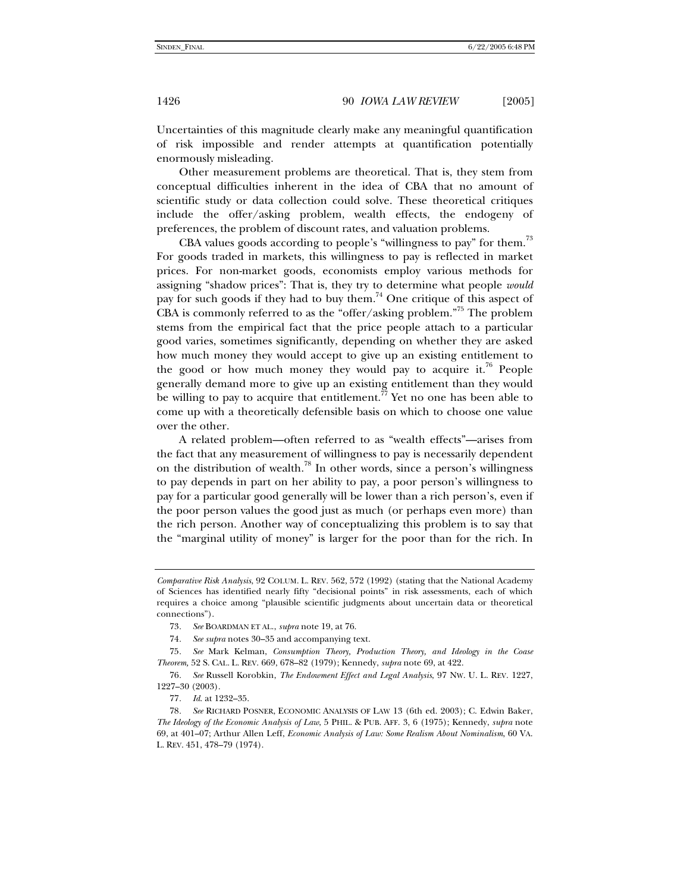Uncertainties of this magnitude clearly make any meaningful quantification of risk impossible and render attempts at quantification potentially enormously misleading.

Other measurement problems are theoretical. That is, they stem from conceptual difficulties inherent in the idea of CBA that no amount of scientific study or data collection could solve. These theoretical critiques include the offer/asking problem, wealth effects, the endogeny of preferences, the problem of discount rates, and valuation problems.

CBA values goods according to people's "willingness to pay" for them.<sup>73</sup> For goods traded in markets, this willingness to pay is reflected in market prices. For non-market goods, economists employ various methods for assigning "shadow prices": That is, they try to determine what people *would* pay for such goods if they had to buy them.<sup>74</sup> One critique of this aspect of CBA is commonly referred to as the "offer/asking problem."75 The problem stems from the empirical fact that the price people attach to a particular good varies, sometimes significantly, depending on whether they are asked how much money they would accept to give up an existing entitlement to the good or how much money they would pay to acquire it.<sup>76</sup> People generally demand more to give up an existing entitlement than they would be willing to pay to acquire that entitlement.<sup> $\tilde{7}$ </sup> Yet no one has been able to come up with a theoretically defensible basis on which to choose one value over the other.

A related problem—often referred to as "wealth effects"—arises from the fact that any measurement of willingness to pay is necessarily dependent on the distribution of wealth.<sup>78</sup> In other words, since a person's willingness to pay depends in part on her ability to pay, a poor person's willingness to pay for a particular good generally will be lower than a rich person's, even if the poor person values the good just as much (or perhaps even more) than the rich person. Another way of conceptualizing this problem is to say that the "marginal utility of money" is larger for the poor than for the rich. In

*Comparative Risk Analysis*, 92 COLUM. L. REV. 562, 572 (1992) (stating that the National Academy of Sciences has identified nearly fifty "decisional points" in risk assessments, each of which requires a choice among "plausible scientific judgments about uncertain data or theoretical connections").

<sup>73</sup>*. See* BOARDMAN ET AL., *supra* note 19, at 76.

<sup>74</sup>*. See supra* notes 30–35 and accompanying text.

<sup>75</sup>*. See* Mark Kelman, *Consumption Theory, Production Theory, and Ideology in the Coase Theorem,* 52 S. CAL. L. REV. 669, 678–82 (1979); Kennedy, *supra* note 69, at 422.

<sup>76</sup>*. See* Russell Korobkin, *The Endowment Effect and Legal Analysis*, 97 NW. U. L. REV. 1227, 1227–30 (2003).

<sup>77</sup>*. Id*. at 1232–35.

<sup>78</sup>*. See* RICHARD POSNER, ECONOMIC ANALYSIS OF LAW 13 (6th ed. 2003); C. Edwin Baker, *The Ideology of the Economic Analysis of Law*, 5 PHIL. & PUB. AFF. 3, 6 (1975); Kennedy, *supra* note 69, at 401–07; Arthur Allen Leff, *Economic Analysis of Law: Some Realism About Nominalism*, 60 VA. L. REV. 451, 478–79 (1974).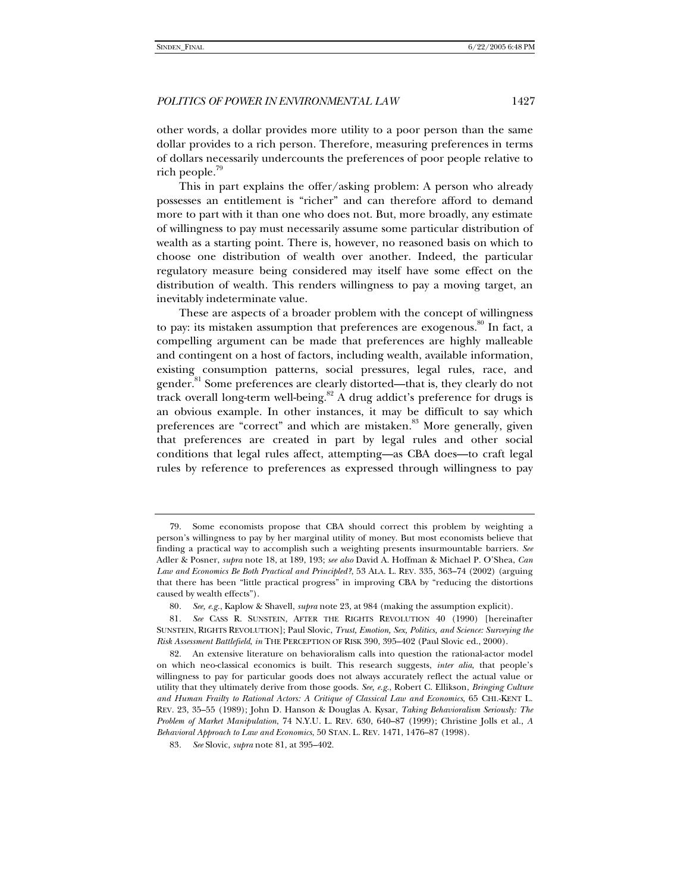other words, a dollar provides more utility to a poor person than the same dollar provides to a rich person. Therefore, measuring preferences in terms of dollars necessarily undercounts the preferences of poor people relative to rich people. $79$ 

This in part explains the offer/asking problem: A person who already possesses an entitlement is "richer" and can therefore afford to demand more to part with it than one who does not. But, more broadly, any estimate of willingness to pay must necessarily assume some particular distribution of wealth as a starting point. There is, however, no reasoned basis on which to choose one distribution of wealth over another. Indeed, the particular regulatory measure being considered may itself have some effect on the distribution of wealth. This renders willingness to pay a moving target, an inevitably indeterminate value.

These are aspects of a broader problem with the concept of willingness to pay: its mistaken assumption that preferences are exogenous.<sup>80</sup> In fact, a compelling argument can be made that preferences are highly malleable and contingent on a host of factors, including wealth, available information, existing consumption patterns, social pressures, legal rules, race, and gender.<sup>81</sup> Some preferences are clearly distorted—that is, they clearly do not track overall long-term well-being.<sup>82</sup> A drug addict's preference for drugs is an obvious example. In other instances, it may be difficult to say which preferences are "correct" and which are mistaken.<sup>83</sup> More generally, given that preferences are created in part by legal rules and other social conditions that legal rules affect, attempting—as CBA does—to craft legal rules by reference to preferences as expressed through willingness to pay

 <sup>79.</sup> Some economists propose that CBA should correct this problem by weighting a person's willingness to pay by her marginal utility of money. But most economists believe that finding a practical way to accomplish such a weighting presents insurmountable barriers. *See* Adler & Posner, *supra* note 18, at 189, 193; *see also* David A. Hoffman & Michael P. O'Shea, *Can Law and Economics Be Both Practical and Principled?*, 53 ALA. L. REV. 335, 363–74 (2002) (arguing that there has been "little practical progress" in improving CBA by "reducing the distortions caused by wealth effects").

<sup>80</sup>*. See, e.g.*, Kaplow & Shavell, *supra* note 23, at 984 (making the assumption explicit).

<sup>81</sup>*. See* CASS R. SUNSTEIN, AFTER THE RIGHTS REVOLUTION 40 (1990) [hereinafter SUNSTEIN, RIGHTS REVOLUTION]; Paul Slovic, *Trust, Emotion, Sex, Politics, and Science: Surveying the Risk Assessment Battlefield*, *in* THE PERCEPTION OF RISK 390, 395–402 (Paul Slovic ed., 2000).

 <sup>82.</sup> An extensive literature on behavioralism calls into question the rational-actor model on which neo-classical economics is built. This research suggests, *inter alia*, that people's willingness to pay for particular goods does not always accurately reflect the actual value or utility that they ultimately derive from those goods. *See, e.g.*, Robert C. Ellikson, *Bringing Culture and Human Frailty to Rational Actors: A Critique of Classical Law and Economics*, 65 CHI.-KENT L. REV. 23, 35–55 (1989); John D. Hanson & Douglas A. Kysar, *Taking Behavioralism Seriously: The Problem of Market Manipulation*, 74 N.Y.U. L. REV. 630, 640–87 (1999); Christine Jolls et al., *A Behavioral Approach to Law and Economics*, 50 STAN. L. REV. 1471, 1476–87 (1998).

<sup>83</sup>*. See* Slovic, *supra* note 81, at 395–402.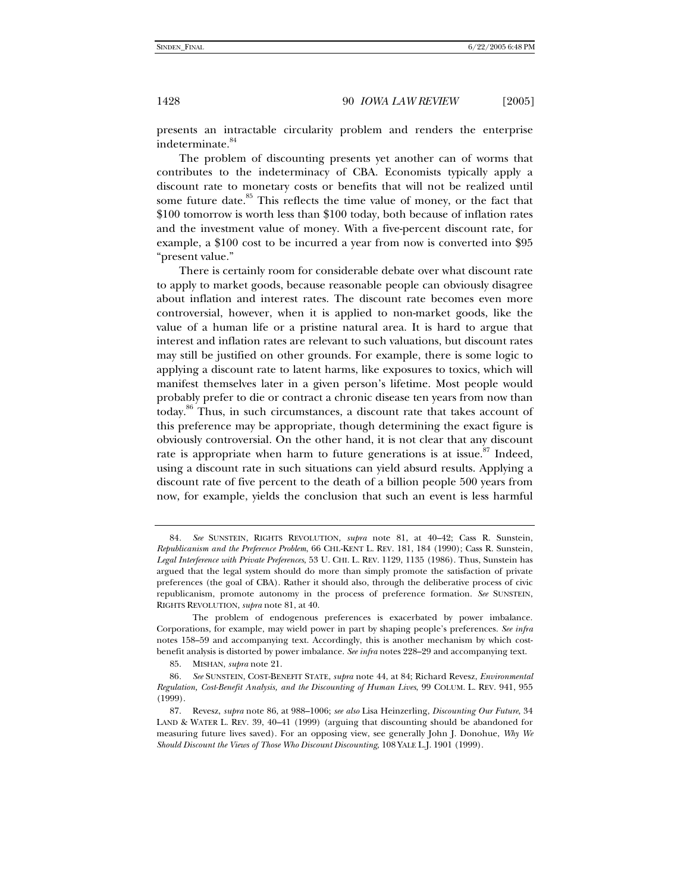presents an intractable circularity problem and renders the enterprise indeterminate.<sup>84</sup>

The problem of discounting presents yet another can of worms that contributes to the indeterminacy of CBA. Economists typically apply a discount rate to monetary costs or benefits that will not be realized until some future date.<sup>85</sup> This reflects the time value of money, or the fact that \$100 tomorrow is worth less than \$100 today, both because of inflation rates and the investment value of money. With a five-percent discount rate, for example, a \$100 cost to be incurred a year from now is converted into \$95 "present value."

There is certainly room for considerable debate over what discount rate to apply to market goods, because reasonable people can obviously disagree about inflation and interest rates. The discount rate becomes even more controversial, however, when it is applied to non-market goods, like the value of a human life or a pristine natural area. It is hard to argue that interest and inflation rates are relevant to such valuations, but discount rates may still be justified on other grounds. For example, there is some logic to applying a discount rate to latent harms, like exposures to toxics, which will manifest themselves later in a given person's lifetime. Most people would probably prefer to die or contract a chronic disease ten years from now than today.86 Thus, in such circumstances, a discount rate that takes account of this preference may be appropriate, though determining the exact figure is obviously controversial. On the other hand, it is not clear that any discount rate is appropriate when harm to future generations is at issue.<sup>87</sup> Indeed, using a discount rate in such situations can yield absurd results. Applying a discount rate of five percent to the death of a billion people 500 years from now, for example, yields the conclusion that such an event is less harmful

<sup>84</sup>*. See* SUNSTEIN, RIGHTS REVOLUTION, *supra* note 81, at 40–42; Cass R. Sunstein, *Republicanism and the Preference Problem*, 66 CHI.-KENT L. REV. 181, 184 (1990); Cass R. Sunstein, *Legal Interference with Private Preferences*, 53 U. CHI. L. REV. 1129, 1135 (1986). Thus, Sunstein has argued that the legal system should do more than simply promote the satisfaction of private preferences (the goal of CBA). Rather it should also, through the deliberative process of civic republicanism, promote autonomy in the process of preference formation. *See* SUNSTEIN, RIGHTS REVOLUTION, *supra* note 81, at 40.

The problem of endogenous preferences is exacerbated by power imbalance. Corporations, for example, may wield power in part by shaping people's preferences. *See infra* notes 158–59 and accompanying text. Accordingly, this is another mechanism by which costbenefit analysis is distorted by power imbalance. *See infra* notes 228–29 and accompanying text.

 <sup>85.</sup> MISHAN, *supra* note 21.

<sup>86</sup>*. See* SUNSTEIN, COST-BENEFIT STATE, *supra* note 44, at 84; Richard Revesz, *Environmental Regulation, Cost-Benefit Analysis, and the Discounting of Human Lives*, 99 COLUM. L. REV. 941, 955 (1999).

 <sup>87.</sup> Revesz, *supra* note 86, at 988–1006; *see also* Lisa Heinzerling, *Discounting Our Future*, 34 LAND & WATER L. REV. 39, 40–41 (1999) (arguing that discounting should be abandoned for measuring future lives saved). For an opposing view, see generally John J. Donohue, *Why We Should Discount the Views of Those Who Discount Discounting*, 108 YALE L.J. 1901 (1999).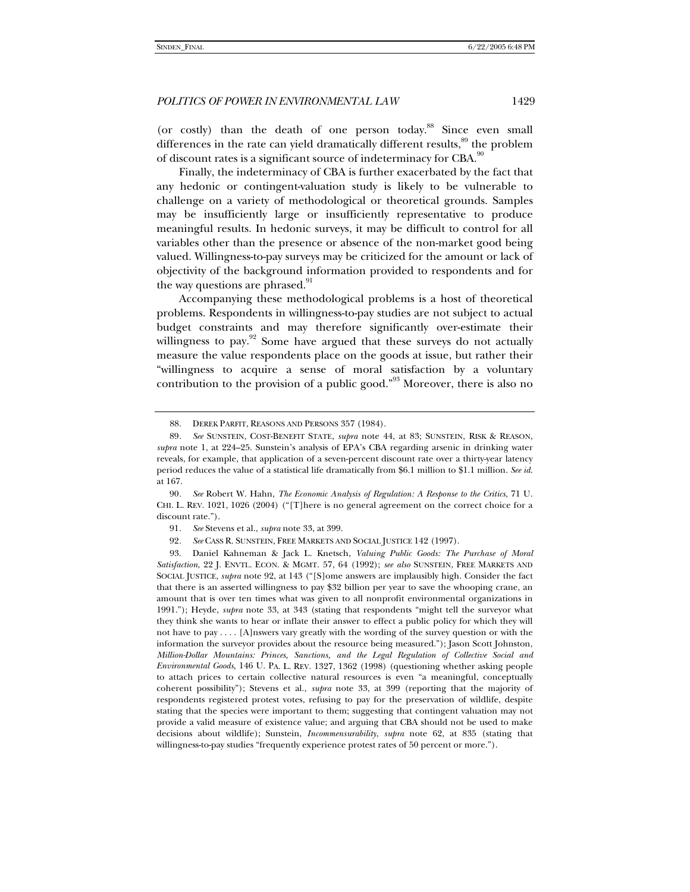(or costly) than the death of one person today.<sup>88</sup> Since even small differences in the rate can yield dramatically different results, $8^9$  the problem of discount rates is a significant source of indeterminacy for CBA.<sup>90</sup>

Finally, the indeterminacy of CBA is further exacerbated by the fact that any hedonic or contingent-valuation study is likely to be vulnerable to challenge on a variety of methodological or theoretical grounds. Samples may be insufficiently large or insufficiently representative to produce meaningful results. In hedonic surveys, it may be difficult to control for all variables other than the presence or absence of the non-market good being valued. Willingness-to-pay surveys may be criticized for the amount or lack of objectivity of the background information provided to respondents and for the way questions are phrased.<sup>91</sup>

Accompanying these methodological problems is a host of theoretical problems. Respondents in willingness-to-pay studies are not subject to actual budget constraints and may therefore significantly over-estimate their willingness to pay.<sup>92</sup> Some have argued that these surveys do not actually measure the value respondents place on the goods at issue, but rather their "willingness to acquire a sense of moral satisfaction by a voluntary contribution to the provision of a public good."<sup>93</sup> Moreover, there is also no

 <sup>88.</sup> DEREK PARFIT, REASONS AND PERSONS 357 (1984).

<sup>89</sup>*. See* SUNSTEIN, COST-BENEFIT STATE, *supra* note 44, at 83; SUNSTEIN, RISK & REASON, *supra* note 1, at 224–25. Sunstein's analysis of EPA's CBA regarding arsenic in drinking water reveals, for example, that application of a seven-percent discount rate over a thirty-year latency period reduces the value of a statistical life dramatically from \$6.1 million to \$1.1 million. *See id*. at 167.

<sup>90</sup>*. See* Robert W. Hahn, *The Economic Analysis of Regulation: A Response to the Critics*, 71 U. CHI. L. REV. 1021, 1026 (2004) ("[T]here is no general agreement on the correct choice for a discount rate.").

<sup>91</sup>*. See* Stevens et al., *supra* note 33, at 399.

<sup>92</sup>*. See* CASS R. SUNSTEIN, FREE MARKETS AND SOCIAL JUSTICE 142 (1997).

 <sup>93.</sup> Daniel Kahneman & Jack L. Knetsch, *Valuing Public Goods: The Purchase of Moral Satisfaction*, 22 J. ENVTL. ECON. & MGMT. 57, 64 (1992); *see also* SUNSTEIN, FREE MARKETS AND SOCIAL JUSTICE, *supra* note 92, at 143 ("[S]ome answers are implausibly high. Consider the fact that there is an asserted willingness to pay \$32 billion per year to save the whooping crane, an amount that is over ten times what was given to all nonprofit environmental organizations in 1991."); Heyde, *supra* note 33, at 343 (stating that respondents "might tell the surveyor what they think she wants to hear or inflate their answer to effect a public policy for which they will not have to pay . . . . [A]nswers vary greatly with the wording of the survey question or with the information the surveyor provides about the resource being measured."); Jason Scott Johnston, *Million-Dollar Mountains: Princes, Sanctions, and the Legal Regulation of Collective Social and Environmental Goods,* 146 U. PA. L. REV. 1327, 1362 (1998) (questioning whether asking people to attach prices to certain collective natural resources is even "a meaningful, conceptually coherent possibility"); Stevens et al., *supra* note 33, at 399 (reporting that the majority of respondents registered protest votes, refusing to pay for the preservation of wildlife, despite stating that the species were important to them; suggesting that contingent valuation may not provide a valid measure of existence value; and arguing that CBA should not be used to make decisions about wildlife); Sunstein, *Incommensurability*, *supra* note 62, at 835 (stating that willingness-to-pay studies "frequently experience protest rates of 50 percent or more.").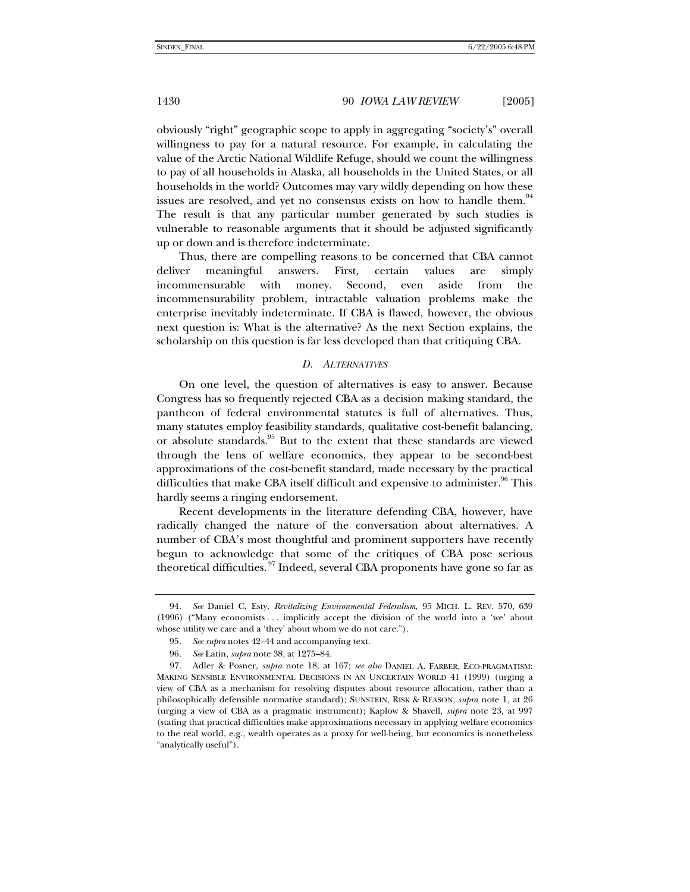obviously "right" geographic scope to apply in aggregating "society's" overall willingness to pay for a natural resource. For example, in calculating the value of the Arctic National Wildlife Refuge, should we count the willingness to pay of all households in Alaska, all households in the United States, or all households in the world? Outcomes may vary wildly depending on how these issues are resolved, and yet no consensus exists on how to handle them.<sup>94</sup> The result is that any particular number generated by such studies is vulnerable to reasonable arguments that it should be adjusted significantly up or down and is therefore indeterminate.

Thus, there are compelling reasons to be concerned that CBA cannot deliver meaningful answers. First, certain values are simply incommensurable with money. Second, even aside from the incommensurability problem, intractable valuation problems make the enterprise inevitably indeterminate. If CBA is flawed, however, the obvious next question is: What is the alternative? As the next Section explains, the scholarship on this question is far less developed than that critiquing CBA.

#### *D. ALTERNATIVES*

On one level, the question of alternatives is easy to answer. Because Congress has so frequently rejected CBA as a decision making standard, the pantheon of federal environmental statutes is full of alternatives. Thus, many statutes employ feasibility standards, qualitative cost-benefit balancing, or absolute standards.<sup>95</sup> But to the extent that these standards are viewed through the lens of welfare economics, they appear to be second-best approximations of the cost-benefit standard, made necessary by the practical difficulties that make CBA itself difficult and expensive to administer.<sup>96</sup> This hardly seems a ringing endorsement.

Recent developments in the literature defending CBA, however, have radically changed the nature of the conversation about alternatives. A number of CBA's most thoughtful and prominent supporters have recently begun to acknowledge that some of the critiques of CBA pose serious theoretical difficulties.<sup>97</sup> Indeed, several CBA proponents have gone so far as

<sup>94</sup>*. See* Daniel C. Esty, *Revitalizing Environmental Federalism*, 95 MICH. L. REV. 570, 639 (1996) ("Many economists . . . implicitly accept the division of the world into a 'we' about whose utility we care and a 'they' about whom we do not care.").

<sup>95</sup>*. See supra* notes 42–44 and accompanying text.

<sup>96</sup>*. See* Latin, *supra* note 38, at 1275–84.

 <sup>97.</sup> Adler & Posner, *supra* note 18, at 167; *see also* DANIEL A. FARBER, ECO-PRAGMATISM: MAKING SENSIBLE ENVIRONMENTAL DECISIONS IN AN UNCERTAIN WORLD 41 (1999) (urging a view of CBA as a mechanism for resolving disputes about resource allocation, rather than a philosophically defensible normative standard); SUNSTEIN, RISK & REASON, *supra* note 1, at 26 (urging a view of CBA as a pragmatic instrument); Kaplow & Shavell, *supra* note 23, at 997 (stating that practical difficulties make approximations necessary in applying welfare economics to the real world, e.g., wealth operates as a proxy for well-being, but economics is nonetheless "analytically useful").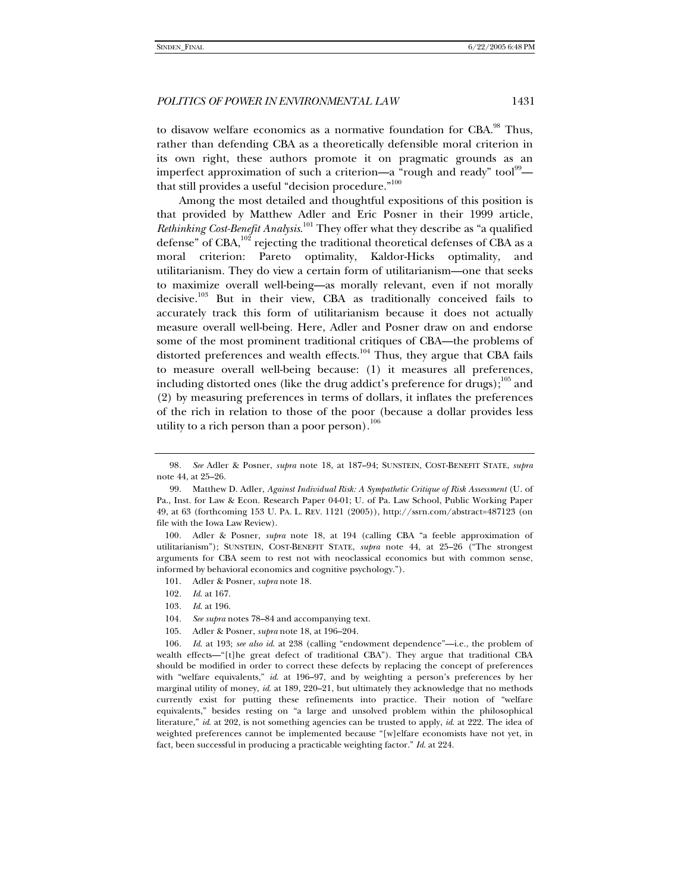to disavow welfare economics as a normative foundation for  $CBA.^{98}$  Thus. rather than defending CBA as a theoretically defensible moral criterion in its own right, these authors promote it on pragmatic grounds as an imperfect approximation of such a criterion—a "rough and ready" tool<sup>99</sup> that still provides a useful "decision procedure."<sup>100</sup>

Among the most detailed and thoughtful expositions of this position is that provided by Matthew Adler and Eric Posner in their 1999 article, *Rethinking Cost-Benefit Analysis*. 101 They offer what they describe as "a qualified defense" of CBA,<sup>102</sup> rejecting the traditional theoretical defenses of CBA as a moral criterion: Pareto optimality, Kaldor-Hicks optimality, and utilitarianism. They do view a certain form of utilitarianism—one that seeks to maximize overall well-being—as morally relevant, even if not morally decisive.<sup>103</sup> But in their view, CBA as traditionally conceived fails to accurately track this form of utilitarianism because it does not actually measure overall well-being. Here, Adler and Posner draw on and endorse some of the most prominent traditional critiques of CBA—the problems of distorted preferences and wealth effects. $104$  Thus, they argue that CBA fails to measure overall well-being because: (1) it measures all preferences, including distorted ones (like the drug addict's preference for drugs); $^{105}$  and (2) by measuring preferences in terms of dollars, it inflates the preferences of the rich in relation to those of the poor (because a dollar provides less utility to a rich person than a poor person). $106$ 

- 101. Adler & Posner, *supra* note 18.
- 102*. Id*. at 167.
- 103*. Id*. at 196.
- 104*. See supra* notes 78–84 and accompanying text.
- 105. Adler & Posner, *supra* note 18, at 196–204.

<sup>98</sup>*. See* Adler & Posner, *supra* note 18, at 187–94; SUNSTEIN, COST-BENEFIT STATE, *supra*  note 44, at 25–26.

 <sup>99.</sup> Matthew D. Adler, *Against Individual Risk: A Sympathetic Critique of Risk Assessment* (U. of Pa., Inst. for Law & Econ. Research Paper 04-01; U. of Pa. Law School, Public Working Paper 49, at 63 (forthcoming 153 U. PA. L. REV. 1121 (2005)), http://ssrn.com/abstract=487123 (on file with the Iowa Law Review).

<sup>100</sup>*.* Adler & Posner, *supra* note 18, at 194 (calling CBA "a feeble approximation of utilitarianism"); SUNSTEIN, COST-BENEFIT STATE, *supra* note 44, at 25–26 ("The strongest arguments for CBA seem to rest not with neoclassical economics but with common sense, informed by behavioral economics and cognitive psychology.").

<sup>106</sup>*. Id*. at 193; *see also id*. at 238 (calling "endowment dependence"—i.e., the problem of wealth effects—"[t]he great defect of traditional CBA"). They argue that traditional CBA should be modified in order to correct these defects by replacing the concept of preferences with "welfare equivalents," *id*. at 196–97, and by weighting a person's preferences by her marginal utility of money, *id*. at 189, 220–21, but ultimately they acknowledge that no methods currently exist for putting these refinements into practice. Their notion of "welfare equivalents," besides resting on "a large and unsolved problem within the philosophical literature," *id*. at 202, is not something agencies can be trusted to apply, *id*. at 222. The idea of weighted preferences cannot be implemented because "[w]elfare economists have not yet, in fact, been successful in producing a practicable weighting factor." *Id*. at 224.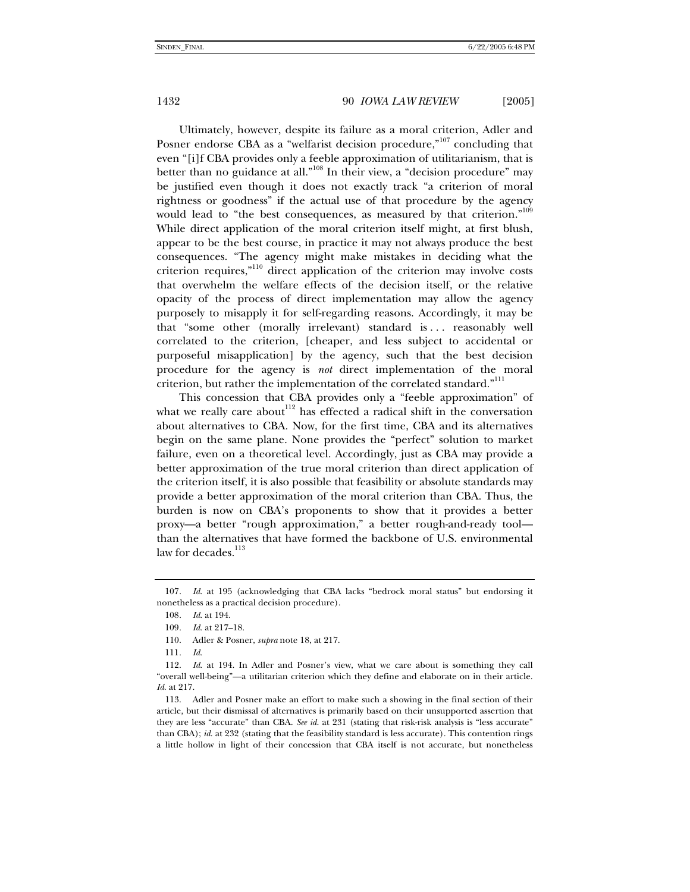Ultimately, however, despite its failure as a moral criterion, Adler and Posner endorse CBA as a "welfarist decision procedure,"<sup>107</sup> concluding that even "[i]f CBA provides only a feeble approximation of utilitarianism, that is better than no guidance at all."<sup>108</sup> In their view, a "decision procedure" may be justified even though it does not exactly track "a criterion of moral rightness or goodness" if the actual use of that procedure by the agency would lead to "the best consequences, as measured by that criterion."<sup>109</sup> While direct application of the moral criterion itself might, at first blush, appear to be the best course, in practice it may not always produce the best consequences. "The agency might make mistakes in deciding what the criterion requires,"110 direct application of the criterion may involve costs that overwhelm the welfare effects of the decision itself, or the relative opacity of the process of direct implementation may allow the agency purposely to misapply it for self-regarding reasons. Accordingly, it may be that "some other (morally irrelevant) standard is . . . reasonably well correlated to the criterion, [cheaper, and less subject to accidental or purposeful misapplication] by the agency, such that the best decision procedure for the agency is *not* direct implementation of the moral criterion, but rather the implementation of the correlated standard."<sup>111</sup>

This concession that CBA provides only a "feeble approximation" of what we really care about<sup>112</sup> has effected a radical shift in the conversation about alternatives to CBA. Now, for the first time, CBA and its alternatives begin on the same plane. None provides the "perfect" solution to market failure, even on a theoretical level. Accordingly, just as CBA may provide a better approximation of the true moral criterion than direct application of the criterion itself, it is also possible that feasibility or absolute standards may provide a better approximation of the moral criterion than CBA. Thus, the burden is now on CBA's proponents to show that it provides a better proxy—a better "rough approximation," a better rough-and-ready tool than the alternatives that have formed the backbone of U.S. environmental law for decades.<sup>113</sup>

<sup>107</sup>*. Id*. at 195 (acknowledging that CBA lacks "bedrock moral status" but endorsing it nonetheless as a practical decision procedure).

<sup>108</sup>*. Id*. at 194.

<sup>109</sup>*. Id*. at 217–18.

 <sup>110.</sup> Adler & Posner, *supra* note 18, at 217.

<sup>111</sup>*. Id*.

 <sup>112.</sup> *Id*. at 194. In Adler and Posner's view, what we care about is something they call "overall well-being"—a utilitarian criterion which they define and elaborate on in their article. *Id*. at 217.

 <sup>113.</sup> Adler and Posner make an effort to make such a showing in the final section of their article, but their dismissal of alternatives is primarily based on their unsupported assertion that they are less "accurate" than CBA. *See id*. at 231 (stating that risk-risk analysis is "less accurate" than CBA); *id*. at 232 (stating that the feasibility standard is less accurate). This contention rings a little hollow in light of their concession that CBA itself is not accurate, but nonetheless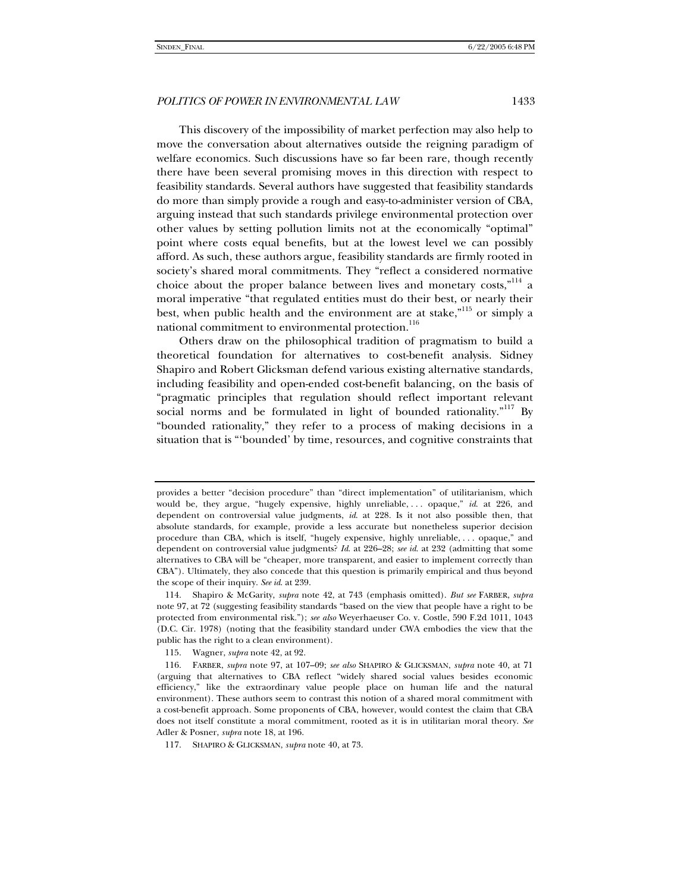This discovery of the impossibility of market perfection may also help to move the conversation about alternatives outside the reigning paradigm of welfare economics. Such discussions have so far been rare, though recently there have been several promising moves in this direction with respect to feasibility standards. Several authors have suggested that feasibility standards do more than simply provide a rough and easy-to-administer version of CBA, arguing instead that such standards privilege environmental protection over other values by setting pollution limits not at the economically "optimal" point where costs equal benefits, but at the lowest level we can possibly afford. As such, these authors argue, feasibility standards are firmly rooted in society's shared moral commitments. They "reflect a considered normative choice about the proper balance between lives and monetary costs,"<sup>114</sup> a moral imperative "that regulated entities must do their best, or nearly their best, when public health and the environment are at stake,"<sup>115</sup> or simply a national commitment to environmental protection.<sup>116</sup>

Others draw on the philosophical tradition of pragmatism to build a theoretical foundation for alternatives to cost-benefit analysis. Sidney Shapiro and Robert Glicksman defend various existing alternative standards, including feasibility and open-ended cost-benefit balancing, on the basis of "pragmatic principles that regulation should reflect important relevant social norms and be formulated in light of bounded rationality. $117$  By "bounded rationality," they refer to a process of making decisions in a situation that is "'bounded' by time, resources, and cognitive constraints that

provides a better "decision procedure" than "direct implementation" of utilitarianism, which would be, they argue, "hugely expensive, highly unreliable, . . . opaque," *id*. at 226, and dependent on controversial value judgments, *id*. at 228. Is it not also possible then, that absolute standards, for example, provide a less accurate but nonetheless superior decision procedure than CBA, which is itself, "hugely expensive, highly unreliable, . . . opaque," and dependent on controversial value judgments? *Id*. at 226–28; *see id*. at 232 (admitting that some alternatives to CBA will be "cheaper, more transparent, and easier to implement correctly than CBA"). Ultimately, they also concede that this question is primarily empirical and thus beyond the scope of their inquiry. *See id*. at 239.

 <sup>114.</sup> Shapiro & McGarity, *supra* note 42, at 743 (emphasis omitted). *But see* FARBER, *supra* note 97, at 72 (suggesting feasibility standards "based on the view that people have a right to be protected from environmental risk."); *see also* Weyerhaeuser Co. v. Costle, 590 F.2d 1011, 1043 (D.C. Cir. 1978) (noting that the feasibility standard under CWA embodies the view that the public has the right to a clean environment).

 <sup>115.</sup> Wagner, *supra* note 42, at 92.

 <sup>116.</sup> FARBER, *supra* note 97, at 107–09; *see also* SHAPIRO & GLICKSMAN, *supra* note 40, at 71 (arguing that alternatives to CBA reflect "widely shared social values besides economic efficiency," like the extraordinary value people place on human life and the natural environment). These authors seem to contrast this notion of a shared moral commitment with a cost-benefit approach. Some proponents of CBA, however, would contest the claim that CBA does not itself constitute a moral commitment, rooted as it is in utilitarian moral theory. *See* Adler & Posner, *supra* note 18, at 196.

 <sup>117.</sup> SHAPIRO & GLICKSMAN, *supra* note 40, at 73.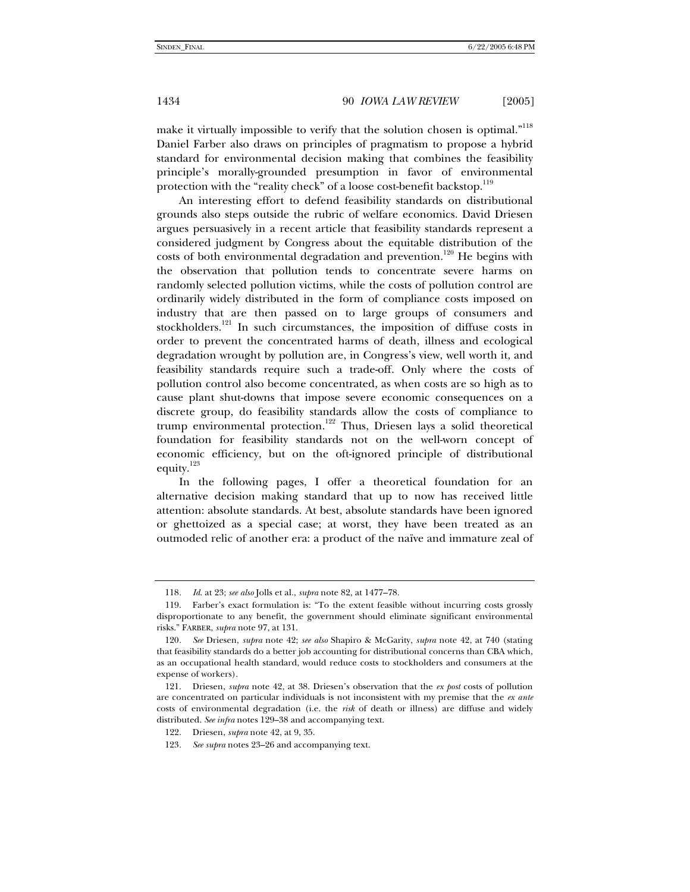make it virtually impossible to verify that the solution chosen is optimal."<sup>118</sup> Daniel Farber also draws on principles of pragmatism to propose a hybrid standard for environmental decision making that combines the feasibility principle's morally-grounded presumption in favor of environmental protection with the "reality check" of a loose cost-benefit backstop.<sup>119</sup>

An interesting effort to defend feasibility standards on distributional grounds also steps outside the rubric of welfare economics. David Driesen argues persuasively in a recent article that feasibility standards represent a considered judgment by Congress about the equitable distribution of the costs of both environmental degradation and prevention.<sup>120</sup> He begins with the observation that pollution tends to concentrate severe harms on randomly selected pollution victims, while the costs of pollution control are ordinarily widely distributed in the form of compliance costs imposed on industry that are then passed on to large groups of consumers and stockholders.<sup>121</sup> In such circumstances, the imposition of diffuse costs in order to prevent the concentrated harms of death, illness and ecological degradation wrought by pollution are, in Congress's view, well worth it, and feasibility standards require such a trade-off. Only where the costs of pollution control also become concentrated, as when costs are so high as to cause plant shut-downs that impose severe economic consequences on a discrete group, do feasibility standards allow the costs of compliance to trump environmental protection.<sup>122</sup> Thus, Driesen lays a solid theoretical foundation for feasibility standards not on the well-worn concept of economic efficiency, but on the oft-ignored principle of distributional equity.<sup>123</sup>

In the following pages, I offer a theoretical foundation for an alternative decision making standard that up to now has received little attention: absolute standards. At best, absolute standards have been ignored or ghettoized as a special case; at worst, they have been treated as an outmoded relic of another era: a product of the naïve and immature zeal of

<sup>118</sup>*. Id*. at 23; *see also* Jolls et al., *supra* note 82, at 1477–78.

 <sup>119.</sup> Farber's exact formulation is: "To the extent feasible without incurring costs grossly disproportionate to any benefit, the government should eliminate significant environmental risks." FARBER, *supra* note 97, at 131.

<sup>120</sup>*. See* Driesen, *supra* note 42; *see also* Shapiro & McGarity, *supra* note 42, at 740 (stating that feasibility standards do a better job accounting for distributional concerns than CBA which, as an occupational health standard, would reduce costs to stockholders and consumers at the expense of workers).

 <sup>121.</sup> Driesen, *supra* note 42, at 38. Driesen's observation that the *ex post* costs of pollution are concentrated on particular individuals is not inconsistent with my premise that the *ex ante* costs of environmental degradation (i.e. the *risk* of death or illness) are diffuse and widely distributed. *See infra* notes 129–38 and accompanying text.

 <sup>122.</sup> Driesen, *supra* note 42, at 9, 35.

<sup>123</sup>*. See supra* notes 23–26 and accompanying text.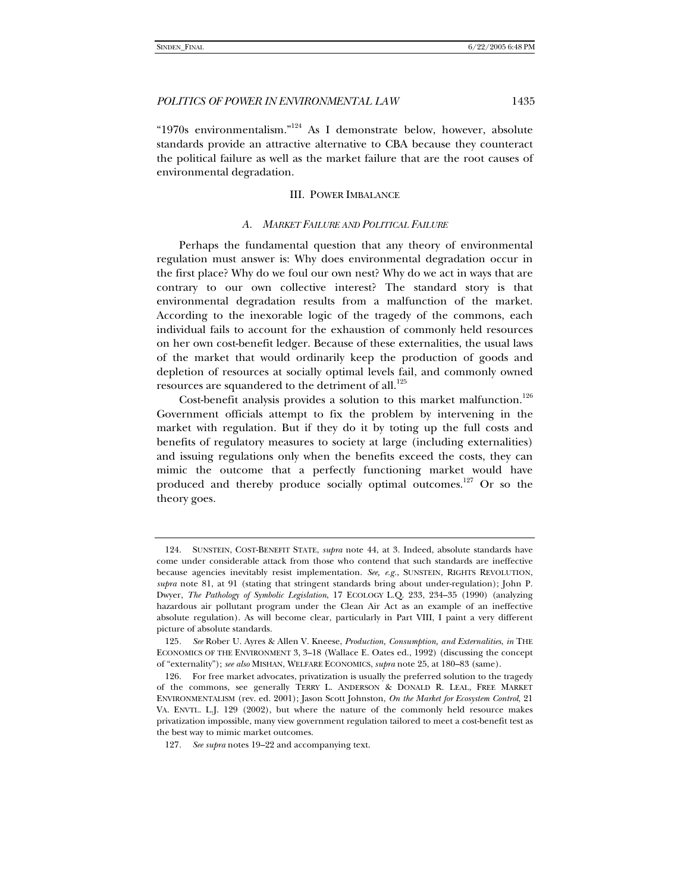"1970s environmentalism."<sup>124</sup> As I demonstrate below, however, absolute standards provide an attractive alternative to CBA because they counteract the political failure as well as the market failure that are the root causes of environmental degradation.

#### III. POWER IMBALANCE

#### *A. MARKET FAILURE AND POLITICAL FAILURE*

Perhaps the fundamental question that any theory of environmental regulation must answer is: Why does environmental degradation occur in the first place? Why do we foul our own nest? Why do we act in ways that are contrary to our own collective interest? The standard story is that environmental degradation results from a malfunction of the market. According to the inexorable logic of the tragedy of the commons, each individual fails to account for the exhaustion of commonly held resources on her own cost-benefit ledger. Because of these externalities, the usual laws of the market that would ordinarily keep the production of goods and depletion of resources at socially optimal levels fail, and commonly owned resources are squandered to the detriment of all.<sup>125</sup>

Cost-benefit analysis provides a solution to this market malfunction.<sup>126</sup> Government officials attempt to fix the problem by intervening in the market with regulation. But if they do it by toting up the full costs and benefits of regulatory measures to society at large (including externalities) and issuing regulations only when the benefits exceed the costs, they can mimic the outcome that a perfectly functioning market would have produced and thereby produce socially optimal outcomes.<sup>127</sup> Or so the theory goes.

 <sup>124.</sup> SUNSTEIN, COST-BENEFIT STATE, *supra* note 44, at 3. Indeed, absolute standards have come under considerable attack from those who contend that such standards are ineffective because agencies inevitably resist implementation. *See, e.g.*, SUNSTEIN, RIGHTS REVOLUTION, *supra* note 81, at 91 (stating that stringent standards bring about under-regulation); John P. Dwyer, *The Pathology of Symbolic Legislation*, 17 ECOLOGY L.Q. 233, 234–35 (1990) (analyzing hazardous air pollutant program under the Clean Air Act as an example of an ineffective absolute regulation). As will become clear, particularly in Part VIII, I paint a very different picture of absolute standards.

<sup>125</sup>*. See* Rober U. Ayres & Allen V. Kneese, *Production, Consumption, and Externalities*, *in* THE ECONOMICS OF THE ENVIRONMENT 3, 3–18 (Wallace E. Oates ed., 1992) (discussing the concept of "externality"); *see also* MISHAN, WELFARE ECONOMICS, *supra* note 25, at 180–83 (same).

 <sup>126.</sup> For free market advocates, privatization is usually the preferred solution to the tragedy of the commons, see generally TERRY L. ANDERSON & DONALD R. LEAL, FREE MARKET ENVIRONMENTALISM (rev. ed. 2001); Jason Scott Johnston, *On the Market for Ecosystem Control*, 21 VA. ENVTL. L.J. 129 (2002), but where the nature of the commonly held resource makes privatization impossible, many view government regulation tailored to meet a cost-benefit test as the best way to mimic market outcomes.

<sup>127</sup>*. See supra* notes 19–22 and accompanying text.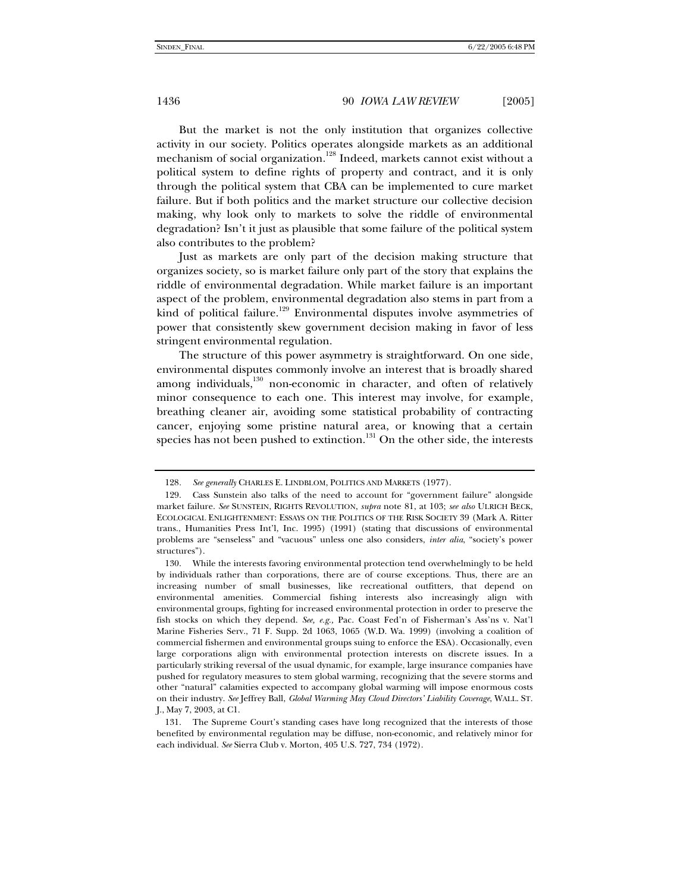But the market is not the only institution that organizes collective activity in our society. Politics operates alongside markets as an additional mechanism of social organization.<sup>128</sup> Indeed, markets cannot exist without a political system to define rights of property and contract, and it is only through the political system that CBA can be implemented to cure market failure. But if both politics and the market structure our collective decision making, why look only to markets to solve the riddle of environmental degradation? Isn't it just as plausible that some failure of the political system also contributes to the problem?

Just as markets are only part of the decision making structure that organizes society, so is market failure only part of the story that explains the riddle of environmental degradation. While market failure is an important aspect of the problem, environmental degradation also stems in part from a kind of political failure.<sup>129</sup> Environmental disputes involve asymmetries of power that consistently skew government decision making in favor of less stringent environmental regulation.

The structure of this power asymmetry is straightforward. On one side, environmental disputes commonly involve an interest that is broadly shared among individuals, $130$  non-economic in character, and often of relatively minor consequence to each one. This interest may involve, for example, breathing cleaner air, avoiding some statistical probability of contracting cancer, enjoying some pristine natural area, or knowing that a certain species has not been pushed to extinction.<sup>131</sup> On the other side, the interests

<sup>128</sup>*. See generally* CHARLES E. LINDBLOM, POLITICS AND MARKETS (1977).

 <sup>129.</sup> Cass Sunstein also talks of the need to account for "government failure" alongside market failure. *See* SUNSTEIN, RIGHTS REVOLUTION, *supra* note 81, at 103; *see also* ULRICH BECK, ECOLOGICAL ENLIGHTENMENT: ESSAYS ON THE POLITICS OF THE RISK SOCIETY 39 (Mark A. Ritter trans., Humanities Press Int'l, Inc. 1995) (1991) (stating that discussions of environmental problems are "senseless" and "vacuous" unless one also considers, *inter alia*, "society's power structures").

 <sup>130.</sup> While the interests favoring environmental protection tend overwhelmingly to be held by individuals rather than corporations, there are of course exceptions. Thus, there are an increasing number of small businesses, like recreational outfitters, that depend on environmental amenities. Commercial fishing interests also increasingly align with environmental groups, fighting for increased environmental protection in order to preserve the fish stocks on which they depend. *See, e.g.,* Pac. Coast Fed'n of Fisherman's Ass'ns v. Nat'l Marine Fisheries Serv., 71 F. Supp. 2d 1063, 1065 (W.D. Wa. 1999) (involving a coalition of commercial fishermen and environmental groups suing to enforce the ESA). Occasionally, even large corporations align with environmental protection interests on discrete issues. In a particularly striking reversal of the usual dynamic, for example, large insurance companies have pushed for regulatory measures to stem global warming, recognizing that the severe storms and other "natural" calamities expected to accompany global warming will impose enormous costs on their industry. *See* Jeffrey Ball, *Global Warming May Cloud Directors' Liability Coverage*, WALL. ST. J., May 7, 2003, at C1.

 <sup>131.</sup> The Supreme Court's standing cases have long recognized that the interests of those benefited by environmental regulation may be diffuse, non-economic, and relatively minor for each individual. *See* Sierra Club v. Morton, 405 U.S. 727, 734 (1972).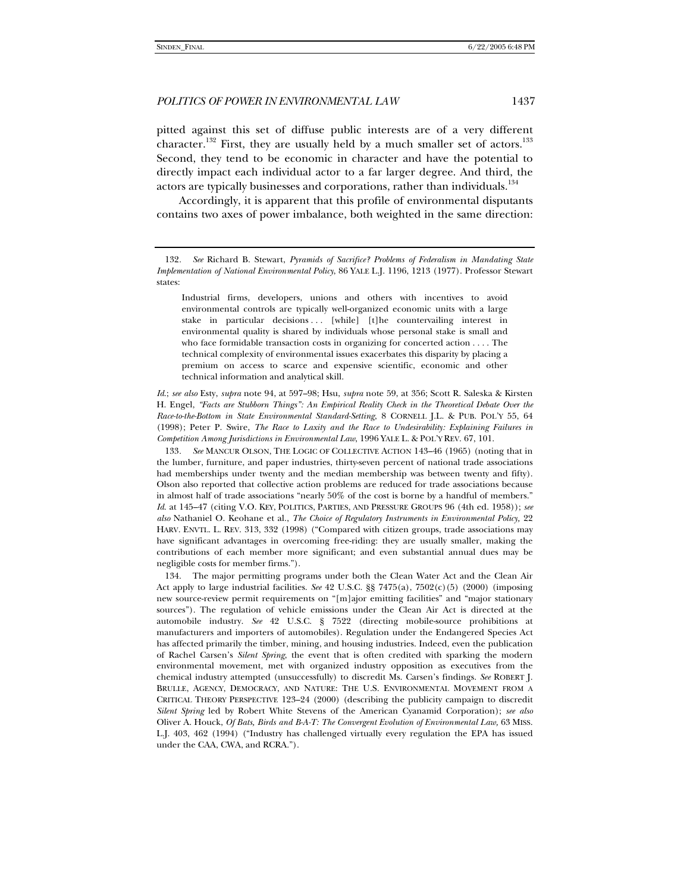pitted against this set of diffuse public interests are of a very different character.<sup>132</sup> First, they are usually held by a much smaller set of actors.<sup>133</sup> Second, they tend to be economic in character and have the potential to directly impact each individual actor to a far larger degree. And third, the actors are typically businesses and corporations, rather than individuals.<sup>134</sup>

Accordingly, it is apparent that this profile of environmental disputants contains two axes of power imbalance, both weighted in the same direction:

Industrial firms, developers, unions and others with incentives to avoid environmental controls are typically well-organized economic units with a large stake in particular decisions ... [while] [t]he countervailing interest in environmental quality is shared by individuals whose personal stake is small and who face formidable transaction costs in organizing for concerted action . . . . The technical complexity of environmental issues exacerbates this disparity by placing a premium on access to scarce and expensive scientific, economic and other technical information and analytical skill.

*Id*.; *see also* Esty, *supra* note 94, at 597–98; Hsu, *supra* note 59, at 356; Scott R. Saleska & Kirsten H. Engel, *"Facts are Stubborn Things": An Empirical Reality Check in the Theoretical Debate Over the Race-to-the-Bottom in State Environmental Standard-Setting*, 8 CORNELL J.L. & PUB. POL'Y 55, 64 (1998); Peter P. Swire, *The Race to Laxity and the Race to Undesirability: Explaining Failures in Competition Among Jurisdictions in Environmental Law*, 1996 YALE L. & POL'Y REV. 67, 101.

133*. See* MANCUR OLSON, THE LOGIC OF COLLECTIVE ACTION 143–46 (1965) (noting that in the lumber, furniture, and paper industries, thirty-seven percent of national trade associations had memberships under twenty and the median membership was between twenty and fifty). Olson also reported that collective action problems are reduced for trade associations because in almost half of trade associations "nearly 50% of the cost is borne by a handful of members." *Id*. at 145–47 (citing V.O. KEY, POLITICS, PARTIES, AND PRESSURE GROUPS 96 (4th ed. 1958)); *see also* Nathaniel O. Keohane et al., *The Choice of Regulatory Instruments in Environmental Policy,* 22 HARV. ENVTL. L. REV. 313, 332 (1998) ("Compared with citizen groups, trade associations may have significant advantages in overcoming free-riding: they are usually smaller, making the contributions of each member more significant; and even substantial annual dues may be negligible costs for member firms.").

 134. The major permitting programs under both the Clean Water Act and the Clean Air Act apply to large industrial facilities. *See* 42 U.S.C. §§ 7475(a), 7502(c)(5) (2000) (imposing new source-review permit requirements on "[m]ajor emitting facilities" and "major stationary sources"). The regulation of vehicle emissions under the Clean Air Act is directed at the automobile industry. *See* 42 U.S.C. § 7522 (directing mobile-source prohibitions at manufacturers and importers of automobiles). Regulation under the Endangered Species Act has affected primarily the timber, mining, and housing industries. Indeed, even the publication of Rachel Carsen's *Silent Spring*, the event that is often credited with sparking the modern environmental movement, met with organized industry opposition as executives from the chemical industry attempted (unsuccessfully) to discredit Ms. Carsen's findings. *See* ROBERT J. BRULLE, AGENCY, DEMOCRACY, AND NATURE: THE U.S. ENVIRONMENTAL MOVEMENT FROM A CRITICAL THEORY PERSPECTIVE 123–24 (2000) (describing the publicity campaign to discredit *Silent Spring* led by Robert White Stevens of the American Cyanamid Corporation); *see also* Oliver A. Houck, *Of Bats, Birds and B-A-T: The Convergent Evolution of Environmental Law,* 63 MISS. L.J. 403, 462 (1994) ("Industry has challenged virtually every regulation the EPA has issued under the CAA, CWA, and RCRA.").

<sup>132</sup>*. See* Richard B. Stewart, *Pyramids of Sacrifice? Problems of Federalism in Mandating State Implementation of National Environmental Policy*, 86 YALE L.J. 1196, 1213 (1977). Professor Stewart states: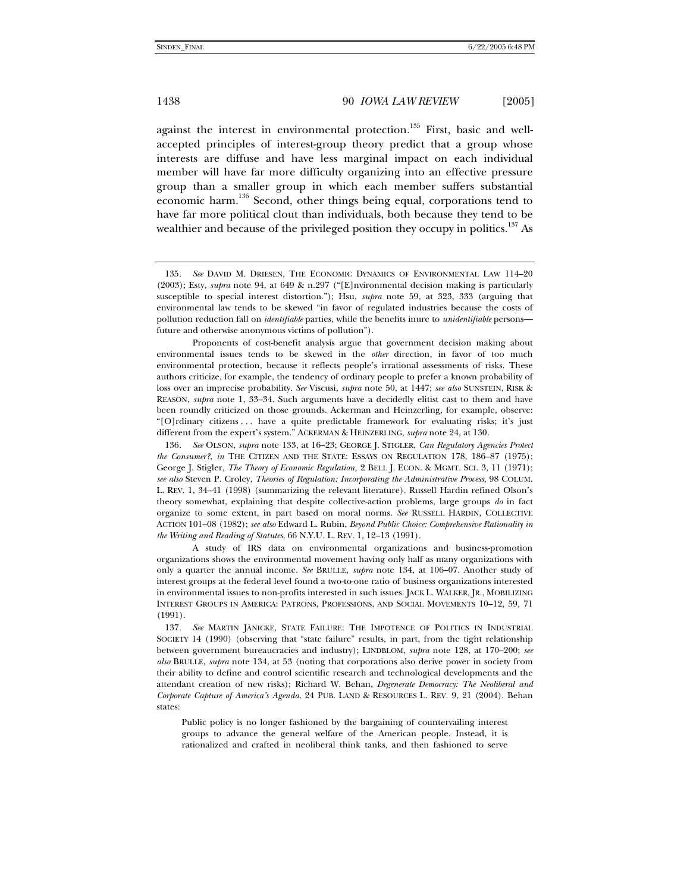against the interest in environmental protection.<sup>135</sup> First, basic and wellaccepted principles of interest-group theory predict that a group whose interests are diffuse and have less marginal impact on each individual member will have far more difficulty organizing into an effective pressure group than a smaller group in which each member suffers substantial economic harm.<sup>136</sup> Second, other things being equal, corporations tend to have far more political clout than individuals, both because they tend to be wealthier and because of the privileged position they occupy in politics.<sup>137</sup> As

<sup>135</sup>*. See* DAVID M. DRIESEN, THE ECONOMIC DYNAMICS OF ENVIRONMENTAL LAW 114–20 (2003); Esty, *supra* note 94, at 649 & n.297 ("[E]nvironmental decision making is particularly susceptible to special interest distortion."); Hsu, *supra* note 59, at 323, 333 (arguing that environmental law tends to be skewed "in favor of regulated industries because the costs of pollution reduction fall on *identifiable* parties, while the benefits inure to *unidentifiable* persons future and otherwise anonymous victims of pollution").

Proponents of cost-benefit analysis argue that government decision making about environmental issues tends to be skewed in the *other* direction, in favor of too much environmental protection, because it reflects people's irrational assessments of risks. These authors criticize, for example, the tendency of ordinary people to prefer a known probability of loss over an imprecise probability. *See* Viscusi, *supra* note 50, at 1447; *see also* SUNSTEIN, RISK & REASON, *supra* note 1, 33–34. Such arguments have a decidedly elitist cast to them and have been roundly criticized on those grounds. Ackerman and Heinzerling, for example, observe: "[O]rdinary citizens . . . have a quite predictable framework for evaluating risks; it's just different from the expert's system." ACKERMAN & HEINZERLING, *supra* note 24, at 130.

<sup>136</sup>*. See* OLSON, *supra* note 133, at 16–23; GEORGE J. STIGLER, *Can Regulatory Agencies Protect the Consumer?*, *in* THE CITIZEN AND THE STATE: ESSAYS ON REGULATION 178, 186–87 (1975); George J. Stigler, *The Theory of Economic Regulation,* 2 BELL J. ECON. & MGMT. SCI. 3, 11 (1971); *see also* Steven P. Croley, *Theories of Regulation: Incorporating the Administrative Process*, 98 COLUM. L. REV. 1, 34–41 (1998) (summarizing the relevant literature). Russell Hardin refined Olson's theory somewhat, explaining that despite collective-action problems, large groups *do* in fact organize to some extent, in part based on moral norms. *See* RUSSELL HARDIN, COLLECTIVE ACTION 101–08 (1982); *see also* Edward L. Rubin, *Beyond Public Choice: Comprehensive Rationality in the Writing and Reading of Statutes*, 66 N.Y.U. L. REV. 1, 12–13 (1991).

A study of IRS data on environmental organizations and business-promotion organizations shows the environmental movement having only half as many organizations with only a quarter the annual income. *See* BRULLE, *supra* note 134, at 106–07. Another study of interest groups at the federal level found a two-to-one ratio of business organizations interested in environmental issues to non-profits interested in such issues. JACK L. WALKER, JR., MOBILIZING INTEREST GROUPS IN AMERICA: PATRONS, PROFESSIONS, AND SOCIAL MOVEMENTS 10–12, 59, 71 (1991).

<sup>137</sup>*. See* MARTIN JÄNICKE, STATE FAILURE: THE IMPOTENCE OF POLITICS IN INDUSTRIAL SOCIETY 14 (1990) (observing that "state failure" results, in part, from the tight relationship between government bureaucracies and industry); LINDBLOM, *supra* note 128, at 170–200; *see also* BRULLE, *supra* note 134, at 53 (noting that corporations also derive power in society from their ability to define and control scientific research and technological developments and the attendant creation of new risks); Richard W. Behan, *Degenerate Democracy: The Neoliberal and Corporate Capture of America's Agenda*, 24 PUB. LAND & RESOURCES L. REV. 9, 21 (2004). Behan states:

Public policy is no longer fashioned by the bargaining of countervailing interest groups to advance the general welfare of the American people. Instead, it is rationalized and crafted in neoliberal think tanks, and then fashioned to serve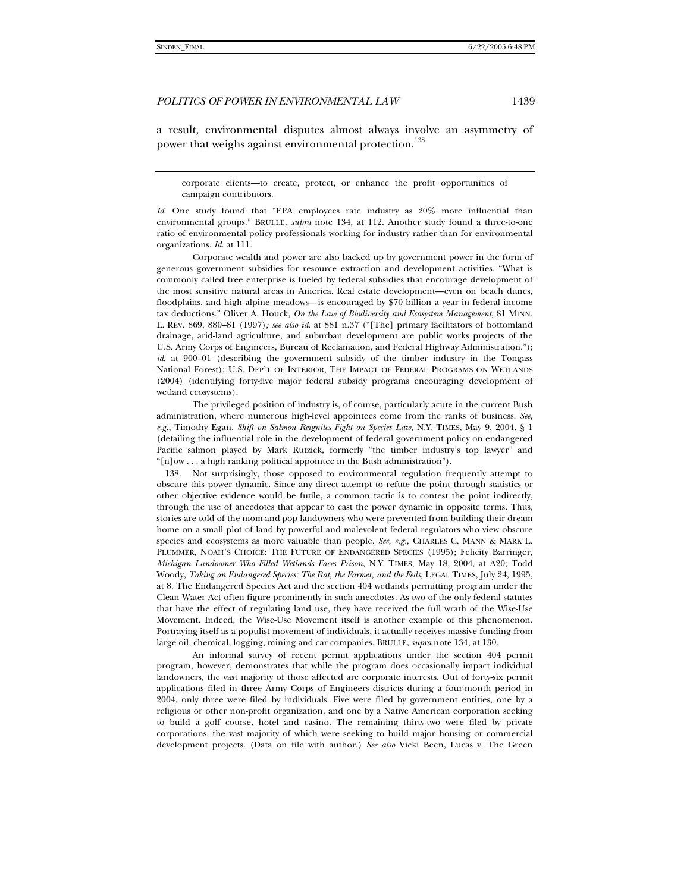a result, environmental disputes almost always involve an asymmetry of power that weighs against environmental protection.<sup>138</sup>

corporate clients—to create, protect, or enhance the profit opportunities of campaign contributors.

*Id*. One study found that "EPA employees rate industry as  $20\%$  more influential than environmental groups." BRULLE, *supra* note 134, at 112. Another study found a three-to-one ratio of environmental policy professionals working for industry rather than for environmental organizations. *Id*. at 111.

 Corporate wealth and power are also backed up by government power in the form of generous government subsidies for resource extraction and development activities. "What is commonly called free enterprise is fueled by federal subsidies that encourage development of the most sensitive natural areas in America. Real estate development—even on beach dunes, floodplains, and high alpine meadows—is encouraged by \$70 billion a year in federal income tax deductions." Oliver A. Houck, *On the Law of Biodiversity and Ecosystem Management*, 81 MINN. L. REV. 869, 880–81 (1997)*; see also id*. at 881 n.37 ("[The] primary facilitators of bottomland drainage, arid-land agriculture, and suburban development are public works projects of the U.S. Army Corps of Engineers, Bureau of Reclamation, and Federal Highway Administration."); *id*. at 900–01 (describing the government subsidy of the timber industry in the Tongass National Forest); U.S. DEP'T OF INTERIOR, THE IMPACT OF FEDERAL PROGRAMS ON WETLANDS (2004) (identifying forty-five major federal subsidy programs encouraging development of wetland ecosystems).

 The privileged position of industry is, of course, particularly acute in the current Bush administration, where numerous high-level appointees come from the ranks of business. *See, e.g.*, Timothy Egan, *Shift on Salmon Reignites Fight on Species Law*, N.Y. TIMES, May 9, 2004, § 1 (detailing the influential role in the development of federal government policy on endangered Pacific salmon played by Mark Rutzick, formerly "the timber industry's top lawyer" and "[n]ow . . . a high ranking political appointee in the Bush administration").

 138. Not surprisingly, those opposed to environmental regulation frequently attempt to obscure this power dynamic. Since any direct attempt to refute the point through statistics or other objective evidence would be futile, a common tactic is to contest the point indirectly, through the use of anecdotes that appear to cast the power dynamic in opposite terms. Thus, stories are told of the mom-and-pop landowners who were prevented from building their dream home on a small plot of land by powerful and malevolent federal regulators who view obscure species and ecosystems as more valuable than people. *See, e.g.*, CHARLES C. MANN & MARK L. PLUMMER, NOAH'S CHOICE: THE FUTURE OF ENDANGERED SPECIES (1995); Felicity Barringer, *Michigan Landowner Who Filled Wetlands Faces Prison*, N.Y. TIMES, May 18, 2004, at A20; Todd Woody, *Taking on Endangered Species: The Rat, the Farmer, and the Feds*, LEGAL TIMES, July 24, 1995, at 8. The Endangered Species Act and the section 404 wetlands permitting program under the Clean Water Act often figure prominently in such anecdotes. As two of the only federal statutes that have the effect of regulating land use, they have received the full wrath of the Wise-Use Movement. Indeed, the Wise-Use Movement itself is another example of this phenomenon. Portraying itself as a populist movement of individuals, it actually receives massive funding from large oil, chemical, logging, mining and car companies. BRULLE, *supra* note 134, at 130.

 An informal survey of recent permit applications under the section 404 permit program, however, demonstrates that while the program does occasionally impact individual landowners, the vast majority of those affected are corporate interests. Out of forty-six permit applications filed in three Army Corps of Engineers districts during a four-month period in 2004, only three were filed by individuals. Five were filed by government entities, one by a religious or other non-profit organization, and one by a Native American corporation seeking to build a golf course, hotel and casino. The remaining thirty-two were filed by private corporations, the vast majority of which were seeking to build major housing or commercial development projects. (Data on file with author.) *See also* Vicki Been, Lucas v. The Green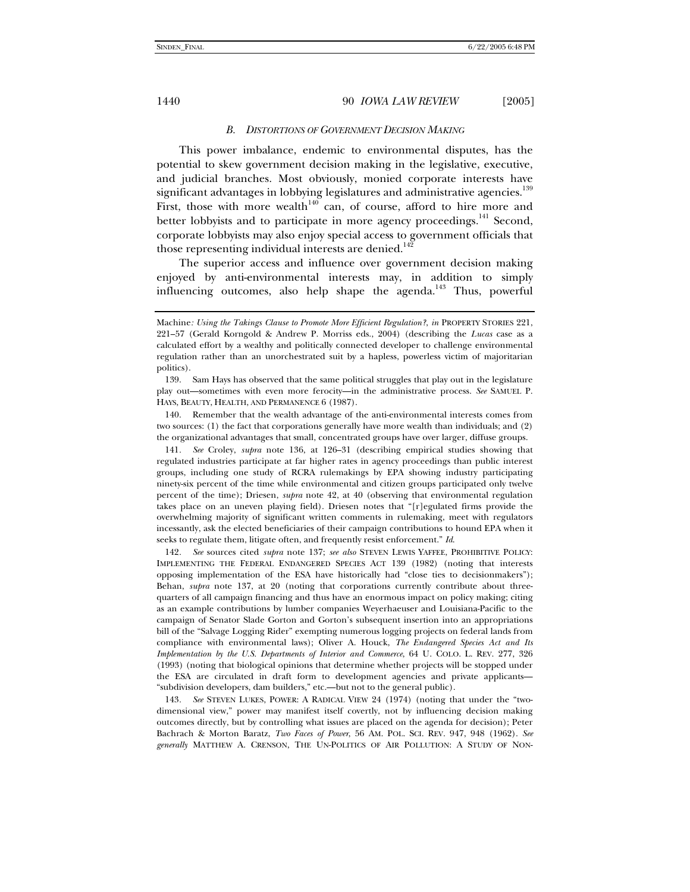#### *B. DISTORTIONS OF GOVERNMENT DECISION MAKING*

This power imbalance, endemic to environmental disputes, has the potential to skew government decision making in the legislative, executive, and judicial branches. Most obviously, monied corporate interests have significant advantages in lobbying legislatures and administrative agencies.<sup>139</sup> First, those with more wealth $140$  can, of course, afford to hire more and better lobbyists and to participate in more agency proceedings.<sup>141</sup> Second, corporate lobbyists may also enjoy special access to government officials that those representing individual interests are denied.<sup>142</sup>

The superior access and influence over government decision making enjoyed by anti-environmental interests may, in addition to simply influencing outcomes, also help shape the agenda.<sup>143</sup> Thus, powerful

 140. Remember that the wealth advantage of the anti-environmental interests comes from two sources: (1) the fact that corporations generally have more wealth than individuals; and (2) the organizational advantages that small, concentrated groups have over larger, diffuse groups.

141*. See* Croley, *supra* note 136, at 126–31 (describing empirical studies showing that regulated industries participate at far higher rates in agency proceedings than public interest groups, including one study of RCRA rulemakings by EPA showing industry participating ninety-six percent of the time while environmental and citizen groups participated only twelve percent of the time); Driesen, *supra* note 42, at 40 (observing that environmental regulation takes place on an uneven playing field). Driesen notes that "[r]egulated firms provide the overwhelming majority of significant written comments in rulemaking, meet with regulators incessantly, ask the elected beneficiaries of their campaign contributions to hound EPA when it seeks to regulate them, litigate often, and frequently resist enforcement." *Id*.

142*. See* sources cited *supra* note 137; *see also* STEVEN LEWIS YAFFEE, PROHIBITIVE POLICY: IMPLEMENTING THE FEDERAL ENDANGERED SPECIES ACT 139 (1982) (noting that interests opposing implementation of the ESA have historically had "close ties to decisionmakers"); Behan, *supra* note 137, at 20 (noting that corporations currently contribute about threequarters of all campaign financing and thus have an enormous impact on policy making; citing as an example contributions by lumber companies Weyerhaeuser and Louisiana-Pacific to the campaign of Senator Slade Gorton and Gorton's subsequent insertion into an appropriations bill of the "Salvage Logging Rider" exempting numerous logging projects on federal lands from compliance with environmental laws); Oliver A. Houck, *The Endangered Species Act and Its Implementation by the U.S. Departments of Interior and Commerce*, 64 U. COLO. L. REV. 277, 326 (1993) (noting that biological opinions that determine whether projects will be stopped under the ESA are circulated in draft form to development agencies and private applicants— "subdivision developers, dam builders," etc.—but not to the general public).

143*. See* STEVEN LUKES, POWER: A RADICAL VIEW 24 (1974) (noting that under the "twodimensional view," power may manifest itself covertly, not by influencing decision making outcomes directly, but by controlling what issues are placed on the agenda for decision); Peter Bachrach & Morton Baratz, *Two Faces of Power*, 56 AM. POL. SCI. REV. 947, 948 (1962). *See generally* MATTHEW A. CRENSON, THE UN-POLITICS OF AIR POLLUTION: A STUDY OF NON-

Machine*: Using the Takings Clause to Promote More Efficient Regulation?*, *in* PROPERTY STORIES 221, 221–57 (Gerald Korngold & Andrew P. Morriss eds., 2004) (describing the *Lucas* case as a calculated effort by a wealthy and politically connected developer to challenge environmental regulation rather than an unorchestrated suit by a hapless, powerless victim of majoritarian politics).

 <sup>139.</sup> Sam Hays has observed that the same political struggles that play out in the legislature play out—sometimes with even more ferocity—in the administrative process. *See* SAMUEL P. HAYS, BEAUTY, HEALTH, AND PERMANENCE 6 (1987).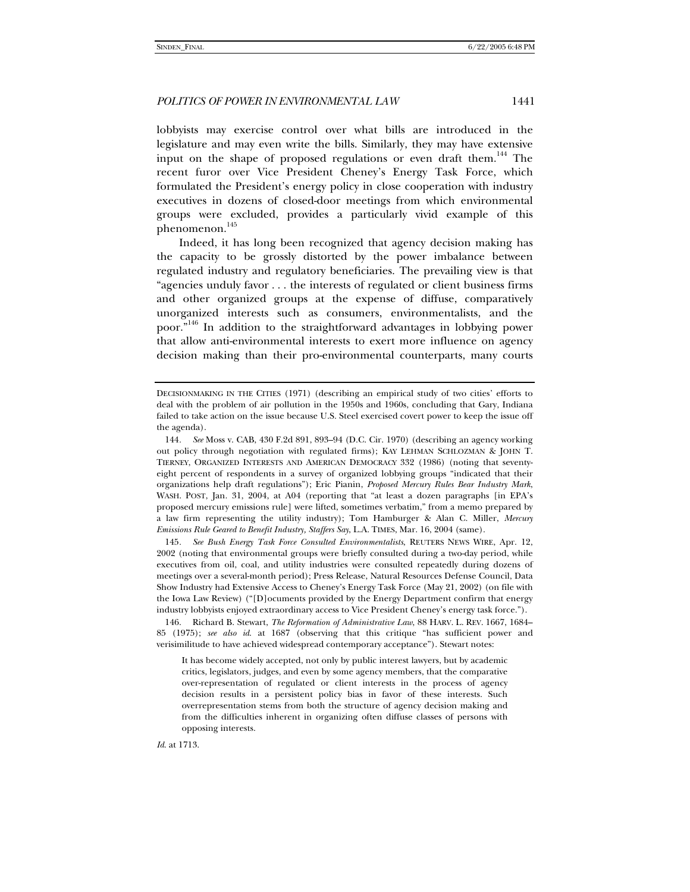lobbyists may exercise control over what bills are introduced in the legislature and may even write the bills. Similarly, they may have extensive input on the shape of proposed regulations or even draft them.<sup>144</sup> The recent furor over Vice President Cheney's Energy Task Force, which formulated the President's energy policy in close cooperation with industry executives in dozens of closed-door meetings from which environmental groups were excluded, provides a particularly vivid example of this phenomenon.<sup>145</sup>

Indeed, it has long been recognized that agency decision making has the capacity to be grossly distorted by the power imbalance between regulated industry and regulatory beneficiaries. The prevailing view is that "agencies unduly favor . . . the interests of regulated or client business firms and other organized groups at the expense of diffuse, comparatively unorganized interests such as consumers, environmentalists, and the poor."146 In addition to the straightforward advantages in lobbying power that allow anti-environmental interests to exert more influence on agency decision making than their pro-environmental counterparts, many courts

145*. See Bush Energy Task Force Consulted Environmentalists*, REUTERS NEWS WIRE, Apr. 12, 2002 (noting that environmental groups were briefly consulted during a two-day period, while executives from oil, coal, and utility industries were consulted repeatedly during dozens of meetings over a several-month period); Press Release, Natural Resources Defense Council, Data Show Industry had Extensive Access to Cheney's Energy Task Force (May 21, 2002) (on file with the Iowa Law Review) ("[D]ocuments provided by the Energy Department confirm that energy industry lobbyists enjoyed extraordinary access to Vice President Cheney's energy task force.").

 146. Richard B. Stewart, *The Reformation of Administrative Law*, 88 HARV. L. REV. 1667, 1684– 85 (1975); *see also id*. at 1687 (observing that this critique "has sufficient power and verisimilitude to have achieved widespread contemporary acceptance"). Stewart notes:

It has become widely accepted, not only by public interest lawyers, but by academic critics, legislators, judges, and even by some agency members, that the comparative over-representation of regulated or client interests in the process of agency decision results in a persistent policy bias in favor of these interests. Such overrepresentation stems from both the structure of agency decision making and from the difficulties inherent in organizing often diffuse classes of persons with opposing interests.

*Id*. at 1713.

DECISIONMAKING IN THE CITIES (1971) (describing an empirical study of two cities' efforts to deal with the problem of air pollution in the 1950s and 1960s, concluding that Gary, Indiana failed to take action on the issue because U.S. Steel exercised covert power to keep the issue off the agenda).

<sup>144</sup>*. See* Moss v. CAB, 430 F.2d 891, 893–94 (D.C. Cir. 1970) (describing an agency working out policy through negotiation with regulated firms); KAY LEHMAN SCHLOZMAN & JOHN T. TIERNEY, ORGANIZED INTERESTS AND AMERICAN DEMOCRACY 332 (1986) (noting that seventyeight percent of respondents in a survey of organized lobbying groups "indicated that their organizations help draft regulations"); Eric Pianin, *Proposed Mercury Rules Bear Industry Mark*, WASH. POST, Jan. 31, 2004, at A04 (reporting that "at least a dozen paragraphs [in EPA's proposed mercury emissions rule] were lifted, sometimes verbatim," from a memo prepared by a law firm representing the utility industry); Tom Hamburger & Alan C. Miller, *Mercury Emissions Rule Geared to Benefit Industry, Staffers Say*, L.A. TIMES, Mar. 16, 2004 (same).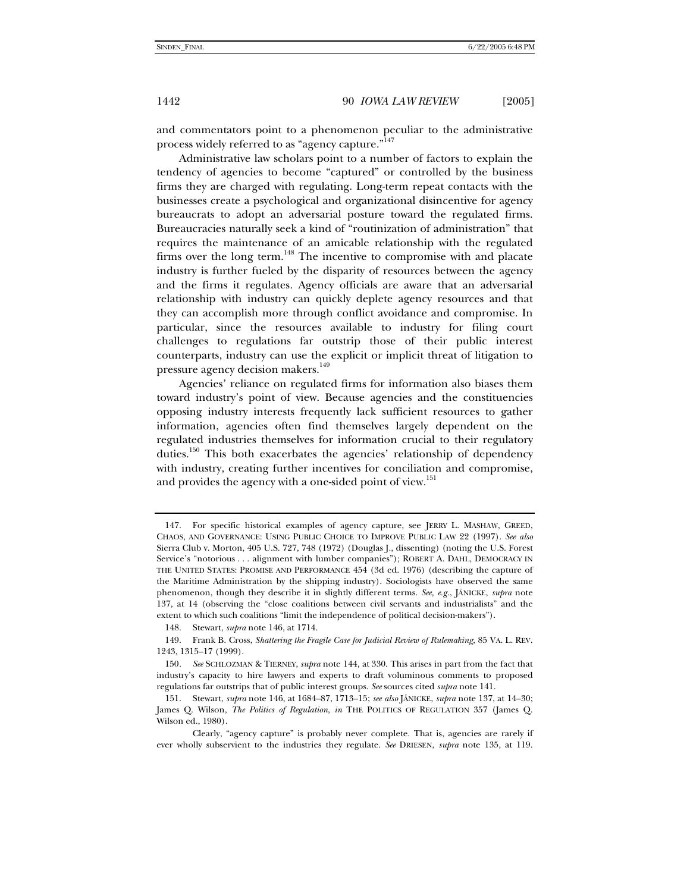and commentators point to a phenomenon peculiar to the administrative process widely referred to as "agency capture."<sup>147</sup>

Administrative law scholars point to a number of factors to explain the tendency of agencies to become "captured" or controlled by the business firms they are charged with regulating. Long-term repeat contacts with the businesses create a psychological and organizational disincentive for agency bureaucrats to adopt an adversarial posture toward the regulated firms. Bureaucracies naturally seek a kind of "routinization of administration" that requires the maintenance of an amicable relationship with the regulated firms over the long term.<sup>148</sup> The incentive to compromise with and placate industry is further fueled by the disparity of resources between the agency and the firms it regulates. Agency officials are aware that an adversarial relationship with industry can quickly deplete agency resources and that they can accomplish more through conflict avoidance and compromise. In particular, since the resources available to industry for filing court challenges to regulations far outstrip those of their public interest counterparts, industry can use the explicit or implicit threat of litigation to pressure agency decision makers.<sup>149</sup>

Agencies' reliance on regulated firms for information also biases them toward industry's point of view. Because agencies and the constituencies opposing industry interests frequently lack sufficient resources to gather information, agencies often find themselves largely dependent on the regulated industries themselves for information crucial to their regulatory duties.<sup>150</sup> This both exacerbates the agencies' relationship of dependency with industry, creating further incentives for conciliation and compromise, and provides the agency with a one-sided point of view.<sup>151</sup>

148. Stewart, *supra* note 146, at 1714.

 <sup>147.</sup> For specific historical examples of agency capture, see JERRY L. MASHAW, GREED, CHAOS, AND GOVERNANCE: USING PUBLIC CHOICE TO IMPROVE PUBLIC LAW 22 (1997). *See also* Sierra Club v. Morton, 405 U.S. 727, 748 (1972) (Douglas J., dissenting) (noting the U.S. Forest Service's "notorious . . . alignment with lumber companies"); ROBERT A. DAHL, DEMOCRACY IN THE UNITED STATES: PROMISE AND PERFORMANCE 454 (3d ed. 1976) (describing the capture of the Maritime Administration by the shipping industry). Sociologists have observed the same phenomenon, though they describe it in slightly different terms. *See, e.g.*, JÄNICKE, *supra* note 137, at 14 (observing the "close coalitions between civil servants and industrialists" and the extent to which such coalitions "limit the independence of political decision-makers").

 <sup>149.</sup> Frank B. Cross, *Shattering the Fragile Case for Judicial Review of Rulemaking*, 85 VA. L. REV. 1243, 1315–17 (1999).

<sup>150</sup>*. See* SCHLOZMAN & TIERNEY, *supra* note 144, at 330. This arises in part from the fact that industry's capacity to hire lawyers and experts to draft voluminous comments to proposed regulations far outstrips that of public interest groups. *See* sources cited *supra* note 141.

 <sup>151.</sup> Stewart, *supra* note 146, at 1684–87, 1713–15; *see also* JÄNICKE, *supra* note 137, at 14–30; James Q. Wilson, *The Politics of Regulation*, *in* THE POLITICS OF REGULATION 357 (James Q. Wilson ed., 1980).

Clearly, "agency capture" is probably never complete. That is, agencies are rarely if ever wholly subservient to the industries they regulate. *See* DRIESEN, *supra* note 135, at 119.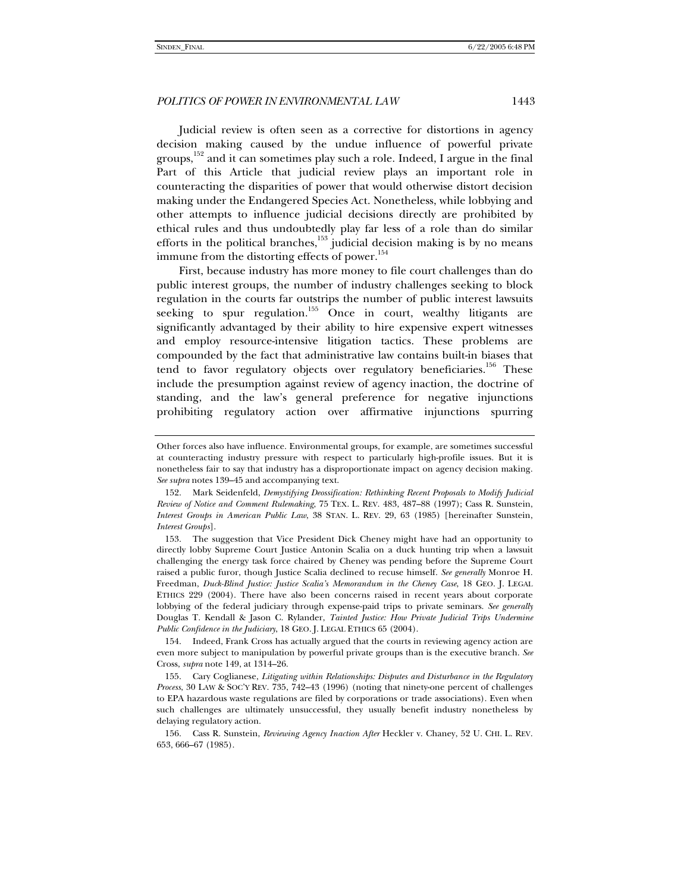Judicial review is often seen as a corrective for distortions in agency decision making caused by the undue influence of powerful private groups,<sup>152</sup> and it can sometimes play such a role. Indeed, I argue in the final Part of this Article that judicial review plays an important role in counteracting the disparities of power that would otherwise distort decision making under the Endangered Species Act. Nonetheless, while lobbying and other attempts to influence judicial decisions directly are prohibited by ethical rules and thus undoubtedly play far less of a role than do similar efforts in the political branches, $153$  judicial decision making is by no means immune from the distorting effects of power.<sup>154</sup>

First, because industry has more money to file court challenges than do public interest groups, the number of industry challenges seeking to block regulation in the courts far outstrips the number of public interest lawsuits seeking to spur regulation.<sup>155</sup> Once in court, wealthy litigants are significantly advantaged by their ability to hire expensive expert witnesses and employ resource-intensive litigation tactics. These problems are compounded by the fact that administrative law contains built-in biases that tend to favor regulatory objects over regulatory beneficiaries.<sup>156</sup> These include the presumption against review of agency inaction, the doctrine of standing, and the law's general preference for negative injunctions prohibiting regulatory action over affirmative injunctions spurring

Other forces also have influence. Environmental groups, for example, are sometimes successful at counteracting industry pressure with respect to particularly high-profile issues. But it is nonetheless fair to say that industry has a disproportionate impact on agency decision making. *See supra* notes 139–45 and accompanying text.

 <sup>152.</sup> Mark Seidenfeld, *Demystifying Deossification: Rethinking Recent Proposals to Modify Judicial Review of Notice and Comment Rulemaking*, 75 TEX. L. REV. 483, 487–88 (1997); Cass R. Sunstein, *Interest Groups in American Public Law*, 38 STAN. L. REV. 29, 63 (1985) [hereinafter Sunstein, *Interest Groups*].

 <sup>153.</sup> The suggestion that Vice President Dick Cheney might have had an opportunity to directly lobby Supreme Court Justice Antonin Scalia on a duck hunting trip when a lawsuit challenging the energy task force chaired by Cheney was pending before the Supreme Court raised a public furor, though Justice Scalia declined to recuse himself. *See generally* Monroe H. Freedman, *Duck-Blind Justice: Justice Scalia's Memorandum in the Cheney Case*, 18 GEO. J. LEGAL ETHICS 229 (2004). There have also been concerns raised in recent years about corporate lobbying of the federal judiciary through expense-paid trips to private seminars. *See generally* Douglas T. Kendall & Jason C. Rylander, *Tainted Justice: How Private Judicial Trips Undermine Public Confidence in the Judiciary*, 18 GEO. J. LEGAL ETHICS 65 (2004).

 <sup>154.</sup> Indeed, Frank Cross has actually argued that the courts in reviewing agency action are even more subject to manipulation by powerful private groups than is the executive branch. *See* Cross, *supra* note 149, at 1314–26.

 <sup>155.</sup> Cary Coglianese, *Litigating within Relationships: Disputes and Disturbance in the Regulatory Process*, 30 LAW & SOC'Y REV. 735, 742–43 (1996) (noting that ninety-one percent of challenges to EPA hazardous waste regulations are filed by corporations or trade associations). Even when such challenges are ultimately unsuccessful, they usually benefit industry nonetheless by delaying regulatory action.

 <sup>156.</sup> Cass R. Sunstein, *Reviewing Agency Inaction After* Heckler v. Chaney, 52 U. CHI. L. REV. 653, 666–67 (1985).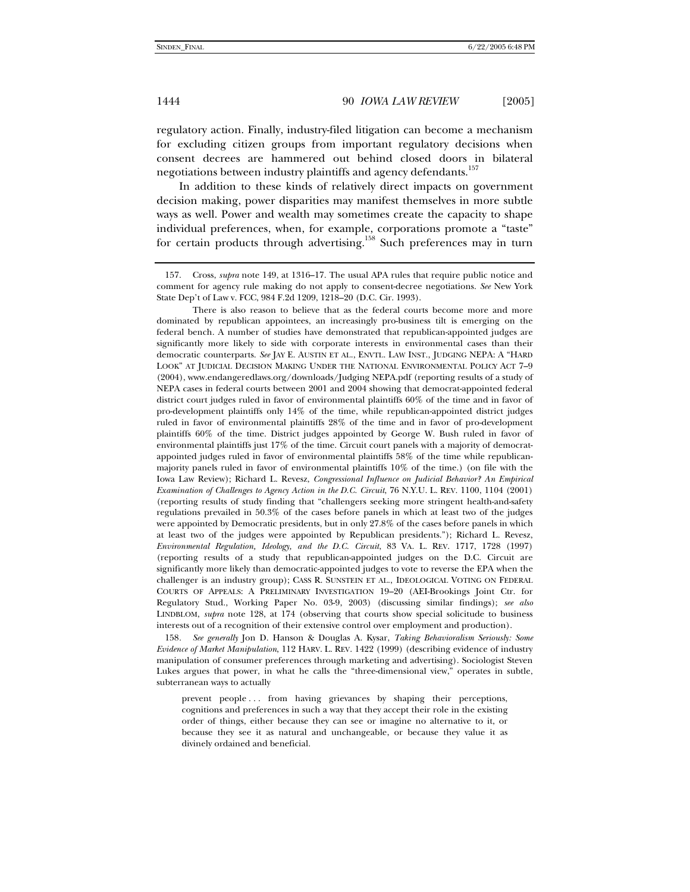regulatory action. Finally, industry-filed litigation can become a mechanism for excluding citizen groups from important regulatory decisions when consent decrees are hammered out behind closed doors in bilateral negotiations between industry plaintiffs and agency defendants.<sup>157</sup>

In addition to these kinds of relatively direct impacts on government decision making, power disparities may manifest themselves in more subtle ways as well. Power and wealth may sometimes create the capacity to shape individual preferences, when, for example, corporations promote a "taste" for certain products through advertising.<sup>158</sup> Such preferences may in turn

158*. See generally* Jon D. Hanson & Douglas A. Kysar, *Taking Behavioralism Seriously: Some Evidence of Market Manipulation*, 112 HARV. L. REV. 1422 (1999) (describing evidence of industry manipulation of consumer preferences through marketing and advertising). Sociologist Steven Lukes argues that power, in what he calls the "three-dimensional view," operates in subtle, subterranean ways to actually

prevent people ... from having grievances by shaping their perceptions, cognitions and preferences in such a way that they accept their role in the existing order of things, either because they can see or imagine no alternative to it, or because they see it as natural and unchangeable, or because they value it as divinely ordained and beneficial.

 <sup>157.</sup> Cross, *supra* note 149, at 1316–17. The usual APA rules that require public notice and comment for agency rule making do not apply to consent-decree negotiations. *See* New York State Dep't of Law v. FCC, 984 F.2d 1209, 1218–20 (D.C. Cir. 1993).

There is also reason to believe that as the federal courts become more and more dominated by republican appointees, an increasingly pro-business tilt is emerging on the federal bench. A number of studies have demonstrated that republican-appointed judges are significantly more likely to side with corporate interests in environmental cases than their democratic counterparts. *See* JAY E. AUSTIN ET AL., ENVTL. LAW INST., JUDGING NEPA: A "HARD LOOK" AT JUDICIAL DECISION MAKING UNDER THE NATIONAL ENVIRONMENTAL POLICY ACT 7–9 (2004), www.endangeredlaws.org/downloads/Judging NEPA.pdf (reporting results of a study of NEPA cases in federal courts between 2001 and 2004 showing that democrat-appointed federal district court judges ruled in favor of environmental plaintiffs 60% of the time and in favor of pro-development plaintiffs only 14% of the time, while republican-appointed district judges ruled in favor of environmental plaintiffs 28% of the time and in favor of pro-development plaintiffs 60% of the time. District judges appointed by George W. Bush ruled in favor of environmental plaintiffs just 17% of the time. Circuit court panels with a majority of democratappointed judges ruled in favor of environmental plaintiffs 58% of the time while republicanmajority panels ruled in favor of environmental plaintiffs 10% of the time.) (on file with the Iowa Law Review); Richard L. Revesz, *Congressional Influence on Judicial Behavior? An Empirical Examination of Challenges to Agency Action in the D.C. Circuit*, 76 N.Y.U. L. REV. 1100, 1104 (2001) (reporting results of study finding that "challengers seeking more stringent health-and-safety regulations prevailed in 50.3% of the cases before panels in which at least two of the judges were appointed by Democratic presidents, but in only 27.8% of the cases before panels in which at least two of the judges were appointed by Republican presidents."); Richard L. Revesz, *Environmental Regulation, Ideology, and the D.C. Circuit*, 83 VA. L. REV. 1717, 1728 (1997) (reporting results of a study that republican-appointed judges on the D.C. Circuit are significantly more likely than democratic-appointed judges to vote to reverse the EPA when the challenger is an industry group); CASS R. SUNSTEIN ET AL., IDEOLOGICAL VOTING ON FEDERAL COURTS OF APPEALS: A PRELIMINARY INVESTIGATION 19–20 (AEI-Brookings Joint Ctr. for Regulatory Stud., Working Paper No. 03-9, 2003) (discussing similar findings); *see also* LINDBLOM, *supra* note 128, at 174 (observing that courts show special solicitude to business interests out of a recognition of their extensive control over employment and production).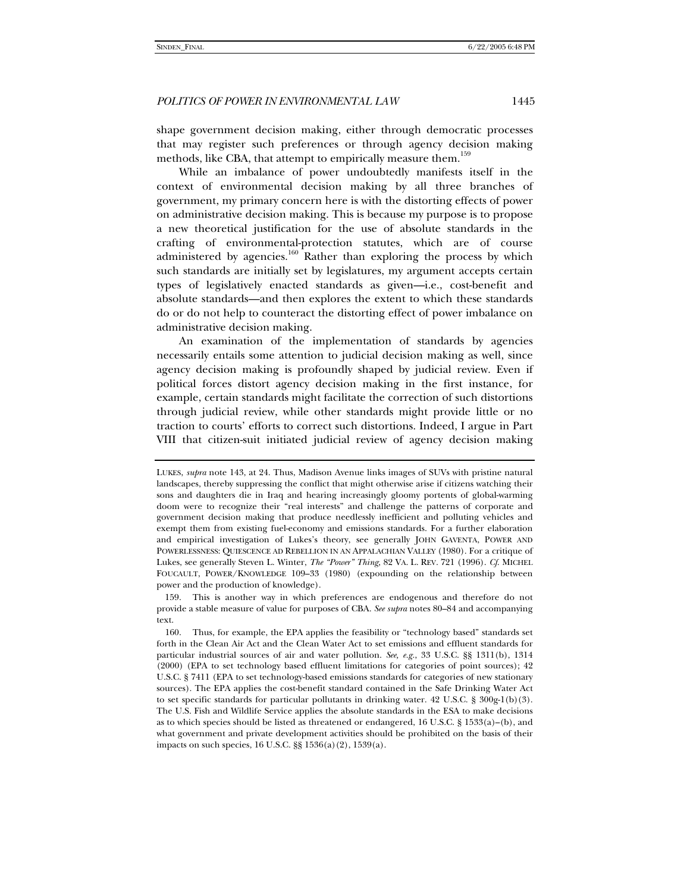shape government decision making, either through democratic processes that may register such preferences or through agency decision making methods, like CBA, that attempt to empirically measure them.<sup>159</sup>

While an imbalance of power undoubtedly manifests itself in the context of environmental decision making by all three branches of government, my primary concern here is with the distorting effects of power on administrative decision making. This is because my purpose is to propose a new theoretical justification for the use of absolute standards in the crafting of environmental-protection statutes, which are of course administered by agencies.<sup>160</sup> Rather than exploring the process by which such standards are initially set by legislatures, my argument accepts certain types of legislatively enacted standards as given—i.e., cost-benefit and absolute standards—and then explores the extent to which these standards do or do not help to counteract the distorting effect of power imbalance on administrative decision making.

An examination of the implementation of standards by agencies necessarily entails some attention to judicial decision making as well, since agency decision making is profoundly shaped by judicial review. Even if political forces distort agency decision making in the first instance, for example, certain standards might facilitate the correction of such distortions through judicial review, while other standards might provide little or no traction to courts' efforts to correct such distortions. Indeed, I argue in Part VIII that citizen-suit initiated judicial review of agency decision making

LUKES, *supra* note 143, at 24. Thus, Madison Avenue links images of SUVs with pristine natural landscapes, thereby suppressing the conflict that might otherwise arise if citizens watching their sons and daughters die in Iraq and hearing increasingly gloomy portents of global-warming doom were to recognize their "real interests" and challenge the patterns of corporate and government decision making that produce needlessly inefficient and polluting vehicles and exempt them from existing fuel-economy and emissions standards. For a further elaboration and empirical investigation of Lukes's theory, see generally JOHN GAVENTA, POWER AND POWERLESSNESS: QUIESCENCE AD REBELLION IN AN APPALACHIAN VALLEY (1980). For a critique of Lukes, see generally Steven L. Winter, *The "Power" Thing*, 82 VA. L. REV. 721 (1996). *Cf*. MICHEL FOUCAULT, POWER/KNOWLEDGE 109–33 (1980) (expounding on the relationship between power and the production of knowledge).

 <sup>159.</sup> This is another way in which preferences are endogenous and therefore do not provide a stable measure of value for purposes of CBA. *See supra* notes 80–84 and accompanying text.

 <sup>160.</sup> Thus, for example, the EPA applies the feasibility or "technology based" standards set forth in the Clean Air Act and the Clean Water Act to set emissions and effluent standards for particular industrial sources of air and water pollution. *See, e.g.*, 33 U.S.C. §§ 1311(b), 1314 (2000) (EPA to set technology based effluent limitations for categories of point sources); 42 U.S.C. § 7411 (EPA to set technology-based emissions standards for categories of new stationary sources). The EPA applies the cost-benefit standard contained in the Safe Drinking Water Act to set specific standards for particular pollutants in drinking water. 42 U.S.C. § 300g-1(b)(3). The U.S. Fish and Wildlife Service applies the absolute standards in the ESA to make decisions as to which species should be listed as threatened or endangered, 16 U.S.C.  $\S$  1533(a)–(b), and what government and private development activities should be prohibited on the basis of their impacts on such species, 16 U.S.C. §§ 1536(a)(2), 1539(a).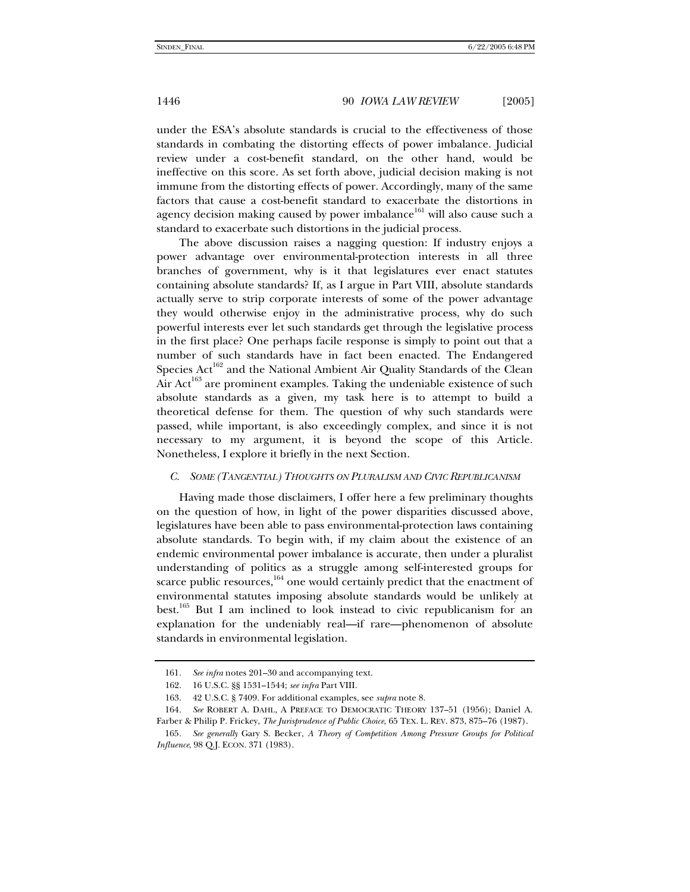under the ESA's absolute standards is crucial to the effectiveness of those standards in combating the distorting effects of power imbalance. Judicial review under a cost-benefit standard, on the other hand, would be ineffective on this score. As set forth above, judicial decision making is not immune from the distorting effects of power. Accordingly, many of the same factors that cause a cost-benefit standard to exacerbate the distortions in agency decision making caused by power imbalance<sup>161</sup> will also cause such a standard to exacerbate such distortions in the judicial process.

The above discussion raises a nagging question: If industry enjoys a power advantage over environmental-protection interests in all three branches of government, why is it that legislatures ever enact statutes containing absolute standards? If, as I argue in Part VIII, absolute standards actually serve to strip corporate interests of some of the power advantage they would otherwise enjoy in the administrative process, why do such powerful interests ever let such standards get through the legislative process in the first place? One perhaps facile response is simply to point out that a number of such standards have in fact been enacted. The Endangered Species Act<sup>162</sup> and the National Ambient Air Quality Standards of the Clean Air  $Act^{163}$  are prominent examples. Taking the undeniable existence of such absolute standards as a given, my task here is to attempt to build a theoretical defense for them. The question of why such standards were passed, while important, is also exceedingly complex, and since it is not necessary to my argument, it is beyond the scope of this Article. Nonetheless, I explore it briefly in the next Section.

# *C. SOME (TANGENTIAL) THOUGHTS ON PLURALISM AND CIVIC REPUBLICANISM*

Having made those disclaimers, I offer here a few preliminary thoughts on the question of how, in light of the power disparities discussed above, legislatures have been able to pass environmental-protection laws containing absolute standards. To begin with, if my claim about the existence of an endemic environmental power imbalance is accurate, then under a pluralist understanding of politics as a struggle among self-interested groups for scarce public resources, $164$  one would certainly predict that the enactment of environmental statutes imposing absolute standards would be unlikely at best.<sup>165</sup> But I am inclined to look instead to civic republicanism for an explanation for the undeniably real—if rare—phenomenon of absolute standards in environmental legislation.

<sup>161</sup>*. See infra* notes 201–30 and accompanying text.

 <sup>162. 16</sup> U.S.C. §§ 1531–1544; *see infra* Part VIII.

 <sup>163. 42</sup> U.S.C. § 7409. For additional examples, see *supra* note 8.

<sup>164</sup>*. See* ROBERT A. DAHL, A PREFACE TO DEMOCRATIC THEORY 137–51 (1956); Daniel A. Farber & Philip P. Frickey, *The Jurisprudence of Public Choice*, 65 TEX. L. REV. 873, 875–76 (1987).

<sup>165</sup>*. See generally* Gary S. Becker, *A Theory of Competition Among Pressure Groups for Political Influence*, 98 Q.J. ECON. 371 (1983).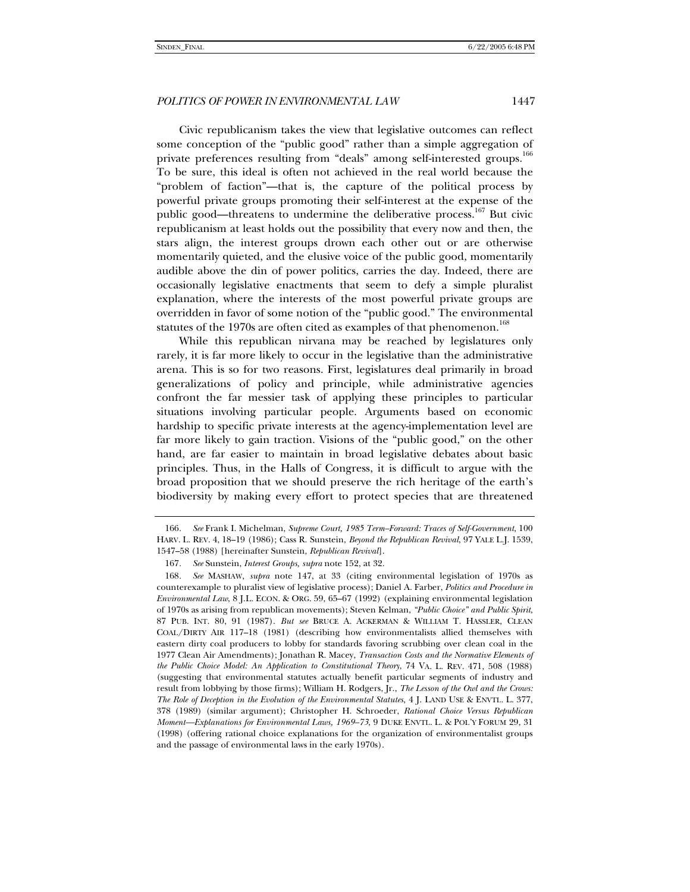Civic republicanism takes the view that legislative outcomes can reflect some conception of the "public good" rather than a simple aggregation of private preferences resulting from "deals" among self-interested groups.<sup>166</sup> To be sure, this ideal is often not achieved in the real world because the "problem of faction"—that is, the capture of the political process by powerful private groups promoting their self-interest at the expense of the public good—threatens to undermine the deliberative process.<sup>167</sup> But civic republicanism at least holds out the possibility that every now and then, the stars align, the interest groups drown each other out or are otherwise momentarily quieted, and the elusive voice of the public good, momentarily audible above the din of power politics, carries the day. Indeed, there are occasionally legislative enactments that seem to defy a simple pluralist explanation, where the interests of the most powerful private groups are overridden in favor of some notion of the "public good." The environmental statutes of the 1970s are often cited as examples of that phenomenon.<sup>168</sup>

While this republican nirvana may be reached by legislatures only rarely, it is far more likely to occur in the legislative than the administrative arena. This is so for two reasons. First, legislatures deal primarily in broad generalizations of policy and principle, while administrative agencies confront the far messier task of applying these principles to particular situations involving particular people. Arguments based on economic hardship to specific private interests at the agency-implementation level are far more likely to gain traction. Visions of the "public good," on the other hand, are far easier to maintain in broad legislative debates about basic principles. Thus, in the Halls of Congress, it is difficult to argue with the broad proposition that we should preserve the rich heritage of the earth's biodiversity by making every effort to protect species that are threatened

<sup>166</sup>*. See* Frank I. Michelman, *Supreme Court, 1985 Term–Forward: Traces of Self-Government*, 100 HARV. L. REV. 4, 18–19 (1986); Cass R. Sunstein, *Beyond the Republican Revival*, 97 YALE L.J. 1539, 1547–58 (1988) [hereinafter Sunstein, *Republican Revival*].

<sup>167</sup>*. See* Sunstein, *Interest Groups, supra* note 152, at 32.

<sup>168</sup>*. See* MASHAW, *supra* note 147, at 33 (citing environmental legislation of 1970s as counterexample to pluralist view of legislative process); Daniel A. Farber, *Politics and Procedure in Environmental Law*, 8 J.L. ECON. & ORG. 59, 65–67 (1992) (explaining environmental legislation of 1970s as arising from republican movements); Steven Kelman, *"Public Choice" and Public Spirit*, 87 PUB. INT. 80, 91 (1987). *But see* BRUCE A. ACKERMAN & WILLIAM T. HASSLER, CLEAN COAL/DIRTY AIR 117–18 (1981) (describing how environmentalists allied themselves with eastern dirty coal producers to lobby for standards favoring scrubbing over clean coal in the 1977 Clean Air Amendments); Jonathan R. Macey, *Transaction Costs and the Normative Elements of the Public Choice Model: An Application to Constitutional Theory*, 74 VA. L. REV. 471, 508 (1988) (suggesting that environmental statutes actually benefit particular segments of industry and result from lobbying by those firms); William H. Rodgers, Jr., *The Lesson of the Owl and the Crows: The Role of Deception in the Evolution of the Environmental Statutes*, 4 J. LAND USE & ENVTL. L. 377, 378 (1989) (similar argument); Christopher H. Schroeder, *Rational Choice Versus Republican Moment—Explanations for Environmental Laws, 1969–73*, 9 DUKE ENVTL. L. & POL'Y FORUM 29, 31 (1998) (offering rational choice explanations for the organization of environmentalist groups and the passage of environmental laws in the early 1970s).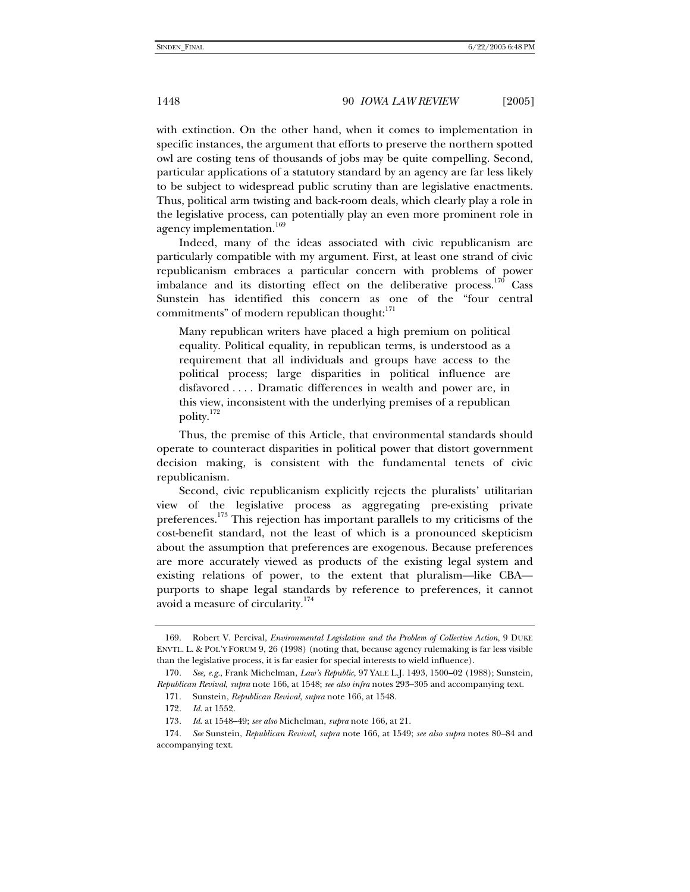with extinction. On the other hand, when it comes to implementation in specific instances, the argument that efforts to preserve the northern spotted owl are costing tens of thousands of jobs may be quite compelling. Second, particular applications of a statutory standard by an agency are far less likely to be subject to widespread public scrutiny than are legislative enactments. Thus, political arm twisting and back-room deals, which clearly play a role in the legislative process, can potentially play an even more prominent role in agency implementation.<sup>169</sup>

Indeed, many of the ideas associated with civic republicanism are particularly compatible with my argument. First, at least one strand of civic republicanism embraces a particular concern with problems of power imbalance and its distorting effect on the deliberative process.<sup>170</sup> Cass Sunstein has identified this concern as one of the "four central commitments" of modern republican thought:<sup>171</sup>

Many republican writers have placed a high premium on political equality. Political equality, in republican terms, is understood as a requirement that all individuals and groups have access to the political process; large disparities in political influence are disfavored . . . . Dramatic differences in wealth and power are, in this view, inconsistent with the underlying premises of a republican polity.172

Thus, the premise of this Article, that environmental standards should operate to counteract disparities in political power that distort government decision making, is consistent with the fundamental tenets of civic republicanism.

Second, civic republicanism explicitly rejects the pluralists' utilitarian view of the legislative process as aggregating pre-existing private preferences.<sup>173</sup> This rejection has important parallels to my criticisms of the cost-benefit standard, not the least of which is a pronounced skepticism about the assumption that preferences are exogenous. Because preferences are more accurately viewed as products of the existing legal system and existing relations of power, to the extent that pluralism—like CBA purports to shape legal standards by reference to preferences, it cannot avoid a measure of circularity.<sup>174</sup>

 <sup>169.</sup> Robert V. Percival, *Environmental Legislation and the Problem of Collective Action*, 9 DUKE ENVTL. L. & POL'Y FORUM 9, 26 (1998) (noting that, because agency rulemaking is far less visible than the legislative process, it is far easier for special interests to wield influence).

<sup>170</sup>*. See, e.g.*, Frank Michelman, *Law's Republic*, 97 YALE L.J. 1493, 1500–02 (1988); Sunstein, *Republican Revival*, *supra* note 166, at 1548; *see also infra* notes 293–305 and accompanying text.

 <sup>171.</sup> Sunstein, *Republican Revival*, *supra* note 166, at 1548.

<sup>172</sup>*. Id*. at 1552.

<sup>173</sup>*. Id*. at 1548–49; *see also* Michelman, *supra* note 166, at 21.

<sup>174</sup>*. See* Sunstein, *Republican Revival, supra* note 166, at 1549; *see also supra* notes 80–84 and accompanying text.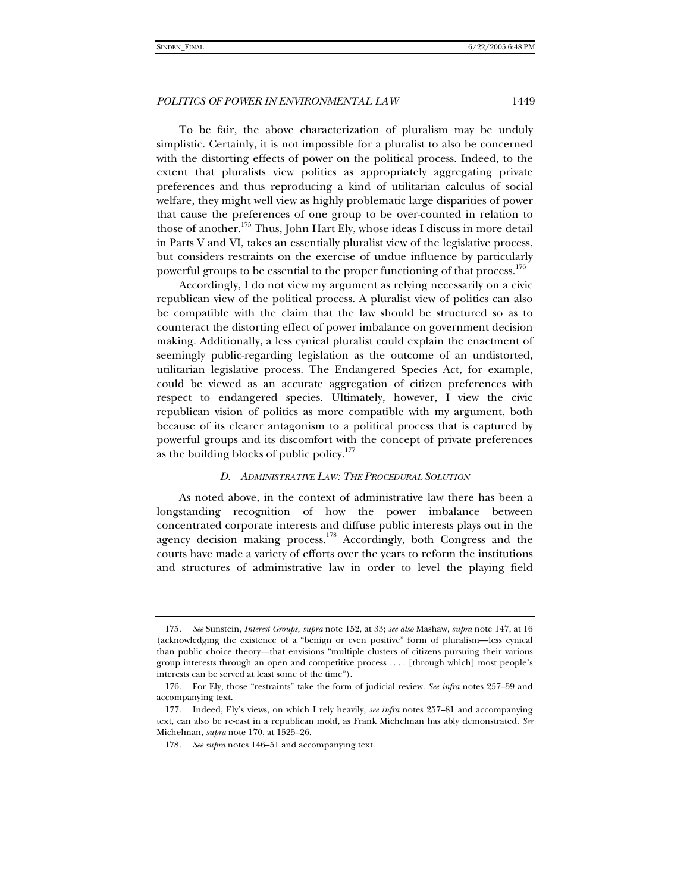To be fair, the above characterization of pluralism may be unduly simplistic. Certainly, it is not impossible for a pluralist to also be concerned with the distorting effects of power on the political process. Indeed, to the extent that pluralists view politics as appropriately aggregating private preferences and thus reproducing a kind of utilitarian calculus of social welfare, they might well view as highly problematic large disparities of power that cause the preferences of one group to be over-counted in relation to those of another.<sup>175</sup> Thus, John Hart Ely, whose ideas I discuss in more detail in Parts V and VI, takes an essentially pluralist view of the legislative process, but considers restraints on the exercise of undue influence by particularly powerful groups to be essential to the proper functioning of that process.<sup>176</sup>

Accordingly, I do not view my argument as relying necessarily on a civic republican view of the political process. A pluralist view of politics can also be compatible with the claim that the law should be structured so as to counteract the distorting effect of power imbalance on government decision making. Additionally, a less cynical pluralist could explain the enactment of seemingly public-regarding legislation as the outcome of an undistorted, utilitarian legislative process. The Endangered Species Act, for example, could be viewed as an accurate aggregation of citizen preferences with respect to endangered species. Ultimately, however, I view the civic republican vision of politics as more compatible with my argument, both because of its clearer antagonism to a political process that is captured by powerful groups and its discomfort with the concept of private preferences as the building blocks of public policy.<sup>177</sup>

# *D. ADMINISTRATIVE LAW: THE PROCEDURAL SOLUTION*

As noted above, in the context of administrative law there has been a longstanding recognition of how the power imbalance between concentrated corporate interests and diffuse public interests plays out in the agency decision making process.<sup>178</sup> Accordingly, both Congress and the courts have made a variety of efforts over the years to reform the institutions and structures of administrative law in order to level the playing field

<sup>175</sup>*. See* Sunstein, *Interest Groups, supra* note 152, at 33; *see also* Mashaw, *supra* note 147, at 16 (acknowledging the existence of a "benign or even positive" form of pluralism—less cynical than public choice theory—that envisions "multiple clusters of citizens pursuing their various group interests through an open and competitive process . . . . [through which] most people's interests can be served at least some of the time").

 <sup>176.</sup> For Ely, those "restraints" take the form of judicial review. *See infra* notes 257–59 and accompanying text.

 <sup>177.</sup> Indeed, Ely's views, on which I rely heavily, *see infra* notes 257–81 and accompanying text, can also be re-cast in a republican mold, as Frank Michelman has ably demonstrated. *See*  Michelman, *supra* note 170, at 1525–26.

<sup>178</sup>*. See supra* notes 146–51 and accompanying text.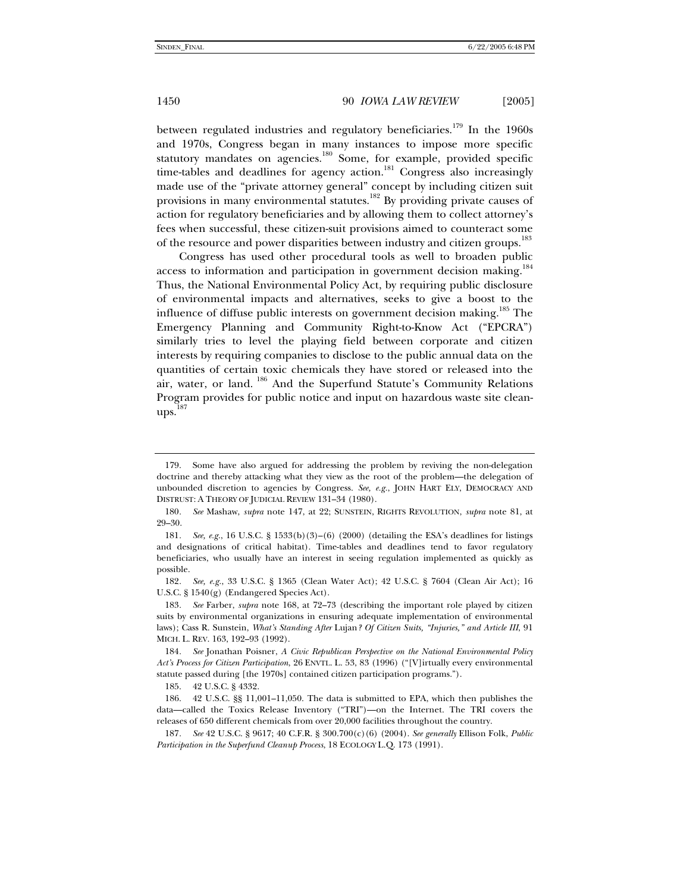between regulated industries and regulatory beneficiaries.<sup>179</sup> In the 1960s and 1970s, Congress began in many instances to impose more specific statutory mandates on agencies.<sup>180</sup> Some, for example, provided specific time-tables and deadlines for agency action.<sup>181</sup> Congress also increasingly made use of the "private attorney general" concept by including citizen suit provisions in many environmental statutes.<sup>182</sup> By providing private causes of action for regulatory beneficiaries and by allowing them to collect attorney's fees when successful, these citizen-suit provisions aimed to counteract some of the resource and power disparities between industry and citizen groups.<sup>183</sup>

Congress has used other procedural tools as well to broaden public access to information and participation in government decision making.<sup>184</sup> Thus, the National Environmental Policy Act, by requiring public disclosure of environmental impacts and alternatives, seeks to give a boost to the influence of diffuse public interests on government decision making.<sup>185</sup> The Emergency Planning and Community Right-to-Know Act ("EPCRA") similarly tries to level the playing field between corporate and citizen interests by requiring companies to disclose to the public annual data on the quantities of certain toxic chemicals they have stored or released into the air, water, or land. 186 And the Superfund Statute's Community Relations Program provides for public notice and input on hazardous waste site clean $ups.$ <sup>187</sup>

 <sup>179.</sup> Some have also argued for addressing the problem by reviving the non-delegation doctrine and thereby attacking what they view as the root of the problem—the delegation of unbounded discretion to agencies by Congress. *See, e.g.*, JOHN HART ELY, DEMOCRACY AND DISTRUST: A THEORY OF JUDICIAL REVIEW 131–34 (1980).

<sup>180</sup>*. See* Mashaw, *supra* note 147, at 22; SUNSTEIN, RIGHTS REVOLUTION, *supra* note 81, at 29–30.

<sup>181</sup>*. See, e.g.*, 16 U.S.C. § 1533(b)(3)–(6) (2000) (detailing the ESA's deadlines for listings and designations of critical habitat). Time-tables and deadlines tend to favor regulatory beneficiaries, who usually have an interest in seeing regulation implemented as quickly as possible.

<sup>182</sup>*. See, e.g.*, 33 U.S.C. § 1365 (Clean Water Act); 42 U.S.C. § 7604 (Clean Air Act); 16 U.S.C. § 1540(g) (Endangered Species Act).

<sup>183</sup>*. See* Farber, *supra* note 168, at 72–73 (describing the important role played by citizen suits by environmental organizations in ensuring adequate implementation of environmental laws); Cass R. Sunstein, *What's Standing After* Lujan*? Of Citizen Suits, "Injuries," and Article III*, 91 MICH. L. REV. 163, 192–93 (1992).

<sup>184</sup>*. See* Jonathan Poisner, *A Civic Republican Perspective on the National Environmental Policy Act's Process for Citizen Participation*, 26 ENVTL. L. 53, 83 (1996) ("[V]irtually every environmental statute passed during [the 1970s] contained citizen participation programs.").

 <sup>185. 42</sup> U.S.C. § 4332.

 <sup>186. 42</sup> U.S.C. §§ 11,001–11,050. The data is submitted to EPA, which then publishes the data—called the Toxics Release Inventory ("TRI")—on the Internet. The TRI covers the releases of 650 different chemicals from over 20,000 facilities throughout the country.

<sup>187</sup>*. See* 42 U.S.C. § 9617; 40 C.F.R. § 300.700(c)(6) (2004). *See generally* Ellison Folk, *Public Participation in the Superfund Cleanup Process*, 18 ECOLOGY L.Q. 173 (1991).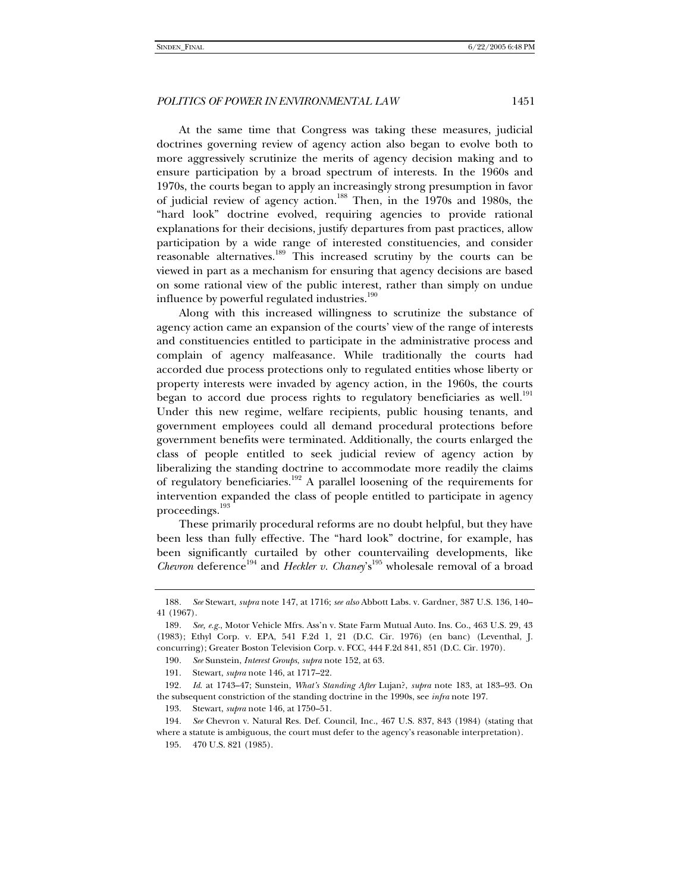At the same time that Congress was taking these measures, judicial doctrines governing review of agency action also began to evolve both to more aggressively scrutinize the merits of agency decision making and to ensure participation by a broad spectrum of interests. In the 1960s and 1970s, the courts began to apply an increasingly strong presumption in favor of judicial review of agency action.<sup>188</sup> Then, in the 1970s and 1980s, the "hard look" doctrine evolved, requiring agencies to provide rational explanations for their decisions, justify departures from past practices, allow participation by a wide range of interested constituencies, and consider reasonable alternatives.<sup>189</sup> This increased scrutiny by the courts can be viewed in part as a mechanism for ensuring that agency decisions are based on some rational view of the public interest, rather than simply on undue influence by powerful regulated industries.<sup>190</sup>

Along with this increased willingness to scrutinize the substance of agency action came an expansion of the courts' view of the range of interests and constituencies entitled to participate in the administrative process and complain of agency malfeasance. While traditionally the courts had accorded due process protections only to regulated entities whose liberty or property interests were invaded by agency action, in the 1960s, the courts began to accord due process rights to regulatory beneficiaries as well.<sup>191</sup> Under this new regime, welfare recipients, public housing tenants, and government employees could all demand procedural protections before government benefits were terminated. Additionally, the courts enlarged the class of people entitled to seek judicial review of agency action by liberalizing the standing doctrine to accommodate more readily the claims of regulatory beneficiaries.192 A parallel loosening of the requirements for intervention expanded the class of people entitled to participate in agency proceedings.<sup>193</sup>

These primarily procedural reforms are no doubt helpful, but they have been less than fully effective. The "hard look" doctrine, for example, has been significantly curtailed by other countervailing developments, like *Chevron* deference<sup>194</sup> and *Heckler v. Chaney*'s<sup>195</sup> wholesale removal of a broad

<sup>188</sup>*. See* Stewart, *supra* note 147, at 1716; *see also* Abbott Labs. v. Gardner, 387 U.S. 136, 140– 41 (1967).

<sup>189</sup>*. See, e.g.*, Motor Vehicle Mfrs. Ass'n v. State Farm Mutual Auto. Ins. Co., 463 U.S. 29, 43 (1983); Ethyl Corp. v. EPA, 541 F.2d 1, 21 (D.C. Cir. 1976) (en banc) (Leventhal, J. concurring); Greater Boston Television Corp. v. FCC, 444 F.2d 841, 851 (D.C. Cir. 1970).

<sup>190</sup>*. See* Sunstein, *Interest Groups*, *supra* note 152, at 63.

 <sup>191.</sup> Stewart, *supra* note 146, at 1717–22.

<sup>192</sup>*. Id*. at 1743–47; Sunstein, *What's Standing After* Lujan?, *supra* note 183, at 183–93. On the subsequent constriction of the standing doctrine in the 1990s, see *infra* note 197.

 <sup>193.</sup> Stewart, *supra* note 146, at 1750–51.

<sup>194</sup>*. See* Chevron v. Natural Res. Def. Council, Inc., 467 U.S. 837, 843 (1984) (stating that where a statute is ambiguous, the court must defer to the agency's reasonable interpretation).

 <sup>195. 470</sup> U.S. 821 (1985).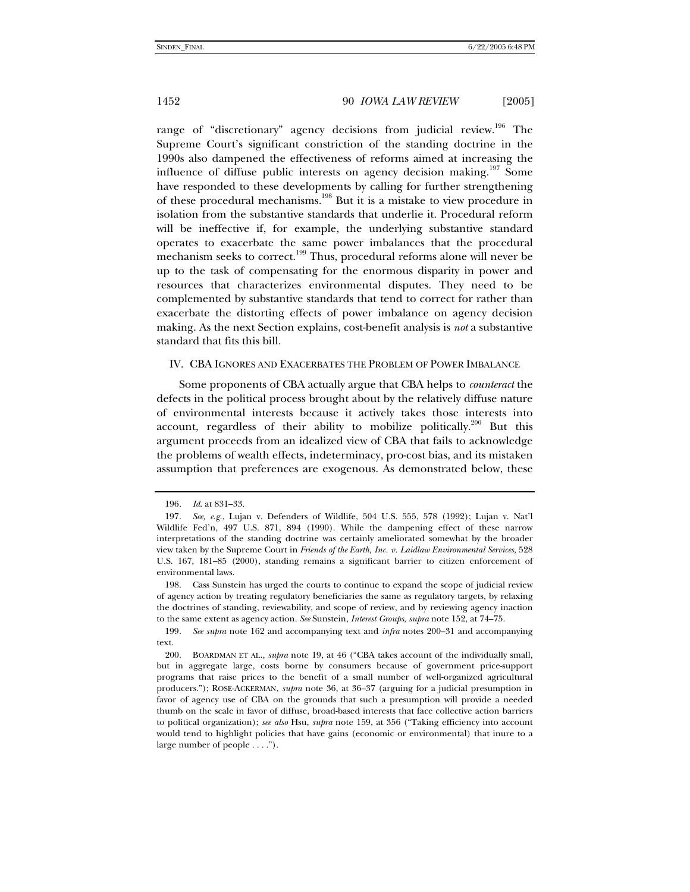range of "discretionary" agency decisions from judicial review.<sup>196</sup> The Supreme Court's significant constriction of the standing doctrine in the 1990s also dampened the effectiveness of reforms aimed at increasing the influence of diffuse public interests on agency decision making.<sup>197</sup> Some have responded to these developments by calling for further strengthening of these procedural mechanisms.<sup>198</sup> But it is a mistake to view procedure in isolation from the substantive standards that underlie it. Procedural reform will be ineffective if, for example, the underlying substantive standard operates to exacerbate the same power imbalances that the procedural mechanism seeks to correct.<sup>199</sup> Thus, procedural reforms alone will never be up to the task of compensating for the enormous disparity in power and resources that characterizes environmental disputes. They need to be complemented by substantive standards that tend to correct for rather than exacerbate the distorting effects of power imbalance on agency decision making. As the next Section explains, cost-benefit analysis is *not* a substantive standard that fits this bill.

# IV. CBA IGNORES AND EXACERBATES THE PROBLEM OF POWER IMBALANCE

Some proponents of CBA actually argue that CBA helps to *counteract* the defects in the political process brought about by the relatively diffuse nature of environmental interests because it actively takes those interests into account, regardless of their ability to mobilize politically.<sup>200</sup> But this argument proceeds from an idealized view of CBA that fails to acknowledge the problems of wealth effects, indeterminacy, pro-cost bias, and its mistaken assumption that preferences are exogenous. As demonstrated below, these

<sup>196</sup>*. Id*. at 831–33.

<sup>197</sup>*. See, e.g.*, Lujan v. Defenders of Wildlife, 504 U.S. 555, 578 (1992); Lujan v. Nat'l Wildlife Fed'n, 497 U.S. 871, 894 (1990). While the dampening effect of these narrow interpretations of the standing doctrine was certainly ameliorated somewhat by the broader view taken by the Supreme Court in *Friends of the Earth, Inc. v. Laidlaw Environmental Services*, 528 U.S. 167, 181–85 (2000), standing remains a significant barrier to citizen enforcement of environmental laws.

 <sup>198.</sup> Cass Sunstein has urged the courts to continue to expand the scope of judicial review of agency action by treating regulatory beneficiaries the same as regulatory targets, by relaxing the doctrines of standing, reviewability, and scope of review, and by reviewing agency inaction to the same extent as agency action. *See* Sunstein, *Interest Groups*, *supra* note 152, at 74–75.

<sup>199</sup>*. See supra* note 162 and accompanying text and *infra* notes 200–31 and accompanying text.

 <sup>200.</sup> BOARDMAN ET AL., *supra* note 19, at 46 ("CBA takes account of the individually small, but in aggregate large, costs borne by consumers because of government price-support programs that raise prices to the benefit of a small number of well-organized agricultural producers."); ROSE-ACKERMAN, *supra* note 36, at 36–37 (arguing for a judicial presumption in favor of agency use of CBA on the grounds that such a presumption will provide a needed thumb on the scale in favor of diffuse, broad-based interests that face collective action barriers to political organization); *see also* Hsu, *supra* note 159, at 356 ("Taking efficiency into account would tend to highlight policies that have gains (economic or environmental) that inure to a large number of people . . . .").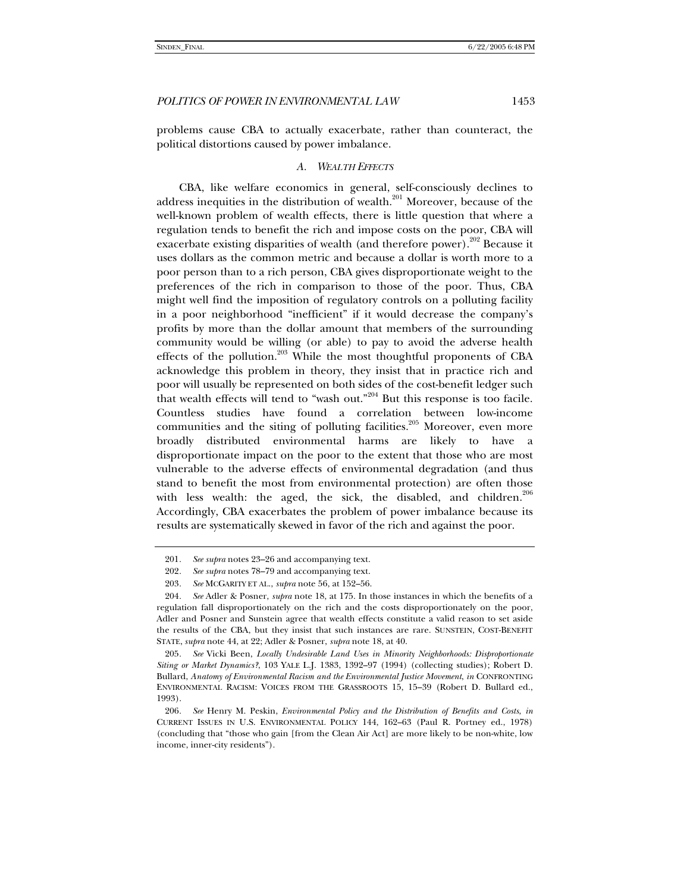problems cause CBA to actually exacerbate, rather than counteract, the political distortions caused by power imbalance.

# *A. WEALTH EFFECTS*

CBA, like welfare economics in general, self-consciously declines to address inequities in the distribution of wealth.<sup>201</sup> Moreover, because of the well-known problem of wealth effects, there is little question that where a regulation tends to benefit the rich and impose costs on the poor, CBA will exacerbate existing disparities of wealth (and therefore power).<sup>202</sup> Because it uses dollars as the common metric and because a dollar is worth more to a poor person than to a rich person, CBA gives disproportionate weight to the preferences of the rich in comparison to those of the poor. Thus, CBA might well find the imposition of regulatory controls on a polluting facility in a poor neighborhood "inefficient" if it would decrease the company's profits by more than the dollar amount that members of the surrounding community would be willing (or able) to pay to avoid the adverse health effects of the pollution. $^{203}$  While the most thoughtful proponents of CBA acknowledge this problem in theory, they insist that in practice rich and poor will usually be represented on both sides of the cost-benefit ledger such that wealth effects will tend to "wash out."204 But this response is too facile. Countless studies have found a correlation between low-income communities and the siting of polluting facilities.<sup>205</sup> Moreover, even more broadly distributed environmental harms are likely to have a disproportionate impact on the poor to the extent that those who are most vulnerable to the adverse effects of environmental degradation (and thus stand to benefit the most from environmental protection) are often those with less wealth: the aged, the sick, the disabled, and children. $206$ Accordingly, CBA exacerbates the problem of power imbalance because its results are systematically skewed in favor of the rich and against the poor.

<sup>201</sup>*. See supra* notes 23–26 and accompanying text.

<sup>202</sup>*. See supra* notes 78–79 and accompanying text.

<sup>203</sup>*. See* MCGARITY ET AL., *supra* note 56, at 152–56.

<sup>204</sup>*. See* Adler & Posner, *supra* note 18, at 175. In those instances in which the benefits of a regulation fall disproportionately on the rich and the costs disproportionately on the poor, Adler and Posner and Sunstein agree that wealth effects constitute a valid reason to set aside the results of the CBA, but they insist that such instances are rare. SUNSTEIN, COST-BENEFIT STATE, *supra* note 44, at 22; Adler & Posner, *supra* note 18, at 40.

<sup>205</sup>*. See* Vicki Been, *Locally Undesirable Land Uses in Minority Neighborhoods: Disproportionate Siting or Market Dynamics?*, 103 YALE L.J. 1383, 1392–97 (1994) (collecting studies); Robert D. Bullard, *Anatomy of Environmental Racism and the Environmental Justice Movement*, *in* CONFRONTING ENVIRONMENTAL RACISM: VOICES FROM THE GRASSROOTS 15, 15–39 (Robert D. Bullard ed., 1993).

<sup>206</sup>*. See* Henry M. Peskin, *Environmental Policy and the Distribution of Benefits and Costs*, *in* CURRENT ISSUES IN U.S. ENVIRONMENTAL POLICY 144, 162–63 (Paul R. Portney ed., 1978) (concluding that "those who gain [from the Clean Air Act] are more likely to be non-white, low income, inner-city residents").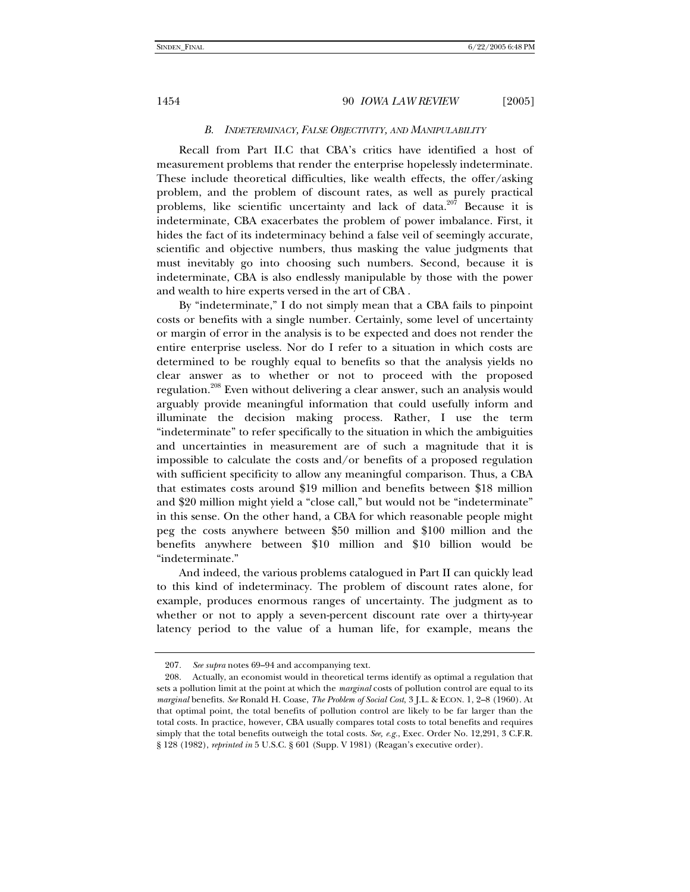# *B. INDETERMINACY, FALSE OBJECTIVITY, AND MANIPULABILITY*

Recall from Part II.C that CBA's critics have identified a host of measurement problems that render the enterprise hopelessly indeterminate. These include theoretical difficulties, like wealth effects, the offer/asking problem, and the problem of discount rates, as well as purely practical problems, like scientific uncertainty and lack of data.<sup>207</sup> Because it is indeterminate, CBA exacerbates the problem of power imbalance. First, it hides the fact of its indeterminacy behind a false veil of seemingly accurate, scientific and objective numbers, thus masking the value judgments that must inevitably go into choosing such numbers. Second, because it is indeterminate, CBA is also endlessly manipulable by those with the power and wealth to hire experts versed in the art of CBA .

By "indeterminate," I do not simply mean that a CBA fails to pinpoint costs or benefits with a single number. Certainly, some level of uncertainty or margin of error in the analysis is to be expected and does not render the entire enterprise useless. Nor do I refer to a situation in which costs are determined to be roughly equal to benefits so that the analysis yields no clear answer as to whether or not to proceed with the proposed regulation.<sup>208</sup> Even without delivering a clear answer, such an analysis would arguably provide meaningful information that could usefully inform and illuminate the decision making process. Rather, I use the term "indeterminate" to refer specifically to the situation in which the ambiguities and uncertainties in measurement are of such a magnitude that it is impossible to calculate the costs and/or benefits of a proposed regulation with sufficient specificity to allow any meaningful comparison. Thus, a CBA that estimates costs around \$19 million and benefits between \$18 million and \$20 million might yield a "close call," but would not be "indeterminate" in this sense. On the other hand, a CBA for which reasonable people might peg the costs anywhere between \$50 million and \$100 million and the benefits anywhere between \$10 million and \$10 billion would be "indeterminate."

And indeed, the various problems catalogued in Part II can quickly lead to this kind of indeterminacy. The problem of discount rates alone, for example, produces enormous ranges of uncertainty. The judgment as to whether or not to apply a seven-percent discount rate over a thirty-year latency period to the value of a human life, for example, means the

<sup>207</sup>*. See supra* notes 69–94 and accompanying text.

 <sup>208.</sup> Actually, an economist would in theoretical terms identify as optimal a regulation that sets a pollution limit at the point at which the *marginal* costs of pollution control are equal to its *marginal* benefits. *See* Ronald H. Coase, *The Problem of Social Cost*, 3 J.L. & ECON. 1, 2–8 (1960). At that optimal point, the total benefits of pollution control are likely to be far larger than the total costs. In practice, however, CBA usually compares total costs to total benefits and requires simply that the total benefits outweigh the total costs. *See, e.g.*, Exec. Order No. 12,291, 3 C.F.R. § 128 (1982), *reprinted in* 5 U.S.C. § 601 (Supp. V 1981) (Reagan's executive order).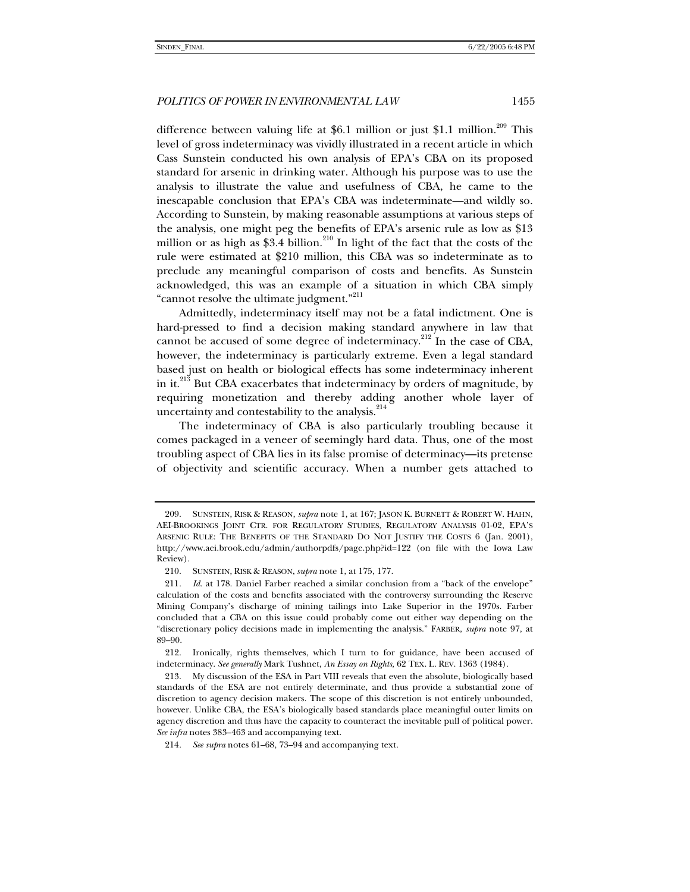difference between valuing life at \$6.1 million or just \$1.1 million.<sup>209</sup> This level of gross indeterminacy was vividly illustrated in a recent article in which Cass Sunstein conducted his own analysis of EPA's CBA on its proposed standard for arsenic in drinking water. Although his purpose was to use the analysis to illustrate the value and usefulness of CBA, he came to the inescapable conclusion that EPA's CBA was indeterminate—and wildly so. According to Sunstein, by making reasonable assumptions at various steps of the analysis, one might peg the benefits of EPA's arsenic rule as low as \$13 million or as high as \$3.4 billion.<sup>210</sup> In light of the fact that the costs of the rule were estimated at \$210 million, this CBA was so indeterminate as to preclude any meaningful comparison of costs and benefits. As Sunstein acknowledged, this was an example of a situation in which CBA simply "cannot resolve the ultimate judgment."<sup>211</sup>

Admittedly, indeterminacy itself may not be a fatal indictment. One is hard-pressed to find a decision making standard anywhere in law that cannot be accused of some degree of indeterminacy.<sup>212</sup> In the case of CBA, however, the indeterminacy is particularly extreme. Even a legal standard based just on health or biological effects has some indeterminacy inherent in it.<sup>213</sup> But CBA exacerbates that indeterminacy by orders of magnitude, by requiring monetization and thereby adding another whole layer of uncertainty and contestability to the analysis.<sup>214</sup>

The indeterminacy of CBA is also particularly troubling because it comes packaged in a veneer of seemingly hard data. Thus, one of the most troubling aspect of CBA lies in its false promise of determinacy—its pretense of objectivity and scientific accuracy. When a number gets attached to

 <sup>209.</sup> SUNSTEIN, RISK & REASON, *supra* note 1, at 167; JASON K. BURNETT & ROBERT W. HAHN, AEI-BROOKINGS JOINT CTR. FOR REGULATORY STUDIES, REGULATORY ANALYSIS 01-02, EPA'S ARSENIC RULE: THE BENEFITS OF THE STANDARD DO NOT JUSTIFY THE COSTS 6 (Jan. 2001), http://www.aei.brook.edu/admin/authorpdfs/page.php?id=122 (on file with the Iowa Law Review).

 <sup>210.</sup> SUNSTEIN, RISK & REASON, *supra* note 1, at 175, 177.

<sup>211</sup>*. Id*. at 178. Daniel Farber reached a similar conclusion from a "back of the envelope" calculation of the costs and benefits associated with the controversy surrounding the Reserve Mining Company's discharge of mining tailings into Lake Superior in the 1970s. Farber concluded that a CBA on this issue could probably come out either way depending on the "discretionary policy decisions made in implementing the analysis." FARBER, *supra* note 97, at 89–90.

 <sup>212.</sup> Ironically, rights themselves, which I turn to for guidance, have been accused of indeterminacy. *See generally* Mark Tushnet, *An Essay on Rights*, 62 TEX. L. REV. 1363 (1984).

 <sup>213.</sup> My discussion of the ESA in Part VIII reveals that even the absolute, biologically based standards of the ESA are not entirely determinate, and thus provide a substantial zone of discretion to agency decision makers. The scope of this discretion is not entirely unbounded, however. Unlike CBA, the ESA's biologically based standards place meaningful outer limits on agency discretion and thus have the capacity to counteract the inevitable pull of political power. *See infra* notes 383–463 and accompanying text.

<sup>214</sup>*. See supra* notes 61–68, 73–94 and accompanying text.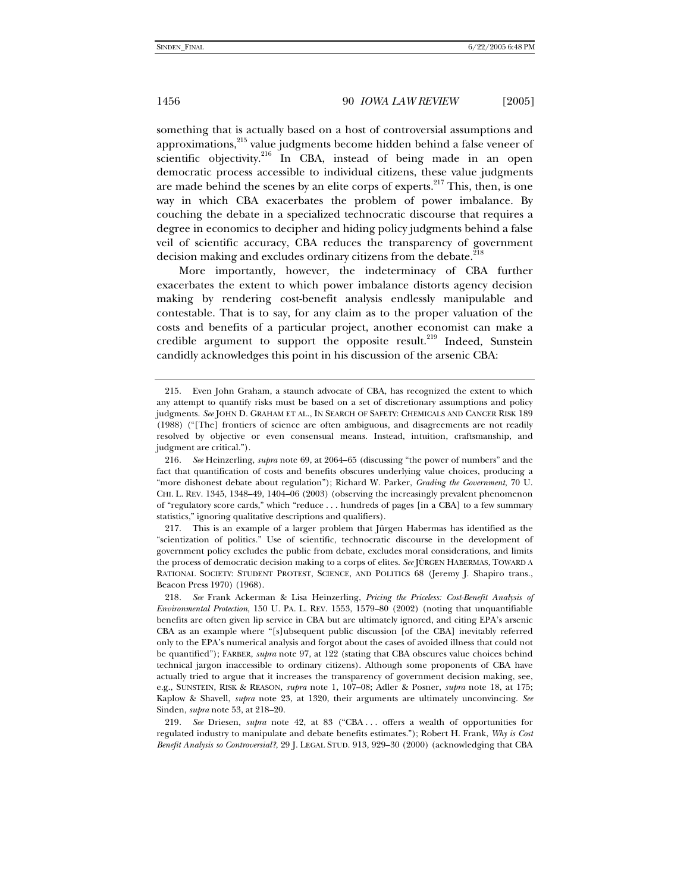something that is actually based on a host of controversial assumptions and approximations,<sup>215</sup> value judgments become hidden behind a false veneer of scientific objectivity.<sup>216</sup> In CBA, instead of being made in an open democratic process accessible to individual citizens, these value judgments are made behind the scenes by an elite corps of experts. $217$  This, then, is one way in which CBA exacerbates the problem of power imbalance. By couching the debate in a specialized technocratic discourse that requires a degree in economics to decipher and hiding policy judgments behind a false veil of scientific accuracy, CBA reduces the transparency of government decision making and excludes ordinary citizens from the debate.<sup>218</sup>

More importantly, however, the indeterminacy of CBA further exacerbates the extent to which power imbalance distorts agency decision making by rendering cost-benefit analysis endlessly manipulable and contestable. That is to say, for any claim as to the proper valuation of the costs and benefits of a particular project, another economist can make a credible argument to support the opposite result.<sup>219</sup> Indeed, Sunstein candidly acknowledges this point in his discussion of the arsenic CBA:

 <sup>215.</sup> Even John Graham, a staunch advocate of CBA, has recognized the extent to which any attempt to quantify risks must be based on a set of discretionary assumptions and policy judgments. *See* JOHN D. GRAHAM ET AL., IN SEARCH OF SAFETY: CHEMICALS AND CANCER RISK 189 (1988) ("[The] frontiers of science are often ambiguous, and disagreements are not readily resolved by objective or even consensual means. Instead, intuition, craftsmanship, and judgment are critical.").

<sup>216</sup>*. See* Heinzerling, *supra* note 69, at 2064–65 (discussing "the power of numbers" and the fact that quantification of costs and benefits obscures underlying value choices, producing a "more dishonest debate about regulation"); Richard W. Parker, *Grading the Government*, 70 U. CHI. L. REV. 1345, 1348–49, 1404–06 (2003) (observing the increasingly prevalent phenomenon of "regulatory score cards," which "reduce . . . hundreds of pages [in a CBA] to a few summary statistics," ignoring qualitative descriptions and qualifiers).

 <sup>217.</sup> This is an example of a larger problem that Jürgen Habermas has identified as the "scientization of politics." Use of scientific, technocratic discourse in the development of government policy excludes the public from debate, excludes moral considerations, and limits the process of democratic decision making to a corps of elites. *See* JÜRGEN HABERMAS, TOWARD A RATIONAL SOCIETY: STUDENT PROTEST, SCIENCE, AND POLITICS 68 (Jeremy J. Shapiro trans., Beacon Press 1970) (1968).

<sup>218</sup>*. See* Frank Ackerman & Lisa Heinzerling, *Pricing the Priceless: Cost-Benefit Analysis of Environmental Protection*, 150 U. PA. L. REV. 1553, 1579–80 (2002) (noting that unquantifiable benefits are often given lip service in CBA but are ultimately ignored, and citing EPA's arsenic CBA as an example where "[s]ubsequent public discussion [of the CBA] inevitably referred only to the EPA's numerical analysis and forgot about the cases of avoided illness that could not be quantified"); FARBER, *supra* note 97, at 122 (stating that CBA obscures value choices behind technical jargon inaccessible to ordinary citizens). Although some proponents of CBA have actually tried to argue that it increases the transparency of government decision making, see, e.g., SUNSTEIN, RISK & REASON, *supra* note 1, 107–08; Adler & Posner, *supra* note 18, at 175; Kaplow & Shavell, *supra* note 23, at 1320, their arguments are ultimately unconvincing. *See* Sinden, *supra* note 53, at 218–20.

<sup>219</sup>*. See* Driesen, *supra* note 42, at 83 ("CBA . . . offers a wealth of opportunities for regulated industry to manipulate and debate benefits estimates."); Robert H. Frank, *Why is Cost Benefit Analysis so Controversial?*, 29 J. LEGAL STUD. 913, 929–30 (2000) (acknowledging that CBA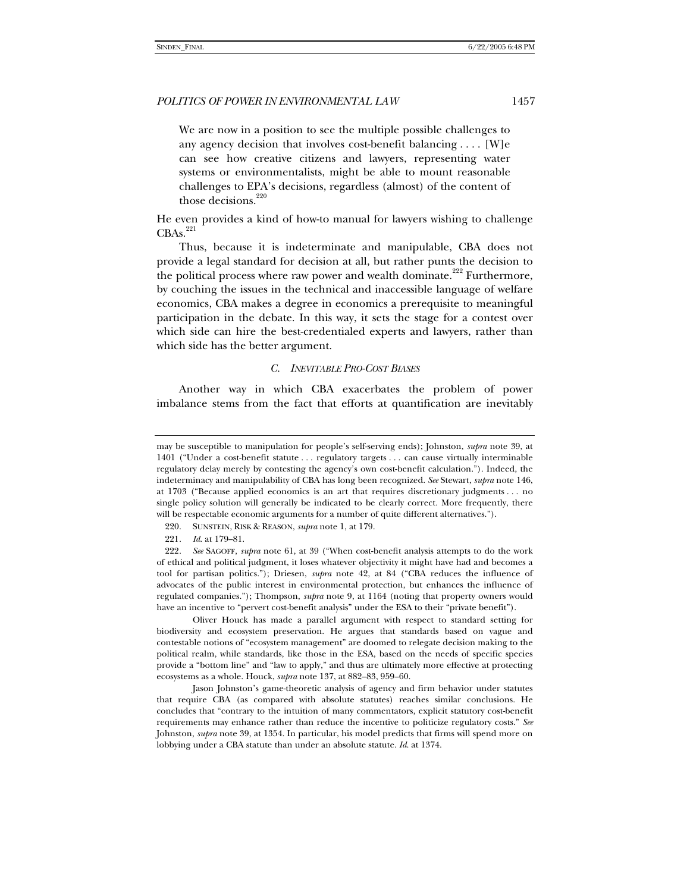We are now in a position to see the multiple possible challenges to any agency decision that involves cost-benefit balancing . . . . [W]e can see how creative citizens and lawyers, representing water systems or environmentalists, might be able to mount reasonable challenges to EPA's decisions, regardless (almost) of the content of those decisions. $220$ 

He even provides a kind of how-to manual for lawyers wishing to challenge  $CBAs.$ <sup>221</sup>

Thus, because it is indeterminate and manipulable, CBA does not provide a legal standard for decision at all, but rather punts the decision to the political process where raw power and wealth dominate.<sup>222</sup> Furthermore, by couching the issues in the technical and inaccessible language of welfare economics, CBA makes a degree in economics a prerequisite to meaningful participation in the debate. In this way, it sets the stage for a contest over which side can hire the best-credentialed experts and lawyers, rather than which side has the better argument.

#### *C. INEVITABLE PRO-COST BIASES*

Another way in which CBA exacerbates the problem of power imbalance stems from the fact that efforts at quantification are inevitably

 Oliver Houck has made a parallel argument with respect to standard setting for biodiversity and ecosystem preservation. He argues that standards based on vague and contestable notions of "ecosystem management" are doomed to relegate decision making to the political realm, while standards, like those in the ESA, based on the needs of specific species provide a "bottom line" and "law to apply," and thus are ultimately more effective at protecting ecosystems as a whole. Houck, *supra* note 137, at 882–83, 959–60.

 Jason Johnston's game-theoretic analysis of agency and firm behavior under statutes that require CBA (as compared with absolute statutes) reaches similar conclusions. He concludes that "contrary to the intuition of many commentators, explicit statutory cost-benefit requirements may enhance rather than reduce the incentive to politicize regulatory costs." *See* Johnston, *supra* note 39, at 1354. In particular, his model predicts that firms will spend more on lobbying under a CBA statute than under an absolute statute. *Id*. at 1374.

may be susceptible to manipulation for people's self-serving ends); Johnston, *supra* note 39, at 1401 ("Under a cost-benefit statute . . . regulatory targets . . . can cause virtually interminable regulatory delay merely by contesting the agency's own cost-benefit calculation."). Indeed, the indeterminacy and manipulability of CBA has long been recognized. *See* Stewart, *supra* note 146, at 1703 ("Because applied economics is an art that requires discretionary judgments . . . no single policy solution will generally be indicated to be clearly correct. More frequently, there will be respectable economic arguments for a number of quite different alternatives.").

 <sup>220.</sup> SUNSTEIN, RISK & REASON, *supra* note 1, at 179.

<sup>221</sup>*. Id*. at 179–81.

<sup>222</sup>*. See* SAGOFF, *supra* note 61, at 39 ("When cost-benefit analysis attempts to do the work of ethical and political judgment, it loses whatever objectivity it might have had and becomes a tool for partisan politics."); Driesen, *supra* note 42, at 84 ("CBA reduces the influence of advocates of the public interest in environmental protection, but enhances the influence of regulated companies."); Thompson, *supra* note 9, at 1164 (noting that property owners would have an incentive to "pervert cost-benefit analysis" under the ESA to their "private benefit").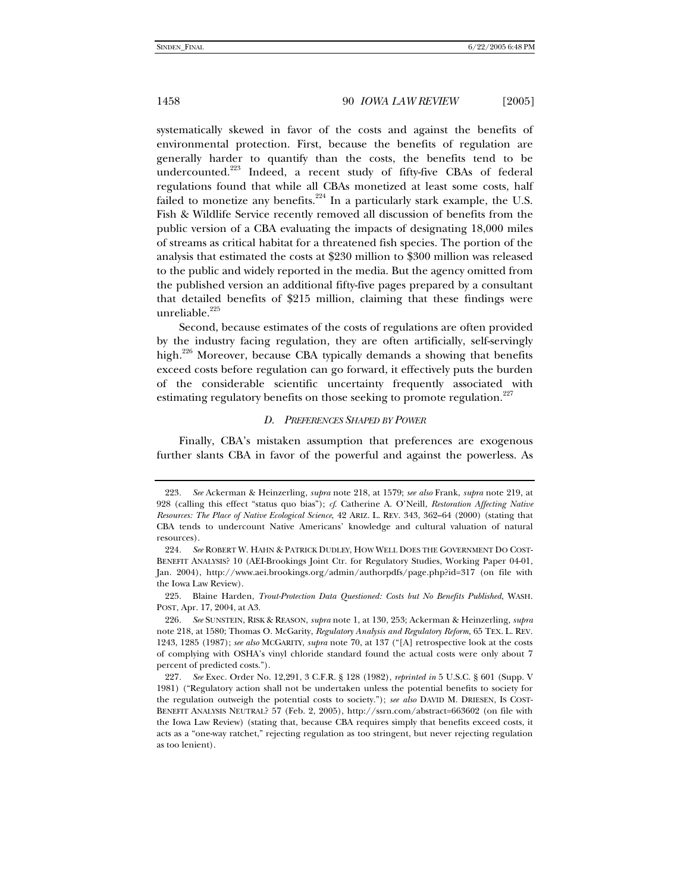systematically skewed in favor of the costs and against the benefits of environmental protection. First, because the benefits of regulation are generally harder to quantify than the costs, the benefits tend to be undercounted.<sup>223</sup> Indeed, a recent study of fifty-five CBAs of federal regulations found that while all CBAs monetized at least some costs, half failed to monetize any benefits.<sup>224</sup> In a particularly stark example, the U.S. Fish & Wildlife Service recently removed all discussion of benefits from the public version of a CBA evaluating the impacts of designating 18,000 miles of streams as critical habitat for a threatened fish species. The portion of the analysis that estimated the costs at \$230 million to \$300 million was released to the public and widely reported in the media. But the agency omitted from the published version an additional fifty-five pages prepared by a consultant that detailed benefits of \$215 million, claiming that these findings were unreliable. $225$ 

Second, because estimates of the costs of regulations are often provided by the industry facing regulation, they are often artificially, self-servingly high.<sup>226</sup> Moreover, because CBA typically demands a showing that benefits exceed costs before regulation can go forward, it effectively puts the burden of the considerable scientific uncertainty frequently associated with estimating regulatory benefits on those seeking to promote regulation.<sup>227</sup>

### *D. PREFERENCES SHAPED BY POWER*

Finally, CBA's mistaken assumption that preferences are exogenous further slants CBA in favor of the powerful and against the powerless. As

<sup>223</sup>*. See* Ackerman & Heinzerling, *supra* note 218, at 1579; *see also* Frank, *supra* note 219, at 928 (calling this effect "status quo bias"); *cf*. Catherine A. O'Neill, *Restoration Affecting Native Resources: The Place of Native Ecological Science*, 42 ARIZ. L. REV. 343, 362–64 (2000) (stating that CBA tends to undercount Native Americans' knowledge and cultural valuation of natural resources).

<sup>224</sup>*. See* ROBERT W. HAHN & PATRICK DUDLEY, HOW WELL DOES THE GOVERNMENT DO COST-BENEFIT ANALYSIS? 10 (AEI-Brookings Joint Ctr. for Regulatory Studies, Working Paper 04-01, Jan. 2004), http://www.aei.brookings.org/admin/authorpdfs/page.php?id=317 (on file with the Iowa Law Review).

 <sup>225.</sup> Blaine Harden, *Trout-Protection Data Questioned: Costs but No Benefits Published*, WASH. POST, Apr. 17, 2004, at A3.

<sup>226</sup>*. See* SUNSTEIN, RISK & REASON, *supra* note 1, at 130, 253; Ackerman & Heinzerling, *supra* note 218, at 1580; Thomas O. McGarity, *Regulatory Analysis and Regulatory Reform*, 65 TEX. L. REV. 1243, 1285 (1987); *see also* MCGARITY, *supra* note 70, at 137 ("[A] retrospective look at the costs of complying with OSHA's vinyl chloride standard found the actual costs were only about 7 percent of predicted costs.").

<sup>227</sup>*. See* Exec. Order No. 12,291, 3 C.F.R. § 128 (1982), *reprinted in* 5 U.S.C. § 601 (Supp. V 1981) ("Regulatory action shall not be undertaken unless the potential benefits to society for the regulation outweigh the potential costs to society."); *see also* DAVID M. DRIESEN, IS COST-BENEFIT ANALYSIS NEUTRAL? 57 (Feb. 2, 2005), http://ssrn.com/abstract=663602 (on file with the Iowa Law Review) (stating that, because CBA requires simply that benefits exceed costs, it acts as a "one-way ratchet," rejecting regulation as too stringent, but never rejecting regulation as too lenient).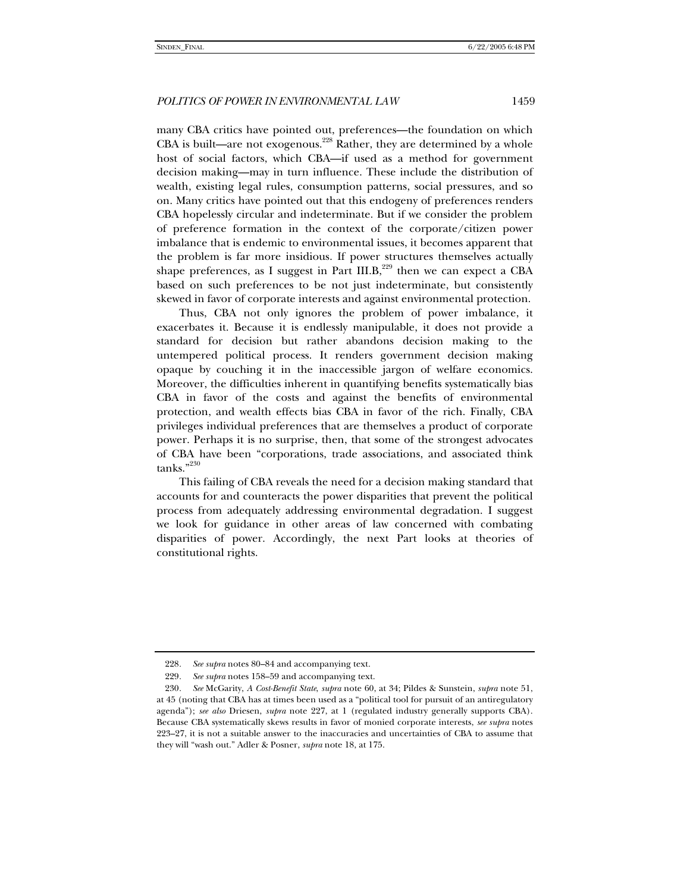many CBA critics have pointed out, preferences—the foundation on which CBA is built—are not exogenous.<sup>228</sup> Rather, they are determined by a whole host of social factors, which CBA—if used as a method for government decision making—may in turn influence. These include the distribution of wealth, existing legal rules, consumption patterns, social pressures, and so on. Many critics have pointed out that this endogeny of preferences renders CBA hopelessly circular and indeterminate. But if we consider the problem of preference formation in the context of the corporate/citizen power imbalance that is endemic to environmental issues, it becomes apparent that the problem is far more insidious. If power structures themselves actually shape preferences, as I suggest in Part  $III.B<sub>1</sub><sup>229</sup>$  then we can expect a CBA based on such preferences to be not just indeterminate, but consistently skewed in favor of corporate interests and against environmental protection.

Thus, CBA not only ignores the problem of power imbalance, it exacerbates it. Because it is endlessly manipulable, it does not provide a standard for decision but rather abandons decision making to the untempered political process. It renders government decision making opaque by couching it in the inaccessible jargon of welfare economics. Moreover, the difficulties inherent in quantifying benefits systematically bias CBA in favor of the costs and against the benefits of environmental protection, and wealth effects bias CBA in favor of the rich. Finally, CBA privileges individual preferences that are themselves a product of corporate power. Perhaps it is no surprise, then, that some of the strongest advocates of CBA have been "corporations, trade associations, and associated think tanks."230

This failing of CBA reveals the need for a decision making standard that accounts for and counteracts the power disparities that prevent the political process from adequately addressing environmental degradation. I suggest we look for guidance in other areas of law concerned with combating disparities of power. Accordingly, the next Part looks at theories of constitutional rights.

<sup>228</sup>*. See supra* notes 80–84 and accompanying text.

<sup>229</sup>*. See supra* notes 158–59 and accompanying text.

<sup>230</sup>*. See* McGarity, *A Cost-Benefit State*, *supra* note 60, at 34; Pildes & Sunstein, *supra* note 51, at 45 (noting that CBA has at times been used as a "political tool for pursuit of an antiregulatory agenda"); *see also* Driesen, *supra* note 227, at 1 (regulated industry generally supports CBA). Because CBA systematically skews results in favor of monied corporate interests, *see supra* notes 223–27, it is not a suitable answer to the inaccuracies and uncertainties of CBA to assume that they will "wash out." Adler & Posner, *supra* note 18, at 175.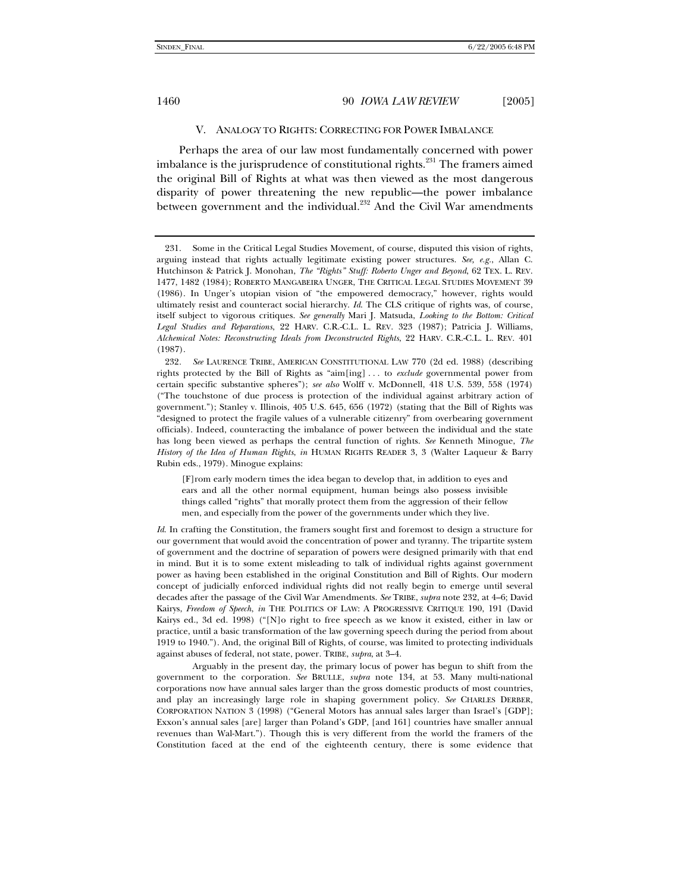#### V. ANALOGY TO RIGHTS: CORRECTING FOR POWER IMBALANCE

Perhaps the area of our law most fundamentally concerned with power imbalance is the jurisprudence of constitutional rights.<sup>231</sup> The framers aimed the original Bill of Rights at what was then viewed as the most dangerous disparity of power threatening the new republic—the power imbalance between government and the individual.<sup>232</sup> And the Civil War amendments

[F]rom early modern times the idea began to develop that, in addition to eyes and ears and all the other normal equipment, human beings also possess invisible things called "rights" that morally protect them from the aggression of their fellow men, and especially from the power of the governments under which they live.

*Id*. In crafting the Constitution, the framers sought first and foremost to design a structure for our government that would avoid the concentration of power and tyranny. The tripartite system of government and the doctrine of separation of powers were designed primarily with that end in mind. But it is to some extent misleading to talk of individual rights against government power as having been established in the original Constitution and Bill of Rights. Our modern concept of judicially enforced individual rights did not really begin to emerge until several decades after the passage of the Civil War Amendments. *See* TRIBE, *supra* note 232, at 4–6; David Kairys, *Freedom of Speech*, *in* THE POLITICS OF LAW: A PROGRESSIVE CRITIQUE 190, 191 (David Kairys ed., 3d ed. 1998) ("[N]o right to free speech as we know it existed, either in law or practice, until a basic transformation of the law governing speech during the period from about 1919 to 1940."). And, the original Bill of Rights, of course, was limited to protecting individuals against abuses of federal, not state, power. TRIBE, *supra*, at 3–4.

 Arguably in the present day, the primary locus of power has begun to shift from the government to the corporation. *See* BRULLE, *supra* note 134, at 53. Many multi-national corporations now have annual sales larger than the gross domestic products of most countries, and play an increasingly large role in shaping government policy. *See* CHARLES DERBER, CORPORATION NATION 3 (1998) ("General Motors has annual sales larger than Israel's [GDP]; Exxon's annual sales [are] larger than Poland's GDP, [and 161] countries have smaller annual revenues than Wal-Mart."). Though this is very different from the world the framers of the Constitution faced at the end of the eighteenth century, there is some evidence that

 <sup>231.</sup> Some in the Critical Legal Studies Movement, of course, disputed this vision of rights, arguing instead that rights actually legitimate existing power structures. *See, e.g.*, Allan C. Hutchinson & Patrick J. Monohan, *The "Rights" Stuff: Roberto Unger and Beyond*, 62 TEX. L. REV. 1477, 1482 (1984); ROBERTO MANGABEIRA UNGER, THE CRITICAL LEGAL STUDIES MOVEMENT 39 (1986). In Unger's utopian vision of "the empowered democracy," however, rights would ultimately resist and counteract social hierarchy. *Id*. The CLS critique of rights was, of course, itself subject to vigorous critiques. *See generally* Mari J. Matsuda, *Looking to the Bottom: Critical Legal Studies and Reparations*, 22 HARV. C.R.-C.L. L. REV. 323 (1987); Patricia J. Williams, *Alchemical Notes: Reconstructing Ideals from Deconstructed Rights*, 22 HARV. C.R.-C.L. L. REV. 401 (1987).

<sup>232</sup>*. See* LAURENCE TRIBE, AMERICAN CONSTITUTIONAL LAW 770 (2d ed. 1988) (describing rights protected by the Bill of Rights as "aim[ing] . . . to *exclude* governmental power from certain specific substantive spheres"); *see also* Wolff v. McDonnell, 418 U.S. 539, 558 (1974) ("The touchstone of due process is protection of the individual against arbitrary action of government."); Stanley v. Illinois, 405 U.S. 645, 656 (1972) (stating that the Bill of Rights was "designed to protect the fragile values of a vulnerable citizenry" from overbearing government officials). Indeed, counteracting the imbalance of power between the individual and the state has long been viewed as perhaps the central function of rights. *See* Kenneth Minogue, *The History of the Idea of Human Rights*, *in* HUMAN RIGHTS READER 3, 3 (Walter Laqueur & Barry Rubin eds., 1979). Minogue explains: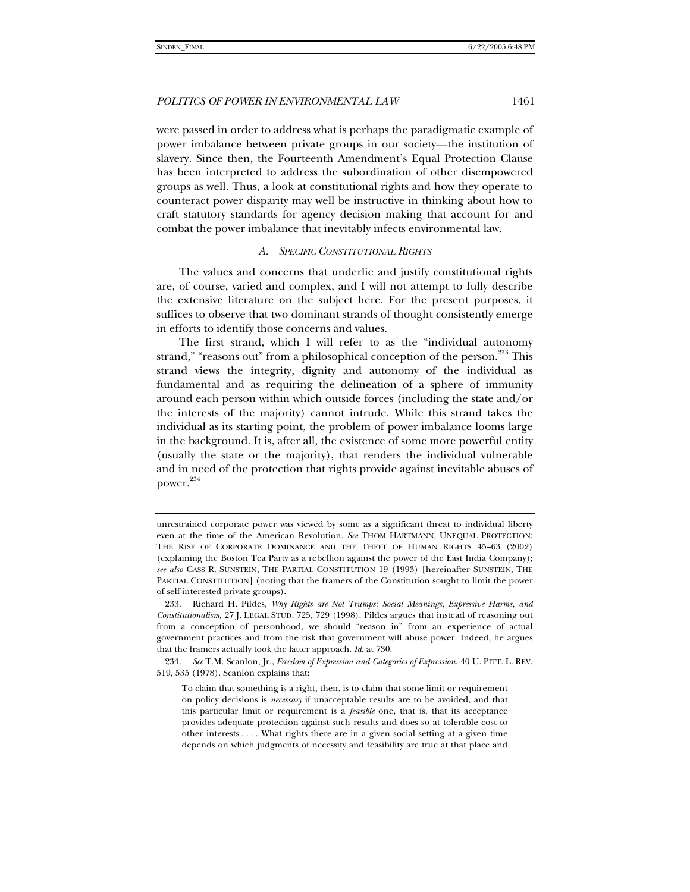were passed in order to address what is perhaps the paradigmatic example of power imbalance between private groups in our society—the institution of slavery. Since then, the Fourteenth Amendment's Equal Protection Clause has been interpreted to address the subordination of other disempowered groups as well. Thus, a look at constitutional rights and how they operate to counteract power disparity may well be instructive in thinking about how to craft statutory standards for agency decision making that account for and combat the power imbalance that inevitably infects environmental law.

#### *A. SPECIFIC CONSTITUTIONAL RIGHTS*

The values and concerns that underlie and justify constitutional rights are, of course, varied and complex, and I will not attempt to fully describe the extensive literature on the subject here. For the present purposes, it suffices to observe that two dominant strands of thought consistently emerge in efforts to identify those concerns and values.

The first strand, which I will refer to as the "individual autonomy strand," "reasons out" from a philosophical conception of the person.<sup>233</sup> This strand views the integrity, dignity and autonomy of the individual as fundamental and as requiring the delineation of a sphere of immunity around each person within which outside forces (including the state and/or the interests of the majority) cannot intrude. While this strand takes the individual as its starting point, the problem of power imbalance looms large in the background. It is, after all, the existence of some more powerful entity (usually the state or the majority), that renders the individual vulnerable and in need of the protection that rights provide against inevitable abuses of power.<sup>234</sup>

unrestrained corporate power was viewed by some as a significant threat to individual liberty even at the time of the American Revolution. *See* THOM HARTMANN, UNEQUAL PROTECTION: THE RISE OF CORPORATE DOMINANCE AND THE THEFT OF HUMAN RIGHTS 45–63 (2002) (explaining the Boston Tea Party as a rebellion against the power of the East India Company); *see also* CASS R. SUNSTEIN, THE PARTIAL CONSTITUTION 19 (1993) [hereinafter SUNSTEIN, THE PARTIAL CONSTITUTION] (noting that the framers of the Constitution sought to limit the power of self-interested private groups).

 <sup>233.</sup> Richard H. Pildes, *Why Rights are Not Trumps: Social Meanings, Expressive Harms, and Constitutionalism*, 27 J. LEGAL STUD. 725, 729 (1998). Pildes argues that instead of reasoning out from a conception of personhood, we should "reason in" from an experience of actual government practices and from the risk that government will abuse power. Indeed, he argues that the framers actually took the latter approach. *Id*. at 730.

<sup>234</sup>*. See* T.M. Scanlon, Jr., *Freedom of Expression and Categories of Expression*, 40 U. PITT. L. REV. 519, 535 (1978). Scanlon explains that:

To claim that something is a right, then, is to claim that some limit or requirement on policy decisions is *necessary* if unacceptable results are to be avoided, and that this particular limit or requirement is a *feasible* one, that is, that its acceptance provides adequate protection against such results and does so at tolerable cost to other interests . . . . What rights there are in a given social setting at a given time depends on which judgments of necessity and feasibility are true at that place and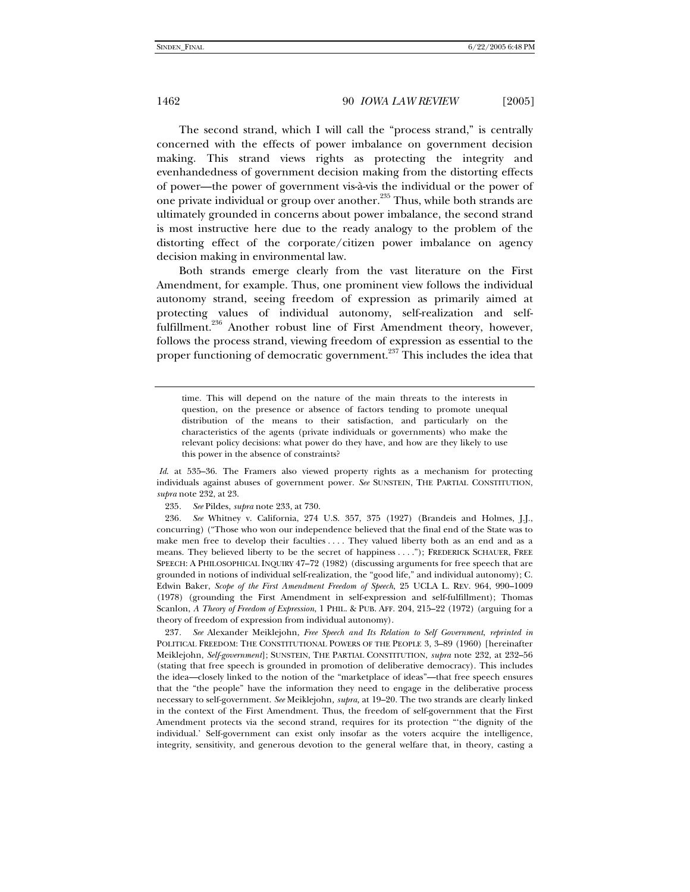The second strand, which I will call the "process strand," is centrally concerned with the effects of power imbalance on government decision making. This strand views rights as protecting the integrity and evenhandedness of government decision making from the distorting effects of power—the power of government vis-à-vis the individual or the power of one private individual or group over another.<sup>235</sup> Thus, while both strands are ultimately grounded in concerns about power imbalance, the second strand is most instructive here due to the ready analogy to the problem of the distorting effect of the corporate/citizen power imbalance on agency decision making in environmental law.

Both strands emerge clearly from the vast literature on the First Amendment, for example. Thus, one prominent view follows the individual autonomy strand, seeing freedom of expression as primarily aimed at protecting values of individual autonomy, self-realization and selffulfillment.<sup>236</sup> Another robust line of First Amendment theory, however, follows the process strand, viewing freedom of expression as essential to the proper functioning of democratic government.<sup>237</sup> This includes the idea that

time. This will depend on the nature of the main threats to the interests in question, on the presence or absence of factors tending to promote unequal distribution of the means to their satisfaction, and particularly on the characteristics of the agents (private individuals or governments) who make the relevant policy decisions: what power do they have, and how are they likely to use this power in the absence of constraints?

*Id*. at 535–36. The Framers also viewed property rights as a mechanism for protecting individuals against abuses of government power. *See* SUNSTEIN, THE PARTIAL CONSTITUTION, *supra* note 232, at 23.

235*. See* Pildes, *supra* note 233, at 730.

236*. See* Whitney v. California, 274 U.S. 357, 375 (1927) (Brandeis and Holmes, J.J., concurring) ("Those who won our independence believed that the final end of the State was to make men free to develop their faculties .... They valued liberty both as an end and as a means. They believed liberty to be the secret of happiness . . . ."); FREDERICK SCHAUER, FREE SPEECH: A PHILOSOPHICAL INQUIRY 47–72 (1982) (discussing arguments for free speech that are grounded in notions of individual self-realization, the "good life," and individual autonomy); C. Edwin Baker, *Scope of the First Amendment Freedom of Speech*, 25 UCLA L. REV. 964, 990–1009 (1978) (grounding the First Amendment in self-expression and self-fulfillment); Thomas Scanlon, *A Theory of Freedom of Expression*, 1 PHIL. & PUB. AFF. 204, 215–22 (1972) (arguing for a theory of freedom of expression from individual autonomy).

237*. See* Alexander Meiklejohn, *Free Speech and Its Relation to Self Government*, *reprinted in* POLITICAL FREEDOM: THE CONSTITUTIONAL POWERS OF THE PEOPLE 3, 3–89 (1960) [hereinafter Meiklejohn, *Self-government*]; SUNSTEIN, THE PARTIAL CONSTITUTION, *supra* note 232, at 232–56 (stating that free speech is grounded in promotion of deliberative democracy). This includes the idea—closely linked to the notion of the "marketplace of ideas"—that free speech ensures that the "the people" have the information they need to engage in the deliberative process necessary to self-government. *See* Meiklejohn*, supra,* at 19–20. The two strands are clearly linked in the context of the First Amendment. Thus, the freedom of self-government that the First Amendment protects via the second strand, requires for its protection "'the dignity of the individual.' Self-government can exist only insofar as the voters acquire the intelligence, integrity, sensitivity, and generous devotion to the general welfare that, in theory, casting a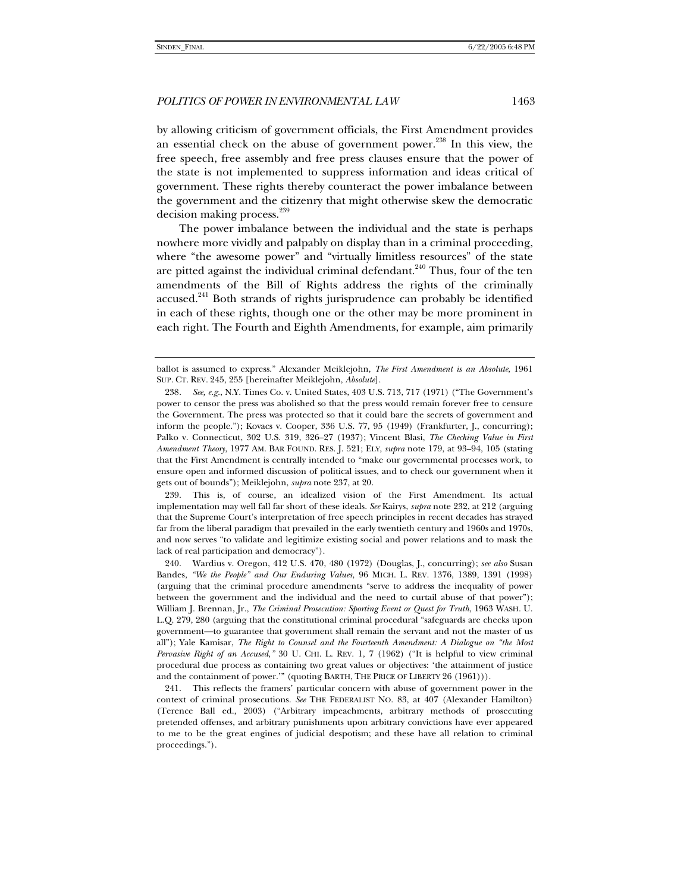by allowing criticism of government officials, the First Amendment provides an essential check on the abuse of government power.<sup>238</sup> In this view, the free speech, free assembly and free press clauses ensure that the power of the state is not implemented to suppress information and ideas critical of government. These rights thereby counteract the power imbalance between the government and the citizenry that might otherwise skew the democratic decision making process.<sup>239</sup>

The power imbalance between the individual and the state is perhaps nowhere more vividly and palpably on display than in a criminal proceeding, where "the awesome power" and "virtually limitless resources" of the state are pitted against the individual criminal defendant. $240$  Thus, four of the ten amendments of the Bill of Rights address the rights of the criminally accused.<sup>241</sup> Both strands of rights jurisprudence can probably be identified in each of these rights, though one or the other may be more prominent in each right. The Fourth and Eighth Amendments, for example, aim primarily

 239. This is, of course, an idealized vision of the First Amendment. Its actual implementation may well fall far short of these ideals. *See* Kairys, *supra* note 232, at 212 (arguing that the Supreme Court's interpretation of free speech principles in recent decades has strayed far from the liberal paradigm that prevailed in the early twentieth century and 1960s and 1970s, and now serves "to validate and legitimize existing social and power relations and to mask the lack of real participation and democracy").

ballot is assumed to express." Alexander Meiklejohn, *The First Amendment is an Absolute*, 1961 SUP. CT. REV. 245, 255 [hereinafter Meiklejohn, *Absolute*].

<sup>238</sup>*. See, e.g.*, N.Y. Times Co. v. United States, 403 U.S. 713, 717 (1971) ("The Government's power to censor the press was abolished so that the press would remain forever free to censure the Government. The press was protected so that it could bare the secrets of government and inform the people."); Kovacs v. Cooper, 336 U.S. 77, 95 (1949) (Frankfurter, J., concurring); Palko v. Connecticut, 302 U.S. 319, 326–27 (1937); Vincent Blasi, *The Checking Value in First Amendment Theory*, 1977 AM. BAR FOUND. RES. J. 521; ELY, *supra* note 179, at 93–94, 105 (stating that the First Amendment is centrally intended to "make our governmental processes work, to ensure open and informed discussion of political issues, and to check our government when it gets out of bounds"); Meiklejohn, *supra* note 237, at 20.

 <sup>240.</sup> Wardius v. Oregon, 412 U.S. 470, 480 (1972) (Douglas, J., concurring); *see also* Susan Bandes, *"We the People" and Our Enduring Values*, 96 MICH. L. REV. 1376, 1389, 1391 (1998) (arguing that the criminal procedure amendments "serve to address the inequality of power between the government and the individual and the need to curtail abuse of that power"); William J. Brennan, Jr., *The Criminal Prosecution: Sporting Event or Quest for Truth*, 1963 WASH. U. L.Q. 279, 280 (arguing that the constitutional criminal procedural "safeguards are checks upon government—to guarantee that government shall remain the servant and not the master of us all"); Yale Kamisar, *The Right to Counsel and the Fourteenth Amendment: A Dialogue on "the Most Pervasive Right of an Accused*,*"* 30 U. CHI. L. REV. 1, 7 (1962) ("It is helpful to view criminal procedural due process as containing two great values or objectives: 'the attainment of justice and the containment of power.'" (quoting BARTH, THE PRICE OF LIBERTY 26 (1961))).

 <sup>241.</sup> This reflects the framers' particular concern with abuse of government power in the context of criminal prosecutions. *See* THE FEDERALIST NO. 83, at 407 (Alexander Hamilton) (Terence Ball ed., 2003) ("Arbitrary impeachments, arbitrary methods of prosecuting pretended offenses, and arbitrary punishments upon arbitrary convictions have ever appeared to me to be the great engines of judicial despotism; and these have all relation to criminal proceedings.").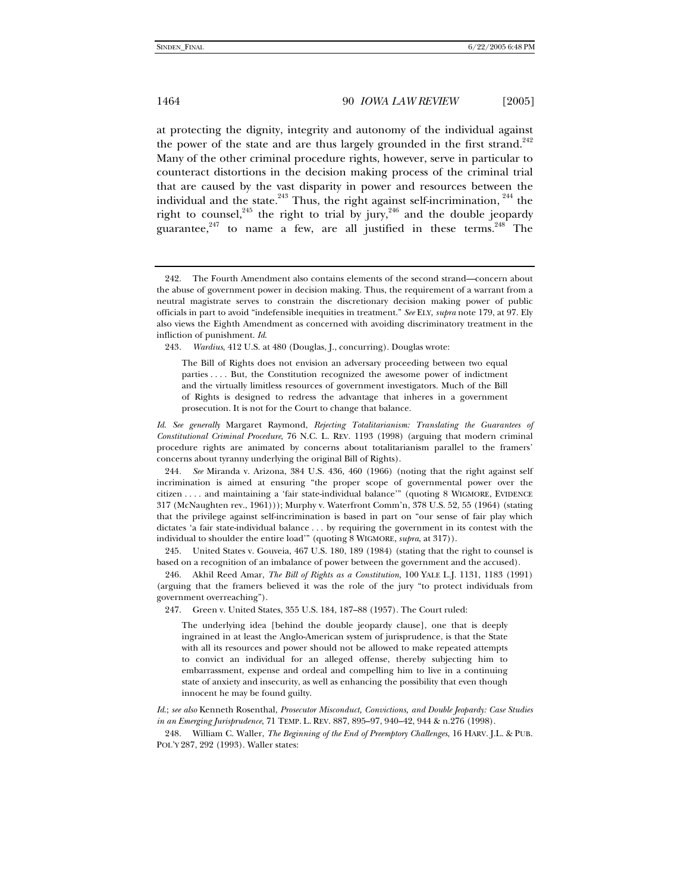at protecting the dignity, integrity and autonomy of the individual against the power of the state and are thus largely grounded in the first strand.<sup>242</sup> Many of the other criminal procedure rights, however, serve in particular to counteract distortions in the decision making process of the criminal trial that are caused by the vast disparity in power and resources between the individual and the state. $243$  Thus, the right against self-incrimination,  $244$  the right to counsel,<sup>245</sup> the right to trial by jury,<sup>246</sup> and the double jeopardy guarantee,  $247$  to name a few, are all justified in these terms.  $248$  The

243*. Wardius*, 412 U.S. at 480 (Douglas, J., concurring). Douglas wrote:

*Id*. *See generally* Margaret Raymond, *Rejecting Totalitarianism: Translating the Guarantees of Constitutional Criminal Procedure*, 76 N.C. L. REV. 1193 (1998) (arguing that modern criminal procedure rights are animated by concerns about totalitarianism parallel to the framers' concerns about tyranny underlying the original Bill of Rights).

244*. See* Miranda v. Arizona, 384 U.S. 436, 460 (1966) (noting that the right against self incrimination is aimed at ensuring "the proper scope of governmental power over the citizen . . . . and maintaining a 'fair state-individual balance'" (quoting 8 WIGMORE, EVIDENCE 317 (McNaughten rev., 1961))); Murphy v. Waterfront Comm'n, 378 U.S. 52, 55 (1964) (stating that the privilege against self-incrimination is based in part on "our sense of fair play which dictates 'a fair state-individual balance . . . by requiring the government in its contest with the individual to shoulder the entire load'" (quoting 8 WIGMORE, *supra*, at 317)).

 245. United States v. Gouveia, 467 U.S. 180, 189 (1984) (stating that the right to counsel is based on a recognition of an imbalance of power between the government and the accused).

 246. Akhil Reed Amar, *The Bill of Rights as a Constitution*, 100 YALE L.J. 1131, 1183 (1991) (arguing that the framers believed it was the role of the jury "to protect individuals from government overreaching").

The underlying idea [behind the double jeopardy clause], one that is deeply ingrained in at least the Anglo-American system of jurisprudence, is that the State with all its resources and power should not be allowed to make repeated attempts to convict an individual for an alleged offense, thereby subjecting him to embarrassment, expense and ordeal and compelling him to live in a continuing state of anxiety and insecurity, as well as enhancing the possibility that even though innocent he may be found guilty.

*Id*.; *see also* Kenneth Rosenthal, *Prosecutor Misconduct, Convictions, and Double Jeopardy: Case Studies in an Emerging Jurisprudence*, 71 TEMP. L. REV. 887, 895–97, 940–42, 944 & n.276 (1998).

 248. William C. Waller, *The Beginning of the End of Preemptory Challenges*, 16 HARV. J.L. & PUB. POL'Y 287, 292 (1993). Waller states:

 <sup>242.</sup> The Fourth Amendment also contains elements of the second strand—concern about the abuse of government power in decision making. Thus, the requirement of a warrant from a neutral magistrate serves to constrain the discretionary decision making power of public officials in part to avoid "indefensible inequities in treatment." *See* ELY, *supra* note 179, at 97. Ely also views the Eighth Amendment as concerned with avoiding discriminatory treatment in the infliction of punishment. *Id*.

The Bill of Rights does not envision an adversary proceeding between two equal parties . . . . But, the Constitution recognized the awesome power of indictment and the virtually limitless resources of government investigators. Much of the Bill of Rights is designed to redress the advantage that inheres in a government prosecution. It is not for the Court to change that balance.

 <sup>247.</sup> Green v. United States, 355 U.S. 184, 187–88 (1957). The Court ruled: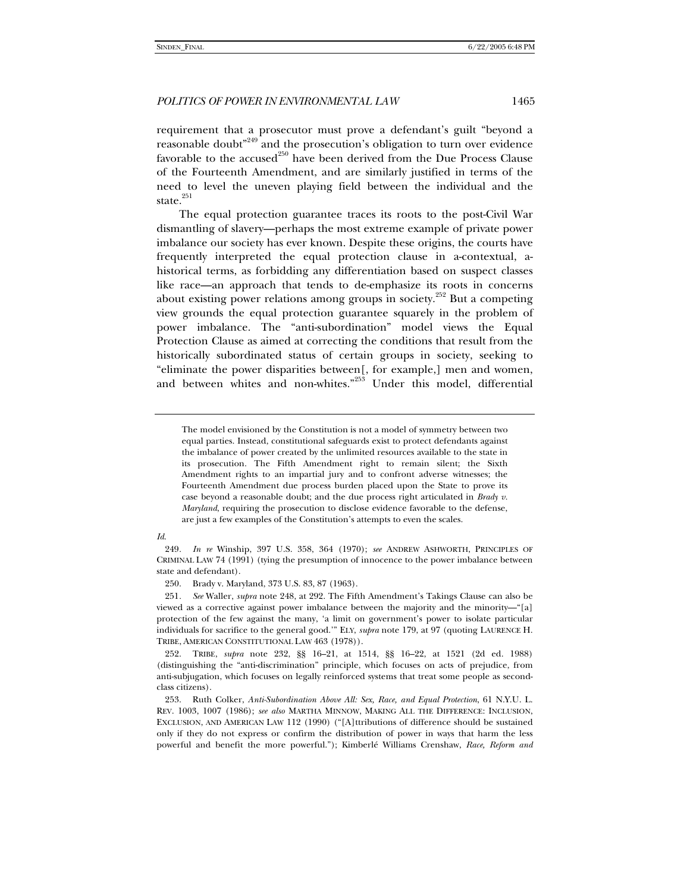requirement that a prosecutor must prove a defendant's guilt "beyond a reasonable doubt<sup>,249</sup> and the prosecution's obligation to turn over evidence favorable to the accused<sup>250</sup> have been derived from the Due Process Clause of the Fourteenth Amendment, and are similarly justified in terms of the need to level the uneven playing field between the individual and the state. $251$ 

The equal protection guarantee traces its roots to the post-Civil War dismantling of slavery—perhaps the most extreme example of private power imbalance our society has ever known. Despite these origins, the courts have frequently interpreted the equal protection clause in a-contextual, ahistorical terms, as forbidding any differentiation based on suspect classes like race—an approach that tends to de-emphasize its roots in concerns about existing power relations among groups in society.<sup>252</sup> But a competing view grounds the equal protection guarantee squarely in the problem of power imbalance. The "anti-subordination" model views the Equal Protection Clause as aimed at correcting the conditions that result from the historically subordinated status of certain groups in society, seeking to "eliminate the power disparities between[, for example,] men and women, and between whites and non-whites."<sup>253</sup> Under this model, differential

#### *Id*.

250. Brady v. Maryland, 373 U.S. 83, 87 (1963).

251*. See* Waller, *supra* note 248, at 292. The Fifth Amendment's Takings Clause can also be viewed as a corrective against power imbalance between the majority and the minority—"[a] protection of the few against the many, 'a limit on government's power to isolate particular individuals for sacrifice to the general good.'" ELY, *supra* note 179, at 97 (quoting LAURENCE H. TRIBE, AMERICAN CONSTITUTIONAL LAW 463 (1978)).

 252. TRIBE, *supra* note 232, §§ 16–21, at 1514, §§ 16–22, at 1521 (2d ed. 1988) (distinguishing the "anti-discrimination" principle, which focuses on acts of prejudice, from anti-subjugation, which focuses on legally reinforced systems that treat some people as secondclass citizens).

 253. Ruth Colker, *Anti-Subordination Above All: Sex, Race, and Equal Protection*, 61 N.Y.U. L. REV. 1003, 1007 (1986); *see also* MARTHA MINNOW, MAKING ALL THE DIFFERENCE: INCLUSION, EXCLUSION, AND AMERICAN LAW 112 (1990) ("[A]ttributions of difference should be sustained only if they do not express or confirm the distribution of power in ways that harm the less powerful and benefit the more powerful."); Kimberlé Williams Crenshaw, *Race, Reform and* 

The model envisioned by the Constitution is not a model of symmetry between two equal parties. Instead, constitutional safeguards exist to protect defendants against the imbalance of power created by the unlimited resources available to the state in its prosecution. The Fifth Amendment right to remain silent; the Sixth Amendment rights to an impartial jury and to confront adverse witnesses; the Fourteenth Amendment due process burden placed upon the State to prove its case beyond a reasonable doubt; and the due process right articulated in *Brady v. Maryland*, requiring the prosecution to disclose evidence favorable to the defense, are just a few examples of the Constitution's attempts to even the scales.

<sup>249</sup>*. In re* Winship, 397 U.S. 358, 364 (1970); *see* ANDREW ASHWORTH, PRINCIPLES OF CRIMINAL LAW 74 (1991) (tying the presumption of innocence to the power imbalance between state and defendant).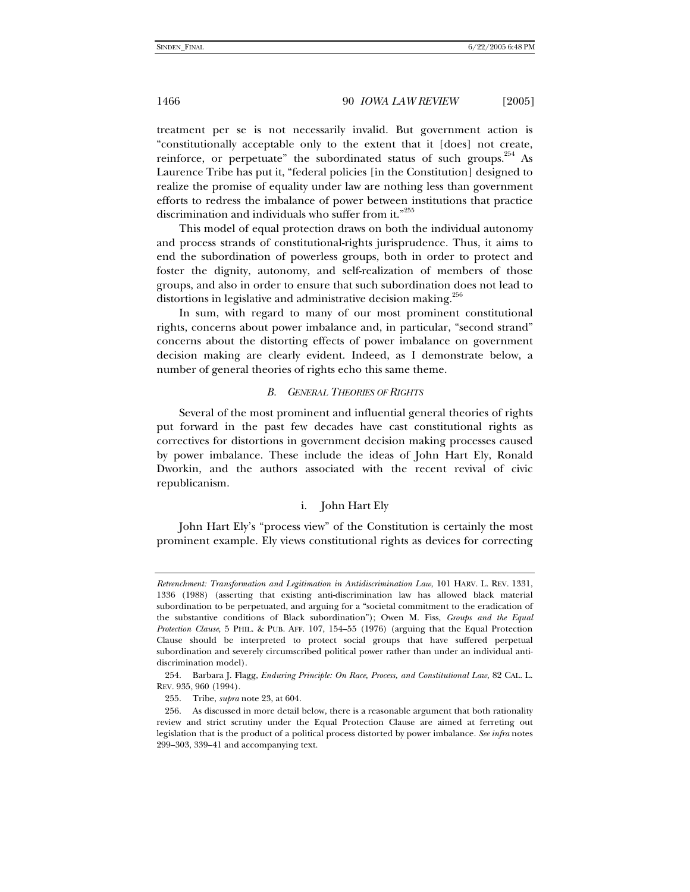treatment per se is not necessarily invalid. But government action is "constitutionally acceptable only to the extent that it [does] not create, reinforce, or perpetuate" the subordinated status of such groups.<sup>254</sup> As Laurence Tribe has put it, "federal policies [in the Constitution] designed to realize the promise of equality under law are nothing less than government efforts to redress the imbalance of power between institutions that practice discrimination and individuals who suffer from it."<sup>255</sup>

This model of equal protection draws on both the individual autonomy and process strands of constitutional-rights jurisprudence. Thus, it aims to end the subordination of powerless groups, both in order to protect and foster the dignity, autonomy, and self-realization of members of those groups, and also in order to ensure that such subordination does not lead to distortions in legislative and administrative decision making.<sup>256</sup>

In sum, with regard to many of our most prominent constitutional rights, concerns about power imbalance and, in particular, "second strand" concerns about the distorting effects of power imbalance on government decision making are clearly evident. Indeed, as I demonstrate below, a number of general theories of rights echo this same theme.

#### *B. GENERAL THEORIES OF RIGHTS*

Several of the most prominent and influential general theories of rights put forward in the past few decades have cast constitutional rights as correctives for distortions in government decision making processes caused by power imbalance. These include the ideas of John Hart Ely, Ronald Dworkin, and the authors associated with the recent revival of civic republicanism.

# i. John Hart Ely

John Hart Ely's "process view" of the Constitution is certainly the most prominent example. Ely views constitutional rights as devices for correcting

*Retrenchment: Transformation and Legitimation in Antidiscrimination Law*, 101 HARV. L. REV. 1331, 1336 (1988) (asserting that existing anti-discrimination law has allowed black material subordination to be perpetuated, and arguing for a "societal commitment to the eradication of the substantive conditions of Black subordination"); Owen M. Fiss, *Groups and the Equal Protection Clause*, 5 PHIL. & PUB. AFF. 107, 154–55 (1976) (arguing that the Equal Protection Clause should be interpreted to protect social groups that have suffered perpetual subordination and severely circumscribed political power rather than under an individual antidiscrimination model).

 <sup>254.</sup> Barbara J. Flagg, *Enduring Principle: On Race, Process, and Constitutional Law*, 82 CAL. L. REV. 935, 960 (1994).

 <sup>255.</sup> Tribe, *supra* note 23, at 604.

 <sup>256.</sup> As discussed in more detail below, there is a reasonable argument that both rationality review and strict scrutiny under the Equal Protection Clause are aimed at ferreting out legislation that is the product of a political process distorted by power imbalance. *See infra* notes 299–303, 339–41 and accompanying text.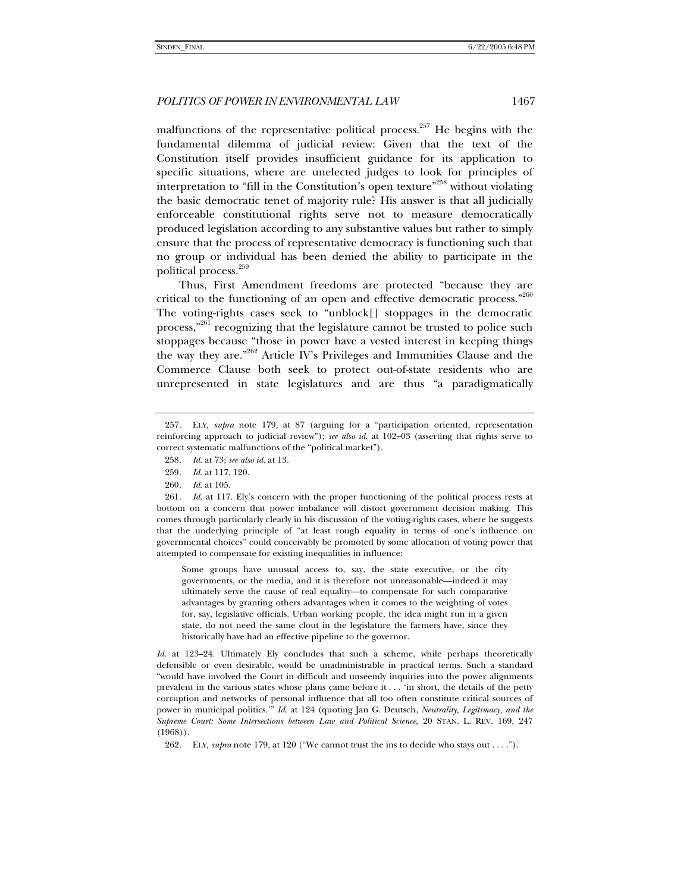malfunctions of the representative political process.<sup>257</sup> He begins with the fundamental dilemma of judicial review: Given that the text of the Constitution itself provides insufficient guidance for its application to specific situations, where are unelected judges to look for principles of interpretation to "fill in the Constitution's open texture"258 without violating the basic democratic tenet of majority rule? His answer is that all judicially enforceable constitutional rights serve not to measure democratically produced legislation according to any substantive values but rather to simply ensure that the process of representative democracy is functioning such that no group or individual has been denied the ability to participate in the political process.259

Thus, First Amendment freedoms are protected "because they are critical to the functioning of an open and effective democratic process."<sup>260</sup> The voting-rights cases seek to "unblock[] stoppages in the democratic process,<sup>"261</sup> recognizing that the legislature cannot be trusted to police such stoppages because "those in power have a vested interest in keeping things the way they are."262 Article IV's Privileges and Immunities Clause and the Commerce Clause both seek to protect out-of-state residents who are unrepresented in state legislatures and are thus "a paradigmatically

Some groups have unusual access to, say, the state executive, or the city governments, or the media, and it is therefore not unreasonable—indeed it may ultimately serve the cause of real equality—to compensate for such comparative advantages by granting others advantages when it comes to the weighting of votes for, say, legislative officials. Urban working people, the idea might run in a given state, do not need the same clout in the legislature the farmers have, since they historically have had an effective pipeline to the governor.

*Id.* at 123–24. Ultimately Ely concludes that such a scheme, while perhaps theoretically defensible or even desirable, would be unadministrable in practical terms. Such a standard "would have involved the Court in difficult and unseemly inquiries into the power alignments prevalent in the various states whose plans came before it . . . 'in short, the details of the petty corruption and networks of personal influence that all too often constitute critical sources of power in municipal politics.'" *Id*. at 124 (quoting Jan G. Deutsch, *Neutrality, Legitimacy, and the Supreme Court: Some Intersections between Law and Political Science*, 20 STAN. L. REV. 169, 247 (1968)).

262. ELY, *supra* note 179, at 120 ("We cannot trust the ins to decide who stays out . . . .").

 <sup>257.</sup> ELY, *supra* note 179, at 87 (arguing for a "participation oriented, representation reinforcing approach to judicial review"); *see also id*. at 102–03 (asserting that rights serve to correct systematic malfunctions of the "political market").

<sup>258</sup>*. Id*. at 73; *see also id*. at 13.

<sup>259</sup>*. Id*. at 117, 120.

<sup>260</sup>*. Id*. at 105.

<sup>261</sup>*. Id*. at 117. Ely's concern with the proper functioning of the political process rests at bottom on a concern that power imbalance will distort government decision making. This comes through particularly clearly in his discussion of the voting-rights cases, where he suggests that the underlying principle of "at least rough equality in terms of one's influence on governmental choices" could conceivably be promoted by some allocation of voting power that attempted to compensate for existing inequalities in influence: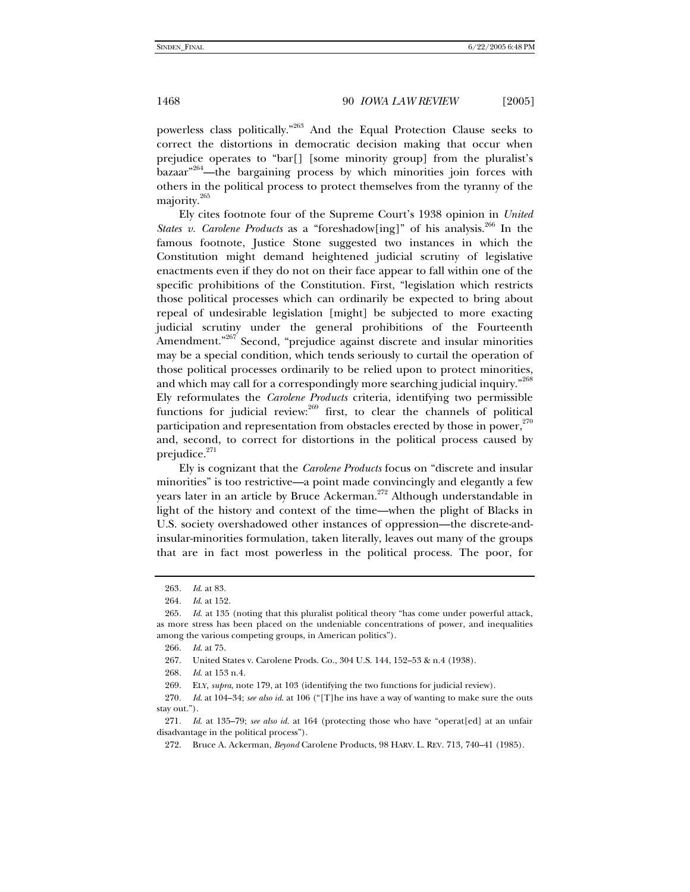powerless class politically."263 And the Equal Protection Clause seeks to correct the distortions in democratic decision making that occur when prejudice operates to "bar[] [some minority group] from the pluralist's  $bazar<sup>964</sup>$ —the bargaining process by which minorities join forces with others in the political process to protect themselves from the tyranny of the majority.<sup>265</sup>

Ely cites footnote four of the Supreme Court's 1938 opinion in *United States v. Carolene Products* as a "foreshadow[ing]" of his analysis.<sup>266</sup> In the famous footnote, Justice Stone suggested two instances in which the Constitution might demand heightened judicial scrutiny of legislative enactments even if they do not on their face appear to fall within one of the specific prohibitions of the Constitution. First, "legislation which restricts those political processes which can ordinarily be expected to bring about repeal of undesirable legislation [might] be subjected to more exacting judicial scrutiny under the general prohibitions of the Fourteenth Amendment."<sup>267</sup> Second, "prejudice against discrete and insular minorities may be a special condition, which tends seriously to curtail the operation of those political processes ordinarily to be relied upon to protect minorities, and which may call for a correspondingly more searching judicial inquiry."<sup>268</sup> Ely reformulates the *Carolene Products* criteria, identifying two permissible functions for judicial review: $^{269}$  first, to clear the channels of political participation and representation from obstacles erected by those in power,  $270$ and, second, to correct for distortions in the political process caused by prejudice.<sup>271</sup>

Ely is cognizant that the *Carolene Products* focus on "discrete and insular minorities" is too restrictive—a point made convincingly and elegantly a few years later in an article by Bruce Ackerman.<sup>272</sup> Although understandable in light of the history and context of the time—when the plight of Blacks in U.S. society overshadowed other instances of oppression—the discrete-andinsular-minorities formulation, taken literally, leaves out many of the groups that are in fact most powerless in the political process. The poor, for

<sup>263</sup>*. Id*. at 83.

<sup>264</sup>*. Id*. at 152.

<sup>265</sup>*. Id*. at 135 (noting that this pluralist political theory "has come under powerful attack, as more stress has been placed on the undeniable concentrations of power, and inequalities among the various competing groups, in American politics").

<sup>266</sup>*. Id*. at 75.

 <sup>267.</sup> United States v. Carolene Prods. Co., 304 U.S. 144, 152–53 & n.4 (1938).

<sup>268</sup>*. Id*. at 153 n.4.

 <sup>269.</sup> ELY, *supra*, note 179, at 103 (identifying the two functions for judicial review).

<sup>270</sup>*. Id*. at 104–34; *see also id*. at 106 ("[T]he ins have a way of wanting to make sure the outs stay out.").

<sup>271</sup>*. Id*. at 135–79; *see also id.* at 164 (protecting those who have "operat[ed] at an unfair disadvantage in the political process").

 <sup>272.</sup> Bruce A. Ackerman, *Beyond* Carolene Products, 98 HARV. L. REV. 713, 740–41 (1985).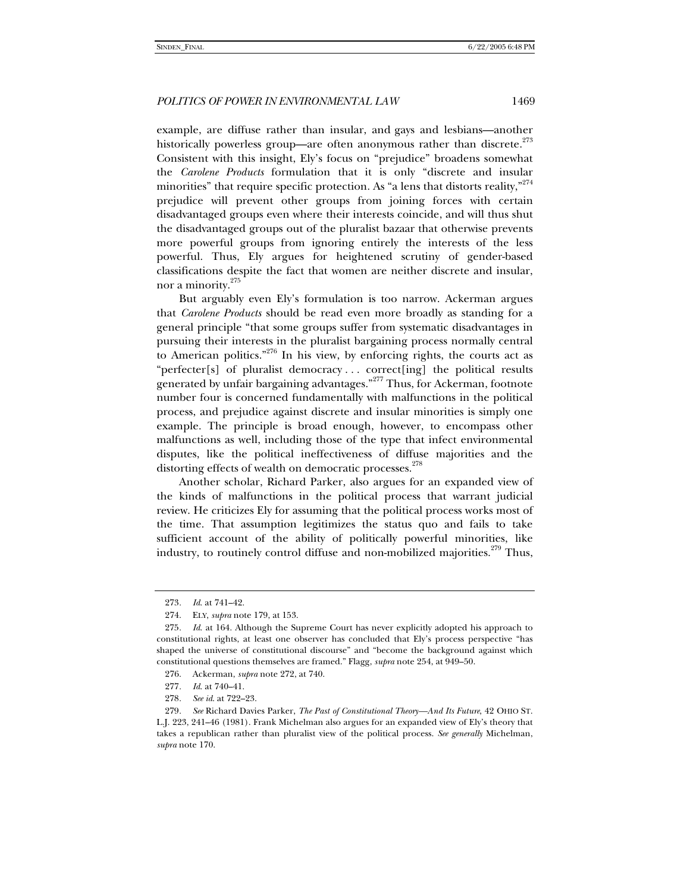example, are diffuse rather than insular, and gays and lesbians—another historically powerless group—are often anonymous rather than discrete.<sup>273</sup> Consistent with this insight, Ely's focus on "prejudice" broadens somewhat the *Carolene Products* formulation that it is only "discrete and insular minorities" that require specific protection. As "a lens that distorts reality,"<sup>274</sup> prejudice will prevent other groups from joining forces with certain disadvantaged groups even where their interests coincide, and will thus shut the disadvantaged groups out of the pluralist bazaar that otherwise prevents more powerful groups from ignoring entirely the interests of the less powerful. Thus, Ely argues for heightened scrutiny of gender-based classifications despite the fact that women are neither discrete and insular, nor a minority.<sup>275</sup>

But arguably even Ely's formulation is too narrow. Ackerman argues that *Carolene Products* should be read even more broadly as standing for a general principle "that some groups suffer from systematic disadvantages in pursuing their interests in the pluralist bargaining process normally central to American politics."<sup>276</sup> In his view, by enforcing rights, the courts act as "perfecter[s] of pluralist democracy . . . correct[ing] the political results generated by unfair bargaining advantages.<sup>"277</sup> Thus, for Ackerman, footnote number four is concerned fundamentally with malfunctions in the political process, and prejudice against discrete and insular minorities is simply one example. The principle is broad enough, however, to encompass other malfunctions as well, including those of the type that infect environmental disputes, like the political ineffectiveness of diffuse majorities and the distorting effects of wealth on democratic processes.<sup>278</sup>

Another scholar, Richard Parker, also argues for an expanded view of the kinds of malfunctions in the political process that warrant judicial review. He criticizes Ely for assuming that the political process works most of the time. That assumption legitimizes the status quo and fails to take sufficient account of the ability of politically powerful minorities, like industry, to routinely control diffuse and non-mobilized majorities.<sup>279</sup> Thus,

<sup>273</sup>*. Id*. at 741–42.

 <sup>274.</sup> ELY, *supra* note 179, at 153.

<sup>275</sup>*. Id*. at 164. Although the Supreme Court has never explicitly adopted his approach to constitutional rights, at least one observer has concluded that Ely's process perspective "has shaped the universe of constitutional discourse" and "become the background against which constitutional questions themselves are framed." Flagg, *supra* note 254, at 949–50.

 <sup>276.</sup> Ackerman, *supra* note 272, at 740.

<sup>277</sup>*. Id*. at 740–41.

<sup>278</sup>*. See id*. at 722–23.

<sup>279</sup>*. See* Richard Davies Parker, *The Past of Constitutional Theory—And Its Future*, 42 OHIO ST. L.J. 223, 241–46 (1981). Frank Michelman also argues for an expanded view of Ely's theory that takes a republican rather than pluralist view of the political process. *See generally* Michelman, *supra* note 170.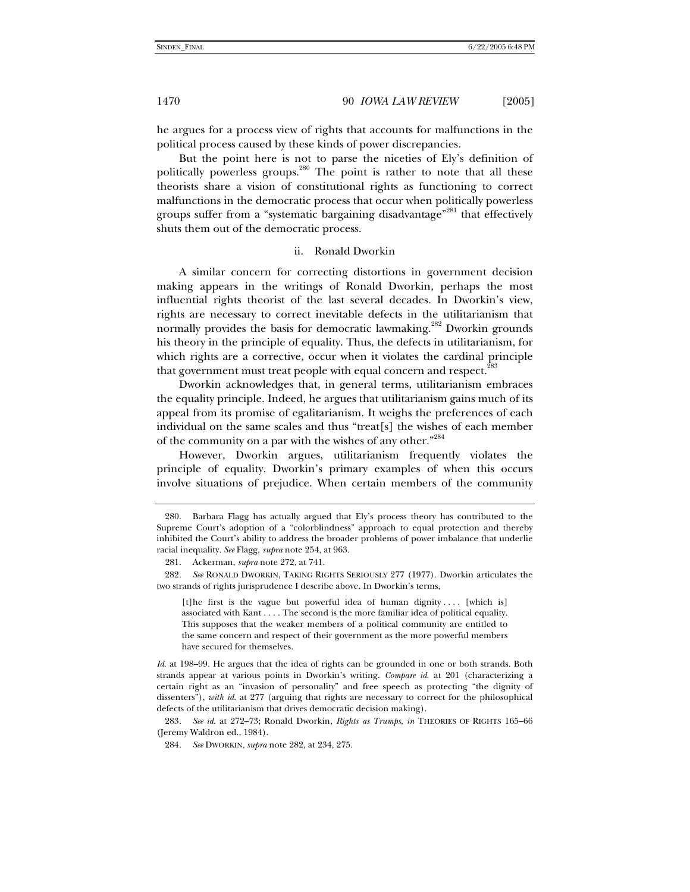he argues for a process view of rights that accounts for malfunctions in the political process caused by these kinds of power discrepancies.

But the point here is not to parse the niceties of Ely's definition of politically powerless groups.<sup>280</sup> The point is rather to note that all these theorists share a vision of constitutional rights as functioning to correct malfunctions in the democratic process that occur when politically powerless groups suffer from a "systematic bargaining disadvantage"<sup>281</sup> that effectively shuts them out of the democratic process.

### ii. Ronald Dworkin

A similar concern for correcting distortions in government decision making appears in the writings of Ronald Dworkin, perhaps the most influential rights theorist of the last several decades. In Dworkin's view, rights are necessary to correct inevitable defects in the utilitarianism that normally provides the basis for democratic lawmaking.<sup>282</sup> Dworkin grounds his theory in the principle of equality. Thus, the defects in utilitarianism, for which rights are a corrective, occur when it violates the cardinal principle that government must treat people with equal concern and respect.<sup>28</sup>

Dworkin acknowledges that, in general terms, utilitarianism embraces the equality principle. Indeed, he argues that utilitarianism gains much of its appeal from its promise of egalitarianism. It weighs the preferences of each individual on the same scales and thus "treat[s] the wishes of each member of the community on a par with the wishes of any other."<sup>284</sup>

However, Dworkin argues, utilitarianism frequently violates the principle of equality. Dworkin's primary examples of when this occurs involve situations of prejudice. When certain members of the community

[t]he first is the vague but powerful idea of human dignity .... [which is] associated with Kant . . . . The second is the more familiar idea of political equality. This supposes that the weaker members of a political community are entitled to the same concern and respect of their government as the more powerful members have secured for themselves.

*Id*. at 198–99. He argues that the idea of rights can be grounded in one or both strands. Both strands appear at various points in Dworkin's writing. *Compare id*. at 201 (characterizing a certain right as an "invasion of personality" and free speech as protecting "the dignity of dissenters"), *with id*. at 277 (arguing that rights are necessary to correct for the philosophical defects of the utilitarianism that drives democratic decision making).

283*. See id*. at 272–73; Ronald Dworkin, *Rights as Trumps*, *in* THEORIES OF RIGHTS 165–66 (Jeremy Waldron ed., 1984).

 <sup>280.</sup> Barbara Flagg has actually argued that Ely's process theory has contributed to the Supreme Court's adoption of a "colorblindness" approach to equal protection and thereby inhibited the Court's ability to address the broader problems of power imbalance that underlie racial inequality. *See* Flagg, *supra* note 254, at 963.

 <sup>281.</sup> Ackerman, *supra* note 272, at 741.

<sup>282</sup>*. See* RONALD DWORKIN, TAKING RIGHTS SERIOUSLY 277 (1977). Dworkin articulates the two strands of rights jurisprudence I describe above. In Dworkin's terms,

<sup>284</sup>*. See* DWORKIN, *supra* note 282, at 234, 275.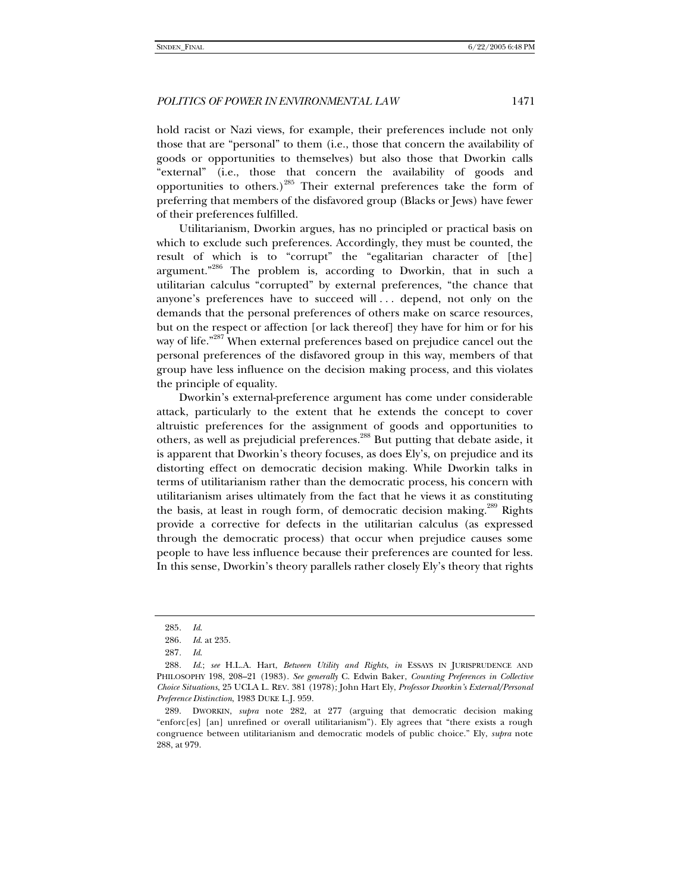hold racist or Nazi views, for example, their preferences include not only those that are "personal" to them (i.e., those that concern the availability of goods or opportunities to themselves) but also those that Dworkin calls "external" (i.e., those that concern the availability of goods and opportunities to others.)<sup>285</sup> Their external preferences take the form of preferring that members of the disfavored group (Blacks or Jews) have fewer of their preferences fulfilled.

Utilitarianism, Dworkin argues, has no principled or practical basis on which to exclude such preferences. Accordingly, they must be counted, the result of which is to "corrupt" the "egalitarian character of [the] argument."286 The problem is, according to Dworkin, that in such a utilitarian calculus "corrupted" by external preferences, "the chance that anyone's preferences have to succeed will . . . depend, not only on the demands that the personal preferences of others make on scarce resources, but on the respect or affection [or lack thereof] they have for him or for his way of life."<sup>287</sup> When external preferences based on prejudice cancel out the personal preferences of the disfavored group in this way, members of that group have less influence on the decision making process, and this violates the principle of equality.

Dworkin's external-preference argument has come under considerable attack, particularly to the extent that he extends the concept to cover altruistic preferences for the assignment of goods and opportunities to others, as well as prejudicial preferences.<sup>288</sup> But putting that debate aside, it is apparent that Dworkin's theory focuses, as does Ely's, on prejudice and its distorting effect on democratic decision making. While Dworkin talks in terms of utilitarianism rather than the democratic process, his concern with utilitarianism arises ultimately from the fact that he views it as constituting the basis, at least in rough form, of democratic decision making.<sup>289</sup> Rights provide a corrective for defects in the utilitarian calculus (as expressed through the democratic process) that occur when prejudice causes some people to have less influence because their preferences are counted for less. In this sense, Dworkin's theory parallels rather closely Ely's theory that rights

<sup>285</sup>*. Id*.

<sup>286</sup>*. Id*. at 235.

<sup>287</sup>*. Id*.

<sup>288</sup>*. Id*.; *see* H.L.A. Hart, *Between Utility and Rights*, *in* ESSAYS IN JURISPRUDENCE AND PHILOSOPHY 198, 208–21 (1983). *See generally* C. Edwin Baker, *Counting Preferences in Collective Choice Situations*, 25 UCLA L. REV. 381 (1978); John Hart Ely, *Professor Dworkin's External/Personal Preference Distinction*, 1983 DUKE L.J. 959.

 <sup>289.</sup> DWORKIN, *supra* note 282, at 277 (arguing that democratic decision making "enforc[es] [an] unrefined or overall utilitarianism"). Ely agrees that "there exists a rough congruence between utilitarianism and democratic models of public choice." Ely, *supra* note 288, at 979.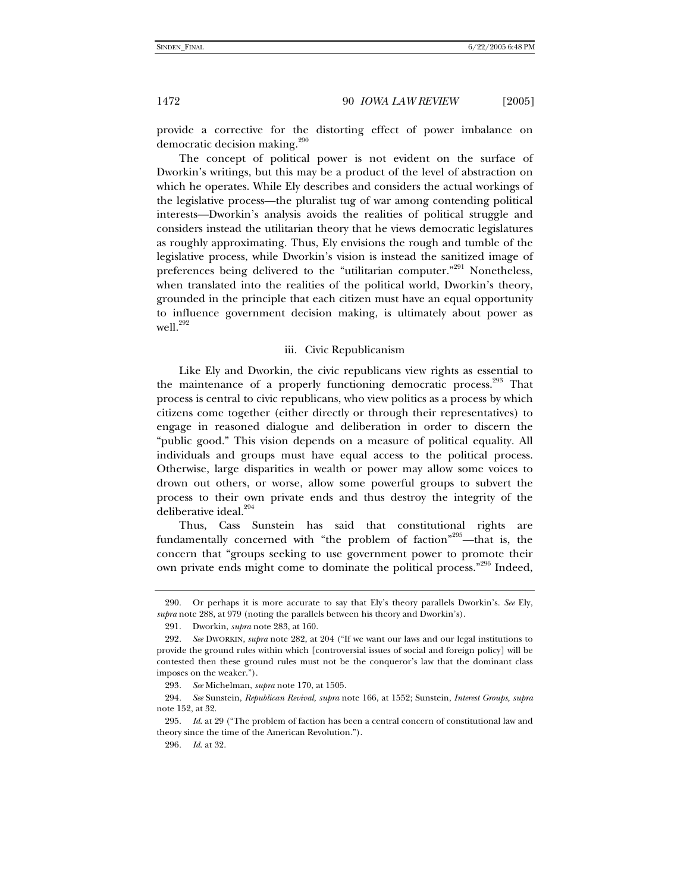provide a corrective for the distorting effect of power imbalance on democratic decision making.<sup>290</sup>

The concept of political power is not evident on the surface of Dworkin's writings, but this may be a product of the level of abstraction on which he operates. While Ely describes and considers the actual workings of the legislative process—the pluralist tug of war among contending political interests—Dworkin's analysis avoids the realities of political struggle and considers instead the utilitarian theory that he views democratic legislatures as roughly approximating. Thus, Ely envisions the rough and tumble of the legislative process, while Dworkin's vision is instead the sanitized image of preferences being delivered to the "utilitarian computer."<sup>291</sup> Nonetheless, when translated into the realities of the political world, Dworkin's theory, grounded in the principle that each citizen must have an equal opportunity to influence government decision making, is ultimately about power as well.<sup>292</sup>

#### iii. Civic Republicanism

Like Ely and Dworkin, the civic republicans view rights as essential to the maintenance of a properly functioning democratic process.<sup>293</sup> That process is central to civic republicans, who view politics as a process by which citizens come together (either directly or through their representatives) to engage in reasoned dialogue and deliberation in order to discern the "public good." This vision depends on a measure of political equality. All individuals and groups must have equal access to the political process. Otherwise, large disparities in wealth or power may allow some voices to drown out others, or worse, allow some powerful groups to subvert the process to their own private ends and thus destroy the integrity of the deliberative ideal.<sup>294</sup>

Thus, Cass Sunstein has said that constitutional rights are fundamentally concerned with "the problem of faction"<sup>295</sup>—that is, the concern that "groups seeking to use government power to promote their own private ends might come to dominate the political process."296 Indeed,

 <sup>290.</sup> Or perhaps it is more accurate to say that Ely's theory parallels Dworkin's. *See* Ely, *supra* note 288, at 979 (noting the parallels between his theory and Dworkin's).

 <sup>291.</sup> Dworkin, *supra* note 283, at 160.

<sup>292</sup>*. See* DWORKIN, *supra* note 282, at 204 ("If we want our laws and our legal institutions to provide the ground rules within which [controversial issues of social and foreign policy] will be contested then these ground rules must not be the conqueror's law that the dominant class imposes on the weaker.").

<sup>293</sup>*. See* Michelman, *supra* note 170, at 1505.

<sup>294</sup>*. See* Sunstein, *Republican Revival, supra* note 166, at 1552; Sunstein, *Interest Groups, supra* note 152, at 32.

 <sup>295.</sup> *Id*. at 29 ("The problem of faction has been a central concern of constitutional law and theory since the time of the American Revolution.").

<sup>296</sup>*. Id*. at 32.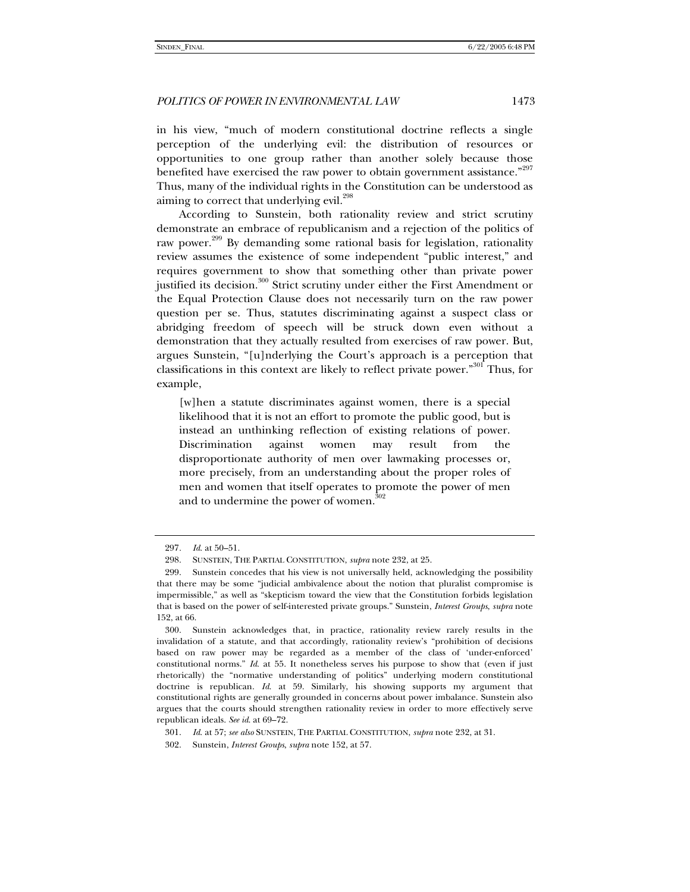in his view, "much of modern constitutional doctrine reflects a single perception of the underlying evil: the distribution of resources or opportunities to one group rather than another solely because those benefited have exercised the raw power to obtain government assistance."<sup>297</sup> Thus, many of the individual rights in the Constitution can be understood as aiming to correct that underlying evil.<sup>298</sup>

According to Sunstein, both rationality review and strict scrutiny demonstrate an embrace of republicanism and a rejection of the politics of raw power.<sup>299</sup> By demanding some rational basis for legislation, rationality review assumes the existence of some independent "public interest," and requires government to show that something other than private power justified its decision.<sup>300</sup> Strict scrutiny under either the First Amendment or the Equal Protection Clause does not necessarily turn on the raw power question per se. Thus, statutes discriminating against a suspect class or abridging freedom of speech will be struck down even without a demonstration that they actually resulted from exercises of raw power. But, argues Sunstein, "[u]nderlying the Court's approach is a perception that classifications in this context are likely to reflect private power."301 Thus, for example,

[w]hen a statute discriminates against women, there is a special likelihood that it is not an effort to promote the public good, but is instead an unthinking reflection of existing relations of power. Discrimination against women may result from the disproportionate authority of men over lawmaking processes or, more precisely, from an understanding about the proper roles of men and women that itself operates to promote the power of men and to undermine the power of women.<sup>302</sup>

<sup>297</sup>*. Id*. at 50–51.

 <sup>298.</sup> SUNSTEIN, THE PARTIAL CONSTITUTION, *supra* note 232, at 25.

 <sup>299.</sup> Sunstein concedes that his view is not universally held, acknowledging the possibility that there may be some "judicial ambivalence about the notion that pluralist compromise is impermissible," as well as "skepticism toward the view that the Constitution forbids legislation that is based on the power of self-interested private groups." Sunstein, *Interest Groups*, *supra* note 152, at 66.

 <sup>300.</sup> Sunstein acknowledges that, in practice, rationality review rarely results in the invalidation of a statute, and that accordingly, rationality review's "prohibition of decisions based on raw power may be regarded as a member of the class of 'under-enforced' constitutional norms." *Id*. at 55. It nonetheless serves his purpose to show that (even if just rhetorically) the "normative understanding of politics" underlying modern constitutional doctrine is republican. *Id*. at 59. Similarly, his showing supports my argument that constitutional rights are generally grounded in concerns about power imbalance. Sunstein also argues that the courts should strengthen rationality review in order to more effectively serve republican ideals. *See id*. at 69–72.

 <sup>301.</sup> *Id*. at 57; *see also* SUNSTEIN, THE PARTIAL CONSTITUTION, *supra* note 232, at 31.

 <sup>302.</sup> Sunstein, *Interest Groups*, *supra* note 152, at 57.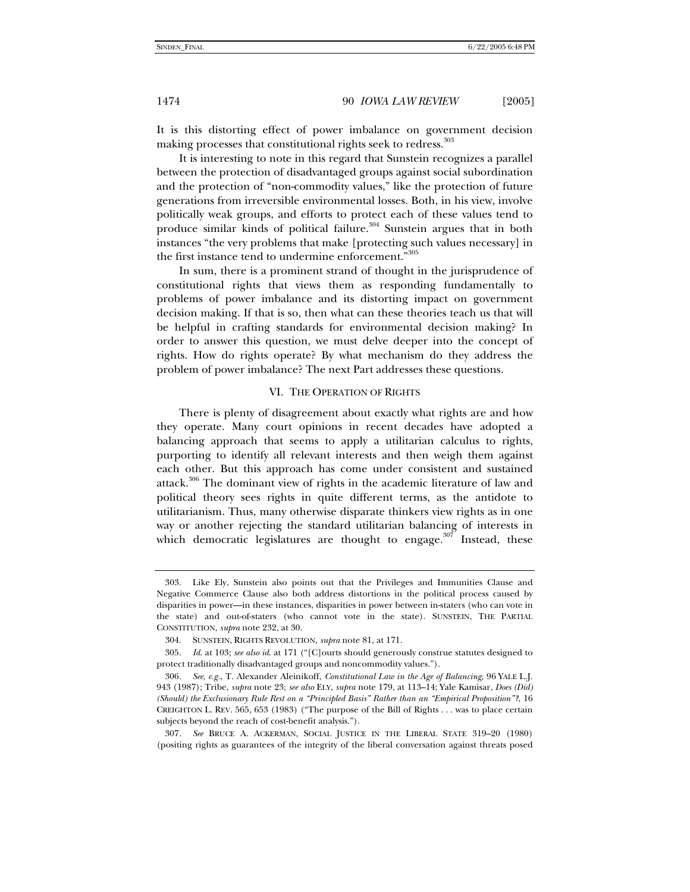It is this distorting effect of power imbalance on government decision making processes that constitutional rights seek to redress.<sup>303</sup>

It is interesting to note in this regard that Sunstein recognizes a parallel between the protection of disadvantaged groups against social subordination and the protection of "non-commodity values," like the protection of future generations from irreversible environmental losses. Both, in his view, involve politically weak groups, and efforts to protect each of these values tend to produce similar kinds of political failure.<sup>304</sup> Sunstein argues that in both instances "the very problems that make [protecting such values necessary] in the first instance tend to undermine enforcement."<sup>305</sup>

In sum, there is a prominent strand of thought in the jurisprudence of constitutional rights that views them as responding fundamentally to problems of power imbalance and its distorting impact on government decision making. If that is so, then what can these theories teach us that will be helpful in crafting standards for environmental decision making? In order to answer this question, we must delve deeper into the concept of rights. How do rights operate? By what mechanism do they address the problem of power imbalance? The next Part addresses these questions.

#### VI. THE OPERATION OF RIGHTS

There is plenty of disagreement about exactly what rights are and how they operate. Many court opinions in recent decades have adopted a balancing approach that seems to apply a utilitarian calculus to rights, purporting to identify all relevant interests and then weigh them against each other. But this approach has come under consistent and sustained attack.<sup>306</sup> The dominant view of rights in the academic literature of law and political theory sees rights in quite different terms, as the antidote to utilitarianism. Thus, many otherwise disparate thinkers view rights as in one way or another rejecting the standard utilitarian balancing of interests in which democratic legislatures are thought to engage. $307$  Instead, these

 <sup>303.</sup> Like Ely, Sunstein also points out that the Privileges and Immunities Clause and Negative Commerce Clause also both address distortions in the political process caused by disparities in power—in these instances, disparities in power between in-staters (who can vote in the state) and out-of-staters (who cannot vote in the state). SUNSTEIN, THE PARTIAL CONSTITUTION, *supra* note 232, at 30.

 <sup>304.</sup> SUNSTEIN, RIGHTS REVOLUTION, *supra* note 81, at 171.

<sup>305</sup>*. Id*. at 103; *see also id*. at 171 ("[C]ourts should generously construe statutes designed to protect traditionally disadvantaged groups and noncommodity values.").

<sup>306</sup>*. See*, *e.g.*, T. Alexander Aleinikoff, *Constitutional Law in the Age of Balancing*, 96 YALE L.J. 943 (1987); Tribe, *supra* note 23; *see also* ELY, *supra* note 179, at 113–14; Yale Kamisar, *Does (Did) (Should) the Exclusionary Rule Rest on a "Principled Basis" Rather than an "Empirical Proposition"?*, 16 CREIGHTON L. REV. 565, 653 (1983) ("The purpose of the Bill of Rights . . . was to place certain subjects beyond the reach of cost-benefit analysis.").

<sup>307</sup>*. See* BRUCE A. ACKERMAN, SOCIAL JUSTICE IN THE LIBERAL STATE 319–20 (1980) (positing rights as guarantees of the integrity of the liberal conversation against threats posed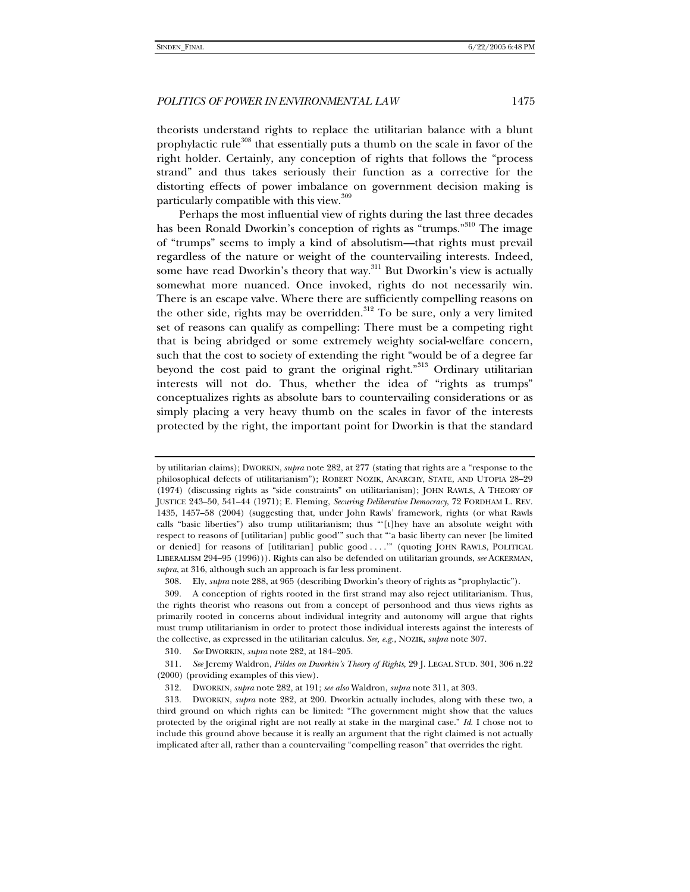theorists understand rights to replace the utilitarian balance with a blunt prophylactic rule<sup>308</sup> that essentially puts a thumb on the scale in favor of the right holder. Certainly, any conception of rights that follows the "process strand" and thus takes seriously their function as a corrective for the distorting effects of power imbalance on government decision making is particularly compatible with this view. $309$ 

Perhaps the most influential view of rights during the last three decades has been Ronald Dworkin's conception of rights as "trumps."<sup>310</sup> The image of "trumps" seems to imply a kind of absolutism—that rights must prevail regardless of the nature or weight of the countervailing interests. Indeed, some have read Dworkin's theory that way.<sup>311</sup> But Dworkin's view is actually somewhat more nuanced. Once invoked, rights do not necessarily win. There is an escape valve. Where there are sufficiently compelling reasons on the other side, rights may be overridden. $312$  To be sure, only a very limited set of reasons can qualify as compelling: There must be a competing right that is being abridged or some extremely weighty social-welfare concern, such that the cost to society of extending the right "would be of a degree far beyond the cost paid to grant the original right."<sup>313</sup> Ordinary utilitarian interests will not do. Thus, whether the idea of "rights as trumps" conceptualizes rights as absolute bars to countervailing considerations or as simply placing a very heavy thumb on the scales in favor of the interests protected by the right, the important point for Dworkin is that the standard

by utilitarian claims); DWORKIN, *supra* note 282, at 277 (stating that rights are a "response to the philosophical defects of utilitarianism"); ROBERT NOZIK, ANARCHY, STATE, AND UTOPIA 28–29 (1974) (discussing rights as "side constraints" on utilitarianism); JOHN RAWLS, A THEORY OF JUSTICE 243–50, 541–44 (1971); E. Fleming, *Securing Deliberative Democracy*, 72 FORDHAM L. REV. 1435, 1457–58 (2004) (suggesting that, under John Rawls' framework, rights (or what Rawls calls "basic liberties") also trump utilitarianism; thus "'[t]hey have an absolute weight with respect to reasons of [utilitarian] public good'" such that "'a basic liberty can never [be limited or denied] for reasons of [utilitarian] public good . . . .'" (quoting JOHN RAWLS, POLITICAL LIBERALISM 294–95 (1996))). Rights can also be defended on utilitarian grounds, *see* ACKERMAN, *supra*, at 316, although such an approach is far less prominent.

 <sup>308.</sup> Ely, *supra* note 288, at 965 (describing Dworkin's theory of rights as "prophylactic").

 <sup>309.</sup> A conception of rights rooted in the first strand may also reject utilitarianism. Thus, the rights theorist who reasons out from a concept of personhood and thus views rights as primarily rooted in concerns about individual integrity and autonomy will argue that rights must trump utilitarianism in order to protect those individual interests against the interests of the collective, as expressed in the utilitarian calculus. *See, e.g.*, NOZIK, *supra* note 307.

<sup>310</sup>*. See* DWORKIN, *supra* note 282, at 184–205.

<sup>311</sup>*. See* Jeremy Waldron, *Pildes on Dworkin's Theory of Rights*, 29 J. LEGAL STUD. 301, 306 n.22 (2000) (providing examples of this view).

 <sup>312.</sup> DWORKIN, *supra* note 282, at 191; *see also* Waldron, *supra* note 311, at 303.

 <sup>313.</sup> DWORKIN, *supra* note 282, at 200. Dworkin actually includes, along with these two, a third ground on which rights can be limited: "The government might show that the values protected by the original right are not really at stake in the marginal case." *Id*. I chose not to include this ground above because it is really an argument that the right claimed is not actually implicated after all, rather than a countervailing "compelling reason" that overrides the right.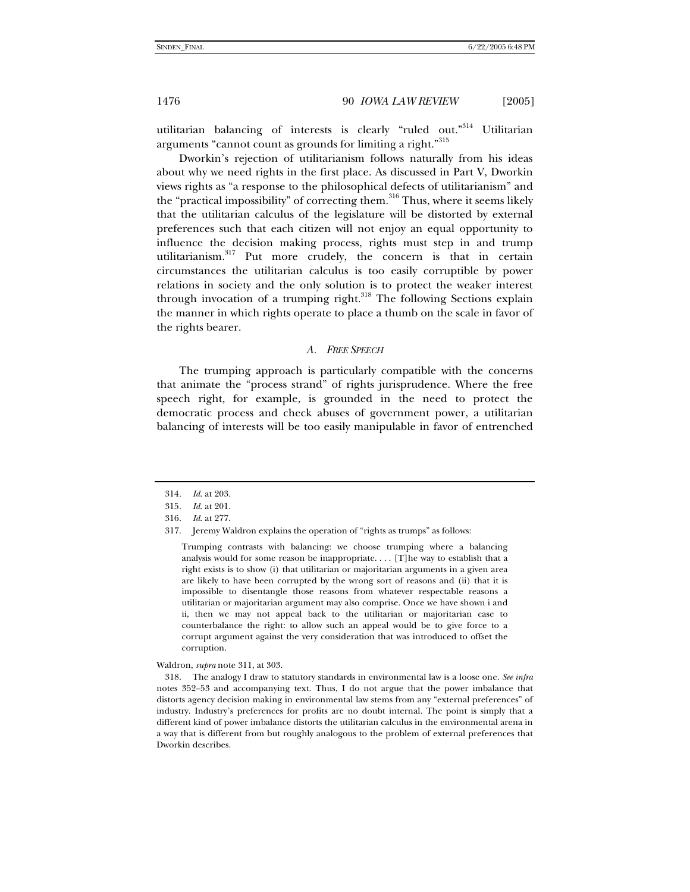utilitarian balancing of interests is clearly "ruled out."<sup>314</sup> Utilitarian arguments "cannot count as grounds for limiting a right."<sup>315</sup>

Dworkin's rejection of utilitarianism follows naturally from his ideas about why we need rights in the first place. As discussed in Part V, Dworkin views rights as "a response to the philosophical defects of utilitarianism" and the "practical impossibility" of correcting them.<sup>316</sup> Thus, where it seems likely that the utilitarian calculus of the legislature will be distorted by external preferences such that each citizen will not enjoy an equal opportunity to influence the decision making process, rights must step in and trump utilitarianism.317 Put more crudely, the concern is that in certain circumstances the utilitarian calculus is too easily corruptible by power relations in society and the only solution is to protect the weaker interest through invocation of a trumping right.<sup>318</sup> The following Sections explain the manner in which rights operate to place a thumb on the scale in favor of the rights bearer.

#### *A. FREE SPEECH*

The trumping approach is particularly compatible with the concerns that animate the "process strand" of rights jurisprudence. Where the free speech right, for example, is grounded in the need to protect the democratic process and check abuses of government power, a utilitarian balancing of interests will be too easily manipulable in favor of entrenched

Trumping contrasts with balancing: we choose trumping where a balancing analysis would for some reason be inappropriate. . . . [T]he way to establish that a right exists is to show (i) that utilitarian or majoritarian arguments in a given area are likely to have been corrupted by the wrong sort of reasons and (ii) that it is impossible to disentangle those reasons from whatever respectable reasons a utilitarian or majoritarian argument may also comprise. Once we have shown i and ii, then we may not appeal back to the utilitarian or majoritarian case to counterbalance the right: to allow such an appeal would be to give force to a corrupt argument against the very consideration that was introduced to offset the corruption.

Waldron, *supra* note 311, at 303.

 318. The analogy I draw to statutory standards in environmental law is a loose one. *See infra*  notes 352–53 and accompanying text. Thus, I do not argue that the power imbalance that distorts agency decision making in environmental law stems from any "external preferences" of industry. Industry's preferences for profits are no doubt internal. The point is simply that a different kind of power imbalance distorts the utilitarian calculus in the environmental arena in a way that is different from but roughly analogous to the problem of external preferences that Dworkin describes.

<sup>314</sup>*. Id*. at 203.

<sup>315</sup>*. Id*. at 201.

<sup>316</sup>*. Id*. at 277.

 <sup>317.</sup> Jeremy Waldron explains the operation of "rights as trumps" as follows: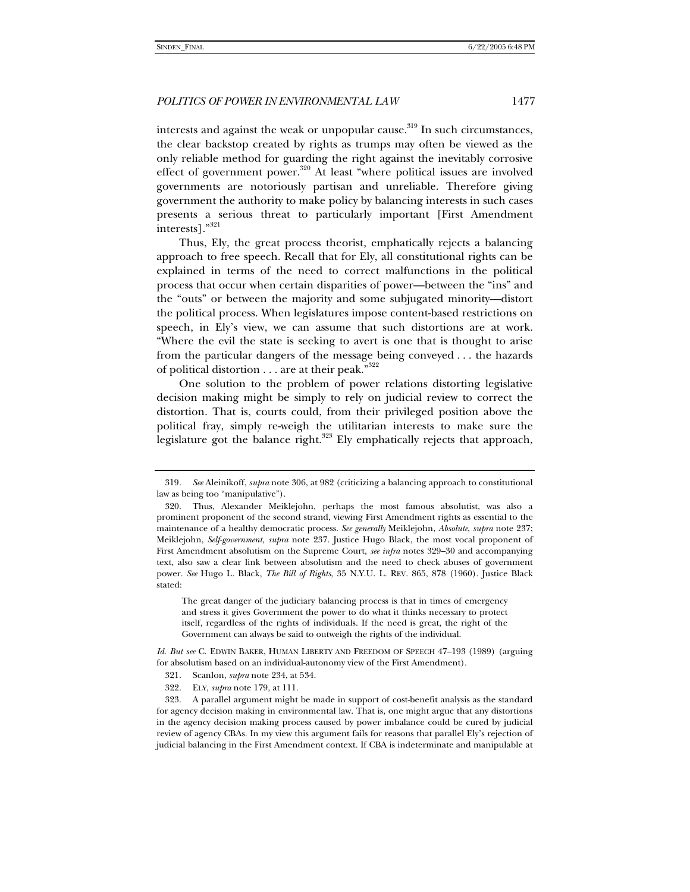interests and against the weak or unpopular cause.<sup>319</sup> In such circumstances, the clear backstop created by rights as trumps may often be viewed as the only reliable method for guarding the right against the inevitably corrosive effect of government power.<sup>320</sup> At least "where political issues are involved governments are notoriously partisan and unreliable. Therefore giving government the authority to make policy by balancing interests in such cases presents a serious threat to particularly important [First Amendment interests]."<sup>321</sup>

Thus, Ely, the great process theorist, emphatically rejects a balancing approach to free speech. Recall that for Ely, all constitutional rights can be explained in terms of the need to correct malfunctions in the political process that occur when certain disparities of power—between the "ins" and the "outs" or between the majority and some subjugated minority—distort the political process. When legislatures impose content-based restrictions on speech, in Ely's view, we can assume that such distortions are at work. "Where the evil the state is seeking to avert is one that is thought to arise from the particular dangers of the message being conveyed . . . the hazards of political distortion  $\dots$  are at their peak."<sup>322</sup>

One solution to the problem of power relations distorting legislative decision making might be simply to rely on judicial review to correct the distortion. That is, courts could, from their privileged position above the political fray, simply re-weigh the utilitarian interests to make sure the legislature got the balance right.<sup>323</sup> Ely emphatically rejects that approach,

The great danger of the judiciary balancing process is that in times of emergency and stress it gives Government the power to do what it thinks necessary to protect itself, regardless of the rights of individuals. If the need is great, the right of the Government can always be said to outweigh the rights of the individual.

*Id*. *But see* C. EDWIN BAKER, HUMAN LIBERTY AND FREEDOM OF SPEECH 47–193 (1989) (arguing for absolutism based on an individual-autonomy view of the First Amendment).

322. ELY, *supra* note 179, at 111.

<sup>319</sup>*. See* Aleinikoff, *supra* note 306, at 982 (criticizing a balancing approach to constitutional law as being too "manipulative").

 <sup>320.</sup> Thus, Alexander Meiklejohn, perhaps the most famous absolutist, was also a prominent proponent of the second strand, viewing First Amendment rights as essential to the maintenance of a healthy democratic process. *See generally* Meiklejohn, *Absolute*, *supra* note 237; Meiklejohn, *Self-government*, *supra* note 237. Justice Hugo Black, the most vocal proponent of First Amendment absolutism on the Supreme Court, *see infra* notes 329–30 and accompanying text, also saw a clear link between absolutism and the need to check abuses of government power. *See* Hugo L. Black, *The Bill of Rights*, 35 N.Y.U. L. REV. 865, 878 (1960). Justice Black stated:

 <sup>321.</sup> Scanlon, *supra* note 234, at 534.

 <sup>323.</sup> A parallel argument might be made in support of cost-benefit analysis as the standard for agency decision making in environmental law. That is, one might argue that any distortions in the agency decision making process caused by power imbalance could be cured by judicial review of agency CBAs. In my view this argument fails for reasons that parallel Ely's rejection of judicial balancing in the First Amendment context. If CBA is indeterminate and manipulable at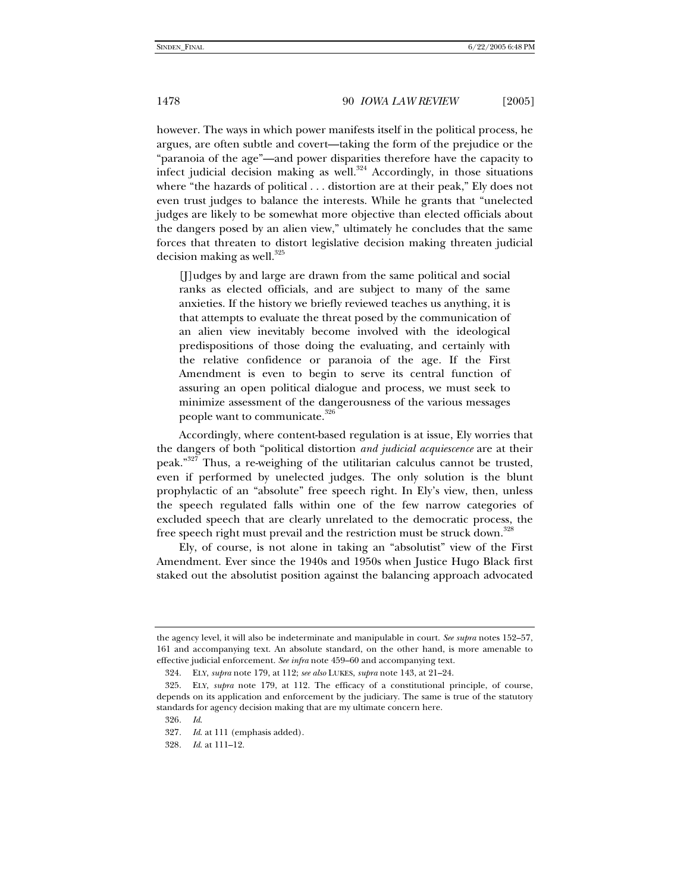however. The ways in which power manifests itself in the political process, he argues, are often subtle and covert—taking the form of the prejudice or the "paranoia of the age"—and power disparities therefore have the capacity to infect judicial decision making as well.<sup>324</sup> Accordingly, in those situations where "the hazards of political . . . distortion are at their peak," Ely does not even trust judges to balance the interests. While he grants that "unelected judges are likely to be somewhat more objective than elected officials about the dangers posed by an alien view," ultimately he concludes that the same forces that threaten to distort legislative decision making threaten judicial decision making as well. $325$ 

[J]udges by and large are drawn from the same political and social ranks as elected officials, and are subject to many of the same anxieties. If the history we briefly reviewed teaches us anything, it is that attempts to evaluate the threat posed by the communication of an alien view inevitably become involved with the ideological predispositions of those doing the evaluating, and certainly with the relative confidence or paranoia of the age. If the First Amendment is even to begin to serve its central function of assuring an open political dialogue and process, we must seek to minimize assessment of the dangerousness of the various messages people want to communicate.<sup>326</sup>

Accordingly, where content-based regulation is at issue, Ely worries that the dangers of both "political distortion *and judicial acquiescence* are at their peak."<sup>327</sup> Thus, a re-weighing of the utilitarian calculus cannot be trusted, even if performed by unelected judges. The only solution is the blunt prophylactic of an "absolute" free speech right. In Ely's view, then, unless the speech regulated falls within one of the few narrow categories of excluded speech that are clearly unrelated to the democratic process, the free speech right must prevail and the restriction must be struck down.<sup>328</sup>

Ely, of course, is not alone in taking an "absolutist" view of the First Amendment. Ever since the 1940s and 1950s when Justice Hugo Black first staked out the absolutist position against the balancing approach advocated

326*. Id*.

the agency level, it will also be indeterminate and manipulable in court. *See supra* notes 152–57, 161 and accompanying text. An absolute standard, on the other hand, is more amenable to effective judicial enforcement. *See infra* note 459–60 and accompanying text.

 <sup>324.</sup> ELY, *supra* note 179, at 112; *see also* LUKES, *supra* note 143, at 21–24.

 <sup>325.</sup> ELY, *supra* note 179, at 112. The efficacy of a constitutional principle, of course, depends on its application and enforcement by the judiciary. The same is true of the statutory standards for agency decision making that are my ultimate concern here.

<sup>327</sup>*. Id*. at 111 (emphasis added).

<sup>328</sup>*. Id*. at 111–12.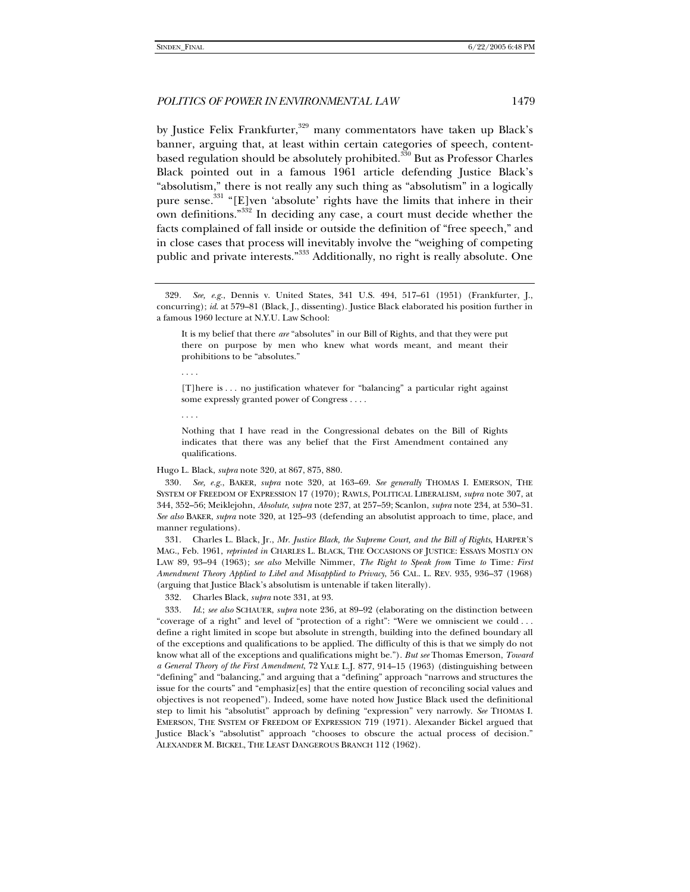by Justice Felix Frankfurter,<sup>329</sup> many commentators have taken up Black's banner, arguing that, at least within certain categories of speech, contentbased regulation should be absolutely prohibited.<sup>330</sup> But as Professor Charles Black pointed out in a famous 1961 article defending Justice Black's "absolutism," there is not really any such thing as "absolutism" in a logically pure sense.<sup>331</sup> "[E]ven 'absolute' rights have the limits that inhere in their own definitions."332 In deciding any case, a court must decide whether the facts complained of fall inside or outside the definition of "free speech," and in close cases that process will inevitably involve the "weighing of competing public and private interests."333 Additionally, no right is really absolute. One

. . . .

. . . .

Nothing that I have read in the Congressional debates on the Bill of Rights indicates that there was any belief that the First Amendment contained any qualifications.

Hugo L. Black, *supra* note 320, at 867, 875, 880.

330*. See, e.g.*, BAKER, *supra* note 320, at 163–69. *See generally* THOMAS I. EMERSON, THE SYSTEM OF FREEDOM OF EXPRESSION 17 (1970); RAWLS, POLITICAL LIBERALISM, *supra* note 307, at 344, 352–56; Meiklejohn, *Absolute*, *supra* note 237, at 257–59; Scanlon, *supra* note 234, at 530–31. *See also* BAKER, *supra* note 320, at 125–93 (defending an absolutist approach to time, place, and manner regulations).

 331. Charles L. Black, Jr., *Mr. Justice Black, the Supreme Court, and the Bill of Rights*, HARPER'S MAG., Feb. 1961, *reprinted in* CHARLES L. BLACK, THE OCCASIONS OF JUSTICE: ESSAYS MOSTLY ON LAW 89, 93–94 (1963); *see also* Melville Nimmer, *The Right to Speak from* Time *to* Time*: First Amendment Theory Applied to Libel and Misapplied to Privacy*, 56 CAL. L. REV. 935, 936–37 (1968) (arguing that Justice Black's absolutism is untenable if taken literally).

332. Charles Black, *supra* note 331, at 93.

333*. Id*.; *see also* SCHAUER, *supra* note 236, at 89–92 (elaborating on the distinction between "coverage of a right" and level of "protection of a right": "Were we omniscient we could . . . define a right limited in scope but absolute in strength, building into the defined boundary all of the exceptions and qualifications to be applied. The difficulty of this is that we simply do not know what all of the exceptions and qualifications might be."). *But see* Thomas Emerson, *Toward a General Theory of the First Amendment*, 72 YALE L.J. 877, 914–15 (1963) (distinguishing between "defining" and "balancing," and arguing that a "defining" approach "narrows and structures the issue for the courts" and "emphasiz[es] that the entire question of reconciling social values and objectives is not reopened"). Indeed, some have noted how Justice Black used the definitional step to limit his "absolutist" approach by defining "expression" very narrowly. *See* THOMAS I. EMERSON, THE SYSTEM OF FREEDOM OF EXPRESSION 719 (1971). Alexander Bickel argued that Justice Black's "absolutist" approach "chooses to obscure the actual process of decision." ALEXANDER M. BICKEL, THE LEAST DANGEROUS BRANCH 112 (1962).

<sup>329</sup>*. See, e.g.*, Dennis v. United States, 341 U.S. 494, 517–61 (1951) (Frankfurter, J., concurring); *id*. at 579–81 (Black, J., dissenting). Justice Black elaborated his position further in a famous 1960 lecture at N.Y.U. Law School:

It is my belief that there *are* "absolutes" in our Bill of Rights, and that they were put there on purpose by men who knew what words meant, and meant their prohibitions to be "absolutes."

<sup>[</sup>T]here is . . . no justification whatever for "balancing" a particular right against some expressly granted power of Congress . . . .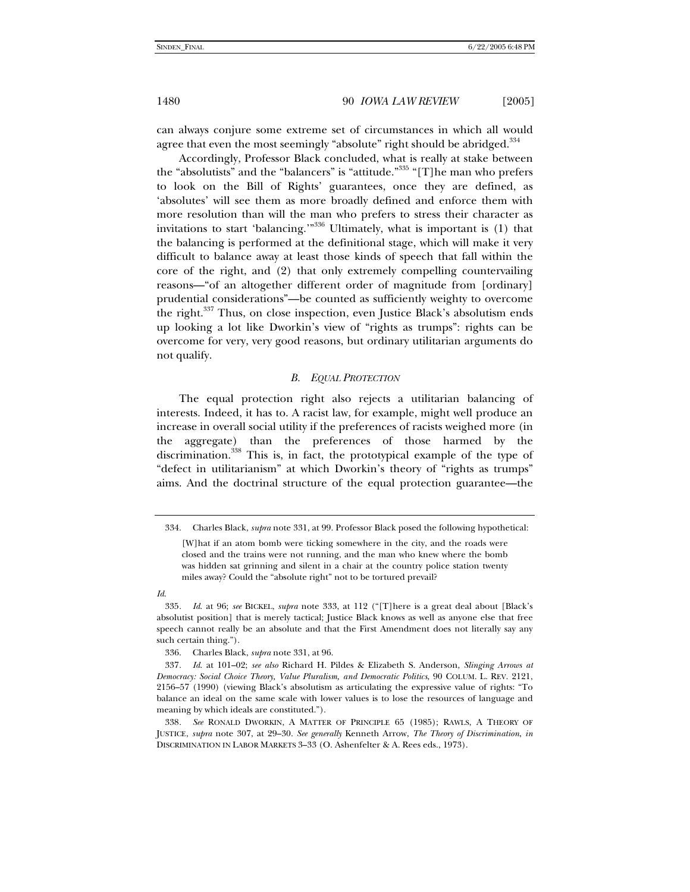can always conjure some extreme set of circumstances in which all would agree that even the most seemingly "absolute" right should be abridged.<sup>334</sup>

Accordingly, Professor Black concluded, what is really at stake between the "absolutists" and the "balancers" is "attitude."<sup>335</sup> "[T]he man who prefers to look on the Bill of Rights' guarantees, once they are defined, as 'absolutes' will see them as more broadly defined and enforce them with more resolution than will the man who prefers to stress their character as invitations to start 'balancing.'"<sup>336</sup> Ultimately, what is important is (1) that the balancing is performed at the definitional stage, which will make it very difficult to balance away at least those kinds of speech that fall within the core of the right, and (2) that only extremely compelling countervailing reasons—"of an altogether different order of magnitude from [ordinary] prudential considerations"—be counted as sufficiently weighty to overcome the right.<sup>337</sup> Thus, on close inspection, even Justice Black's absolutism ends up looking a lot like Dworkin's view of "rights as trumps": rights can be overcome for very, very good reasons, but ordinary utilitarian arguments do not qualify.

# *B. EQUAL PROTECTION*

The equal protection right also rejects a utilitarian balancing of interests. Indeed, it has to. A racist law, for example, might well produce an increase in overall social utility if the preferences of racists weighed more (in the aggregate) than the preferences of those harmed by the discrimination.338 This is, in fact, the prototypical example of the type of "defect in utilitarianism" at which Dworkin's theory of "rights as trumps" aims. And the doctrinal structure of the equal protection guarantee—the

*Id*.

 <sup>334.</sup> Charles Black, *supra* note 331, at 99. Professor Black posed the following hypothetical:

<sup>[</sup>W]hat if an atom bomb were ticking somewhere in the city, and the roads were closed and the trains were not running, and the man who knew where the bomb was hidden sat grinning and silent in a chair at the country police station twenty miles away? Could the "absolute right" not to be tortured prevail?

<sup>335</sup>*. Id*. at 96; *see* BICKEL, *supra* note 333, at 112 ("[T]here is a great deal about [Black's absolutist position] that is merely tactical; Justice Black knows as well as anyone else that free speech cannot really be an absolute and that the First Amendment does not literally say any such certain thing.").

 <sup>336.</sup> Charles Black, *supra* note 331, at 96.

<sup>337</sup>*. Id*. at 101–02; *see also* Richard H. Pildes & Elizabeth S. Anderson, *Slinging Arrows at Democracy: Social Choice Theory, Value Pluralism, and Democratic Politics*, 90 COLUM. L. REV. 2121, 2156–57 (1990) (viewing Black's absolutism as articulating the expressive value of rights: "To balance an ideal on the same scale with lower values is to lose the resources of language and meaning by which ideals are constituted.").

<sup>338</sup>*. See* RONALD DWORKIN, A MATTER OF PRINCIPLE 65 (1985); RAWLS, A THEORY OF JUSTICE, *supra* note 307, at 29–30. *See generally* Kenneth Arrow, *The Theory of Discrimination*, *in* DISCRIMINATION IN LABOR MARKETS 3–33 (O. Ashenfelter & A. Rees eds., 1973).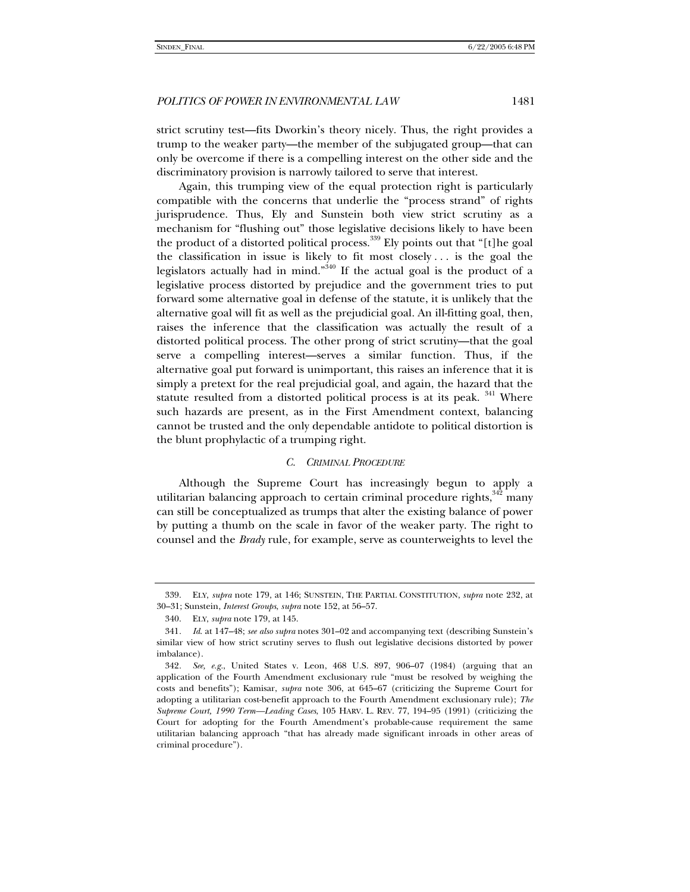strict scrutiny test—fits Dworkin's theory nicely. Thus, the right provides a trump to the weaker party—the member of the subjugated group—that can only be overcome if there is a compelling interest on the other side and the discriminatory provision is narrowly tailored to serve that interest.

Again, this trumping view of the equal protection right is particularly compatible with the concerns that underlie the "process strand" of rights jurisprudence. Thus, Ely and Sunstein both view strict scrutiny as a mechanism for "flushing out" those legislative decisions likely to have been the product of a distorted political process.<sup>339</sup> Ely points out that "[t]he goal the classification in issue is likely to fit most closely . . . is the goal the legislators actually had in mind."<sup>340</sup> If the actual goal is the product of a legislative process distorted by prejudice and the government tries to put forward some alternative goal in defense of the statute, it is unlikely that the alternative goal will fit as well as the prejudicial goal. An ill-fitting goal, then, raises the inference that the classification was actually the result of a distorted political process. The other prong of strict scrutiny—that the goal serve a compelling interest—serves a similar function. Thus, if the alternative goal put forward is unimportant, this raises an inference that it is simply a pretext for the real prejudicial goal, and again, the hazard that the statute resulted from a distorted political process is at its peak. <sup>341</sup> Where such hazards are present, as in the First Amendment context, balancing cannot be trusted and the only dependable antidote to political distortion is the blunt prophylactic of a trumping right.

#### *C. CRIMINAL PROCEDURE*

Although the Supreme Court has increasingly begun to apply a utilitarian balancing approach to certain criminal procedure rights,<sup>342</sup> many can still be conceptualized as trumps that alter the existing balance of power by putting a thumb on the scale in favor of the weaker party. The right to counsel and the *Brady* rule, for example, serve as counterweights to level the

 <sup>339.</sup> ELY, *supra* note 179, at 146; SUNSTEIN, THE PARTIAL CONSTITUTION, *supra* note 232, at 30–31; Sunstein, *Interest Groups*, *supra* note 152, at 56–57.

 <sup>340.</sup> ELY, *supra* note 179, at 145.

<sup>341</sup>*. Id*. at 147–48; *see also supra* notes 301–02 and accompanying text (describing Sunstein's similar view of how strict scrutiny serves to flush out legislative decisions distorted by power imbalance).

<sup>342</sup>*. See, e.g.*, United States v. Leon, 468 U.S. 897, 906–07 (1984) (arguing that an application of the Fourth Amendment exclusionary rule "must be resolved by weighing the costs and benefits"); Kamisar, *supra* note 306, at 645–67 (criticizing the Supreme Court for adopting a utilitarian cost-benefit approach to the Fourth Amendment exclusionary rule); *The Supreme Court, 1990 Term—Leading Cases*, 105 HARV. L. REV. 77, 194–95 (1991) (criticizing the Court for adopting for the Fourth Amendment's probable-cause requirement the same utilitarian balancing approach "that has already made significant inroads in other areas of criminal procedure").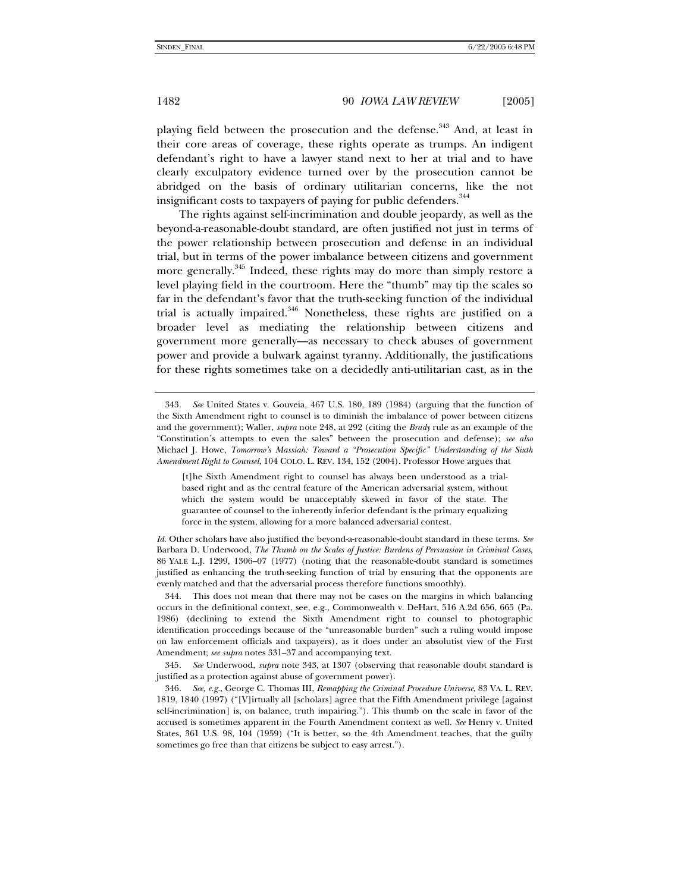playing field between the prosecution and the defense.<sup>343</sup> And, at least in their core areas of coverage, these rights operate as trumps. An indigent defendant's right to have a lawyer stand next to her at trial and to have clearly exculpatory evidence turned over by the prosecution cannot be abridged on the basis of ordinary utilitarian concerns, like the not insignificant costs to taxpayers of paying for public defenders.<sup>344</sup>

The rights against self-incrimination and double jeopardy, as well as the beyond-a-reasonable-doubt standard, are often justified not just in terms of the power relationship between prosecution and defense in an individual trial, but in terms of the power imbalance between citizens and government more generally.<sup>345</sup> Indeed, these rights may do more than simply restore a level playing field in the courtroom. Here the "thumb" may tip the scales so far in the defendant's favor that the truth-seeking function of the individual trial is actually impaired. $346$  Nonetheless, these rights are justified on a broader level as mediating the relationship between citizens and government more generally—as necessary to check abuses of government power and provide a bulwark against tyranny. Additionally, the justifications for these rights sometimes take on a decidedly anti-utilitarian cast, as in the

[t]he Sixth Amendment right to counsel has always been understood as a trialbased right and as the central feature of the American adversarial system, without which the system would be unacceptably skewed in favor of the state. The guarantee of counsel to the inherently inferior defendant is the primary equalizing force in the system, allowing for a more balanced adversarial contest.

*Id*. Other scholars have also justified the beyond-a-reasonable-doubt standard in these terms. *See* Barbara D. Underwood, *The Thumb on the Scales of Justice: Burdens of Persuasion in Criminal Cases*, 86 YALE L.J. 1299, 1306–07 (1977) (noting that the reasonable-doubt standard is sometimes justified as enhancing the truth-seeking function of trial by ensuring that the opponents are evenly matched and that the adversarial process therefore functions smoothly).

 344. This does not mean that there may not be cases on the margins in which balancing occurs in the definitional context, see, e.g., Commonwealth v. DeHart, 516 A.2d 656, 665 (Pa. 1986) (declining to extend the Sixth Amendment right to counsel to photographic identification proceedings because of the "unreasonable burden" such a ruling would impose on law enforcement officials and taxpayers), as it does under an absolutist view of the First Amendment; *see supra* notes 331–37 and accompanying text.

345*. See* Underwood, *supra* note 343, at 1307 (observing that reasonable doubt standard is justified as a protection against abuse of government power).

346*. See, e.g.*, George C. Thomas III, *Remapping the Criminal Procedure Universe*, 83 VA. L. REV. 1819, 1840 (1997) ("[V]irtually all [scholars] agree that the Fifth Amendment privilege [against self-incrimination] is, on balance, truth impairing."). This thumb on the scale in favor of the accused is sometimes apparent in the Fourth Amendment context as well. *See* Henry v. United States, 361 U.S. 98, 104 (1959) ("It is better, so the 4th Amendment teaches, that the guilty sometimes go free than that citizens be subject to easy arrest.").

<sup>343</sup>*. See* United States v. Gouveia, 467 U.S. 180, 189 (1984) (arguing that the function of the Sixth Amendment right to counsel is to diminish the imbalance of power between citizens and the government); Waller, *supra* note 248, at 292 (citing the *Brady* rule as an example of the "Constitution's attempts to even the sales" between the prosecution and defense); *see also*  Michael J. Howe, *Tomorrow's Massiah: Toward a "Prosecution Specific" Understanding of the Sixth Amendment Right to Counsel*, 104 COLO. L. REV. 134, 152 (2004). Professor Howe argues that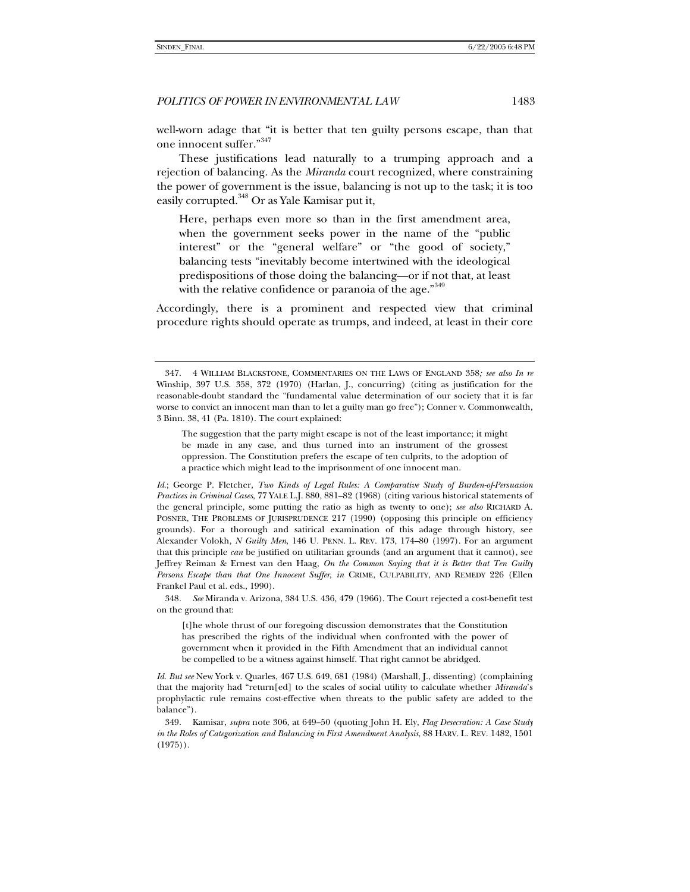well-worn adage that "it is better that ten guilty persons escape, than that one innocent suffer."<sup>347</sup>

These justifications lead naturally to a trumping approach and a rejection of balancing. As the *Miranda* court recognized, where constraining the power of government is the issue, balancing is not up to the task; it is too easily corrupted.<sup>348</sup> Or as Yale Kamisar put it,

Here, perhaps even more so than in the first amendment area, when the government seeks power in the name of the "public interest" or the "general welfare" or "the good of society," balancing tests "inevitably become intertwined with the ideological predispositions of those doing the balancing—or if not that, at least with the relative confidence or paranoia of the age."<sup>349</sup>

Accordingly, there is a prominent and respected view that criminal procedure rights should operate as trumps, and indeed, at least in their core

348*. See* Miranda v. Arizona, 384 U.S. 436, 479 (1966). The Court rejected a cost-benefit test on the ground that:

[t]he whole thrust of our foregoing discussion demonstrates that the Constitution has prescribed the rights of the individual when confronted with the power of government when it provided in the Fifth Amendment that an individual cannot be compelled to be a witness against himself. That right cannot be abridged.

*Id*. *But see* New York v. Quarles, 467 U.S. 649, 681 (1984) (Marshall, J., dissenting) (complaining that the majority had "return[ed] to the scales of social utility to calculate whether *Miranda*'s prophylactic rule remains cost-effective when threats to the public safety are added to the balance").

 <sup>347. 4</sup> WILLIAM BLACKSTONE, COMMENTARIES ON THE LAWS OF ENGLAND 358*; see also In re* Winship, 397 U.S. 358, 372 (1970) (Harlan, J., concurring) (citing as justification for the reasonable-doubt standard the "fundamental value determination of our society that it is far worse to convict an innocent man than to let a guilty man go free"); Conner v. Commonwealth, 3 Binn. 38, 41 (Pa. 1810). The court explained:

The suggestion that the party might escape is not of the least importance; it might be made in any case, and thus turned into an instrument of the grossest oppression. The Constitution prefers the escape of ten culprits, to the adoption of a practice which might lead to the imprisonment of one innocent man.

*Id*.; George P. Fletcher, *Two Kinds of Legal Rules: A Comparative Study of Burden-of-Persuasion Practices in Criminal Cases*, 77 YALE L.J. 880, 881–82 (1968) (citing various historical statements of the general principle, some putting the ratio as high as twenty to one); *see also* RICHARD A. POSNER, THE PROBLEMS OF JURISPRUDENCE 217 (1990) (opposing this principle on efficiency grounds). For a thorough and satirical examination of this adage through history, see Alexander Volokh, *N Guilty Men*, 146 U. PENN. L. REV. 173, 174–80 (1997). For an argument that this principle *can* be justified on utilitarian grounds (and an argument that it cannot), see Jeffrey Reiman & Ernest van den Haag, *On the Common Saying that it is Better that Ten Guilty Persons Escape than that One Innocent Suffer*, *in* CRIME, CULPABILITY, AND REMEDY 226 (Ellen Frankel Paul et al. eds., 1990).

 <sup>349.</sup> Kamisar, *supra* note 306, at 649–50 (quoting John H. Ely, *Flag Desecration: A Case Study in the Roles of Categorization and Balancing in First Amendment Analysis*, 88 HARV. L. REV. 1482, 1501 (1975)).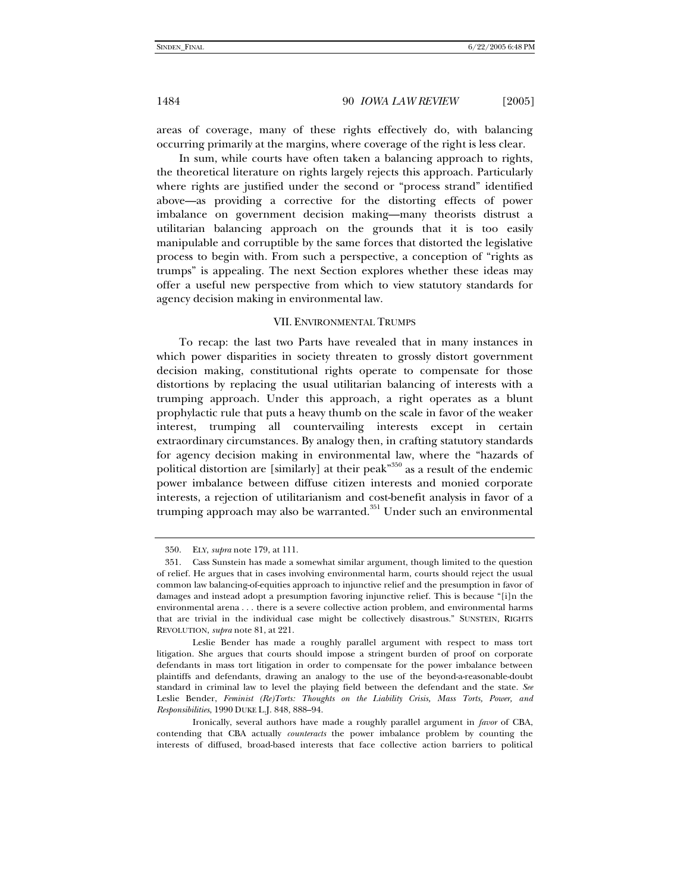areas of coverage, many of these rights effectively do, with balancing occurring primarily at the margins, where coverage of the right is less clear.

In sum, while courts have often taken a balancing approach to rights, the theoretical literature on rights largely rejects this approach. Particularly where rights are justified under the second or "process strand" identified above—as providing a corrective for the distorting effects of power imbalance on government decision making—many theorists distrust a utilitarian balancing approach on the grounds that it is too easily manipulable and corruptible by the same forces that distorted the legislative process to begin with. From such a perspective, a conception of "rights as trumps" is appealing. The next Section explores whether these ideas may offer a useful new perspective from which to view statutory standards for agency decision making in environmental law.

## VII. ENVIRONMENTAL TRUMPS

To recap: the last two Parts have revealed that in many instances in which power disparities in society threaten to grossly distort government decision making, constitutional rights operate to compensate for those distortions by replacing the usual utilitarian balancing of interests with a trumping approach. Under this approach, a right operates as a blunt prophylactic rule that puts a heavy thumb on the scale in favor of the weaker interest, trumping all countervailing interests except in certain extraordinary circumstances. By analogy then, in crafting statutory standards for agency decision making in environmental law, where the "hazards of political distortion are [similarly] at their peak"350 as a result of the endemic power imbalance between diffuse citizen interests and monied corporate interests, a rejection of utilitarianism and cost-benefit analysis in favor of a trumping approach may also be warranted.<sup>351</sup> Under such an environmental

 <sup>350.</sup> ELY, *supra* note 179, at 111.

 <sup>351.</sup> Cass Sunstein has made a somewhat similar argument, though limited to the question of relief. He argues that in cases involving environmental harm, courts should reject the usual common law balancing-of-equities approach to injunctive relief and the presumption in favor of damages and instead adopt a presumption favoring injunctive relief. This is because "[i]n the environmental arena . . . there is a severe collective action problem, and environmental harms that are trivial in the individual case might be collectively disastrous." SUNSTEIN, RIGHTS REVOLUTION, *supra* note 81, at 221.

Leslie Bender has made a roughly parallel argument with respect to mass tort litigation. She argues that courts should impose a stringent burden of proof on corporate defendants in mass tort litigation in order to compensate for the power imbalance between plaintiffs and defendants, drawing an analogy to the use of the beyond-a-reasonable-doubt standard in criminal law to level the playing field between the defendant and the state. *See* Leslie Bender, *Feminist (Re)Torts: Thoughts on the Liability Crisis, Mass Torts, Power, and Responsibilities*, 1990 DUKE L.J. 848, 888–94.

Ironically, several authors have made a roughly parallel argument in *favor* of CBA, contending that CBA actually *counteracts* the power imbalance problem by counting the interests of diffused, broad-based interests that face collective action barriers to political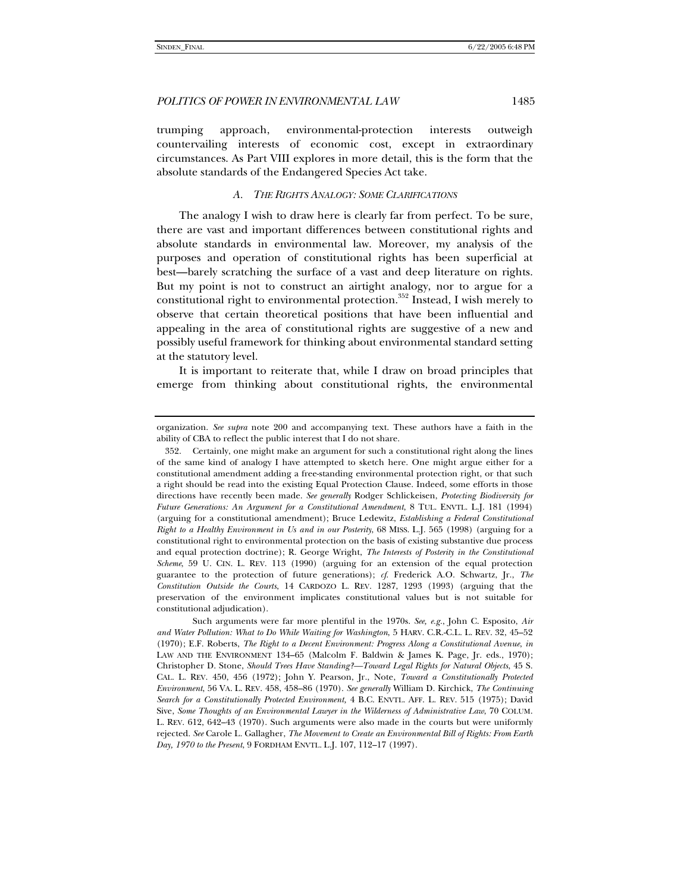trumping approach, environmental-protection interests outweigh countervailing interests of economic cost, except in extraordinary circumstances. As Part VIII explores in more detail, this is the form that the absolute standards of the Endangered Species Act take.

#### *A. THE RIGHTS ANALOGY: SOME CLARIFICATIONS*

The analogy I wish to draw here is clearly far from perfect. To be sure, there are vast and important differences between constitutional rights and absolute standards in environmental law. Moreover, my analysis of the purposes and operation of constitutional rights has been superficial at best—barely scratching the surface of a vast and deep literature on rights. But my point is not to construct an airtight analogy, nor to argue for a constitutional right to environmental protection.<sup>352</sup> Instead, I wish merely to observe that certain theoretical positions that have been influential and appealing in the area of constitutional rights are suggestive of a new and possibly useful framework for thinking about environmental standard setting at the statutory level.

It is important to reiterate that, while I draw on broad principles that emerge from thinking about constitutional rights, the environmental

organization. *See supra* note 200 and accompanying text. These authors have a faith in the ability of CBA to reflect the public interest that I do not share.

 <sup>352.</sup> Certainly, one might make an argument for such a constitutional right along the lines of the same kind of analogy I have attempted to sketch here. One might argue either for a constitutional amendment adding a free-standing environmental protection right, or that such a right should be read into the existing Equal Protection Clause. Indeed, some efforts in those directions have recently been made. *See generally* Rodger Schlickeisen, *Protecting Biodiversity for Future Generations: An Argument for a Constitutional Amendment*, 8 TUL. ENVTL. L.J. 181 (1994) (arguing for a constitutional amendment); Bruce Ledewitz, *Establishing a Federal Constitutional Right to a Healthy Environment in Us and in our Posterity*, 68 MISS. L.J. 565 (1998) (arguing for a constitutional right to environmental protection on the basis of existing substantive due process and equal protection doctrine); R. George Wright, *The Interests of Posterity in the Constitutional Scheme*, 59 U. CIN. L. REV. 113 (1990) (arguing for an extension of the equal protection guarantee to the protection of future generations); *cf*. Frederick A.O. Schwartz, Jr., *The Constitution Outside the Courts*, 14 CARDOZO L. REV. 1287, 1293 (1993) (arguing that the preservation of the environment implicates constitutional values but is not suitable for constitutional adjudication).

Such arguments were far more plentiful in the 1970s. *See, e.g.*, John C. Esposito, *Air and Water Pollution: What to Do While Waiting for Washington*, 5 HARV. C.R.-C.L. L. REV. 32, 45–52 (1970); E.F. Roberts, *The Right to a Decent Environment: Progress Along a Constitutional Avenue*, *in* LAW AND THE ENVIRONMENT 134–65 (Malcolm F. Baldwin & James K. Page, Jr. eds., 1970); Christopher D. Stone, *Should Trees Have Standing?—Toward Legal Rights for Natural Objects*, 45 S. CAL. L. REV. 450, 456 (1972); John Y. Pearson, Jr., Note, *Toward a Constitutionally Protected Environment*, 56 VA. L. REV. 458, 458–86 (1970). *See generally* William D. Kirchick, *The Continuing Search for a Constitutionally Protected Environment,* 4 B.C. ENVTL. AFF. L. REV. 515 (1975); David Sive, *Some Thoughts of an Environmental Lawyer in the Wilderness of Administrative Law*, 70 COLUM. L. REV. 612, 642–43 (1970). Such arguments were also made in the courts but were uniformly rejected. *See* Carole L. Gallagher, *The Movement to Create an Environmental Bill of Rights: From Earth Day, 1970 to the Present*, 9 FORDHAM ENVTL. L.J. 107, 112–17 (1997).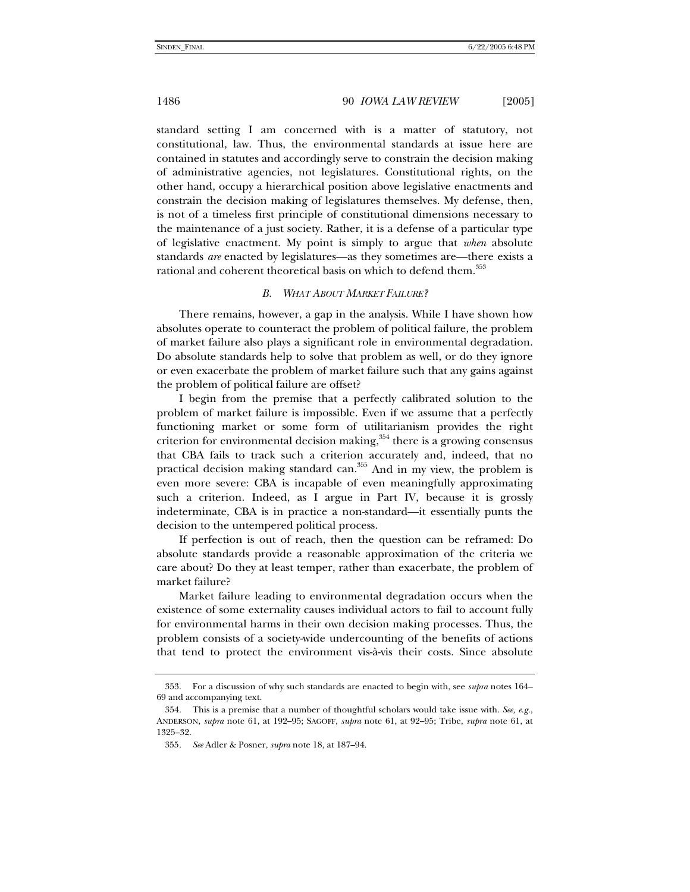standard setting I am concerned with is a matter of statutory, not constitutional, law. Thus, the environmental standards at issue here are contained in statutes and accordingly serve to constrain the decision making of administrative agencies, not legislatures. Constitutional rights, on the other hand, occupy a hierarchical position above legislative enactments and constrain the decision making of legislatures themselves. My defense, then, is not of a timeless first principle of constitutional dimensions necessary to the maintenance of a just society. Rather, it is a defense of a particular type of legislative enactment. My point is simply to argue that *when* absolute standards *are* enacted by legislatures—as they sometimes are—there exists a rational and coherent theoretical basis on which to defend them.<sup>353</sup>

#### *B. WHAT ABOUT MARKET FAILURE?*

There remains, however, a gap in the analysis. While I have shown how absolutes operate to counteract the problem of political failure, the problem of market failure also plays a significant role in environmental degradation. Do absolute standards help to solve that problem as well, or do they ignore or even exacerbate the problem of market failure such that any gains against the problem of political failure are offset?

I begin from the premise that a perfectly calibrated solution to the problem of market failure is impossible. Even if we assume that a perfectly functioning market or some form of utilitarianism provides the right criterion for environmental decision making,  $354$  there is a growing consensus that CBA fails to track such a criterion accurately and, indeed, that no practical decision making standard can.<sup>355</sup> And in my view, the problem is even more severe: CBA is incapable of even meaningfully approximating such a criterion. Indeed, as I argue in Part IV, because it is grossly indeterminate, CBA is in practice a non-standard—it essentially punts the decision to the untempered political process.

If perfection is out of reach, then the question can be reframed: Do absolute standards provide a reasonable approximation of the criteria we care about? Do they at least temper, rather than exacerbate, the problem of market failure?

Market failure leading to environmental degradation occurs when the existence of some externality causes individual actors to fail to account fully for environmental harms in their own decision making processes. Thus, the problem consists of a society-wide undercounting of the benefits of actions that tend to protect the environment vis-à-vis their costs. Since absolute

 <sup>353.</sup> For a discussion of why such standards are enacted to begin with, see *supra* notes 164– 69 and accompanying text.

 <sup>354.</sup> This is a premise that a number of thoughtful scholars would take issue with. *See, e.g.*, ANDERSON, *supra* note 61, at 192–95; SAGOFF, *supra* note 61, at 92–95; Tribe, *supra* note 61, at 1325–32.

<sup>355</sup>*. See* Adler & Posner, *supra* note 18, at 187–94.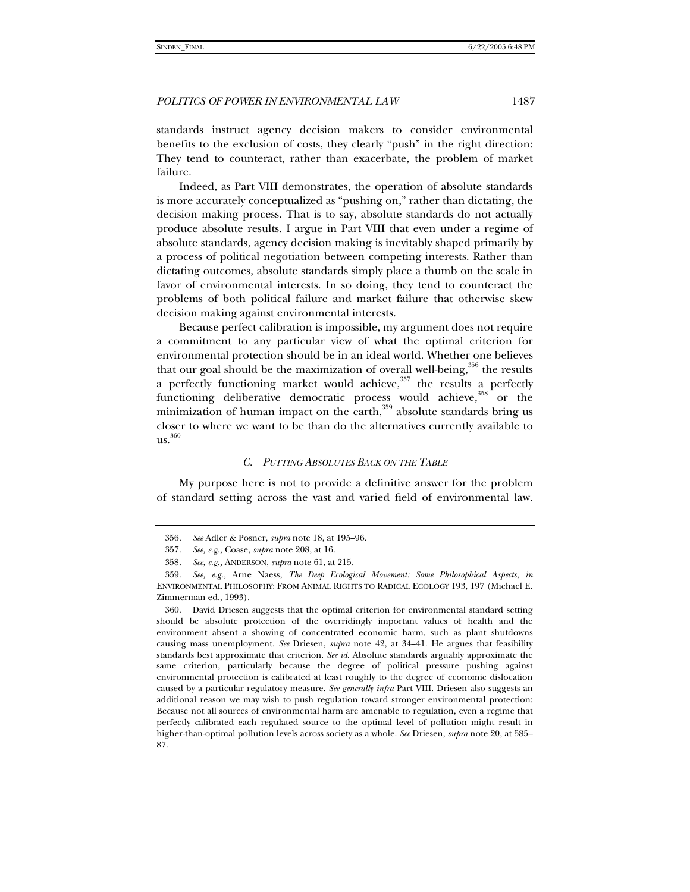standards instruct agency decision makers to consider environmental benefits to the exclusion of costs, they clearly "push" in the right direction: They tend to counteract, rather than exacerbate, the problem of market failure.

Indeed, as Part VIII demonstrates, the operation of absolute standards is more accurately conceptualized as "pushing on," rather than dictating, the decision making process. That is to say, absolute standards do not actually produce absolute results. I argue in Part VIII that even under a regime of absolute standards, agency decision making is inevitably shaped primarily by a process of political negotiation between competing interests. Rather than dictating outcomes, absolute standards simply place a thumb on the scale in favor of environmental interests. In so doing, they tend to counteract the problems of both political failure and market failure that otherwise skew decision making against environmental interests.

Because perfect calibration is impossible, my argument does not require a commitment to any particular view of what the optimal criterion for environmental protection should be in an ideal world. Whether one believes that our goal should be the maximization of overall well-being, $356$  the results a perfectly functioning market would achieve,  $357$  the results a perfectly functioning deliberative democratic process would achieve,  $358$  or the minimization of human impact on the earth,<sup>359</sup> absolute standards bring us closer to where we want to be than do the alternatives currently available to us.360

# *C. PUTTING ABSOLUTES BACK ON THE TABLE*

My purpose here is not to provide a definitive answer for the problem of standard setting across the vast and varied field of environmental law.

<sup>356</sup>*. See* Adler & Posner, *supra* note 18, at 195–96.

<sup>357</sup>*. See, e.g.,* Coase, *supra* note 208, at 16.

<sup>358</sup>*. See, e.g.,* ANDERSON, *supra* note 61, at 215.

 <sup>359.</sup> *See, e.g.,* Arne Naess, *The Deep Ecological Movement: Some Philosophical Aspects*, *in* ENVIRONMENTAL PHILOSOPHY: FROM ANIMAL RIGHTS TO RADICAL ECOLOGY 193, 197 (Michael E. Zimmerman ed., 1993).

 <sup>360.</sup> David Driesen suggests that the optimal criterion for environmental standard setting should be absolute protection of the overridingly important values of health and the environment absent a showing of concentrated economic harm, such as plant shutdowns causing mass unemployment. *See* Driesen, *supra* note 42, at 34–41. He argues that feasibility standards best approximate that criterion. *See id*. Absolute standards arguably approximate the same criterion, particularly because the degree of political pressure pushing against environmental protection is calibrated at least roughly to the degree of economic dislocation caused by a particular regulatory measure. *See generally infra* Part VIII. Driesen also suggests an additional reason we may wish to push regulation toward stronger environmental protection: Because not all sources of environmental harm are amenable to regulation, even a regime that perfectly calibrated each regulated source to the optimal level of pollution might result in higher-than-optimal pollution levels across society as a whole. *See* Driesen, *supra* note 20, at 585– 87.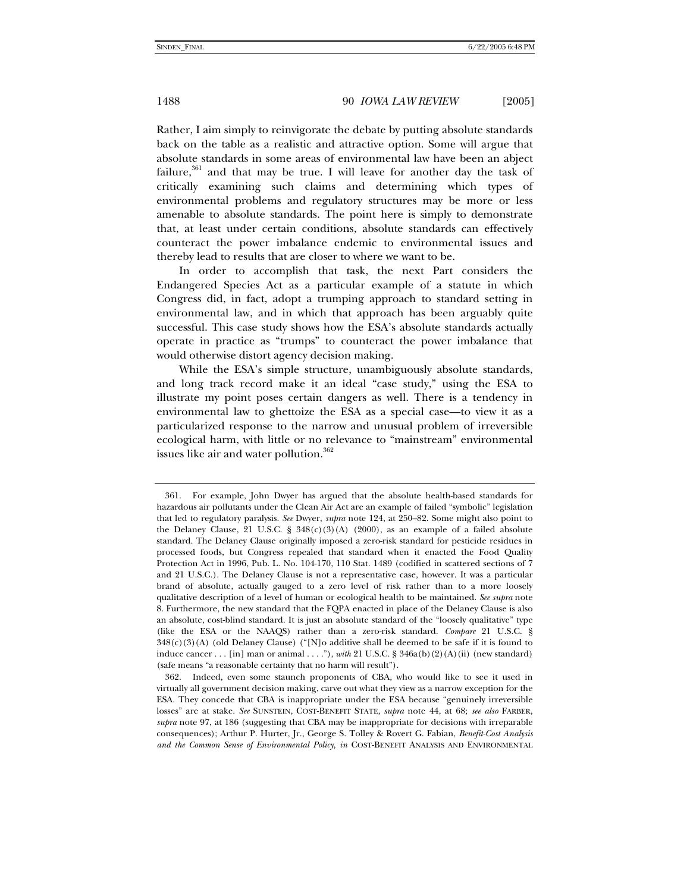Rather, I aim simply to reinvigorate the debate by putting absolute standards back on the table as a realistic and attractive option. Some will argue that absolute standards in some areas of environmental law have been an abject failure, $361$  and that may be true. I will leave for another day the task of critically examining such claims and determining which types of environmental problems and regulatory structures may be more or less amenable to absolute standards. The point here is simply to demonstrate that, at least under certain conditions, absolute standards can effectively counteract the power imbalance endemic to environmental issues and thereby lead to results that are closer to where we want to be.

In order to accomplish that task, the next Part considers the Endangered Species Act as a particular example of a statute in which Congress did, in fact, adopt a trumping approach to standard setting in environmental law, and in which that approach has been arguably quite successful. This case study shows how the ESA's absolute standards actually operate in practice as "trumps" to counteract the power imbalance that would otherwise distort agency decision making.

While the ESA's simple structure, unambiguously absolute standards, and long track record make it an ideal "case study," using the ESA to illustrate my point poses certain dangers as well. There is a tendency in environmental law to ghettoize the ESA as a special case—to view it as a particularized response to the narrow and unusual problem of irreversible ecological harm, with little or no relevance to "mainstream" environmental issues like air and water pollution.<sup>362</sup>

 <sup>361.</sup> For example, John Dwyer has argued that the absolute health-based standards for hazardous air pollutants under the Clean Air Act are an example of failed "symbolic" legislation that led to regulatory paralysis. *See* Dwyer, *supra* note 124, at 250–82. Some might also point to the Delaney Clause, 21 U.S.C. §  $348(c)(3)(A)$  (2000), as an example of a failed absolute standard. The Delaney Clause originally imposed a zero-risk standard for pesticide residues in processed foods, but Congress repealed that standard when it enacted the Food Quality Protection Act in 1996, Pub. L. No. 104-170, 110 Stat. 1489 (codified in scattered sections of 7 and 21 U.S.C.). The Delaney Clause is not a representative case, however. It was a particular brand of absolute, actually gauged to a zero level of risk rather than to a more loosely qualitative description of a level of human or ecological health to be maintained. *See supra* note 8. Furthermore, the new standard that the FQPA enacted in place of the Delaney Clause is also an absolute, cost-blind standard. It is just an absolute standard of the "loosely qualitative" type (like the ESA or the NAAQS) rather than a zero-risk standard. *Compare* 21 U.S.C. §  $348(c)(3)(A)$  (old Delaney Clause) ("[N]o additive shall be deemed to be safe if it is found to induce cancer . . . [in] man or animal . . . ."), *with* 21 U.S.C. § 346a(b)(2)(A)(ii) (new standard) (safe means "a reasonable certainty that no harm will result").

 <sup>362.</sup> Indeed, even some staunch proponents of CBA, who would like to see it used in virtually all government decision making, carve out what they view as a narrow exception for the ESA. They concede that CBA is inappropriate under the ESA because "genuinely irreversible losses" are at stake. *See* SUNSTEIN, COST-BENEFIT STATE, *supra* note 44, at 68; *see also* FARBER, *supra* note 97, at 186 (suggesting that CBA may be inappropriate for decisions with irreparable consequences); Arthur P. Hurter, Jr., George S. Tolley & Rovert G. Fabian, *Benefit-Cost Analysis and the Common Sense of Environmental Policy*, *in* COST-BENEFIT ANALYSIS AND ENVIRONMENTAL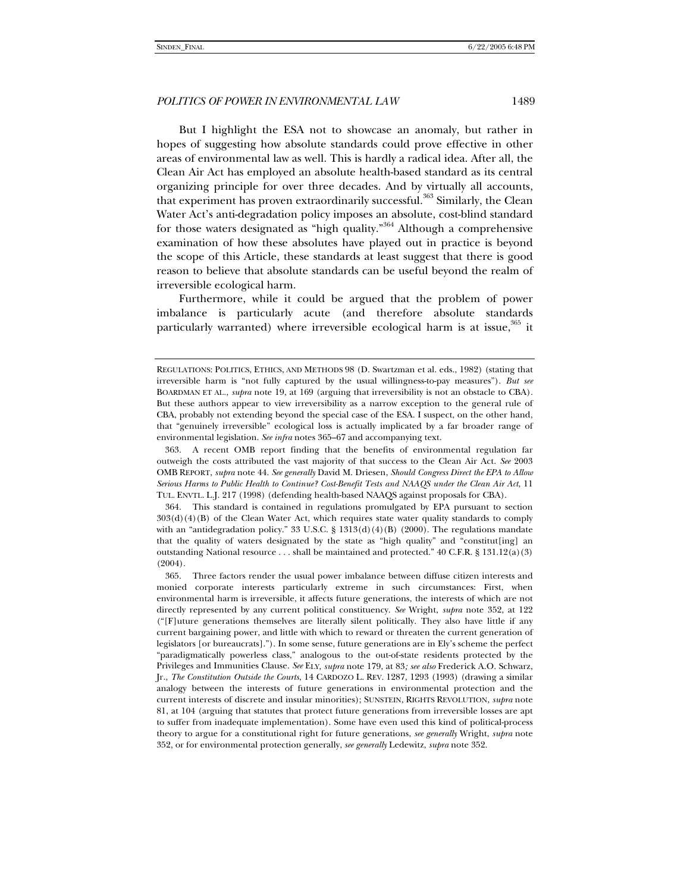But I highlight the ESA not to showcase an anomaly, but rather in hopes of suggesting how absolute standards could prove effective in other areas of environmental law as well. This is hardly a radical idea. After all, the Clean Air Act has employed an absolute health-based standard as its central organizing principle for over three decades. And by virtually all accounts, that experiment has proven extraordinarily successful.<sup>363</sup> Similarly, the Clean Water Act's anti-degradation policy imposes an absolute, cost-blind standard for those waters designated as "high quality."364 Although a comprehensive examination of how these absolutes have played out in practice is beyond the scope of this Article, these standards at least suggest that there is good reason to believe that absolute standards can be useful beyond the realm of irreversible ecological harm.

Furthermore, while it could be argued that the problem of power imbalance is particularly acute (and therefore absolute standards particularly warranted) where irreversible ecological harm is at issue,  $365$  it

 364. This standard is contained in regulations promulgated by EPA pursuant to section 303(d)(4)(B) of the Clean Water Act, which requires state water quality standards to comply with an "antidegradation policy." 33 U.S.C. §  $1313(d)(4)(B)(2000)$ . The regulations mandate that the quality of waters designated by the state as "high quality" and "constitut [ing] an outstanding National resource . . . shall be maintained and protected." 40 C.F.R. § 131.12(a)(3) (2004).

REGULATIONS: POLITICS, ETHICS, AND METHODS 98 (D. Swartzman et al. eds., 1982) (stating that irreversible harm is "not fully captured by the usual willingness-to-pay measures"). *But see* BOARDMAN ET AL., *supra* note 19, at 169 (arguing that irreversibility is not an obstacle to CBA). But these authors appear to view irreversibility as a narrow exception to the general rule of CBA, probably not extending beyond the special case of the ESA. I suspect, on the other hand, that "genuinely irreversible" ecological loss is actually implicated by a far broader range of environmental legislation. *See infra* notes 365–67 and accompanying text.

 <sup>363.</sup> A recent OMB report finding that the benefits of environmental regulation far outweigh the costs attributed the vast majority of that success to the Clean Air Act. *See* 2003 OMB REPORT, *supra* note 44. *See generally* David M. Driesen, *Should Congress Direct the EPA to Allow Serious Harms to Public Health to Continue? Cost-Benefit Tests and NAAQS under the Clean Air Act*, 11 TUL. ENVTL. L.J. 217 (1998) (defending health-based NAAQS against proposals for CBA).

 <sup>365.</sup> Three factors render the usual power imbalance between diffuse citizen interests and monied corporate interests particularly extreme in such circumstances: First, when environmental harm is irreversible, it affects future generations, the interests of which are not directly represented by any current political constituency. *See* Wright, *supra* note 352, at 122 ("[F]uture generations themselves are literally silent politically. They also have little if any current bargaining power, and little with which to reward or threaten the current generation of legislators [or bureaucrats]."). In some sense, future generations are in Ely's scheme the perfect "paradigmatically powerless class," analogous to the out-of-state residents protected by the Privileges and Immunities Clause. *See* ELY, *supra* note 179, at 83*; see also* Frederick A.O. Schwarz, Jr., *The Constitution Outside the Courts*, 14 CARDOZO L. REV. 1287, 1293 (1993) (drawing a similar analogy between the interests of future generations in environmental protection and the current interests of discrete and insular minorities); SUNSTEIN, RIGHTS REVOLUTION, *supra* note 81, at 104 (arguing that statutes that protect future generations from irreversible losses are apt to suffer from inadequate implementation). Some have even used this kind of political-process theory to argue for a constitutional right for future generations, *see generally* Wright, *supra* note 352, or for environmental protection generally, *see generally* Ledewitz, *supra* note 352.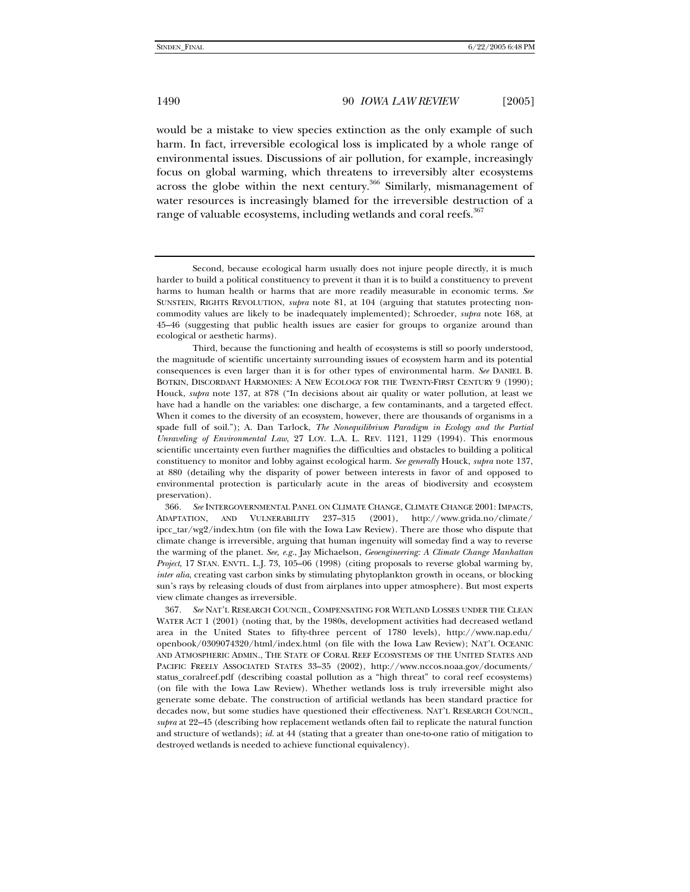would be a mistake to view species extinction as the only example of such harm. In fact, irreversible ecological loss is implicated by a whole range of environmental issues. Discussions of air pollution, for example, increasingly focus on global warming, which threatens to irreversibly alter ecosystems across the globe within the next century.<sup>366</sup> Similarly, mismanagement of water resources is increasingly blamed for the irreversible destruction of a range of valuable ecosystems, including wetlands and coral reefs.<sup>367</sup>

Second, because ecological harm usually does not injure people directly, it is much harder to build a political constituency to prevent it than it is to build a constituency to prevent harms to human health or harms that are more readily measurable in economic terms. *See* SUNSTEIN, RIGHTS REVOLUTION, *supra* note 81, at 104 (arguing that statutes protecting noncommodity values are likely to be inadequately implemented); Schroeder, *supra* note 168, at 45–46 (suggesting that public health issues are easier for groups to organize around than ecological or aesthetic harms).

Third, because the functioning and health of ecosystems is still so poorly understood, the magnitude of scientific uncertainty surrounding issues of ecosystem harm and its potential consequences is even larger than it is for other types of environmental harm. *See* DANIEL B. BOTKIN, DISCORDANT HARMONIES: A NEW ECOLOGY FOR THE TWENTY-FIRST CENTURY 9 (1990); Houck, *supra* note 137, at 878 ("In decisions about air quality or water pollution, at least we have had a handle on the variables: one discharge, a few contaminants, and a targeted effect. When it comes to the diversity of an ecosystem, however, there are thousands of organisms in a spade full of soil."); A. Dan Tarlock, *The Nonequilibrium Paradigm in Ecology and the Partial Unraveling of Environmental Law*, 27 LOY. L.A. L. REV. 1121, 1129 (1994). This enormous scientific uncertainty even further magnifies the difficulties and obstacles to building a political constituency to monitor and lobby against ecological harm. *See generally* Houck, *supra* note 137, at 880 (detailing why the disparity of power between interests in favor of and opposed to environmental protection is particularly acute in the areas of biodiversity and ecosystem preservation).

<sup>366</sup>*. See* INTERGOVERNMENTAL PANEL ON CLIMATE CHANGE, CLIMATE CHANGE 2001: IMPACTS, ADAPTATION, AND VULNERABILITY 237–315 (2001), http://www.grida.no/climate/ ipcc\_tar/wg2/index.htm (on file with the Iowa Law Review). There are those who dispute that climate change is irreversible, arguing that human ingenuity will someday find a way to reverse the warming of the planet. *See, e.g.*, Jay Michaelson, *Geoengineering: A Climate Change Manhattan Project*, 17 STAN. ENVTL. L.J. 73, 105–06 (1998) (citing proposals to reverse global warming by, *inter alia*, creating vast carbon sinks by stimulating phytoplankton growth in oceans, or blocking sun's rays by releasing clouds of dust from airplanes into upper atmosphere). But most experts view climate changes as irreversible.

<sup>367</sup>*. See* NAT'L RESEARCH COUNCIL, COMPENSATING FOR WETLAND LOSSES UNDER THE CLEAN WATER ACT 1 (2001) (noting that, by the 1980s, development activities had decreased wetland area in the United States to fifty-three percent of 1780 levels), http://www.nap.edu/ openbook/0309074320/html/index.html (on file with the Iowa Law Review); NAT'L OCEANIC AND ATMOSPHERIC ADMIN., THE STATE OF CORAL REEF ECOSYSTEMS OF THE UNITED STATES AND PACIFIC FREELY ASSOCIATED STATES 33–35 (2002), http://www.nccos.noaa.gov/documents/ status\_coralreef.pdf (describing coastal pollution as a "high threat" to coral reef ecosystems) (on file with the Iowa Law Review). Whether wetlands loss is truly irreversible might also generate some debate. The construction of artificial wetlands has been standard practice for decades now, but some studies have questioned their effectiveness. NAT'L RESEARCH COUNCIL, *supra* at 22–45 (describing how replacement wetlands often fail to replicate the natural function and structure of wetlands); *id.* at 44 (stating that a greater than one-to-one ratio of mitigation to destroyed wetlands is needed to achieve functional equivalency).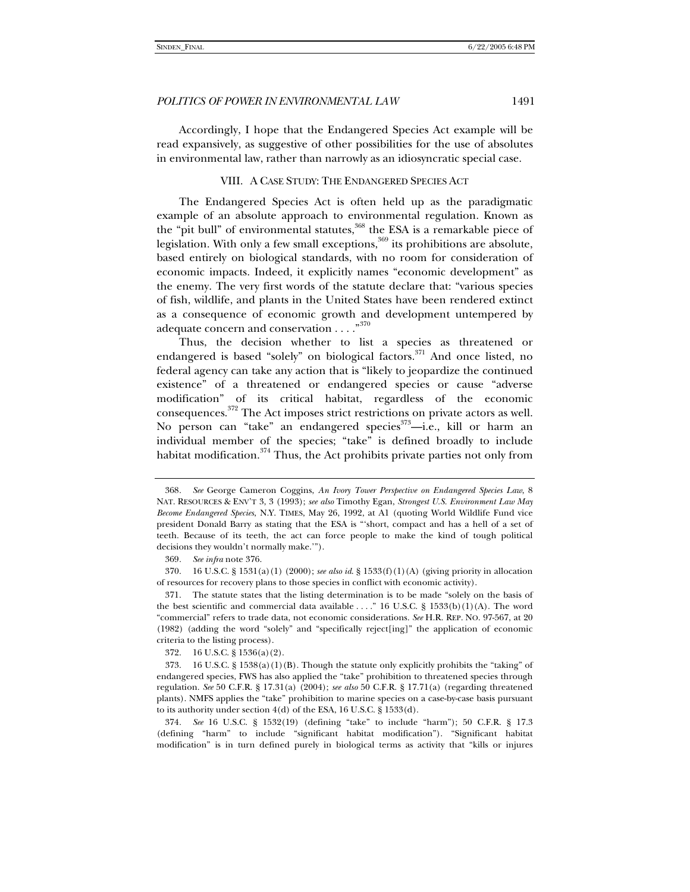Accordingly, I hope that the Endangered Species Act example will be read expansively, as suggestive of other possibilities for the use of absolutes in environmental law, rather than narrowly as an idiosyncratic special case.

#### VIII. A CASE STUDY: THE ENDANGERED SPECIES ACT

The Endangered Species Act is often held up as the paradigmatic example of an absolute approach to environmental regulation. Known as the "pit bull" of environmental statutes, $368$  the ESA is a remarkable piece of legislation. With only a few small exceptions,<sup>369</sup> its prohibitions are absolute, based entirely on biological standards, with no room for consideration of economic impacts. Indeed, it explicitly names "economic development" as the enemy. The very first words of the statute declare that: "various species of fish, wildlife, and plants in the United States have been rendered extinct as a consequence of economic growth and development untempered by adequate concern and conservation . . . . "370

Thus, the decision whether to list a species as threatened or endangered is based "solely" on biological factors.<sup>371</sup> And once listed, no federal agency can take any action that is "likely to jeopardize the continued existence" of a threatened or endangered species or cause "adverse modification" of its critical habitat, regardless of the economic consequences. 372 The Act imposes strict restrictions on private actors as well. No person can "take" an endangered species<sup>373</sup>-i.e., kill or harm an individual member of the species; "take" is defined broadly to include habitat modification.<sup>374</sup> Thus, the Act prohibits private parties not only from

 370. 16 U.S.C. § 1531(a)(1) (2000); *see also id*. § 1533(f)(1)(A) (giving priority in allocation of resources for recovery plans to those species in conflict with economic activity).

 371. The statute states that the listing determination is to be made "solely on the basis of the best scientific and commercial data available ...." 16 U.S.C. § 1533(b)(1)(A). The word "commercial" refers to trade data, not economic considerations. *See* H.R. REP. NO. 97-567, at 20 (1982) (adding the word "solely" and "specifically reject[ing]" the application of economic criteria to the listing process).

372. 16 U.S.C. § 1536(a)(2).

374*. See* 16 U.S.C. § 1532(19) (defining "take" to include "harm"); 50 C.F.R. § 17.3 (defining "harm" to include "significant habitat modification"). "Significant habitat modification" is in turn defined purely in biological terms as activity that "kills or injures

<sup>368</sup>*. See* George Cameron Coggins, *An Ivory Tower Perspective on Endangered Species Law*, 8 NAT. RESOURCES & ENV'T 3, 3 (1993); *see also* Timothy Egan, *Strongest U.S. Environment Law May Become Endangered Species*, N.Y. TIMES, May 26, 1992, at A1 (quoting World Wildlife Fund vice president Donald Barry as stating that the ESA is "'short, compact and has a hell of a set of teeth. Because of its teeth, the act can force people to make the kind of tough political decisions they wouldn't normally make.'").

<sup>369</sup>*. See infra* note 376.

<sup>373. 16</sup> U.S.C. § 1538(a)(1)(B). Though the statute only explicitly prohibits the "taking" of endangered species, FWS has also applied the "take" prohibition to threatened species through regulation. *See* 50 C.F.R. § 17.31(a) (2004); *see also* 50 C.F.R. § 17.71(a) (regarding threatened plants). NMFS applies the "take" prohibition to marine species on a case-by-case basis pursuant to its authority under section 4(d) of the ESA, 16 U.S.C. § 1533(d).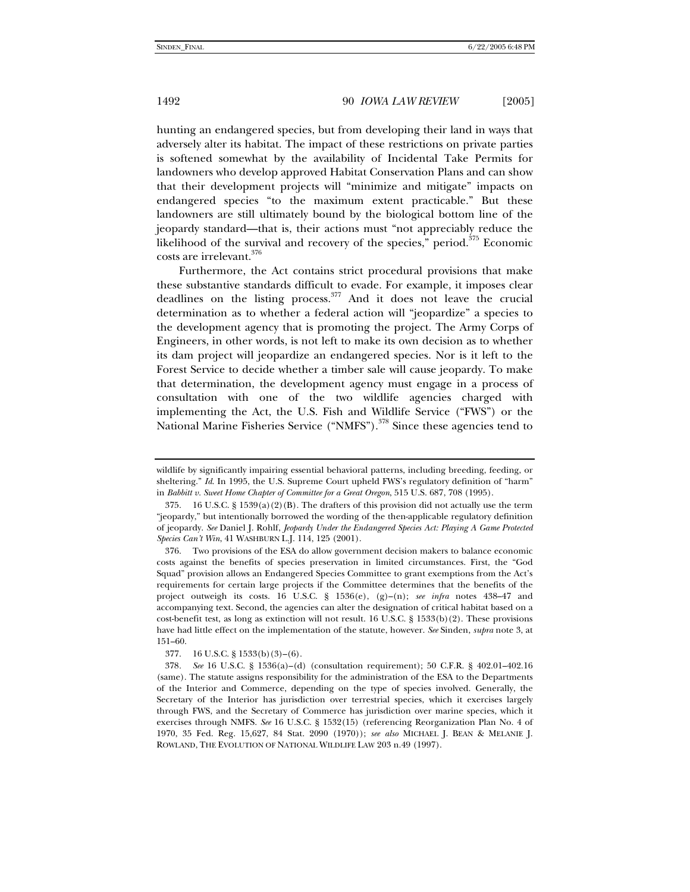hunting an endangered species, but from developing their land in ways that adversely alter its habitat. The impact of these restrictions on private parties is softened somewhat by the availability of Incidental Take Permits for landowners who develop approved Habitat Conservation Plans and can show that their development projects will "minimize and mitigate" impacts on endangered species "to the maximum extent practicable." But these landowners are still ultimately bound by the biological bottom line of the jeopardy standard—that is, their actions must "not appreciably reduce the likelihood of the survival and recovery of the species," period. $375$  Economic costs are irrelevant.376

Furthermore, the Act contains strict procedural provisions that make these substantive standards difficult to evade. For example, it imposes clear deadlines on the listing process. $377$  And it does not leave the crucial determination as to whether a federal action will "jeopardize" a species to the development agency that is promoting the project. The Army Corps of Engineers, in other words, is not left to make its own decision as to whether its dam project will jeopardize an endangered species. Nor is it left to the Forest Service to decide whether a timber sale will cause jeopardy. To make that determination, the development agency must engage in a process of consultation with one of the two wildlife agencies charged with implementing the Act, the U.S. Fish and Wildlife Service ("FWS") or the National Marine Fisheries Service ("NMFS").<sup>378</sup> Since these agencies tend to

wildlife by significantly impairing essential behavioral patterns, including breeding, feeding, or sheltering." *Id*. In 1995, the U.S. Supreme Court upheld FWS's regulatory definition of "harm" in *Babbitt v. Sweet Home Chapter of Committee for a Great Oregon*, 515 U.S. 687, 708 (1995).

<sup>375. 16</sup> U.S.C. § 1539(a)(2)(B). The drafters of this provision did not actually use the term "jeopardy," but intentionally borrowed the wording of the then-applicable regulatory definition of jeopardy. *See* Daniel J. Rohlf, *Jeopardy Under the Endangered Species Act: Playing A Game Protected Species Can't Win*, 41 WASHBURN L.J. 114, 125 (2001).

 <sup>376.</sup> Two provisions of the ESA do allow government decision makers to balance economic costs against the benefits of species preservation in limited circumstances. First, the "God Squad" provision allows an Endangered Species Committee to grant exemptions from the Act's requirements for certain large projects if the Committee determines that the benefits of the project outweigh its costs. 16 U.S.C. § 1536(e), (g)–(n); *see infra* notes 438–47 and accompanying text. Second, the agencies can alter the designation of critical habitat based on a cost-benefit test, as long as extinction will not result. 16 U.S.C. § 1533(b)(2). These provisions have had little effect on the implementation of the statute, however. *See* Sinden, *supra* note 3, at 151–60.

 <sup>377. 16</sup> U.S.C. § 1533(b)(3)–(6).

<sup>378</sup>*. See* 16 U.S.C. § 1536(a)–(d) (consultation requirement); 50 C.F.R. § 402.01–402.16 (same). The statute assigns responsibility for the administration of the ESA to the Departments of the Interior and Commerce, depending on the type of species involved. Generally, the Secretary of the Interior has jurisdiction over terrestrial species, which it exercises largely through FWS, and the Secretary of Commerce has jurisdiction over marine species, which it exercises through NMFS. *See* 16 U.S.C. § 1532(15) (referencing Reorganization Plan No. 4 of 1970, 35 Fed. Reg. 15,627, 84 Stat. 2090 (1970)); *see also* MICHAEL J. BEAN & MELANIE J. ROWLAND, THE EVOLUTION OF NATIONAL WILDLIFE LAW 203 n.49 (1997).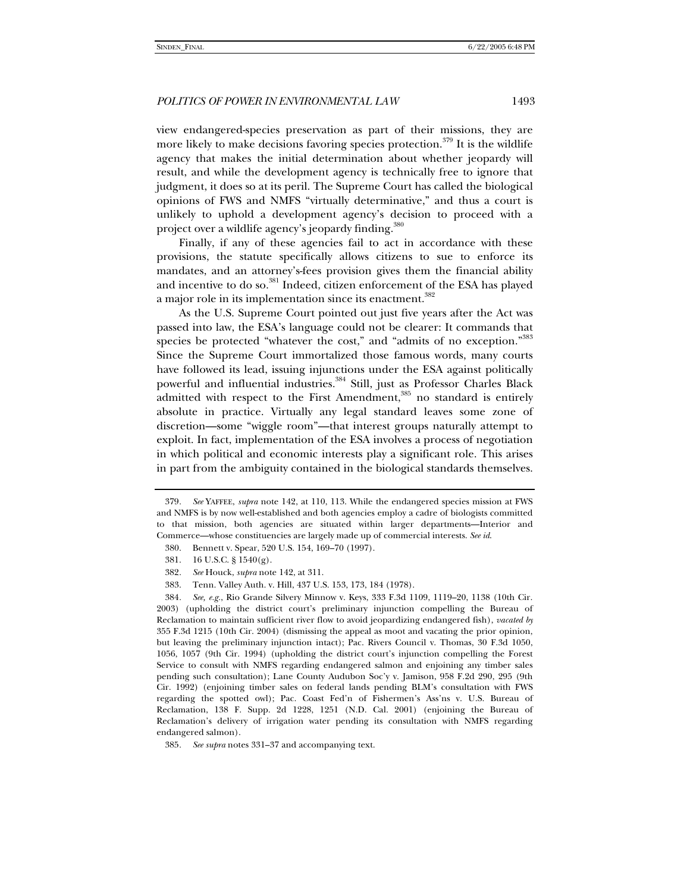view endangered-species preservation as part of their missions, they are more likely to make decisions favoring species protection.<sup>379</sup> It is the wildlife agency that makes the initial determination about whether jeopardy will result, and while the development agency is technically free to ignore that judgment, it does so at its peril. The Supreme Court has called the biological opinions of FWS and NMFS "virtually determinative," and thus a court is unlikely to uphold a development agency's decision to proceed with a project over a wildlife agency's jeopardy finding.<sup>380</sup>

Finally, if any of these agencies fail to act in accordance with these provisions, the statute specifically allows citizens to sue to enforce its mandates, and an attorney's-fees provision gives them the financial ability and incentive to do so.<sup>381</sup> Indeed, citizen enforcement of the ESA has played a major role in its implementation since its enactment.<sup>382</sup>

As the U.S. Supreme Court pointed out just five years after the Act was passed into law, the ESA's language could not be clearer: It commands that species be protected "whatever the cost," and "admits of no exception."<sup>383</sup> Since the Supreme Court immortalized those famous words, many courts have followed its lead, issuing injunctions under the ESA against politically powerful and influential industries.<sup>384</sup> Still, just as Professor Charles Black admitted with respect to the First Amendment,<sup>385</sup> no standard is entirely absolute in practice. Virtually any legal standard leaves some zone of discretion—some "wiggle room"—that interest groups naturally attempt to exploit. In fact, implementation of the ESA involves a process of negotiation in which political and economic interests play a significant role. This arises in part from the ambiguity contained in the biological standards themselves.

382*. See* Houck, *supra* note 142, at 311.

384*. See, e.g.*, Rio Grande Silvery Minnow v. Keys, 333 F.3d 1109, 1119–20, 1138 (10th Cir. 2003) (upholding the district court's preliminary injunction compelling the Bureau of Reclamation to maintain sufficient river flow to avoid jeopardizing endangered fish), *vacated by* 355 F.3d 1215 (10th Cir. 2004) (dismissing the appeal as moot and vacating the prior opinion, but leaving the preliminary injunction intact); Pac. Rivers Council v. Thomas, 30 F.3d 1050, 1056, 1057 (9th Cir. 1994) (upholding the district court's injunction compelling the Forest Service to consult with NMFS regarding endangered salmon and enjoining any timber sales pending such consultation); Lane County Audubon Soc'y v. Jamison, 958 F.2d 290, 295 (9th Cir. 1992) (enjoining timber sales on federal lands pending BLM's consultation with FWS regarding the spotted owl); Pac. Coast Fed'n of Fishermen's Ass'ns v. U.S. Bureau of Reclamation, 138 F. Supp. 2d 1228, 1251 (N.D. Cal. 2001) (enjoining the Bureau of Reclamation's delivery of irrigation water pending its consultation with NMFS regarding endangered salmon).

<sup>379</sup>*. See* YAFFEE, *supra* note 142, at 110, 113. While the endangered species mission at FWS and NMFS is by now well-established and both agencies employ a cadre of biologists committed to that mission, both agencies are situated within larger departments—Interior and Commerce—whose constituencies are largely made up of commercial interests. *See id*.

 <sup>380.</sup> Bennett v. Spear, 520 U.S. 154, 169–70 (1997).

 <sup>381. 16</sup> U.S.C. § 1540(g).

 <sup>383.</sup> Tenn. Valley Auth. v. Hill, 437 U.S. 153, 173, 184 (1978).

<sup>385</sup>*. See supra* notes 331–37 and accompanying text.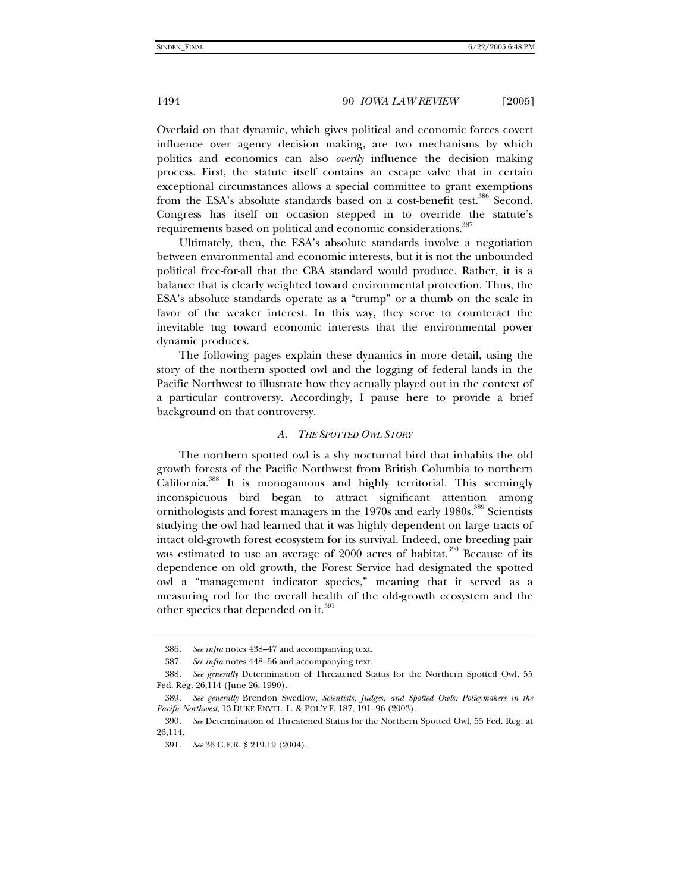Overlaid on that dynamic, which gives political and economic forces covert influence over agency decision making, are two mechanisms by which politics and economics can also *overtly* influence the decision making process. First, the statute itself contains an escape valve that in certain exceptional circumstances allows a special committee to grant exemptions from the ESA's absolute standards based on a cost-benefit test.<sup>386</sup> Second, Congress has itself on occasion stepped in to override the statute's requirements based on political and economic considerations.<sup>387</sup>

Ultimately, then, the ESA's absolute standards involve a negotiation between environmental and economic interests, but it is not the unbounded political free-for-all that the CBA standard would produce. Rather, it is a balance that is clearly weighted toward environmental protection. Thus, the ESA's absolute standards operate as a "trump" or a thumb on the scale in favor of the weaker interest. In this way, they serve to counteract the inevitable tug toward economic interests that the environmental power dynamic produces.

The following pages explain these dynamics in more detail, using the story of the northern spotted owl and the logging of federal lands in the Pacific Northwest to illustrate how they actually played out in the context of a particular controversy. Accordingly, I pause here to provide a brief background on that controversy.

#### *A. THE SPOTTED OWL STORY*

The northern spotted owl is a shy nocturnal bird that inhabits the old growth forests of the Pacific Northwest from British Columbia to northern California.388 It is monogamous and highly territorial. This seemingly inconspicuous bird began to attract significant attention among ornithologists and forest managers in the 1970s and early 1980s.<sup>389</sup> Scientists studying the owl had learned that it was highly dependent on large tracts of intact old-growth forest ecosystem for its survival. Indeed, one breeding pair was estimated to use an average of 2000 acres of habitat.<sup>390</sup> Because of its dependence on old growth, the Forest Service had designated the spotted owl a "management indicator species," meaning that it served as a measuring rod for the overall health of the old-growth ecosystem and the other species that depended on it.<sup>391</sup>

<sup>386</sup>*. See infra* notes 438–47 and accompanying text.

<sup>387</sup>*. See infra* notes 448–56 and accompanying text.

<sup>388</sup>*. See generally* Determination of Threatened Status for the Northern Spotted Owl, 55 Fed. Reg. 26,114 (June 26, 1990).

<sup>389</sup>*. See generally* Brendon Swedlow, *Scientists, Judges, and Spotted Owls: Policymakers in the Pacific Northwest*, 13 DUKE ENVTL. L. & POL'Y F. 187, 191–96 (2003).

<sup>390</sup>*. See* Determination of Threatened Status for the Northern Spotted Owl, 55 Fed. Reg. at 26,114.

<sup>391</sup>*. See* 36 C.F.R. § 219.19 (2004).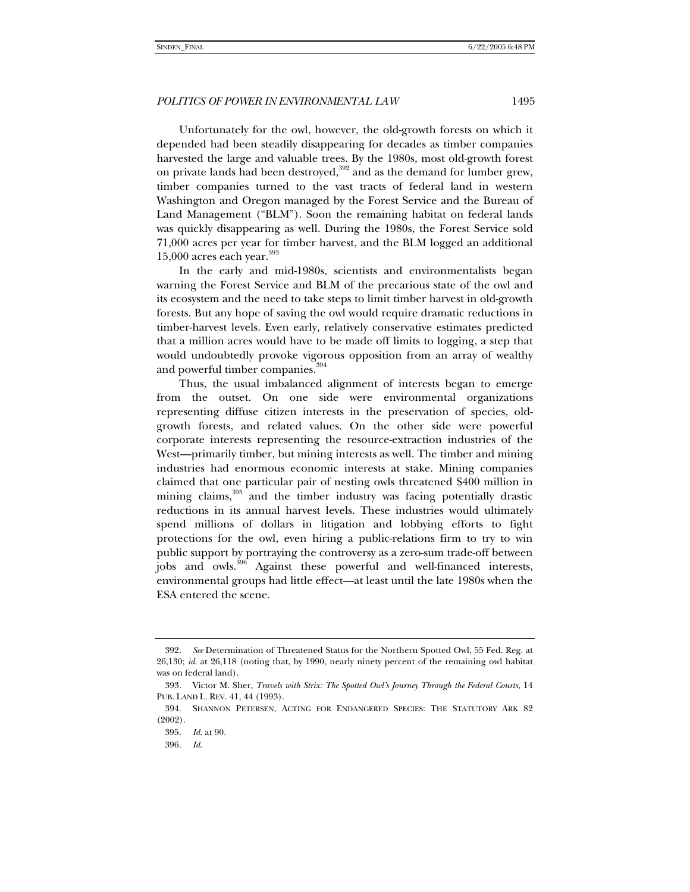Unfortunately for the owl, however, the old-growth forests on which it depended had been steadily disappearing for decades as timber companies harvested the large and valuable trees. By the 1980s, most old-growth forest on private lands had been destroyed,<sup>392</sup> and as the demand for lumber grew, timber companies turned to the vast tracts of federal land in western Washington and Oregon managed by the Forest Service and the Bureau of Land Management ("BLM"). Soon the remaining habitat on federal lands was quickly disappearing as well. During the 1980s, the Forest Service sold 71,000 acres per year for timber harvest, and the BLM logged an additional  $15,000$  acres each year.<sup>393</sup>

In the early and mid-1980s, scientists and environmentalists began warning the Forest Service and BLM of the precarious state of the owl and its ecosystem and the need to take steps to limit timber harvest in old-growth forests. But any hope of saving the owl would require dramatic reductions in timber-harvest levels. Even early, relatively conservative estimates predicted that a million acres would have to be made off limits to logging, a step that would undoubtedly provoke vigorous opposition from an array of wealthy and powerful timber companies.<sup>394</sup>

Thus, the usual imbalanced alignment of interests began to emerge from the outset. On one side were environmental organizations representing diffuse citizen interests in the preservation of species, oldgrowth forests, and related values. On the other side were powerful corporate interests representing the resource-extraction industries of the West—primarily timber, but mining interests as well. The timber and mining industries had enormous economic interests at stake. Mining companies claimed that one particular pair of nesting owls threatened \$400 million in mining claims,<sup>395</sup> and the timber industry was facing potentially drastic reductions in its annual harvest levels. These industries would ultimately spend millions of dollars in litigation and lobbying efforts to fight protections for the owl, even hiring a public-relations firm to try to win public support by portraying the controversy as a zero-sum trade-off between jobs and owls.<sup>396</sup> Against these powerful and well-financed interests, environmental groups had little effect—at least until the late 1980s when the ESA entered the scene.

<sup>392</sup>*. See* Determination of Threatened Status for the Northern Spotted Owl, 55 Fed. Reg. at 26,130; *id*. at 26,118 (noting that, by 1990, nearly ninety percent of the remaining owl habitat was on federal land).

 <sup>393.</sup> Victor M. Sher, *Travels with Strix: The Spotted Owl's Journey Through the Federal Courts*, 14 PUB. LAND L. REV. 41, 44 (1993).

 <sup>394.</sup> SHANNON PETERSEN, ACTING FOR ENDANGERED SPECIES: THE STATUTORY ARK 82 (2002).

<sup>395</sup>*. Id*. at 90.

<sup>396</sup>*. Id*.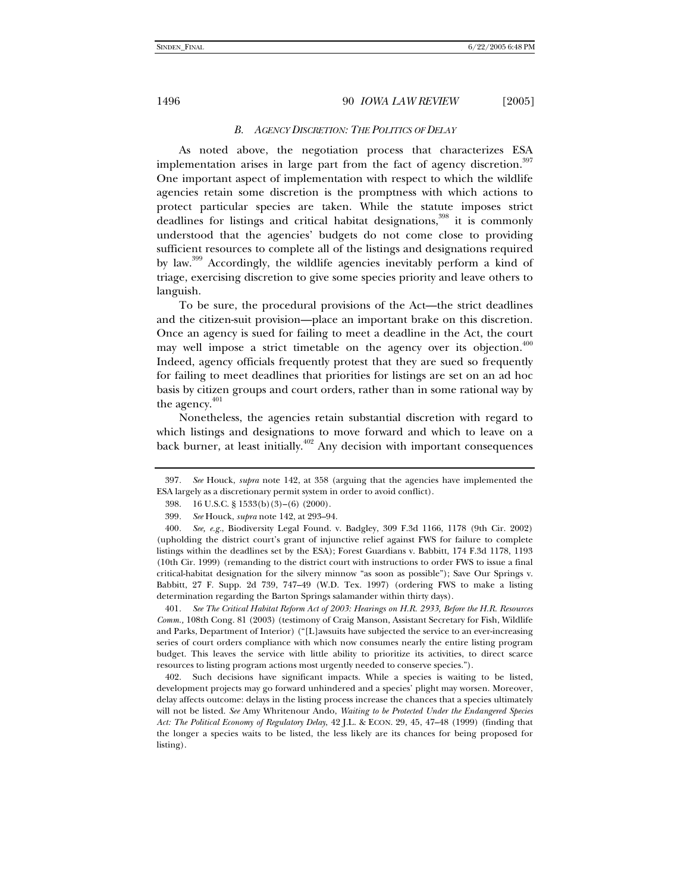#### *B. AGENCY DISCRETION: THE POLITICS OF DELAY*

As noted above, the negotiation process that characterizes ESA implementation arises in large part from the fact of agency discretion.<sup>397</sup> One important aspect of implementation with respect to which the wildlife agencies retain some discretion is the promptness with which actions to protect particular species are taken. While the statute imposes strict deadlines for listings and critical habitat designations,<sup>398</sup> it is commonly understood that the agencies' budgets do not come close to providing sufficient resources to complete all of the listings and designations required by law.<sup>399</sup> Accordingly, the wildlife agencies inevitably perform a kind of triage, exercising discretion to give some species priority and leave others to languish.

To be sure, the procedural provisions of the Act—the strict deadlines and the citizen-suit provision—place an important brake on this discretion. Once an agency is sued for failing to meet a deadline in the Act, the court may well impose a strict timetable on the agency over its objection. $400$ Indeed, agency officials frequently protest that they are sued so frequently for failing to meet deadlines that priorities for listings are set on an ad hoc basis by citizen groups and court orders, rather than in some rational way by the agency. $401$ 

Nonetheless, the agencies retain substantial discretion with regard to which listings and designations to move forward and which to leave on a back burner, at least initially.<sup>402</sup> Any decision with important consequences

401*. See The Critical Habitat Reform Act of 2003: Hearings on H.R. 2933, Before the H.R. Resources Comm.,* 108th Cong. 81 (2003) (testimony of Craig Manson, Assistant Secretary for Fish, Wildlife and Parks, Department of Interior) ("[L]awsuits have subjected the service to an ever-increasing series of court orders compliance with which now consumes nearly the entire listing program budget. This leaves the service with little ability to prioritize its activities, to direct scarce resources to listing program actions most urgently needed to conserve species.").

 402. Such decisions have significant impacts. While a species is waiting to be listed, development projects may go forward unhindered and a species' plight may worsen. Moreover, delay affects outcome: delays in the listing process increase the chances that a species ultimately will not be listed. *See* Amy Whritenour Ando, *Waiting to be Protected Under the Endangered Species Act: The Political Economy of Regulatory Delay*, 42 J.L. & ECON. 29, 45, 47–48 (1999) (finding that the longer a species waits to be listed, the less likely are its chances for being proposed for listing).

<sup>397</sup>*. See* Houck, *supra* note 142, at 358 (arguing that the agencies have implemented the ESA largely as a discretionary permit system in order to avoid conflict).

 <sup>398. 16</sup> U.S.C. § 1533(b)(3)–(6) (2000).

<sup>399</sup>*. See* Houck, *supra* note 142, at 293–94.

<sup>400</sup>*. See, e.g.*, Biodiversity Legal Found. v. Badgley, 309 F.3d 1166, 1178 (9th Cir. 2002) (upholding the district court's grant of injunctive relief against FWS for failure to complete listings within the deadlines set by the ESA); Forest Guardians v. Babbitt, 174 F.3d 1178, 1193 (10th Cir. 1999) (remanding to the district court with instructions to order FWS to issue a final critical-habitat designation for the silvery minnow "as soon as possible"); Save Our Springs v. Babbitt, 27 F. Supp. 2d 739, 747–49 (W.D. Tex. 1997) (ordering FWS to make a listing determination regarding the Barton Springs salamander within thirty days).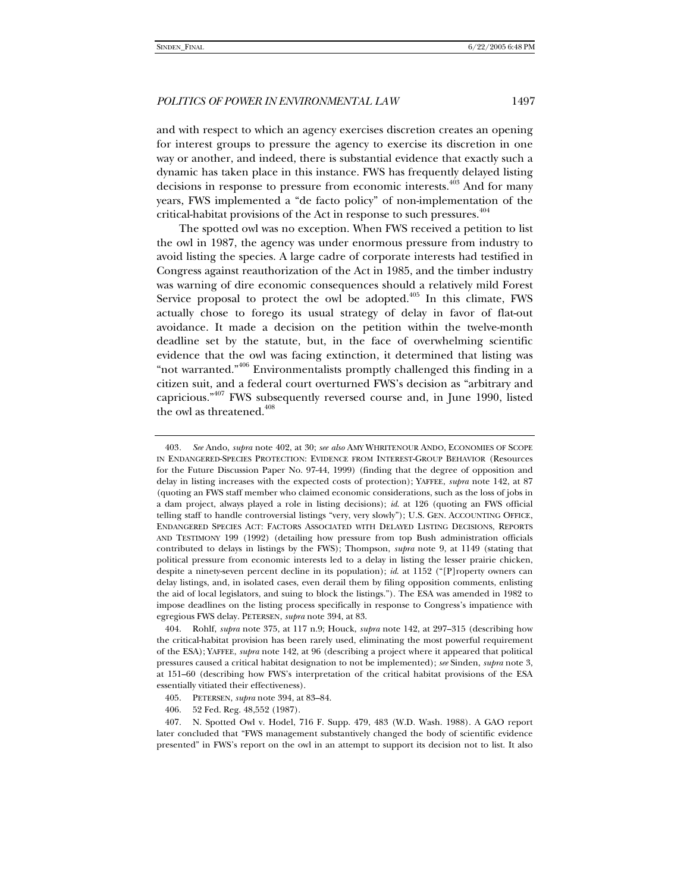and with respect to which an agency exercises discretion creates an opening for interest groups to pressure the agency to exercise its discretion in one way or another, and indeed, there is substantial evidence that exactly such a dynamic has taken place in this instance. FWS has frequently delayed listing decisions in response to pressure from economic interests.403 And for many years, FWS implemented a "de facto policy" of non-implementation of the critical-habitat provisions of the Act in response to such pressures.<sup>404</sup>

The spotted owl was no exception. When FWS received a petition to list the owl in 1987, the agency was under enormous pressure from industry to avoid listing the species. A large cadre of corporate interests had testified in Congress against reauthorization of the Act in 1985, and the timber industry was warning of dire economic consequences should a relatively mild Forest Service proposal to protect the owl be adopted.<sup> $405$ </sup> In this climate, FWS actually chose to forego its usual strategy of delay in favor of flat-out avoidance. It made a decision on the petition within the twelve-month deadline set by the statute, but, in the face of overwhelming scientific evidence that the owl was facing extinction, it determined that listing was "not warranted."<sup>406</sup> Environmentalists promptly challenged this finding in a citizen suit, and a federal court overturned FWS's decision as "arbitrary and capricious."407 FWS subsequently reversed course and, in June 1990, listed the owl as threatened.<sup>408</sup>

<sup>403</sup>*. See* Ando, *supra* note 402, at 30; *see also* AMY WHRITENOUR ANDO, ECONOMIES OF SCOPE IN ENDANGERED-SPECIES PROTECTION: EVIDENCE FROM INTEREST-GROUP BEHAVIOR (Resources for the Future Discussion Paper No. 97-44, 1999) (finding that the degree of opposition and delay in listing increases with the expected costs of protection); YAFFEE, *supra* note 142, at 87 (quoting an FWS staff member who claimed economic considerations, such as the loss of jobs in a dam project, always played a role in listing decisions); *id*. at 126 (quoting an FWS official telling staff to handle controversial listings "very, very slowly"); U.S. GEN. ACCOUNTING OFFICE, ENDANGERED SPECIES ACT: FACTORS ASSOCIATED WITH DELAYED LISTING DECISIONS, REPORTS AND TESTIMONY 199 (1992) (detailing how pressure from top Bush administration officials contributed to delays in listings by the FWS); Thompson, *supra* note 9, at 1149 (stating that political pressure from economic interests led to a delay in listing the lesser prairie chicken, despite a ninety-seven percent decline in its population); *id*. at 1152 ("[P]roperty owners can delay listings, and, in isolated cases, even derail them by filing opposition comments, enlisting the aid of local legislators, and suing to block the listings."). The ESA was amended in 1982 to impose deadlines on the listing process specifically in response to Congress's impatience with egregious FWS delay. PETERSEN, *supra* note 394, at 83.

 <sup>404.</sup> Rohlf, *supra* note 375, at 117 n.9; Houck, *supra* note 142, at 297–315 (describing how the critical-habitat provision has been rarely used, eliminating the most powerful requirement of the ESA); YAFFEE, *supra* note 142, at 96 (describing a project where it appeared that political pressures caused a critical habitat designation to not be implemented); *see* Sinden, *supra* note 3, at 151–60 (describing how FWS's interpretation of the critical habitat provisions of the ESA essentially vitiated their effectiveness).

 <sup>405.</sup> PETERSEN, *supra* note 394, at 83–84.

 <sup>406. 52</sup> Fed. Reg. 48,552 (1987).

 <sup>407.</sup> N. Spotted Owl v. Hodel, 716 F. Supp. 479, 483 (W.D. Wash. 1988). A GAO report later concluded that "FWS management substantively changed the body of scientific evidence presented" in FWS's report on the owl in an attempt to support its decision not to list. It also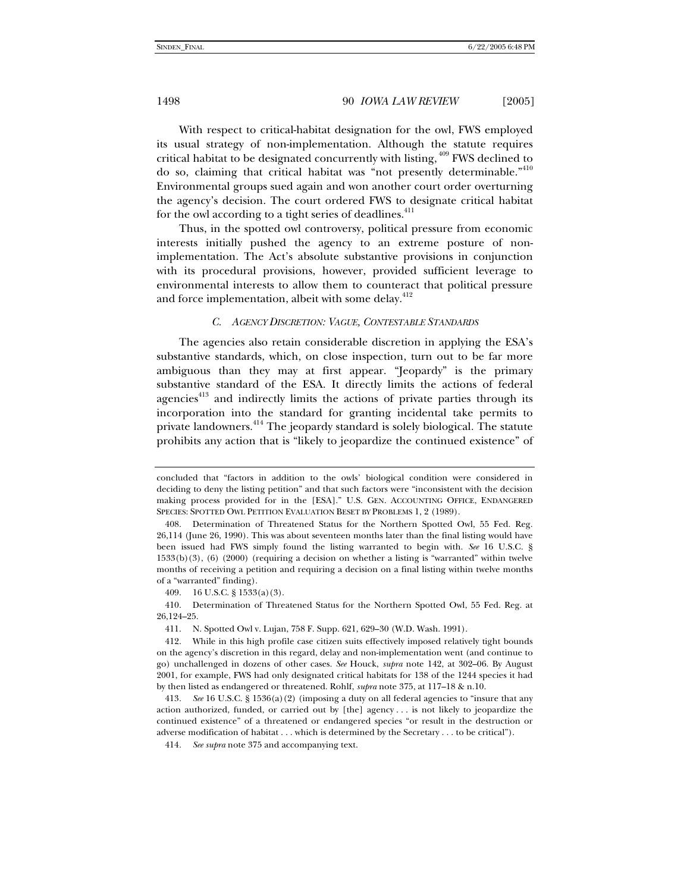With respect to critical-habitat designation for the owl, FWS employed its usual strategy of non-implementation. Although the statute requires critical habitat to be designated concurrently with listing, <sup>409</sup> FWS declined to do so, claiming that critical habitat was "not presently determinable."<sup>410</sup> Environmental groups sued again and won another court order overturning the agency's decision. The court ordered FWS to designate critical habitat for the owl according to a tight series of deadlines.<sup>411</sup>

Thus, in the spotted owl controversy, political pressure from economic interests initially pushed the agency to an extreme posture of nonimplementation. The Act's absolute substantive provisions in conjunction with its procedural provisions, however, provided sufficient leverage to environmental interests to allow them to counteract that political pressure and force implementation, albeit with some delay.<sup>412</sup>

## *C. AGENCY DISCRETION: VAGUE, CONTESTABLE STANDARDS*

The agencies also retain considerable discretion in applying the ESA's substantive standards, which, on close inspection, turn out to be far more ambiguous than they may at first appear. "Jeopardy" is the primary substantive standard of the ESA. It directly limits the actions of federal agencies<sup>413</sup> and indirectly limits the actions of private parties through its incorporation into the standard for granting incidental take permits to private landowners.<sup>414</sup> The jeopardy standard is solely biological. The statute prohibits any action that is "likely to jeopardize the continued existence" of

409. 16 U.S.C. § 1533(a)(3).

 410. Determination of Threatened Status for the Northern Spotted Owl, 55 Fed. Reg. at 26,124–25.

411. N. Spotted Owl v. Lujan, 758 F. Supp. 621, 629–30 (W.D. Wash. 1991).

414*. See supra* note 375 and accompanying text.

concluded that "factors in addition to the owls' biological condition were considered in deciding to deny the listing petition" and that such factors were "inconsistent with the decision making process provided for in the [ESA]." U.S. GEN. ACCOUNTING OFFICE, ENDANGERED SPECIES: SPOTTED OWL PETITION EVALUATION BESET BY PROBLEMS 1, 2 (1989).

 <sup>408.</sup> Determination of Threatened Status for the Northern Spotted Owl, 55 Fed. Reg. 26,114 (June 26, 1990). This was about seventeen months later than the final listing would have been issued had FWS simply found the listing warranted to begin with. *See* 16 U.S.C. § 1533(b)(3), (6) (2000) (requiring a decision on whether a listing is "warranted" within twelve months of receiving a petition and requiring a decision on a final listing within twelve months of a "warranted" finding).

 <sup>412.</sup> While in this high profile case citizen suits effectively imposed relatively tight bounds on the agency's discretion in this regard, delay and non-implementation went (and continue to go) unchallenged in dozens of other cases. *See* Houck, *supra* note 142, at 302–06. By August 2001, for example, FWS had only designated critical habitats for 138 of the 1244 species it had by then listed as endangered or threatened. Rohlf, *supra* note 375, at 117–18 & n.10.

<sup>413</sup>*. See* 16 U.S.C. § 1536(a)(2) (imposing a duty on all federal agencies to "insure that any action authorized, funded, or carried out by [the] agency . . . is not likely to jeopardize the continued existence" of a threatened or endangered species "or result in the destruction or adverse modification of habitat . . . which is determined by the Secretary . . . to be critical").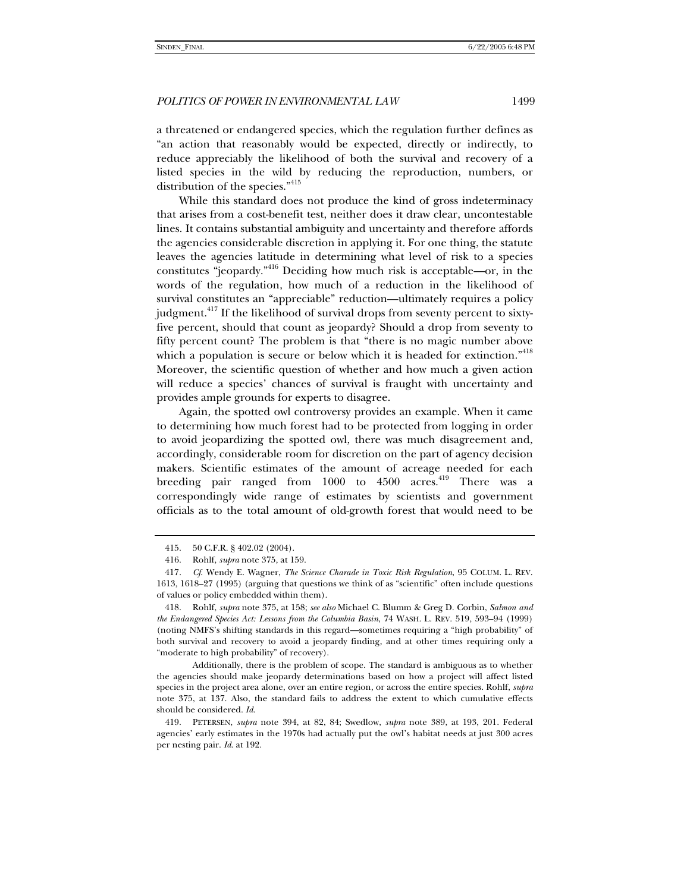a threatened or endangered species, which the regulation further defines as "an action that reasonably would be expected, directly or indirectly, to reduce appreciably the likelihood of both the survival and recovery of a listed species in the wild by reducing the reproduction, numbers, or distribution of the species."<sup>415</sup>

While this standard does not produce the kind of gross indeterminacy that arises from a cost-benefit test, neither does it draw clear, uncontestable lines. It contains substantial ambiguity and uncertainty and therefore affords the agencies considerable discretion in applying it. For one thing, the statute leaves the agencies latitude in determining what level of risk to a species constitutes "jeopardy."416 Deciding how much risk is acceptable—or, in the words of the regulation, how much of a reduction in the likelihood of survival constitutes an "appreciable" reduction—ultimately requires a policy judgment.<sup>417</sup> If the likelihood of survival drops from seventy percent to sixtyfive percent, should that count as jeopardy? Should a drop from seventy to fifty percent count? The problem is that "there is no magic number above which a population is secure or below which it is headed for extinction."<sup>418</sup> Moreover, the scientific question of whether and how much a given action will reduce a species' chances of survival is fraught with uncertainty and provides ample grounds for experts to disagree.

Again, the spotted owl controversy provides an example. When it came to determining how much forest had to be protected from logging in order to avoid jeopardizing the spotted owl, there was much disagreement and, accordingly, considerable room for discretion on the part of agency decision makers. Scientific estimates of the amount of acreage needed for each breeding pair ranged from  $1000$  to  $4500$  acres.<sup>419</sup> There was a correspondingly wide range of estimates by scientists and government officials as to the total amount of old-growth forest that would need to be

 <sup>415. 50</sup> C.F.R. § 402.02 (2004).

 <sup>416.</sup> Rohlf, *supra* note 375, at 159.

<sup>417</sup>*. Cf*. Wendy E. Wagner, *The Science Charade in Toxic Risk Regulation*, 95 COLUM. L. REV. 1613, 1618–27 (1995) (arguing that questions we think of as "scientific" often include questions of values or policy embedded within them).

 <sup>418.</sup> Rohlf, *supra* note 375, at 158; *see also* Michael C. Blumm & Greg D. Corbin, *Salmon and the Endangered Species Act: Lessons from the Columbia Basin*, 74 WASH. L. REV. 519, 593–94 (1999) (noting NMFS's shifting standards in this regard—sometimes requiring a "high probability" of both survival and recovery to avoid a jeopardy finding, and at other times requiring only a "moderate to high probability" of recovery).

Additionally, there is the problem of scope. The standard is ambiguous as to whether the agencies should make jeopardy determinations based on how a project will affect listed species in the project area alone, over an entire region, or across the entire species. Rohlf, *supra* note 375, at 137. Also, the standard fails to address the extent to which cumulative effects should be considered. *Id*.

 <sup>419.</sup> PETERSEN, *supra* note 394, at 82, 84; Swedlow, *supra* note 389, at 193, 201. Federal agencies' early estimates in the 1970s had actually put the owl's habitat needs at just 300 acres per nesting pair. *Id*. at 192.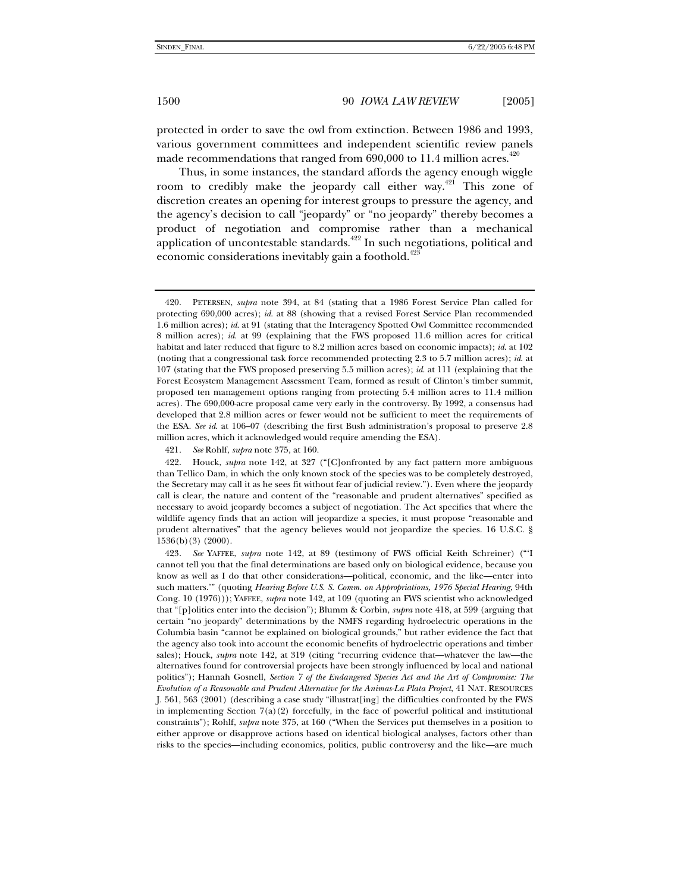protected in order to save the owl from extinction. Between 1986 and 1993, various government committees and independent scientific review panels made recommendations that ranged from  $690,000$  to  $11.4$  million acres.<sup>420</sup>

Thus, in some instances, the standard affords the agency enough wiggle room to credibly make the jeopardy call either way.<sup>421</sup> This zone of discretion creates an opening for interest groups to pressure the agency, and the agency's decision to call "jeopardy" or "no jeopardy" thereby becomes a product of negotiation and compromise rather than a mechanical application of uncontestable standards.<sup>422</sup> In such negotiations, political and economic considerations inevitably gain a foothold.<sup>423</sup>

421*. See* Rohlf, *supra* note 375, at 160.

 <sup>420.</sup> PETERSEN, *supra* note 394, at 84 (stating that a 1986 Forest Service Plan called for protecting 690,000 acres); *id*. at 88 (showing that a revised Forest Service Plan recommended 1.6 million acres); *id*. at 91 (stating that the Interagency Spotted Owl Committee recommended 8 million acres); *id*. at 99 (explaining that the FWS proposed 11.6 million acres for critical habitat and later reduced that figure to 8.2 million acres based on economic impacts); *id*. at 102 (noting that a congressional task force recommended protecting 2.3 to 5.7 million acres); *id*. at 107 (stating that the FWS proposed preserving 5.5 million acres); *id*. at 111 (explaining that the Forest Ecosystem Management Assessment Team, formed as result of Clinton's timber summit, proposed ten management options ranging from protecting 5.4 million acres to 11.4 million acres). The 690,000-acre proposal came very early in the controversy. By 1992, a consensus had developed that 2.8 million acres or fewer would not be sufficient to meet the requirements of the ESA. *See id*. at 106–07 (describing the first Bush administration's proposal to preserve 2.8 million acres, which it acknowledged would require amending the ESA).

 <sup>422.</sup> Houck, *supra* note 142, at 327 ("[C]onfronted by any fact pattern more ambiguous than Tellico Dam, in which the only known stock of the species was to be completely destroyed, the Secretary may call it as he sees fit without fear of judicial review."). Even where the jeopardy call is clear, the nature and content of the "reasonable and prudent alternatives" specified as necessary to avoid jeopardy becomes a subject of negotiation. The Act specifies that where the wildlife agency finds that an action will jeopardize a species, it must propose "reasonable and prudent alternatives" that the agency believes would not jeopardize the species. 16 U.S.C. § 1536(b)(3) (2000).

<sup>423</sup>*. See* YAFFEE, *supra* note 142, at 89 (testimony of FWS official Keith Schreiner) ("'I cannot tell you that the final determinations are based only on biological evidence, because you know as well as I do that other considerations—political, economic, and the like—enter into such matters.'" (quoting *Hearing Before U*.*S. S. Comm. on Appropriations, 1976 Special Hearing*, 94th Cong. 10 (1976))); YAFFEE, *supra* note 142, at 109 (quoting an FWS scientist who acknowledged that "[p]olitics enter into the decision"); Blumm & Corbin, *supra* note 418, at 599 (arguing that certain "no jeopardy" determinations by the NMFS regarding hydroelectric operations in the Columbia basin "cannot be explained on biological grounds," but rather evidence the fact that the agency also took into account the economic benefits of hydroelectric operations and timber sales); Houck, *supra* note 142, at 319 (citing "recurring evidence that—whatever the law—the alternatives found for controversial projects have been strongly influenced by local and national politics"); Hannah Gosnell, *Section 7 of the Endangered Species Act and the Art of Compromise: The Evolution of a Reasonable and Prudent Alternative for the Animas-La Plata Project*, 41 NAT. RESOURCES J. 561, 563 (2001) (describing a case study "illustrat[ing] the difficulties confronted by the FWS in implementing Section  $7(a)(2)$  forcefully, in the face of powerful political and institutional constraints"); Rohlf, *supra* note 375, at 160 ("When the Services put themselves in a position to either approve or disapprove actions based on identical biological analyses, factors other than risks to the species—including economics, politics, public controversy and the like—are much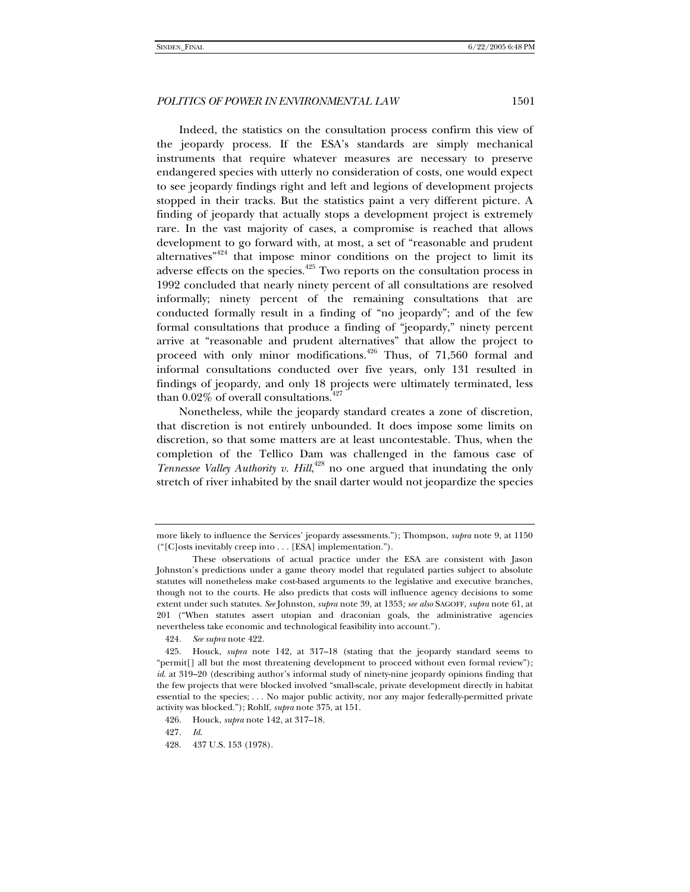Indeed, the statistics on the consultation process confirm this view of the jeopardy process. If the ESA's standards are simply mechanical instruments that require whatever measures are necessary to preserve endangered species with utterly no consideration of costs, one would expect to see jeopardy findings right and left and legions of development projects stopped in their tracks. But the statistics paint a very different picture. A finding of jeopardy that actually stops a development project is extremely rare. In the vast majority of cases, a compromise is reached that allows development to go forward with, at most, a set of "reasonable and prudent alternatives<sup> $n^{424}$ </sup> that impose minor conditions on the project to limit its adverse effects on the species. $425$  Two reports on the consultation process in 1992 concluded that nearly ninety percent of all consultations are resolved informally; ninety percent of the remaining consultations that are conducted formally result in a finding of "no jeopardy"; and of the few formal consultations that produce a finding of "jeopardy," ninety percent arrive at "reasonable and prudent alternatives" that allow the project to proceed with only minor modifications.<sup> $426$ </sup> Thus, of 71,560 formal and informal consultations conducted over five years, only 131 resulted in findings of jeopardy, and only 18 projects were ultimately terminated, less than  $0.02\%$  of overall consultations.<sup>427</sup>

Nonetheless, while the jeopardy standard creates a zone of discretion, that discretion is not entirely unbounded. It does impose some limits on discretion, so that some matters are at least uncontestable. Thus, when the completion of the Tellico Dam was challenged in the famous case of Tennessee Valley Authority v. Hill,<sup>428</sup> no one argued that inundating the only stretch of river inhabited by the snail darter would not jeopardize the species

more likely to influence the Services' jeopardy assessments."); Thompson, *supra* note 9, at 1150 ("[C]osts inevitably creep into . . . [ESA] implementation.").

These observations of actual practice under the ESA are consistent with Jason Johnston's predictions under a game theory model that regulated parties subject to absolute statutes will nonetheless make cost-based arguments to the legislative and executive branches, though not to the courts. He also predicts that costs will influence agency decisions to some extent under such statutes. *See* Johnston, *supra* note 39, at 1353*; see also* SAGOFF, *supra* note 61, at 201 ("When statutes assert utopian and draconian goals, the administrative agencies nevertheless take economic and technological feasibility into account.").

<sup>424</sup>*. See supra* note 422.

 <sup>425.</sup> Houck, *supra* note 142, at 317–18 (stating that the jeopardy standard seems to "permit[] all but the most threatening development to proceed without even formal review"); *id*. at 319–20 (describing author's informal study of ninety-nine jeopardy opinions finding that the few projects that were blocked involved "small-scale, private development directly in habitat essential to the species; . . . No major public activity, nor any major federally-permitted private activity was blocked."); Rohlf, *supra* note 375, at 151.

 <sup>426.</sup> Houck, *supra* note 142, at 317–18.

<sup>427</sup>*. Id*.

 <sup>428. 437</sup> U.S. 153 (1978).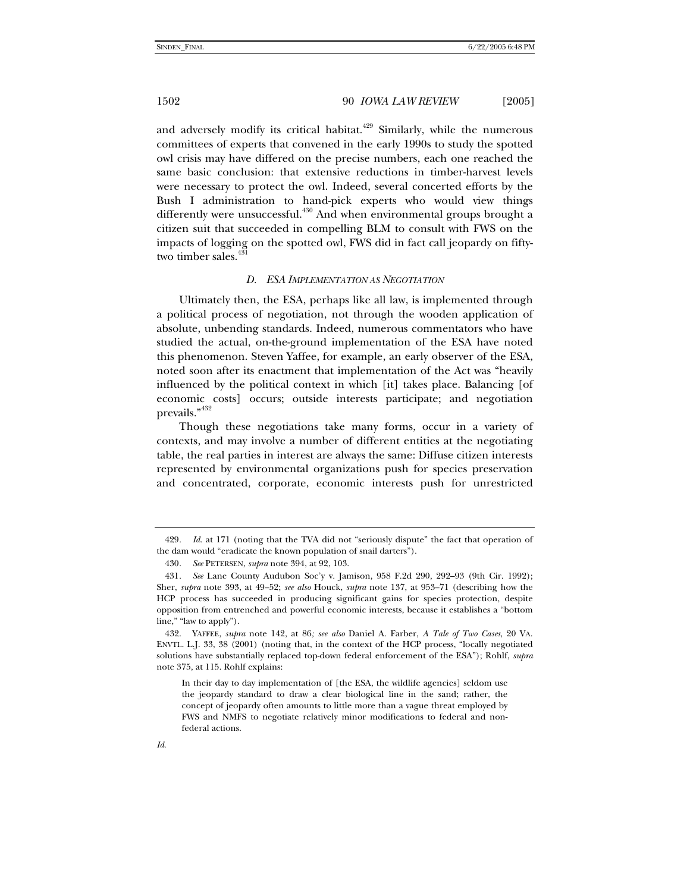and adversely modify its critical habitat. $429$  Similarly, while the numerous committees of experts that convened in the early 1990s to study the spotted owl crisis may have differed on the precise numbers, each one reached the same basic conclusion: that extensive reductions in timber-harvest levels were necessary to protect the owl. Indeed, several concerted efforts by the Bush I administration to hand-pick experts who would view things differently were unsuccessful.<sup>430</sup> And when environmental groups brought a citizen suit that succeeded in compelling BLM to consult with FWS on the impacts of logging on the spotted owl, FWS did in fact call jeopardy on fiftytwo timber sales.<sup>431</sup>

# *D. ESA IMPLEMENTATION AS NEGOTIATION*

Ultimately then, the ESA, perhaps like all law, is implemented through a political process of negotiation, not through the wooden application of absolute, unbending standards. Indeed, numerous commentators who have studied the actual, on-the-ground implementation of the ESA have noted this phenomenon. Steven Yaffee, for example, an early observer of the ESA, noted soon after its enactment that implementation of the Act was "heavily influenced by the political context in which [it] takes place. Balancing [of economic costs] occurs; outside interests participate; and negotiation prevails."432

Though these negotiations take many forms, occur in a variety of contexts, and may involve a number of different entities at the negotiating table, the real parties in interest are always the same: Diffuse citizen interests represented by environmental organizations push for species preservation and concentrated, corporate, economic interests push for unrestricted

<sup>429</sup>*. Id*. at 171 (noting that the TVA did not "seriously dispute" the fact that operation of the dam would "eradicate the known population of snail darters").

<sup>430</sup>*. See* PETERSEN, *supra* note 394, at 92, 103.

<sup>431</sup>*. See* Lane County Audubon Soc'y v. Jamison, 958 F.2d 290, 292–93 (9th Cir. 1992); Sher, *supra* note 393, at 49–52; *see also* Houck, *supra* note 137, at 953–71 (describing how the HCP process has succeeded in producing significant gains for species protection, despite opposition from entrenched and powerful economic interests, because it establishes a "bottom line," "law to apply").

 <sup>432.</sup> YAFFEE, *supra* note 142, at 86*; see also* Daniel A. Farber, *A Tale of Two Cases*, 20 VA. ENVTL. L.J. 33, 38 (2001) (noting that, in the context of the HCP process, "locally negotiated solutions have substantially replaced top-down federal enforcement of the ESA"); Rohlf, *supra* note 375, at 115. Rohlf explains:

In their day to day implementation of [the ESA, the wildlife agencies] seldom use the jeopardy standard to draw a clear biological line in the sand; rather, the concept of jeopardy often amounts to little more than a vague threat employed by FWS and NMFS to negotiate relatively minor modifications to federal and nonfederal actions.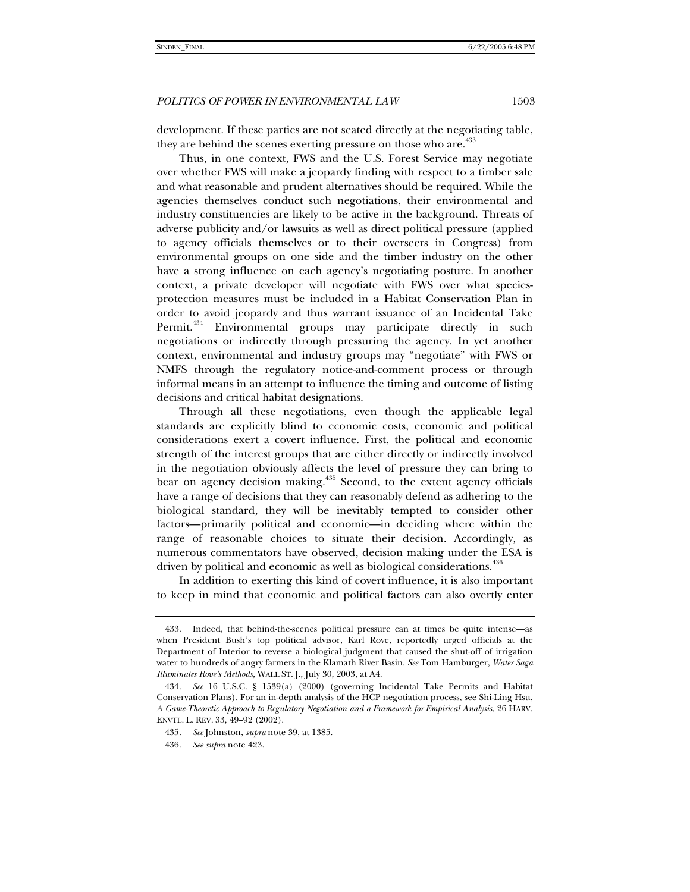development. If these parties are not seated directly at the negotiating table, they are behind the scenes exerting pressure on those who are.<sup>433</sup>

Thus, in one context, FWS and the U.S. Forest Service may negotiate over whether FWS will make a jeopardy finding with respect to a timber sale and what reasonable and prudent alternatives should be required. While the agencies themselves conduct such negotiations, their environmental and industry constituencies are likely to be active in the background. Threats of adverse publicity and/or lawsuits as well as direct political pressure (applied to agency officials themselves or to their overseers in Congress) from environmental groups on one side and the timber industry on the other have a strong influence on each agency's negotiating posture. In another context, a private developer will negotiate with FWS over what speciesprotection measures must be included in a Habitat Conservation Plan in order to avoid jeopardy and thus warrant issuance of an Incidental Take Permit.<sup>434</sup> Environmental groups may participate directly in such negotiations or indirectly through pressuring the agency. In yet another context, environmental and industry groups may "negotiate" with FWS or NMFS through the regulatory notice-and-comment process or through informal means in an attempt to influence the timing and outcome of listing decisions and critical habitat designations.

Through all these negotiations, even though the applicable legal standards are explicitly blind to economic costs, economic and political considerations exert a covert influence. First, the political and economic strength of the interest groups that are either directly or indirectly involved in the negotiation obviously affects the level of pressure they can bring to bear on agency decision making.<sup>435</sup> Second, to the extent agency officials have a range of decisions that they can reasonably defend as adhering to the biological standard, they will be inevitably tempted to consider other factors—primarily political and economic—in deciding where within the range of reasonable choices to situate their decision. Accordingly, as numerous commentators have observed, decision making under the ESA is driven by political and economic as well as biological considerations.<sup>436</sup>

In addition to exerting this kind of covert influence, it is also important to keep in mind that economic and political factors can also overtly enter

 <sup>433.</sup> Indeed, that behind-the-scenes political pressure can at times be quite intense—as when President Bush's top political advisor, Karl Rove, reportedly urged officials at the Department of Interior to reverse a biological judgment that caused the shut-off of irrigation water to hundreds of angry farmers in the Klamath River Basin. *See* Tom Hamburger, *Water Saga Illuminates Rove's Methods*, WALL ST. J., July 30, 2003, at A4.

<sup>434</sup>*. See* 16 U.S.C. § 1539(a) (2000) (governing Incidental Take Permits and Habitat Conservation Plans). For an in-depth analysis of the HCP negotiation process, see Shi-Ling Hsu, *A Game-Theoretic Approach to Regulatory Negotiation and a Framework for Empirical Analysis*, 26 HARV. ENVTL. L. REV. 33, 49–92 (2002).

<sup>435</sup>*. See* Johnston, *supra* note 39, at 1385.

<sup>436</sup>*. See supra* note 423.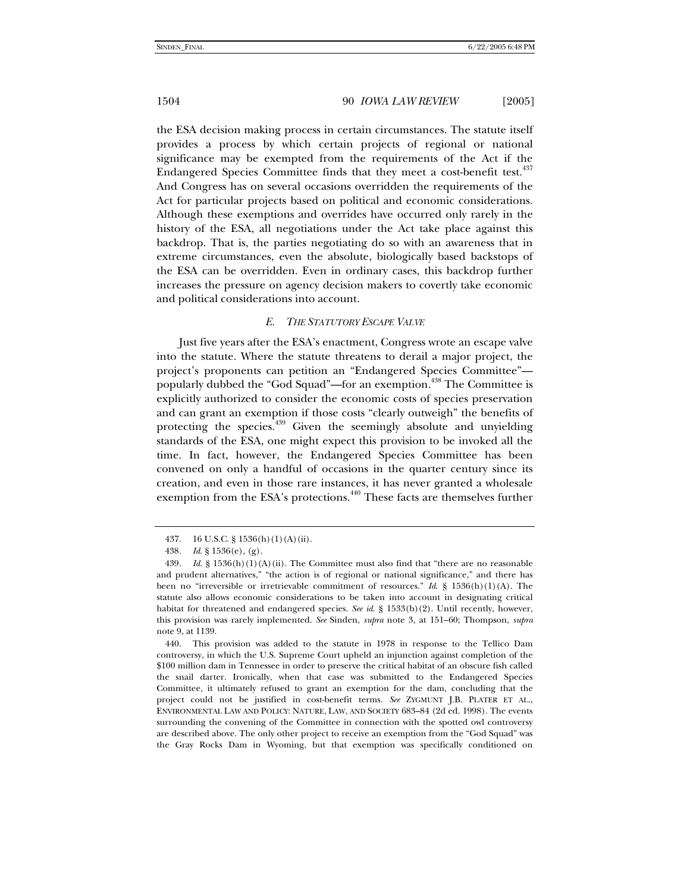the ESA decision making process in certain circumstances. The statute itself provides a process by which certain projects of regional or national significance may be exempted from the requirements of the Act if the Endangered Species Committee finds that they meet a cost-benefit test.<sup>437</sup> And Congress has on several occasions overridden the requirements of the Act for particular projects based on political and economic considerations. Although these exemptions and overrides have occurred only rarely in the history of the ESA, all negotiations under the Act take place against this backdrop. That is, the parties negotiating do so with an awareness that in extreme circumstances, even the absolute, biologically based backstops of the ESA can be overridden. Even in ordinary cases, this backdrop further increases the pressure on agency decision makers to covertly take economic and political considerations into account.

## *E. THE STATUTORY ESCAPE VALVE*

Just five years after the ESA's enactment, Congress wrote an escape valve into the statute. Where the statute threatens to derail a major project, the project's proponents can petition an "Endangered Species Committee" popularly dubbed the "God Squad"—for an exemption.<sup>438</sup> The Committee is explicitly authorized to consider the economic costs of species preservation and can grant an exemption if those costs "clearly outweigh" the benefits of protecting the species.<sup>439</sup> Given the seemingly absolute and unyielding standards of the ESA, one might expect this provision to be invoked all the time. In fact, however, the Endangered Species Committee has been convened on only a handful of occasions in the quarter century since its creation, and even in those rare instances, it has never granted a wholesale exemption from the ESA's protections.<sup>440</sup> These facts are themselves further

 <sup>437. 16</sup> U.S.C. § 1536(h)(1)(A)(ii).

<sup>438</sup>*. Id*. § 1536(e), (g).

<sup>439</sup>*. Id*. § 1536(h)(1)(A)(ii). The Committee must also find that "there are no reasonable and prudent alternatives," "the action is of regional or national significance," and there has been no "irreversible or irretrievable commitment of resources." *Id*. § 1536(h)(1)(A). The statute also allows economic considerations to be taken into account in designating critical habitat for threatened and endangered species. *See id*. § 1533(b)(2). Until recently, however, this provision was rarely implemented. *See* Sinden, *supra* note 3, at 151–60; Thompson, *supra* note 9, at 1139.

 <sup>440.</sup> This provision was added to the statute in 1978 in response to the Tellico Dam controversy, in which the U.S. Supreme Court upheld an injunction against completion of the \$100 million dam in Tennessee in order to preserve the critical habitat of an obscure fish called the snail darter. Ironically, when that case was submitted to the Endangered Species Committee, it ultimately refused to grant an exemption for the dam, concluding that the project could not be justified in cost-benefit terms. *See* ZYGMUNT J.B. PLATER ET AL., ENVIRONMENTAL LAW AND POLICY: NATURE, LAW, AND SOCIETY 683–84 (2d ed. 1998). The events surrounding the convening of the Committee in connection with the spotted owl controversy are described above. The only other project to receive an exemption from the "God Squad" was the Gray Rocks Dam in Wyoming, but that exemption was specifically conditioned on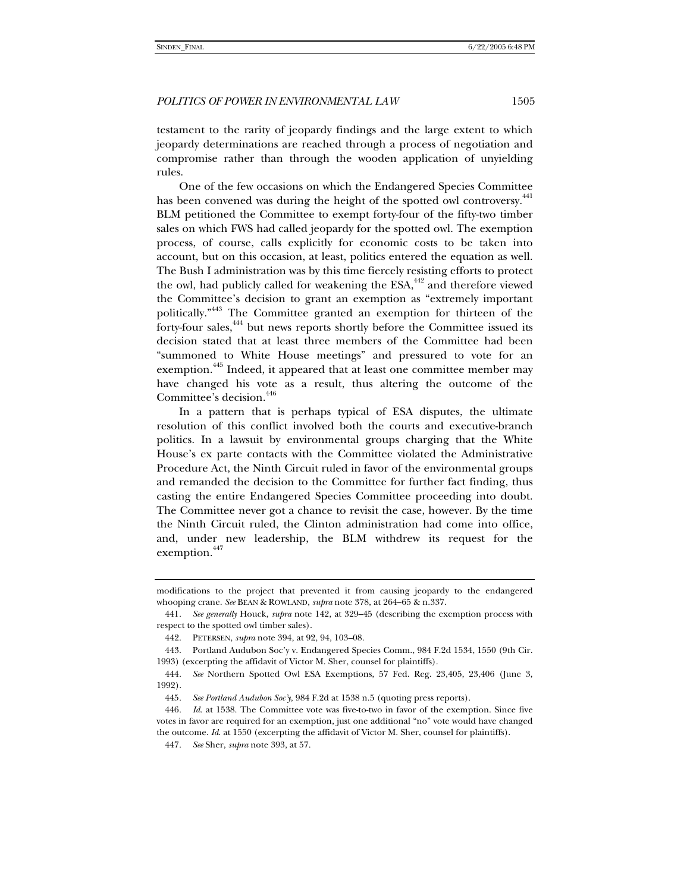testament to the rarity of jeopardy findings and the large extent to which jeopardy determinations are reached through a process of negotiation and compromise rather than through the wooden application of unyielding rules.

One of the few occasions on which the Endangered Species Committee has been convened was during the height of the spotted owl controversy.<sup>441</sup> BLM petitioned the Committee to exempt forty-four of the fifty-two timber sales on which FWS had called jeopardy for the spotted owl. The exemption process, of course, calls explicitly for economic costs to be taken into account, but on this occasion, at least, politics entered the equation as well. The Bush I administration was by this time fiercely resisting efforts to protect the owl, had publicly called for weakening the ESA,<sup>442</sup> and therefore viewed the Committee's decision to grant an exemption as "extremely important politically."443 The Committee granted an exemption for thirteen of the forty-four sales,<sup>444</sup> but news reports shortly before the Committee issued its decision stated that at least three members of the Committee had been "summoned to White House meetings" and pressured to vote for an exemption.<sup>445</sup> Indeed, it appeared that at least one committee member may have changed his vote as a result, thus altering the outcome of the Committee's decision.<sup>446</sup>

In a pattern that is perhaps typical of ESA disputes, the ultimate resolution of this conflict involved both the courts and executive-branch politics. In a lawsuit by environmental groups charging that the White House's ex parte contacts with the Committee violated the Administrative Procedure Act, the Ninth Circuit ruled in favor of the environmental groups and remanded the decision to the Committee for further fact finding, thus casting the entire Endangered Species Committee proceeding into doubt. The Committee never got a chance to revisit the case, however. By the time the Ninth Circuit ruled, the Clinton administration had come into office, and, under new leadership, the BLM withdrew its request for the exemption.<sup>447</sup>

modifications to the project that prevented it from causing jeopardy to the endangered whooping crane. *See* BEAN & ROWLAND, *supra* note 378, at 264–65 & n.337.

<sup>441</sup>*. See generally* Houck, *supra* note 142, at 329–45 (describing the exemption process with respect to the spotted owl timber sales).

 <sup>442.</sup> PETERSEN, *supra* note 394, at 92, 94, 103–08.

 <sup>443.</sup> Portland Audubon Soc'y v. Endangered Species Comm., 984 F.2d 1534, 1550 (9th Cir. 1993) (excerpting the affidavit of Victor M. Sher, counsel for plaintiffs).

<sup>444</sup>*. See* Northern Spotted Owl ESA Exemptions, 57 Fed. Reg. 23,405, 23,406 (June 3, 1992).

<sup>445</sup>*. See Portland Audubon Soc'y*, 984 F.2d at 1538 n.5 (quoting press reports).

<sup>446</sup>*. Id*. at 1538. The Committee vote was five-to-two in favor of the exemption. Since five votes in favor are required for an exemption, just one additional "no" vote would have changed the outcome. *Id*. at 1550 (excerpting the affidavit of Victor M. Sher, counsel for plaintiffs).

<sup>447</sup>*. See* Sher, *supra* note 393, at 57.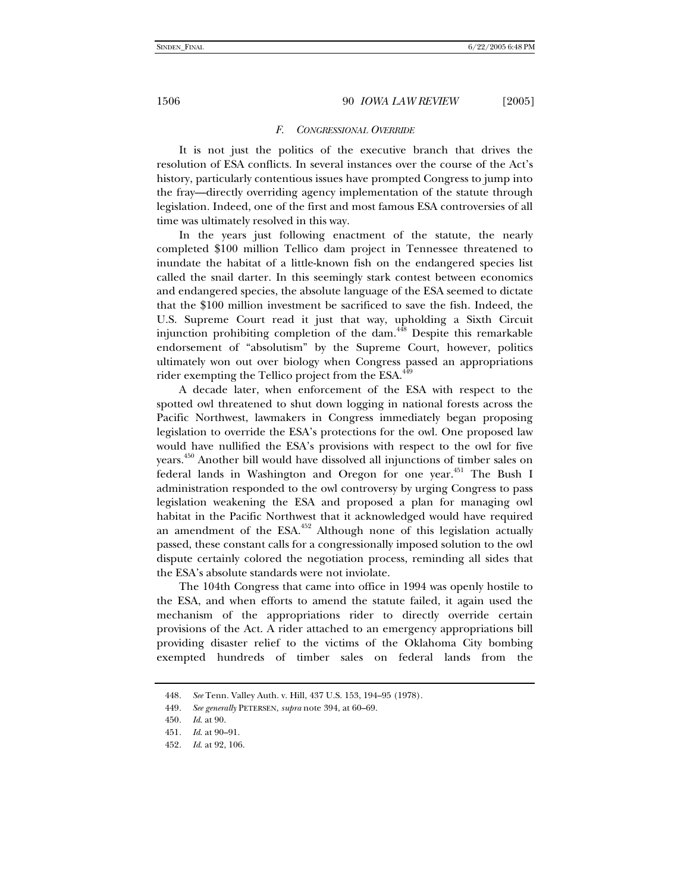#### *F. CONGRESSIONAL OVERRIDE*

It is not just the politics of the executive branch that drives the resolution of ESA conflicts. In several instances over the course of the Act's history, particularly contentious issues have prompted Congress to jump into the fray—directly overriding agency implementation of the statute through legislation. Indeed, one of the first and most famous ESA controversies of all time was ultimately resolved in this way.

In the years just following enactment of the statute, the nearly completed \$100 million Tellico dam project in Tennessee threatened to inundate the habitat of a little-known fish on the endangered species list called the snail darter. In this seemingly stark contest between economics and endangered species, the absolute language of the ESA seemed to dictate that the \$100 million investment be sacrificed to save the fish. Indeed, the U.S. Supreme Court read it just that way, upholding a Sixth Circuit injunction prohibiting completion of the dam.<sup>448</sup> Despite this remarkable endorsement of "absolutism" by the Supreme Court, however, politics ultimately won out over biology when Congress passed an appropriations rider exempting the Tellico project from the ESA.<sup>449</sup>

A decade later, when enforcement of the ESA with respect to the spotted owl threatened to shut down logging in national forests across the Pacific Northwest, lawmakers in Congress immediately began proposing legislation to override the ESA's protections for the owl. One proposed law would have nullified the ESA's provisions with respect to the owl for five years.450 Another bill would have dissolved all injunctions of timber sales on federal lands in Washington and Oregon for one year.<sup>451</sup> The Bush I administration responded to the owl controversy by urging Congress to pass legislation weakening the ESA and proposed a plan for managing owl habitat in the Pacific Northwest that it acknowledged would have required an amendment of the  $ESA$ <sup>452</sup> Although none of this legislation actually passed, these constant calls for a congressionally imposed solution to the owl dispute certainly colored the negotiation process, reminding all sides that the ESA's absolute standards were not inviolate.

The 104th Congress that came into office in 1994 was openly hostile to the ESA, and when efforts to amend the statute failed, it again used the mechanism of the appropriations rider to directly override certain provisions of the Act. A rider attached to an emergency appropriations bill providing disaster relief to the victims of the Oklahoma City bombing exempted hundreds of timber sales on federal lands from the

<sup>448</sup>*. See* Tenn. Valley Auth. v. Hill, 437 U.S. 153, 194–95 (1978).

<sup>449</sup>*. See generally* PETERSEN, *supra* note 394, at 60–69.

<sup>450</sup>*. Id*. at 90.

<sup>451</sup>*. Id*. at 90–91.

<sup>452</sup>*. Id*. at 92, 106.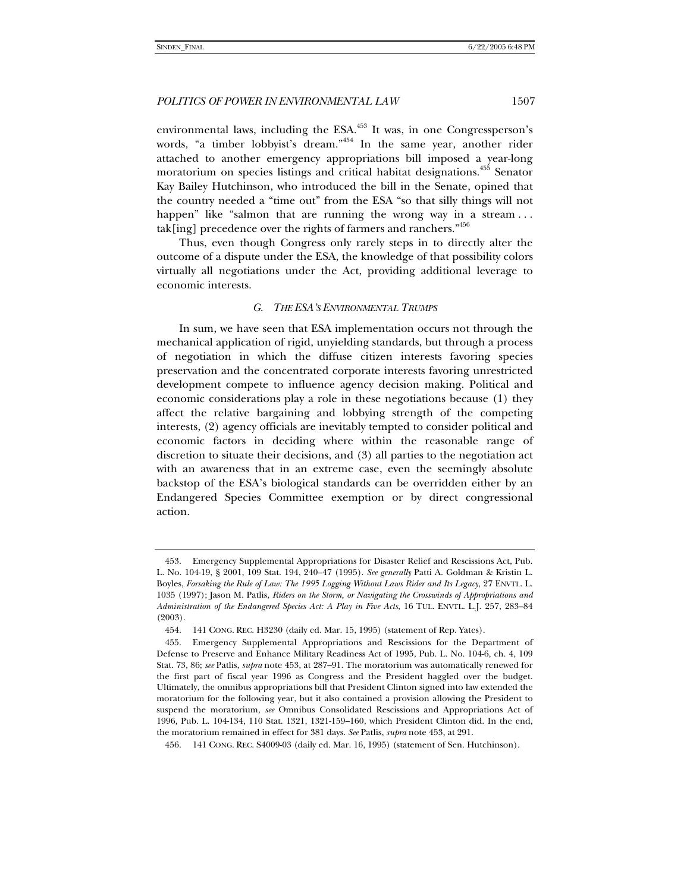environmental laws, including the  $ESA$ <sup>453</sup> It was, in one Congressperson's words, "a timber lobbyist's dream."<sup>454</sup> In the same year, another rider attached to another emergency appropriations bill imposed a year-long moratorium on species listings and critical habitat designations.<sup>455</sup> Senator Kay Bailey Hutchinson, who introduced the bill in the Senate, opined that the country needed a "time out" from the ESA "so that silly things will not happen" like "salmon that are running the wrong way in a stream... tak[ing] precedence over the rights of farmers and ranchers."456

Thus, even though Congress only rarely steps in to directly alter the outcome of a dispute under the ESA, the knowledge of that possibility colors virtually all negotiations under the Act, providing additional leverage to economic interests.

#### *G. THE ESA'S ENVIRONMENTAL TRUMPS*

In sum, we have seen that ESA implementation occurs not through the mechanical application of rigid, unyielding standards, but through a process of negotiation in which the diffuse citizen interests favoring species preservation and the concentrated corporate interests favoring unrestricted development compete to influence agency decision making. Political and economic considerations play a role in these negotiations because (1) they affect the relative bargaining and lobbying strength of the competing interests, (2) agency officials are inevitably tempted to consider political and economic factors in deciding where within the reasonable range of discretion to situate their decisions, and (3) all parties to the negotiation act with an awareness that in an extreme case, even the seemingly absolute backstop of the ESA's biological standards can be overridden either by an Endangered Species Committee exemption or by direct congressional action.

 <sup>453.</sup> Emergency Supplemental Appropriations for Disaster Relief and Rescissions Act, Pub. L. No. 104-19, § 2001, 109 Stat. 194, 240–47 (1995). *See generally* Patti A. Goldman & Kristin L. Boyles, *Forsaking the Rule of Law: The 1995 Logging Without Laws Rider and Its Legacy*, 27 ENVTL. L. 1035 (1997); Jason M. Patlis, *Riders on the Storm, or Navigating the Crosswinds of Appropriations and Administration of the Endangered Species Act: A Play in Five Acts*, 16 TUL. ENVTL. L.J. 257, 283–84 (2003).

 <sup>454. 141</sup> CONG. REC. H3230 (daily ed. Mar. 15, 1995) (statement of Rep. Yates).

 <sup>455.</sup> Emergency Supplemental Appropriations and Rescissions for the Department of Defense to Preserve and Enhance Military Readiness Act of 1995, Pub. L. No. 104-6, ch. 4, 109 Stat. 73, 86; *see* Patlis, *supra* note 453, at 287–91. The moratorium was automatically renewed for the first part of fiscal year 1996 as Congress and the President haggled over the budget. Ultimately, the omnibus appropriations bill that President Clinton signed into law extended the moratorium for the following year, but it also contained a provision allowing the President to suspend the moratorium, *see* Omnibus Consolidated Rescissions and Appropriations Act of 1996, Pub. L. 104-134, 110 Stat. 1321, 1321-159–160, which President Clinton did. In the end, the moratorium remained in effect for 381 days. *See* Patlis, *supra* note 453, at 291.

 <sup>456. 141</sup> CONG. REC. S4009-03 (daily ed. Mar. 16, 1995) (statement of Sen. Hutchinson).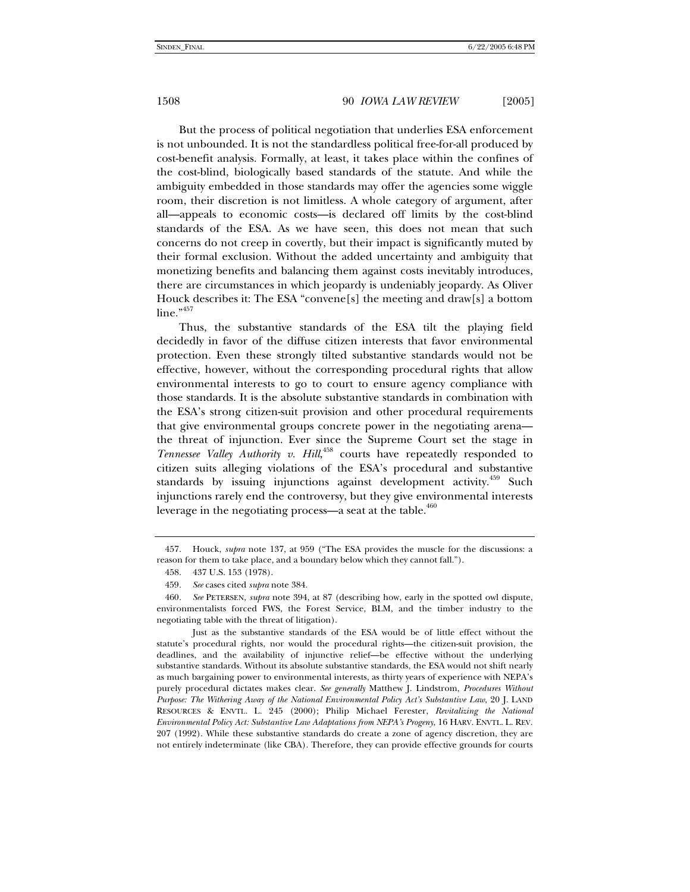But the process of political negotiation that underlies ESA enforcement is not unbounded. It is not the standardless political free-for-all produced by cost-benefit analysis. Formally, at least, it takes place within the confines of the cost-blind, biologically based standards of the statute. And while the ambiguity embedded in those standards may offer the agencies some wiggle room, their discretion is not limitless. A whole category of argument, after all—appeals to economic costs—is declared off limits by the cost-blind standards of the ESA. As we have seen, this does not mean that such concerns do not creep in covertly, but their impact is significantly muted by their formal exclusion. Without the added uncertainty and ambiguity that monetizing benefits and balancing them against costs inevitably introduces, there are circumstances in which jeopardy is undeniably jeopardy. As Oliver Houck describes it: The ESA "convene[s] the meeting and draw[s] a bottom line."<sup>457</sup>

Thus, the substantive standards of the ESA tilt the playing field decidedly in favor of the diffuse citizen interests that favor environmental protection. Even these strongly tilted substantive standards would not be effective, however, without the corresponding procedural rights that allow environmental interests to go to court to ensure agency compliance with those standards. It is the absolute substantive standards in combination with the ESA's strong citizen-suit provision and other procedural requirements that give environmental groups concrete power in the negotiating arena the threat of injunction. Ever since the Supreme Court set the stage in Tennessee Valley Authority v. Hill,<sup>458</sup> courts have repeatedly responded to citizen suits alleging violations of the ESA's procedural and substantive standards by issuing injunctions against development activity.<sup>459</sup> Such injunctions rarely end the controversy, but they give environmental interests leverage in the negotiating process—a seat at the table. $460$ 

 <sup>457.</sup> Houck, *supra* note 137, at 959 ("The ESA provides the muscle for the discussions: a reason for them to take place, and a boundary below which they cannot fall.").

 <sup>458. 437</sup> U.S. 153 (1978).

<sup>459</sup>*. See* cases cited *supra* note 384.

<sup>460</sup>*. See* PETERSEN, *supra* note 394, at 87 (describing how, early in the spotted owl dispute, environmentalists forced FWS, the Forest Service, BLM, and the timber industry to the negotiating table with the threat of litigation).

Just as the substantive standards of the ESA would be of little effect without the statute's procedural rights, nor would the procedural rights—the citizen-suit provision, the deadlines, and the availability of injunctive relief—be effective without the underlying substantive standards. Without its absolute substantive standards, the ESA would not shift nearly as much bargaining power to environmental interests, as thirty years of experience with NEPA's purely procedural dictates makes clear. *See generally* Matthew J. Lindstrom, *Procedures Without Purpose: The Withering Away of the National Environmental Policy Act's Substantive Law*, 20 J. LAND RESOURCES & ENVTL. L. 245 (2000); Philip Michael Ferester, *Revitalizing the National Environmental Policy Act: Substantive Law Adaptations from NEPA's Progeny*, 16 HARV. ENVTL. L. REV. 207 (1992). While these substantive standards do create a zone of agency discretion, they are not entirely indeterminate (like CBA). Therefore, they can provide effective grounds for courts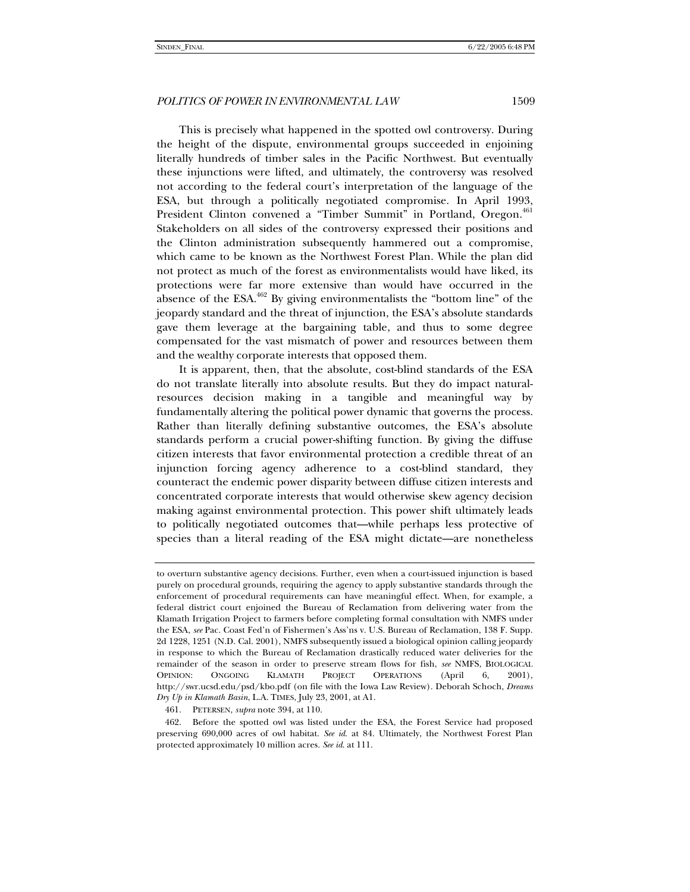This is precisely what happened in the spotted owl controversy. During the height of the dispute, environmental groups succeeded in enjoining literally hundreds of timber sales in the Pacific Northwest. But eventually these injunctions were lifted, and ultimately, the controversy was resolved not according to the federal court's interpretation of the language of the ESA, but through a politically negotiated compromise. In April 1993, President Clinton convened a "Timber Summit" in Portland, Oregon.<sup>461</sup> Stakeholders on all sides of the controversy expressed their positions and the Clinton administration subsequently hammered out a compromise, which came to be known as the Northwest Forest Plan. While the plan did not protect as much of the forest as environmentalists would have liked, its protections were far more extensive than would have occurred in the absence of the  $ESA$ <sup>462</sup> By giving environmentalists the "bottom line" of the jeopardy standard and the threat of injunction, the ESA's absolute standards gave them leverage at the bargaining table, and thus to some degree compensated for the vast mismatch of power and resources between them and the wealthy corporate interests that opposed them.

It is apparent, then, that the absolute, cost-blind standards of the ESA do not translate literally into absolute results. But they do impact naturalresources decision making in a tangible and meaningful way by fundamentally altering the political power dynamic that governs the process. Rather than literally defining substantive outcomes, the ESA's absolute standards perform a crucial power-shifting function. By giving the diffuse citizen interests that favor environmental protection a credible threat of an injunction forcing agency adherence to a cost-blind standard, they counteract the endemic power disparity between diffuse citizen interests and concentrated corporate interests that would otherwise skew agency decision making against environmental protection. This power shift ultimately leads to politically negotiated outcomes that—while perhaps less protective of species than a literal reading of the ESA might dictate—are nonetheless

to overturn substantive agency decisions. Further, even when a court-issued injunction is based purely on procedural grounds, requiring the agency to apply substantive standards through the enforcement of procedural requirements can have meaningful effect. When, for example, a federal district court enjoined the Bureau of Reclamation from delivering water from the Klamath Irrigation Project to farmers before completing formal consultation with NMFS under the ESA, *see* Pac. Coast Fed'n of Fishermen's Ass'ns v. U.S. Bureau of Reclamation, 138 F. Supp. 2d 1228, 1251 (N.D. Cal. 2001), NMFS subsequently issued a biological opinion calling jeopardy in response to which the Bureau of Reclamation drastically reduced water deliveries for the remainder of the season in order to preserve stream flows for fish, *see* NMFS, BIOLOGICAL OPINION: ONGOING KLAMATH PROJECT OPERATIONS (April 6, 2001), http://swr.ucsd.edu/psd/kbo.pdf (on file with the Iowa Law Review). Deborah Schoch, *Dreams Dry Up in Klamath Basin*, L.A. TIMES, July 23, 2001, at A1.

 <sup>461.</sup> PETERSEN, *supra* note 394, at 110.

 <sup>462.</sup> Before the spotted owl was listed under the ESA, the Forest Service had proposed preserving 690,000 acres of owl habitat. *See id*. at 84. Ultimately, the Northwest Forest Plan protected approximately 10 million acres. *See id*. at 111.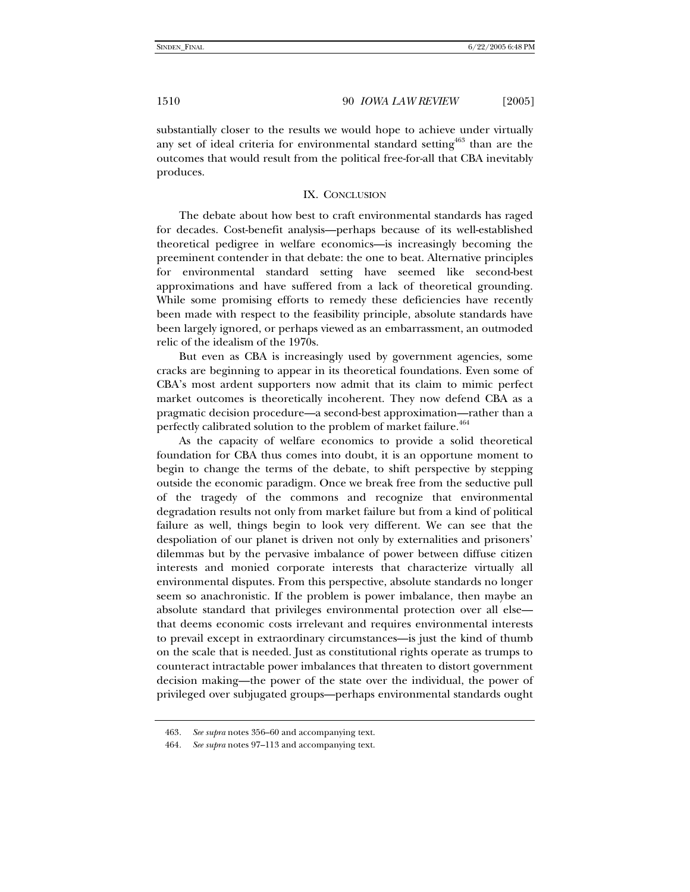substantially closer to the results we would hope to achieve under virtually any set of ideal criteria for environmental standard setting  $463$  than are the outcomes that would result from the political free-for-all that CBA inevitably produces.

#### IX. CONCLUSION

The debate about how best to craft environmental standards has raged for decades. Cost-benefit analysis—perhaps because of its well-established theoretical pedigree in welfare economics—is increasingly becoming the preeminent contender in that debate: the one to beat. Alternative principles for environmental standard setting have seemed like second-best approximations and have suffered from a lack of theoretical grounding. While some promising efforts to remedy these deficiencies have recently been made with respect to the feasibility principle, absolute standards have been largely ignored, or perhaps viewed as an embarrassment, an outmoded relic of the idealism of the 1970s.

But even as CBA is increasingly used by government agencies, some cracks are beginning to appear in its theoretical foundations. Even some of CBA's most ardent supporters now admit that its claim to mimic perfect market outcomes is theoretically incoherent. They now defend CBA as a pragmatic decision procedure—a second-best approximation—rather than a perfectly calibrated solution to the problem of market failure.<sup>464</sup>

As the capacity of welfare economics to provide a solid theoretical foundation for CBA thus comes into doubt, it is an opportune moment to begin to change the terms of the debate, to shift perspective by stepping outside the economic paradigm. Once we break free from the seductive pull of the tragedy of the commons and recognize that environmental degradation results not only from market failure but from a kind of political failure as well, things begin to look very different. We can see that the despoliation of our planet is driven not only by externalities and prisoners' dilemmas but by the pervasive imbalance of power between diffuse citizen interests and monied corporate interests that characterize virtually all environmental disputes. From this perspective, absolute standards no longer seem so anachronistic. If the problem is power imbalance, then maybe an absolute standard that privileges environmental protection over all else that deems economic costs irrelevant and requires environmental interests to prevail except in extraordinary circumstances—is just the kind of thumb on the scale that is needed. Just as constitutional rights operate as trumps to counteract intractable power imbalances that threaten to distort government decision making—the power of the state over the individual, the power of privileged over subjugated groups—perhaps environmental standards ought

<sup>463</sup>*. See supra* notes 356–60 and accompanying text.

<sup>464</sup>*. See supra* notes 97–113 and accompanying text.